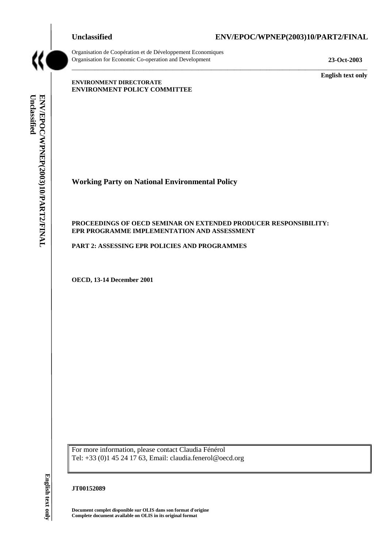# **Unclassified ENV/EPOC/WPNEP(2003)10/PART2/FINAL**



Organisation de Coopération et de Développement Economiques Organisation for Economic Co-operation and Development **23-Oct-2003** 

**English text only** 

# **ENVIRONMENT DIRECTORATE ENVIRONMENT POLICY COMMITTEE**

Unclassified ENV/EPOC/WPNEP(2003)10/PART2/FINAL **Unclassified ENV/EPOC/WPNEP(2003)10/PART2/FINAL English text only** 

**Working Party on National Environmental Policy** 

# **PROCEEDINGS OF OECD SEMINAR ON EXTENDED PRODUCER RESPONSIBILITY: EPR PROGRAMME IMPLEMENTATION AND ASSESSMENT**

 $\_$  ,  $\_$  ,  $\_$  ,  $\_$  ,  $\_$  ,  $\_$  ,  $\_$  ,  $\_$  ,  $\_$  ,  $\_$  ,  $\_$  ,  $\_$  ,  $\_$  ,  $\_$  ,  $\_$  ,  $\_$  ,  $\_$  ,  $\_$  ,  $\_$  ,  $\_$  ,  $\_$  ,  $\_$  ,  $\_$  ,  $\_$  ,  $\_$  ,  $\_$  ,  $\_$  ,  $\_$  ,  $\_$  ,  $\_$  ,  $\_$  ,  $\_$  ,  $\_$  ,  $\_$  ,  $\_$  ,  $\_$  ,  $\_$  ,

**PART 2: ASSESSING EPR POLICIES AND PROGRAMMES** 

**OECD, 13-14 December 2001** 

For more information, please contact Claudia Fénérol Tel: +33 (0)1 45 24 17 63, Email: claudia.fenerol@oecd.org

# **JT00152089**

**Document complet disponible sur OLIS dans son format d'origine Complete document available on OLIS in its original format**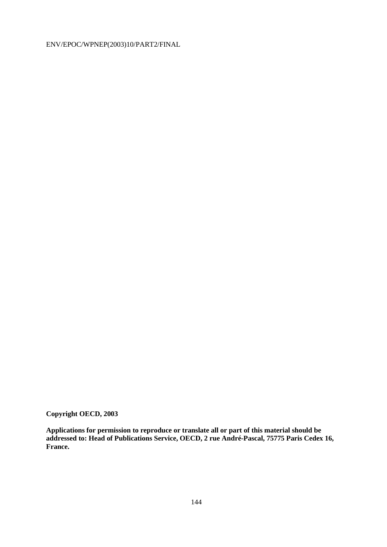**Copyright OECD, 2003** 

**Applications for permission to reproduce or translate all or part of this material should be addressed to: Head of Publications Service, OECD, 2 rue André-Pascal, 75775 Paris Cedex 16, France.**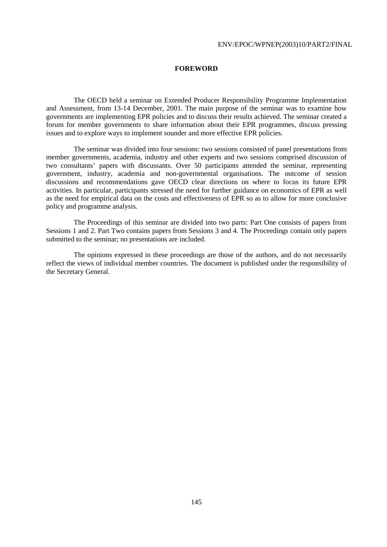# **FOREWORD**

 The OECD held a seminar on Extended Producer Responsibility Programme Implementation and Assessment, from 13-14 December, 2001. The main purpose of the seminar was to examine how governments are implementing EPR policies and to discuss their results achieved. The seminar created a forum for member governments to share information about their EPR programmes, discuss pressing issues and to explore ways to implement sounder and more effective EPR policies.

 The seminar was divided into four sessions: two sessions consisted of panel presentations from member governments, academia, industry and other experts and two sessions comprised discussion of two consultants' papers with discussants. Over 50 participants attended the seminar, representing government, industry, academia and non-governmental organisations. The outcome of session discussions and recommendations gave OECD clear directions on where to focus its future EPR activities. In particular, participants stressed the need for further guidance on economics of EPR as well as the need for empirical data on the costs and effectiveness of EPR so as to allow for more conclusive policy and programme analysis.

 The Proceedings of this seminar are divided into two parts: Part One consists of papers from Sessions 1 and 2. Part Two contains papers from Sessions 3 and 4. The Proceedings contain only papers submitted to the seminar; no presentations are included.

 The opinions expressed in these proceedings are those of the authors, and do not necessarily reflect the views of individual member countries. The document is published under the responsibility of the Secretary General.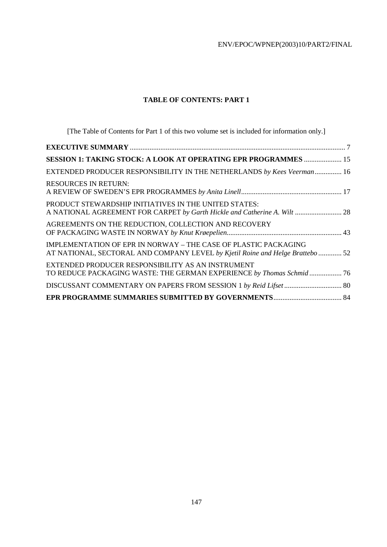# **TABLE OF CONTENTS: PART 1**

[The Table of Contents for Part 1 of this two volume set is included for information only.]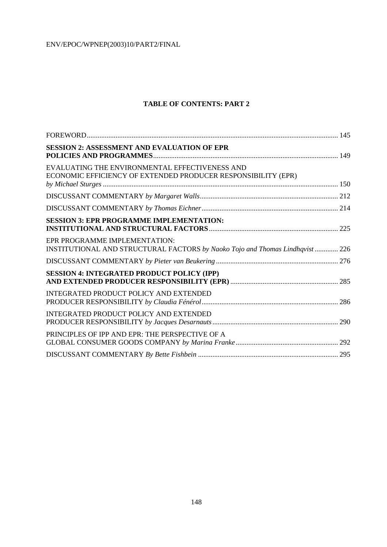# **TABLE OF CONTENTS: PART 2**

| <b>SESSION 2: ASSESSMENT AND EVALUATION OF EPR</b>                                                              |  |
|-----------------------------------------------------------------------------------------------------------------|--|
| EVALUATING THE ENVIRONMENTAL EFFECTIVENESS AND<br>ECONOMIC EFFICIENCY OF EXTENDED PRODUCER RESPONSIBILITY (EPR) |  |
|                                                                                                                 |  |
|                                                                                                                 |  |
| <b>SESSION 3: EPR PROGRAMME IMPLEMENTATION:</b>                                                                 |  |
| EPR PROGRAMME IMPLEMENTATION:<br>INSTITUTIONAL AND STRUCTURAL FACTORS by Naoko Tojo and Thomas Lindhqvist  226  |  |
|                                                                                                                 |  |
| <b>SESSION 4: INTEGRATED PRODUCT POLICY (IPP)</b>                                                               |  |
| <b>INTEGRATED PRODUCT POLICY AND EXTENDED</b>                                                                   |  |
| <b>INTEGRATED PRODUCT POLICY AND EXTENDED</b>                                                                   |  |
| PRINCIPLES OF IPP AND EPR: THE PERSPECTIVE OF A                                                                 |  |
|                                                                                                                 |  |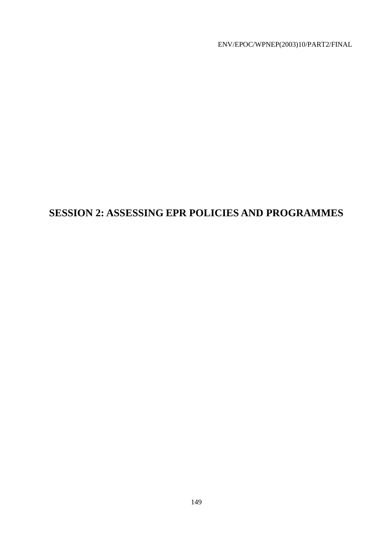# **SESSION 2: ASSESSING EPR POLICIES AND PROGRAMMES**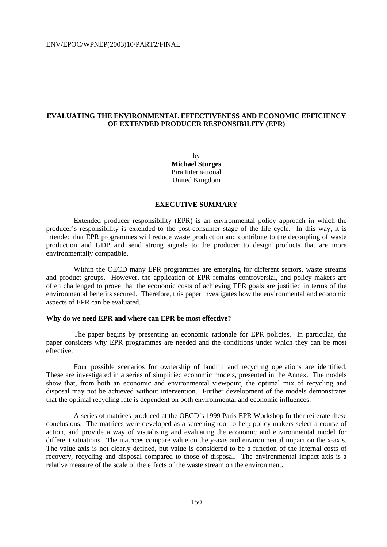# **EVALUATING THE ENVIRONMENTAL EFFECTIVENESS AND ECONOMIC EFFICIENCY OF EXTENDED PRODUCER RESPONSIBILITY (EPR)**

by **Michael Sturges**  Pira International United Kingdom

# **EXECUTIVE SUMMARY**

 Extended producer responsibility (EPR) is an environmental policy approach in which the producer's responsibility is extended to the post-consumer stage of the life cycle. In this way, it is intended that EPR programmes will reduce waste production and contribute to the decoupling of waste production and GDP and send strong signals to the producer to design products that are more environmentally compatible.

 Within the OECD many EPR programmes are emerging for different sectors, waste streams and product groups. However, the application of EPR remains controversial, and policy makers are often challenged to prove that the economic costs of achieving EPR goals are justified in terms of the environmental benefits secured. Therefore, this paper investigates how the environmental and economic aspects of EPR can be evaluated.

# **Why do we need EPR and where can EPR be most effective?**

 The paper begins by presenting an economic rationale for EPR policies. In particular, the paper considers why EPR programmes are needed and the conditions under which they can be most effective.

 Four possible scenarios for ownership of landfill and recycling operations are identified. These are investigated in a series of simplified economic models, presented in the Annex. The models show that, from both an economic and environmental viewpoint, the optimal mix of recycling and disposal may not be achieved without intervention. Further development of the models demonstrates that the optimal recycling rate is dependent on both environmental and economic influences.

 A series of matrices produced at the OECD's 1999 Paris EPR Workshop further reiterate these conclusions. The matrices were developed as a screening tool to help policy makers select a course of action, and provide a way of visualising and evaluating the economic and environmental model for different situations. The matrices compare value on the y-axis and environmental impact on the x-axis. The value axis is not clearly defined, but value is considered to be a function of the internal costs of recovery, recycling and disposal compared to those of disposal. The environmental impact axis is a relative measure of the scale of the effects of the waste stream on the environment.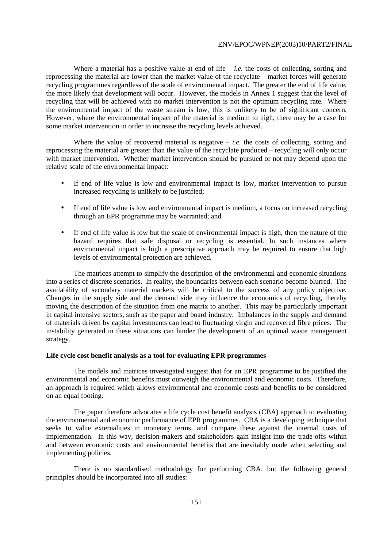Where a material has a positive value at end of life  $-i.e.$  the costs of collecting, sorting and reprocessing the material are lower than the market value of the recyclate – market forces will generate recycling programmes regardless of the scale of environmental impact. The greater the end of life value, the more likely that development will occur. However, the models in Annex 1 suggest that the level of recycling that will be achieved with no market intervention is not the optimum recycling rate. Where the environmental impact of the waste stream is low, this is unlikely to be of significant concern. However, where the environmental impact of the material is medium to high, there may be a case for some market intervention in order to increase the recycling levels achieved.

Where the value of recovered material is negative  $-i.e.$  the costs of collecting, sorting and reprocessing the material are greater than the value of the recyclate produced – recycling will only occur with market intervention. Whether market intervention should be pursued or not may depend upon the relative scale of the environmental impact:

- If end of life value is low and environmental impact is low, market intervention to pursue increased recycling is unlikely to be justified;
- If end of life value is low and environmental impact is medium, a focus on increased recycling through an EPR programme may be warranted; and
- If end of life value is low but the scale of environmental impact is high, then the nature of the hazard requires that safe disposal or recycling is essential. In such instances where environmental impact is high a prescriptive approach may be required to ensure that high levels of environmental protection are achieved.

 The matrices attempt to simplify the description of the environmental and economic situations into a series of discrete scenarios. In reality, the boundaries between each scenario become blurred. The availability of secondary material markets will be critical to the success of any policy objective. Changes in the supply side and the demand side may influence the economics of recycling, thereby moving the description of the situation from one matrix to another. This may be particularly important in capital intensive sectors, such as the paper and board industry. Imbalances in the supply and demand of materials driven by capital investments can lead to fluctuating virgin and recovered fibre prices. The instability generated in these situations can hinder the development of an optimal waste management strategy.

#### **Life cycle cost benefit analysis as a tool for evaluating EPR programmes**

 The models and matrices investigated suggest that for an EPR programme to be justified the environmental and economic benefits must outweigh the environmental and economic costs. Therefore, an approach is required which allows environmental and economic costs and benefits to be considered on an equal footing.

 The paper therefore advocates a life cycle cost benefit analysis (CBA) approach to evaluating the environmental and economic performance of EPR programmes. CBA is a developing technique that seeks to value externalities in monetary terms, and compare these against the internal costs of implementation. In this way, decision-makers and stakeholders gain insight into the trade-offs within and between economic costs and environmental benefits that are inevitably made when selecting and implementing policies.

 There is no standardised methodology for performing CBA, but the following general principles should be incorporated into all studies: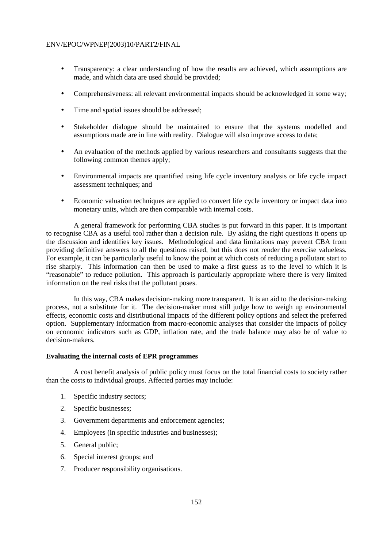- Transparency: a clear understanding of how the results are achieved, which assumptions are made, and which data are used should be provided;
- Comprehensiveness: all relevant environmental impacts should be acknowledged in some way;
- Time and spatial issues should be addressed;
- Stakeholder dialogue should be maintained to ensure that the systems modelled and assumptions made are in line with reality. Dialogue will also improve access to data;
- An evaluation of the methods applied by various researchers and consultants suggests that the following common themes apply;
- Environmental impacts are quantified using life cycle inventory analysis or life cycle impact assessment techniques; and
- Economic valuation techniques are applied to convert life cycle inventory or impact data into monetary units, which are then comparable with internal costs.

 A general framework for performing CBA studies is put forward in this paper. It is important to recognise CBA as a useful tool rather than a decision rule. By asking the right questions it opens up the discussion and identifies key issues. Methodological and data limitations may prevent CBA from providing definitive answers to all the questions raised, but this does not render the exercise valueless. For example, it can be particularly useful to know the point at which costs of reducing a pollutant start to rise sharply. This information can then be used to make a first guess as to the level to which it is "reasonable" to reduce pollution. This approach is particularly appropriate where there is very limited information on the real risks that the pollutant poses.

 In this way, CBA makes decision-making more transparent. It is an aid to the decision-making process, not a substitute for it. The decision-maker must still judge how to weigh up environmental effects, economic costs and distributional impacts of the different policy options and select the preferred option. Supplementary information from macro-economic analyses that consider the impacts of policy on economic indicators such as GDP, inflation rate, and the trade balance may also be of value to decision-makers.

# **Evaluating the internal costs of EPR programmes**

 A cost benefit analysis of public policy must focus on the total financial costs to society rather than the costs to individual groups. Affected parties may include:

- 1. Specific industry sectors;
- 2. Specific businesses;
- 3. Government departments and enforcement agencies;
- 4. Employees (in specific industries and businesses);
- 5. General public;
- 6. Special interest groups; and
- 7. Producer responsibility organisations.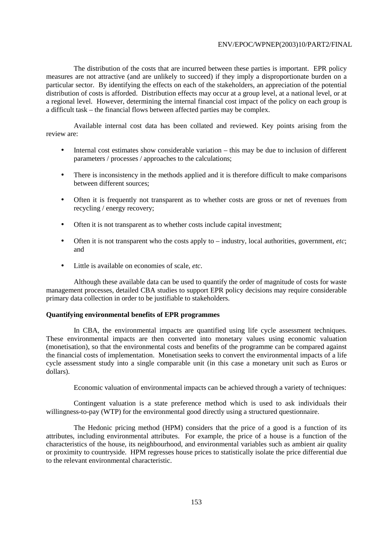The distribution of the costs that are incurred between these parties is important. EPR policy measures are not attractive (and are unlikely to succeed) if they imply a disproportionate burden on a particular sector. By identifying the effects on each of the stakeholders, an appreciation of the potential distribution of costs is afforded. Distribution effects may occur at a group level, at a national level, or at a regional level. However, determining the internal financial cost impact of the policy on each group is a difficult task – the financial flows between affected parties may be complex.

 Available internal cost data has been collated and reviewed. Key points arising from the review are:

- Internal cost estimates show considerable variation this may be due to inclusion of different parameters / processes / approaches to the calculations;
- There is inconsistency in the methods applied and it is therefore difficult to make comparisons between different sources;
- Often it is frequently not transparent as to whether costs are gross or net of revenues from recycling / energy recovery;
- Often it is not transparent as to whether costs include capital investment;
- Often it is not transparent who the costs apply to industry, local authorities, government, *etc*; and
- Little is available on economies of scale, *etc*.

 Although these available data can be used to quantify the order of magnitude of costs for waste management processes, detailed CBA studies to support EPR policy decisions may require considerable primary data collection in order to be justifiable to stakeholders.

# **Quantifying environmental benefits of EPR programmes**

 In CBA, the environmental impacts are quantified using life cycle assessment techniques. These environmental impacts are then converted into monetary values using economic valuation (monetisation), so that the environmental costs and benefits of the programme can be compared against the financial costs of implementation. Monetisation seeks to convert the environmental impacts of a life cycle assessment study into a single comparable unit (in this case a monetary unit such as Euros or dollars).

Economic valuation of environmental impacts can be achieved through a variety of techniques:

 Contingent valuation is a state preference method which is used to ask individuals their willingness-to-pay (WTP) for the environmental good directly using a structured questionnaire.

 The Hedonic pricing method (HPM) considers that the price of a good is a function of its attributes, including environmental attributes. For example, the price of a house is a function of the characteristics of the house, its neighbourhood, and environmental variables such as ambient air quality or proximity to countryside. HPM regresses house prices to statistically isolate the price differential due to the relevant environmental characteristic.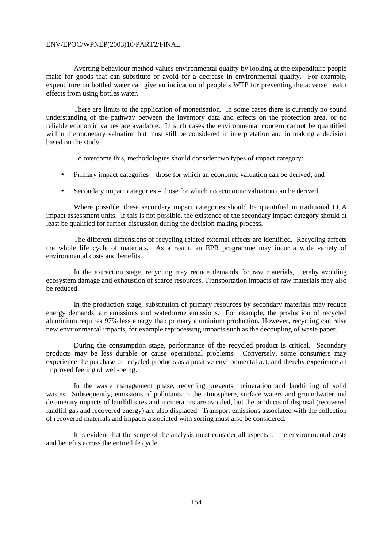Averting behaviour method values environmental quality by looking at the expenditure people make for goods that can substitute or avoid for a decrease in environmental quality. For example, expenditure on bottled water can give an indication of people's WTP for preventing the adverse health effects from using bottles water.

 There are limits to the application of monetisation. In some cases there is currently no sound understanding of the pathway between the inventory data and effects on the protection area, or no reliable economic values are available. In such cases the environmental concern cannot be quantified within the monetary valuation but must still be considered in interpretation and in making a decision based on the study.

To overcome this, methodologies should consider two types of impact category:

- Primary impact categories those for which an economic valuation can be derived; and
- Secondary impact categories those for which no economic valuation can be derived.

 Where possible, these secondary impact categories should be quantified in traditional LCA impact assessment units. If this is not possible, the existence of the secondary impact category should at least be qualified for further discussion during the decision making process.

 The different dimensions of recycling-related external effects are identified. Recycling affects the whole life cycle of materials. As a result, an EPR programme may incur a wide variety of environmental costs and benefits.

 In the extraction stage, recycling may reduce demands for raw materials, thereby avoiding ecosystem damage and exhaustion of scarce resources. Transportation impacts of raw materials may also be reduced.

 In the production stage, substitution of primary resources by secondary materials may reduce energy demands, air emissions and waterborne emissions. For example, the production of recycled aluminium requires 97% less energy than primary aluminium production. However, recycling can raise new environmental impacts, for example reprocessing impacts such as the decoupling of waste paper.

 During the consumption stage, performance of the recycled product is critical. Secondary products may be less durable or cause operational problems. Conversely, some consumers may experience the purchase of recycled products as a positive environmental act, and thereby experience an improved feeling of well-being.

 In the waste management phase, recycling prevents incineration and landfilling of solid wastes. Subsequently, emissions of pollutants to the atmosphere, surface waters and groundwater and disamenity impacts of landfill sites and incinerators are avoided, but the products of disposal (recovered landfill gas and recovered energy) are also displaced. Transport emissions associated with the collection of recovered materials and impacts associated with sorting must also be considered.

 It is evident that the scope of the analysis must consider all aspects of the environmental costs and benefits across the entire life cycle.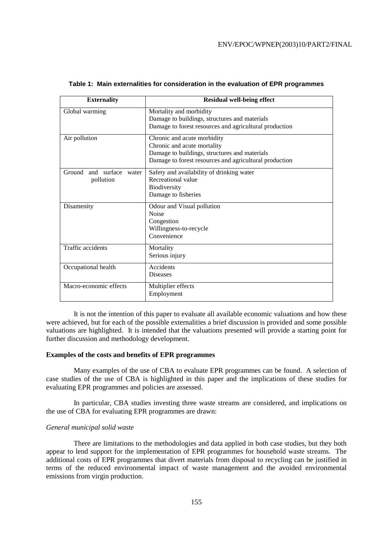| <b>Externality</b>                | <b>Residual well-being effect</b>                      |
|-----------------------------------|--------------------------------------------------------|
| Global warming                    | Mortality and morbidity                                |
|                                   | Damage to buildings, structures and materials          |
|                                   | Damage to forest resources and agricultural production |
| Air pollution                     | Chronic and acute morbidity                            |
|                                   | Chronic and acute mortality                            |
|                                   | Damage to buildings, structures and materials          |
|                                   | Damage to forest resources and agricultural production |
| Ground<br>and<br>surface<br>water | Safety and availability of drinking water              |
| pollution                         | Recreational value                                     |
|                                   | Biodiversity                                           |
|                                   | Damage to fisheries                                    |
| Disamenity                        | Odour and Visual pollution                             |
|                                   | <b>Noise</b>                                           |
|                                   | Congestion                                             |
|                                   | Willingness-to-recycle                                 |
|                                   | Convenience                                            |
| Traffic accidents                 | Mortality                                              |
|                                   | Serious injury                                         |
| Occupational health               | Accidents                                              |
|                                   | <b>Diseases</b>                                        |
| Macro-economic effects            | Multiplier effects                                     |
|                                   | Employment                                             |

#### **Table 1: Main externalities for consideration in the evaluation of EPR programmes**

 It is not the intention of this paper to evaluate all available economic valuations and how these were achieved, but for each of the possible externalities a brief discussion is provided and some possible valuations are highlighted. It is intended that the valuations presented will provide a starting point for further discussion and methodology development.

# **Examples of the costs and benefits of EPR programmes**

 Many examples of the use of CBA to evaluate EPR programmes can be found. A selection of case studies of the use of CBA is highlighted in this paper and the implications of these studies for evaluating EPR programmes and policies are assessed.

 In particular, CBA studies investing three waste streams are considered, and implications on the use of CBA for evaluating EPR programmes are drawn:

#### *General municipal solid waste*

 There are limitations to the methodologies and data applied in both case studies, but they both appear to lend support for the implementation of EPR programmes for household waste streams. The additional costs of EPR programmes that divert materials from disposal to recycling can be justified in terms of the reduced environmental impact of waste management and the avoided environmental emissions from virgin production.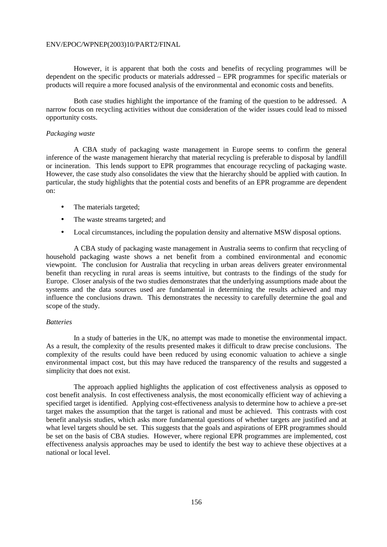However, it is apparent that both the costs and benefits of recycling programmes will be dependent on the specific products or materials addressed – EPR programmes for specific materials or products will require a more focused analysis of the environmental and economic costs and benefits.

 Both case studies highlight the importance of the framing of the question to be addressed. A narrow focus on recycling activities without due consideration of the wider issues could lead to missed opportunity costs.

# *Packaging waste*

 A CBA study of packaging waste management in Europe seems to confirm the general inference of the waste management hierarchy that material recycling is preferable to disposal by landfill or incineration. This lends support to EPR programmes that encourage recycling of packaging waste. However, the case study also consolidates the view that the hierarchy should be applied with caution. In particular, the study highlights that the potential costs and benefits of an EPR programme are dependent on:

- The materials targeted;
- The waste streams targeted; and
- Local circumstances, including the population density and alternative MSW disposal options.

 A CBA study of packaging waste management in Australia seems to confirm that recycling of household packaging waste shows a net benefit from a combined environmental and economic viewpoint. The conclusion for Australia that recycling in urban areas delivers greater environmental benefit than recycling in rural areas is seems intuitive, but contrasts to the findings of the study for Europe. Closer analysis of the two studies demonstrates that the underlying assumptions made about the systems and the data sources used are fundamental in determining the results achieved and may influence the conclusions drawn. This demonstrates the necessity to carefully determine the goal and scope of the study.

#### *Batteries*

 In a study of batteries in the UK, no attempt was made to monetise the environmental impact. As a result, the complexity of the results presented makes it difficult to draw precise conclusions. The complexity of the results could have been reduced by using economic valuation to achieve a single environmental impact cost, but this may have reduced the transparency of the results and suggested a simplicity that does not exist.

 The approach applied highlights the application of cost effectiveness analysis as opposed to cost benefit analysis. In cost effectiveness analysis, the most economically efficient way of achieving a specified target is identified. Applying cost-effectiveness analysis to determine how to achieve a pre-set target makes the assumption that the target is rational and must be achieved. This contrasts with cost benefit analysis studies, which asks more fundamental questions of whether targets are justified and at what level targets should be set. This suggests that the goals and aspirations of EPR programmes should be set on the basis of CBA studies. However, where regional EPR programmes are implemented, cost effectiveness analysis approaches may be used to identify the best way to achieve these objectives at a national or local level.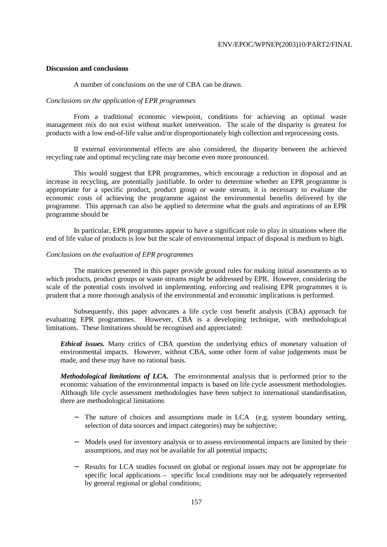# **Discussion and conclusions**

A number of conclusions on the use of CBA can be drawn.

# *Conclusions on the application of EPR programmes*

 From a traditional economic viewpoint, conditions for achieving an optimal waste management mix do not exist without market intervention. The scale of the disparity is greatest for products with a low end-of-life value and/or disproportionately high collection and reprocessing costs.

 If external environmental effects are also considered, the disparity between the achieved recycling rate and optimal recycling rate may become even more pronounced.

 This would suggest that EPR programmes, which encourage a reduction in disposal and an increase in recycling, are potentially justifiable. In order to determine whether an EPR programme is appropriate for a specific product, product group or waste stream, it is necessary to evaluate the economic costs of achieving the programme against the environmental benefits delivered by the programme. This approach can also be applied to determine what the goals and aspirations of an EPR programme should be

 In particular, EPR programmes appear to have a significant role to play in situations where the end of life value of products is low but the scale of environmental impact of disposal is medium to high.

# *Conclusions on the evaluation of EPR programmes*

 The matrices presented in this paper provide ground rules for making initial assessments as to which products, product groups or waste streams *might* be addressed by EPR. However, considering the scale of the potential costs involved in implementing, enforcing and realising EPR programmes it is prudent that a more thorough analysis of the environmental and economic implications is performed.

 Subsequently, this paper advocates a life cycle cost benefit analysis (CBA) approach for evaluating EPR programmes. However, CBA is a developing technique, with methodological limitations. These limitations should be recognised and appreciated:

*Ethical issues.* Many critics of CBA question the underlying ethics of monetary valuation of environmental impacts. However, without CBA, some other form of value judgements must be made, and these may have no rational basis.

*Methodological limitations of LCA.* The environmental analysis that is performed prior to the economic valuation of the environmental impacts is based on life cycle assessment methodologies. Although life cycle assessment methodologies have been subject to international standardisation, there are methodological limitations:

- − The nature of choices and assumptions made in LCA (e.g. system boundary setting, selection of data sources and impact categories) may be subjective;
- − Models used for inventory analysis or to assess environmental impacts are limited by their assumptions, and may not be available for all potential impacts;
- − Results for LCA studies focused on global or regional issues may not be appropriate for specific local applications – specific local conditions may not be adequately represented by general regional or global conditions;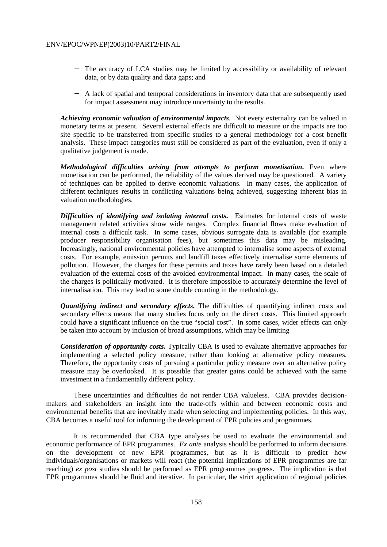- − The accuracy of LCA studies may be limited by accessibility or availability of relevant data, or by data quality and data gaps; and
- − A lack of spatial and temporal considerations in inventory data that are subsequently used for impact assessment may introduce uncertainty to the results.

*Achieving economic valuation of environmental impacts.* Not every externality can be valued in monetary terms at present. Several external effects are difficult to measure or the impacts are too site specific to be transferred from specific studies to a general methodology for a cost benefit analysis. These impact categories must still be considered as part of the evaluation, even if only a qualitative judgement is made.

*Methodological difficulties arising from attempts to perform monetisation***.** Even where monetisation can be performed, the reliability of the values derived may be questioned. A variety of techniques can be applied to derive economic valuations. In many cases, the application of different techniques results in conflicting valuations being achieved, suggesting inherent bias in valuation methodologies.

*Difficulties of identifying and isolating internal costs***.** Estimates for internal costs of waste management related activities show wide ranges. Complex financial flows make evaluation of internal costs a difficult task. In some cases, obvious surrogate data is available (for example producer responsibility organisation fees), but sometimes this data may be misleading. Increasingly, national environmental policies have attempted to internalise some aspects of external costs. For example, emission permits and landfill taxes effectively internalise some elements of pollution. However, the charges for these permits and taxes have rarely been based on a detailed evaluation of the external costs of the avoided environmental impact. In many cases, the scale of the charges is politically motivated. It is therefore impossible to accurately determine the level of internalisation. This may lead to some double counting in the methodology.

*Quantifying indirect and secondary effects***.** The difficulties of quantifying indirect costs and secondary effects means that many studies focus only on the direct costs. This limited approach could have a significant influence on the true "social cost". In some cases, wider effects can only be taken into account by inclusion of broad assumptions, which may be limiting

*Consideration of opportunity costs.* Typically CBA is used to evaluate alternative approaches for implementing a selected policy measure, rather than looking at alternative policy measures. Therefore, the opportunity costs of pursuing a particular policy measure over an alternative policy measure may be overlooked. It is possible that greater gains could be achieved with the same investment in a fundamentally different policy.

 These uncertainties and difficulties do not render CBA valueless. CBA provides decisionmakers and stakeholders an insight into the trade-offs within and between economic costs and environmental benefits that are inevitably made when selecting and implementing policies. In this way, CBA becomes a useful tool for informing the development of EPR policies and programmes.

 It is recommended that CBA type analyses be used to evaluate the environmental and economic performance of EPR programmes. *Ex ante* analysis should be performed to inform decisions on the development of new EPR programmes, but as it is difficult to predict how individuals/organisations or markets will react (the potential implications of EPR programmes are far reaching) *ex post* studies should be performed as EPR programmes progress. The implication is that EPR programmes should be fluid and iterative. In particular, the strict application of regional policies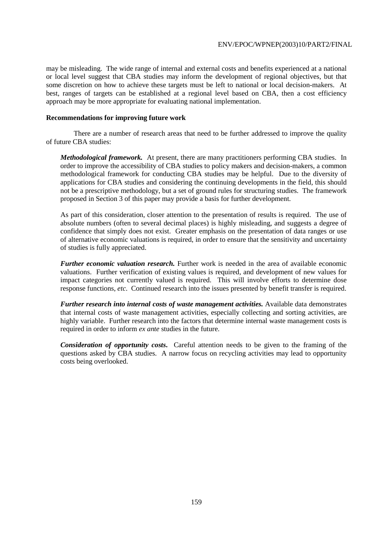may be misleading. The wide range of internal and external costs and benefits experienced at a national or local level suggest that CBA studies may inform the development of regional objectives, but that some discretion on how to achieve these targets must be left to national or local decision-makers. At best, ranges of targets can be established at a regional level based on CBA, then a cost efficiency approach may be more appropriate for evaluating national implementation.

# **Recommendations for improving future work**

 There are a number of research areas that need to be further addressed to improve the quality of future CBA studies:

*Methodological framework.* At present, there are many practitioners performing CBA studies. In order to improve the accessibility of CBA studies to policy makers and decision-makers, a common methodological framework for conducting CBA studies may be helpful. Due to the diversity of applications for CBA studies and considering the continuing developments in the field, this should not be a prescriptive methodology, but a set of ground rules for structuring studies. The framework proposed in Section 3 of this paper may provide a basis for further development.

As part of this consideration, closer attention to the presentation of results is required. The use of absolute numbers (often to several decimal places) is highly misleading, and suggests a degree of confidence that simply does not exist. Greater emphasis on the presentation of data ranges or use of alternative economic valuations is required, in order to ensure that the sensitivity and uncertainty of studies is fully appreciated.

*Further economic valuation research.* Further work is needed in the area of available economic valuations. Further verification of existing values is required, and development of new values for impact categories not currently valued is required. This will involve efforts to determine dose response functions, *etc*. Continued research into the issues presented by benefit transfer is required.

*Further research into internal costs of waste management activities.* Available data demonstrates that internal costs of waste management activities, especially collecting and sorting activities, are highly variable. Further research into the factors that determine internal waste management costs is required in order to inform *ex ante* studies in the future.

*Consideration of opportunity costs***.** Careful attention needs to be given to the framing of the questions asked by CBA studies. A narrow focus on recycling activities may lead to opportunity costs being overlooked.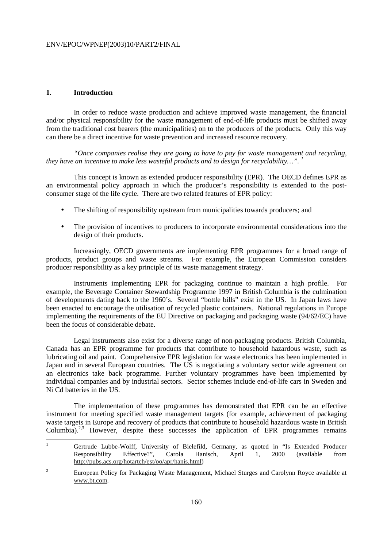# **1. Introduction**

 In order to reduce waste production and achieve improved waste management, the financial and/or physical responsibility for the waste management of end-of-life products must be shifted away from the traditional cost bearers (the municipalities) on to the producers of the products. Only this way can there be a direct incentive for waste prevention and increased resource recovery.

 *"Once companies realise they are going to have to pay for waste management and recycling, they have an incentive to make less wasteful products and to design for recyclability…". 1*

 This concept is known as extended producer responsibility (EPR). The OECD defines EPR as an environmental policy approach in which the producer's responsibility is extended to the postconsumer stage of the life cycle. There are two related features of EPR policy:

- The shifting of responsibility upstream from municipalities towards producers; and
- The provision of incentives to producers to incorporate environmental considerations into the design of their products.

 Increasingly, OECD governments are implementing EPR programmes for a broad range of products, product groups and waste streams. For example, the European Commission considers producer responsibility as a key principle of its waste management strategy.

 Instruments implementing EPR for packaging continue to maintain a high profile. For example, the Beverage Container Stewardship Programme 1997 in British Columbia is the culmination of developments dating back to the 1960's. Several "bottle bills" exist in the US. In Japan laws have been enacted to encourage the utilisation of recycled plastic containers. National regulations in Europe implementing the requirements of the EU Directive on packaging and packaging waste (94/62/EC) have been the focus of considerable debate.

 Legal instruments also exist for a diverse range of non-packaging products. British Columbia, Canada has an EPR programme for products that contribute to household hazardous waste, such as lubricating oil and paint. Comprehensive EPR legislation for waste electronics has been implemented in Japan and in several European countries. The US is negotiating a voluntary sector wide agreement on an electronics take back programme. Further voluntary programmes have been implemented by individual companies and by industrial sectors. Sector schemes include end-of-life cars in Sweden and Ni Cd batteries in the US.

 The implementation of these programmes has demonstrated that EPR can be an effective instrument for meeting specified waste management targets (for example, achievement of packaging waste targets in Europe and recovery of products that contribute to household hazardous waste in British Columbia).<sup>2,3</sup> However, despite these successes the application of EPR programmes remains

 $\overline{a}$ 1 Gertrude Lubbe-Wolff, University of Bielefild, Germany, as quoted in "Is Extended Producer Responsibility Effective?", Carola Hanisch, April 1, 2000 (available from http://pubs.acs.org/hotartch/est/oo/apr/hanis.html)

<sup>2</sup> European Policy for Packaging Waste Management, Michael Sturges and Carolynn Royce available at www.bt.com.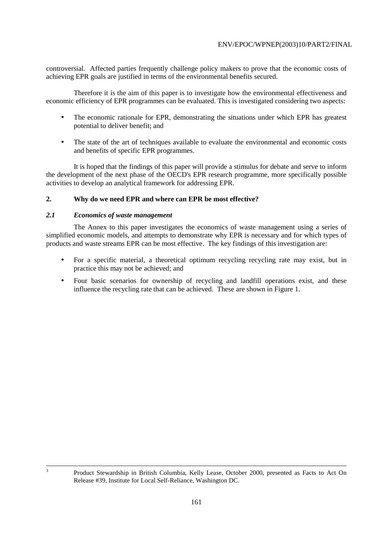controversial. Affected parties frequently challenge policy makers to prove that the economic costs of achieving EPR goals are justified in terms of the environmental benefits secured.

 Therefore it is the aim of this paper is to investigate how the environmental effectiveness and economic efficiency of EPR programmes can be evaluated. This is investigated considering two aspects:

- The economic rationale for EPR, demonstrating the situations under which EPR has greatest potential to deliver benefit; and
- The state of the art of techniques available to evaluate the environmental and economic costs and benefits of specific EPR programmes.

 It is hoped that the findings of this paper will provide a stimulus for debate and serve to inform the development of the next phase of the OECD's EPR research programme, more specifically possible activities to develop an analytical framework for addressing EPR.

# **2. Why do we need EPR and where can EPR be most effective?**

# *2.1 Economics of waste management*

 The Annex to this paper investigates the economics of waste management using a series of simplified economic models, and attempts to demonstrate why EPR is necessary and for which types of products and waste streams EPR can be most effective. The key findings of this investigation are:

- For a specific material, a theoretical optimum recycling recycling rate may exist, but in practice this may not be achieved; and
- Four basic scenarios for ownership of recycling and landfill operations exist, and these influence the recycling rate that can be achieved. These are shown in Figure 1.

3

<sup>&</sup>lt;sup>3</sup> Product Stewardship in British Columbia, Kelly Lease, October 2000, presented as Facts to Act On Release #39, Institute for Local Self-Reliance, Washington DC.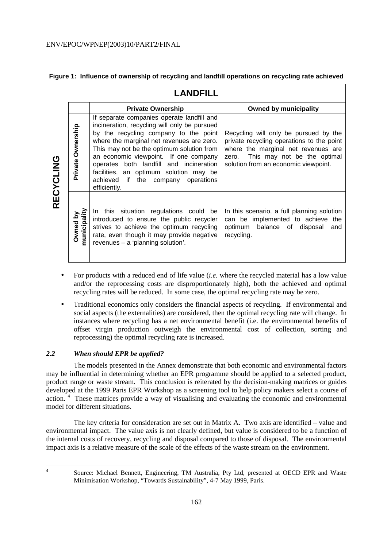# **Figure 1: Influence of ownership of recycling and landfill operations on recycling rate achieved**

# **LANDFILL**

|           |                          | <b>Private Ownership</b>                                                                                                                                                                                                                                                                                                                                                                                          | <b>Owned by municipality</b>                                                                                                                                                                              |
|-----------|--------------------------|-------------------------------------------------------------------------------------------------------------------------------------------------------------------------------------------------------------------------------------------------------------------------------------------------------------------------------------------------------------------------------------------------------------------|-----------------------------------------------------------------------------------------------------------------------------------------------------------------------------------------------------------|
| RECYCLING | Private Ownership        | If separate companies operate landfill and<br>incineration, recycling will only be pursued<br>by the recycling company to the point<br>where the marginal net revenues are zero.<br>This may not be the optimum solution from<br>an economic viewpoint. If one company<br>operates both landfill and incineration<br>facilities, an optimum solution may be<br>achieved if the company operations<br>efficiently. | Recycling will only be pursued by the<br>private recycling operations to the point<br>where the marginal net revenues are<br>This may not be the optimal<br>zero.<br>solution from an economic viewpoint. |
|           | municipality<br>Owned by | In this situation regulations could be<br>introduced to ensure the public recycler<br>strives to achieve the optimum recycling<br>rate, even though it may provide negative<br>revenues - a 'planning solution'.                                                                                                                                                                                                  | In this scenario, a full planning solution<br>can be implemented to achieve the<br>optimum balance of disposal<br>and<br>recycling.                                                                       |

- For products with a reduced end of life value (*i.e.* where the recycled material has a low value and/or the reprocessing costs are disproportionately high), both the achieved and optimal recycling rates will be reduced. In some case, the optimal recycling rate may be zero.
- Traditional economics only considers the financial aspects of recycling. If environmental and social aspects (the externalities) are considered, then the optimal recycling rate will change. In instances where recycling has a net environmental benefit (i.e. the environmental benefits of offset virgin production outweigh the environmental cost of collection, sorting and reprocessing) the optimal recycling rate is increased.

# *2.2 When should EPR be applied?*

 The models presented in the Annex demonstrate that both economic and environmental factors may be influential in determining whether an EPR programme should be applied to a selected product, product range or waste stream. This conclusion is reiterated by the decision-making matrices or guides developed at the 1999 Paris EPR Workshop as a screening tool to help policy makers select a course of action.<sup>4</sup> These matrices provide a way of visualising and evaluating the economic and environmental model for different situations.

 The key criteria for consideration are set out in Matrix A. Two axis are identified – value and environmental impact. The value axis is not clearly defined, but value is considered to be a function of the internal costs of recovery, recycling and disposal compared to those of disposal. The environmental impact axis is a relative measure of the scale of the effects of the waste stream on the environment.

 $\frac{1}{4}$ 

Source: Michael Bennett, Engineering, TM Australia, Pty Ltd, presented at OECD EPR and Waste Minimisation Workshop, "Towards Sustainability", 4-7 May 1999, Paris.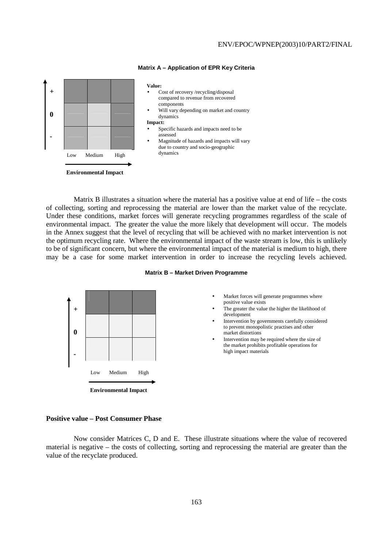

#### **Matrix A – Application of EPR Key Criteria**

 Matrix B illustrates a situation where the material has a positive value at end of life – the costs of collecting, sorting and reprocessing the material are lower than the market value of the recyclate. Under these conditions, market forces will generate recycling programmes regardless of the scale of environmental impact. The greater the value the more likely that development will occur. The models in the Annex suggest that the level of recycling that will be achieved with no market intervention is not the optimum recycling rate. Where the environmental impact of the waste stream is low, this is unlikely to be of significant concern, but where the environmental impact of the material is medium to high, there may be a case for some market intervention in order to increase the recycling levels achieved.





**Environmental Impact** 

#### **Positive value – Post Consumer Phase**

 Now consider Matrices C, D and E. These illustrate situations where the value of recovered material is negative – the costs of collecting, sorting and reprocessing the material are greater than the value of the recyclate produced.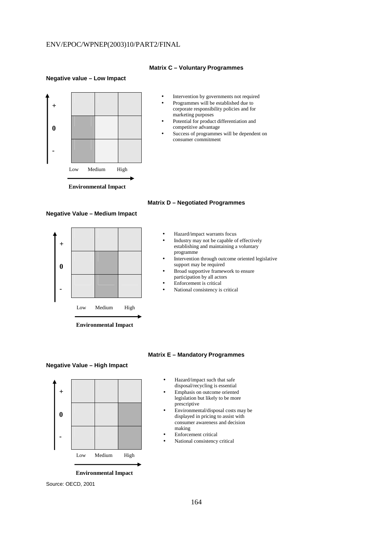#### **Matrix C – Voluntary Programmes**

#### **Negative value – Low Impact**



#### **Negative Value – Medium Impact**



**Environmental Impact** 

# **Matrix D – Negotiated Programmes**

- Hazard/impact warrants focus
- Industry may not be capable of effectively establishing and maintaining a voluntary programme
- Intervention through outcome oriented legislative support may be required
- Broad supportive framework to ensure
- participation by all actors • Enforcement is critical
- National consistency is critical

# **Negative Value – High Impact**



• Hazard/impact such that safe disposal/recycling is essential

**Matrix E – Mandatory Programmes** 

- Emphasis on outcome oriented legislation but likely to be more prescriptive
- Environmental/disposal costs may be displayed in pricing to assist with consumer awareness and decision making
- Enforcement critical
- National consistency critical

**Environmental Impact** 

Source: OECD, 2001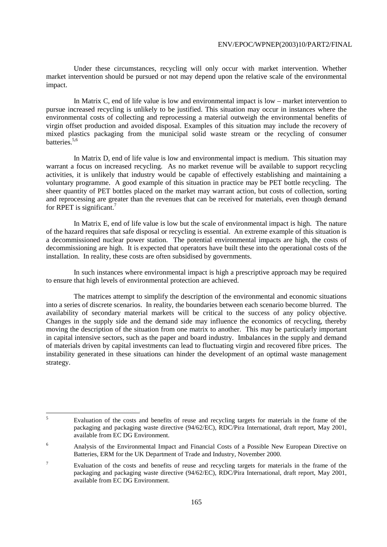Under these circumstances, recycling will only occur with market intervention. Whether market intervention should be pursued or not may depend upon the relative scale of the environmental impact.

 In Matrix C, end of life value is low and environmental impact is low – market intervention to pursue increased recycling is unlikely to be justified. This situation may occur in instances where the environmental costs of collecting and reprocessing a material outweigh the environmental benefits of virgin offset production and avoided disposal. Examples of this situation may include the recovery of mixed plastics packaging from the municipal solid waste stream or the recycling of consumer batteries.<sup>5,6</sup>

 In Matrix D, end of life value is low and environmental impact is medium. This situation may warrant a focus on increased recycling. As no market revenue will be available to support recycling activities, it is unlikely that industry would be capable of effectively establishing and maintaining a voluntary programme. A good example of this situation in practice may be PET bottle recycling. The sheer quantity of PET bottles placed on the market may warrant action, but costs of collection, sorting and reprocessing are greater than the revenues that can be received for materials, even though demand for RPET is significant.<sup>7</sup>

 In Matrix E, end of life value is low but the scale of environmental impact is high. The nature of the hazard requires that safe disposal or recycling is essential. An extreme example of this situation is a decommissioned nuclear power station. The potential environmental impacts are high, the costs of decommissioning are high. It is expected that operators have built these into the operational costs of the installation. In reality, these costs are often subsidised by governments.

 In such instances where environmental impact is high a prescriptive approach may be required to ensure that high levels of environmental protection are achieved.

 The matrices attempt to simplify the description of the environmental and economic situations into a series of discrete scenarios. In reality, the boundaries between each scenario become blurred. The availability of secondary material markets will be critical to the success of any policy objective. Changes in the supply side and the demand side may influence the economics of recycling, thereby moving the description of the situation from one matrix to another. This may be particularly important in capital intensive sectors, such as the paper and board industry. Imbalances in the supply and demand of materials driven by capital investments can lead to fluctuating virgin and recovered fibre prices. The instability generated in these situations can hinder the development of an optimal waste management strategy.

 5 Evaluation of the costs and benefits of reuse and recycling targets for materials in the frame of the packaging and packaging waste directive (94/62/EC), RDC/Pira International, draft report, May 2001, available from EC DG Environment.

<sup>6</sup> Analysis of the Environmental Impact and Financial Costs of a Possible New European Directive on Batteries, ERM for the UK Department of Trade and Industry, November 2000.

<sup>7</sup> Evaluation of the costs and benefits of reuse and recycling targets for materials in the frame of the packaging and packaging waste directive (94/62/EC), RDC/Pira International, draft report, May 2001, available from EC DG Environment.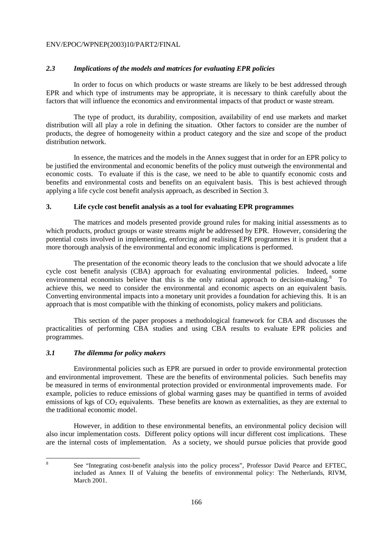# *2.3 Implications of the models and matrices for evaluating EPR policies*

 In order to focus on which products or waste streams are likely to be best addressed through EPR and which type of instruments may be appropriate, it is necessary to think carefully about the factors that will influence the economics and environmental impacts of that product or waste stream.

 The type of product, its durability, composition, availability of end use markets and market distribution will all play a role in defining the situation. Other factors to consider are the number of products, the degree of homogeneity within a product category and the size and scope of the product distribution network.

 In essence, the matrices and the models in the Annex suggest that in order for an EPR policy to be justified the environmental and economic benefits of the policy must outweigh the environmental and economic costs. To evaluate if this is the case, we need to be able to quantify economic costs and benefits and environmental costs and benefits on an equivalent basis. This is best achieved through applying a life cycle cost benefit analysis approach, as described in Section 3.

# **3. Life cycle cost benefit analysis as a tool for evaluating EPR programmes**

 The matrices and models presented provide ground rules for making initial assessments as to which products, product groups or waste streams *might* be addressed by EPR. However, considering the potential costs involved in implementing, enforcing and realising EPR programmes it is prudent that a more thorough analysis of the environmental and economic implications is performed.

 The presentation of the economic theory leads to the conclusion that we should advocate a life cycle cost benefit analysis (CBA) approach for evaluating environmental policies. Indeed, some environmental economists believe that this is the only rational approach to decision-making.<sup>8</sup> To achieve this, we need to consider the environmental and economic aspects on an equivalent basis. Converting environmental impacts into a monetary unit provides a foundation for achieving this. It is an approach that is most compatible with the thinking of economists, policy makers and politicians.

 This section of the paper proposes a methodological framework for CBA and discusses the practicalities of performing CBA studies and using CBA results to evaluate EPR policies and programmes.

# *3.1 The dilemma for policy makers*

 Environmental policies such as EPR are pursued in order to provide environmental protection and environmental improvement. These are the benefits of environmental policies. Such benefits may be measured in terms of environmental protection provided or environmental improvements made. For example, policies to reduce emissions of global warming gases may be quantified in terms of avoided emissions of kgs of  $CO<sub>2</sub>$  equivalents. These benefits are known as externalities, as they are external to the traditional economic model.

 However, in addition to these environmental benefits, an environmental policy decision will also incur implementation costs. Different policy options will incur different cost implications. These are the internal costs of implementation. As a society, we should pursue policies that provide good

8

See "Integrating cost-benefit analysis into the policy process", Professor David Pearce and EFTEC, included as Annex II of Valuing the benefits of environmental policy: The Netherlands, RIVM, March 2001.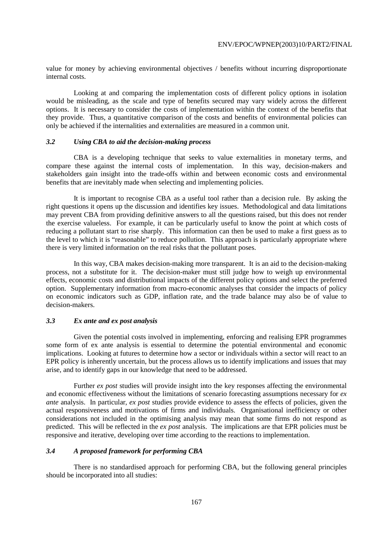value for money by achieving environmental objectives / benefits without incurring disproportionate internal costs.

 Looking at and comparing the implementation costs of different policy options in isolation would be misleading, as the scale and type of benefits secured may vary widely across the different options. It is necessary to consider the costs of implementation within the context of the benefits that they provide. Thus, a quantitative comparison of the costs and benefits of environmental policies can only be achieved if the internalities and externalities are measured in a common unit.

# *3.2 Using CBA to aid the decision-making process*

 CBA is a developing technique that seeks to value externalities in monetary terms, and compare these against the internal costs of implementation. In this way, decision-makers and stakeholders gain insight into the trade-offs within and between economic costs and environmental benefits that are inevitably made when selecting and implementing policies.

 It is important to recognise CBA as a useful tool rather than a decision rule. By asking the right questions it opens up the discussion and identifies key issues. Methodological and data limitations may prevent CBA from providing definitive answers to all the questions raised, but this does not render the exercise valueless. For example, it can be particularly useful to know the point at which costs of reducing a pollutant start to rise sharply. This information can then be used to make a first guess as to the level to which it is "reasonable" to reduce pollution. This approach is particularly appropriate where there is very limited information on the real risks that the pollutant poses.

 In this way, CBA makes decision-making more transparent. It is an aid to the decision-making process, not a substitute for it. The decision-maker must still judge how to weigh up environmental effects, economic costs and distributional impacts of the different policy options and select the preferred option. Supplementary information from macro-economic analyses that consider the impacts of policy on economic indicators such as GDP, inflation rate, and the trade balance may also be of value to decision-makers.

#### *3.3 Ex ante and ex post analysis*

 Given the potential costs involved in implementing, enforcing and realising EPR programmes some form of ex ante analysis is essential to determine the potential environmental and economic implications. Looking at futures to determine how a sector or individuals within a sector will react to an EPR policy is inherently uncertain, but the process allows us to identify implications and issues that may arise, and to identify gaps in our knowledge that need to be addressed.

 Further *ex post* studies will provide insight into the key responses affecting the environmental and economic effectiveness without the limitations of scenario forecasting assumptions necessary for *ex ante* analysis. In particular, *ex post* studies provide evidence to assess the effects of policies, given the actual responsiveness and motivations of firms and individuals. Organisational inefficiency or other considerations not included in the optimising analysis may mean that some firms do not respond as predicted. This will be reflected in the *ex post* analysis. The implications are that EPR policies must be responsive and iterative, developing over time according to the reactions to implementation.

# *3.4 A proposed framework for performing CBA*

 There is no standardised approach for performing CBA, but the following general principles should be incorporated into all studies: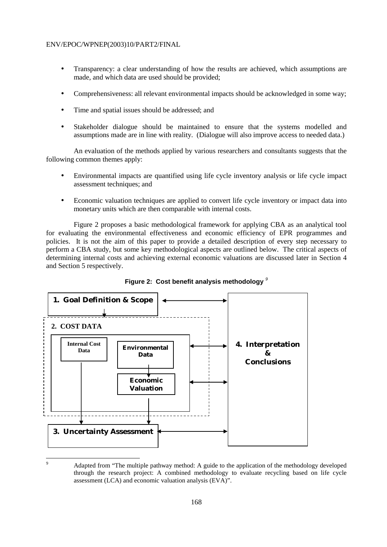- Transparency: a clear understanding of how the results are achieved, which assumptions are made, and which data are used should be provided;
- Comprehensiveness: all relevant environmental impacts should be acknowledged in some way;
- Time and spatial issues should be addressed; and
- Stakeholder dialogue should be maintained to ensure that the systems modelled and assumptions made are in line with reality. (Dialogue will also improve access to needed data.)

 An evaluation of the methods applied by various researchers and consultants suggests that the following common themes apply:

- Environmental impacts are quantified using life cycle inventory analysis or life cycle impact assessment techniques; and
- Economic valuation techniques are applied to convert life cycle inventory or impact data into monetary units which are then comparable with internal costs.

 Figure 2 proposes a basic methodological framework for applying CBA as an analytical tool for evaluating the environmental effectiveness and economic efficiency of EPR programmes and policies. It is not the aim of this paper to provide a detailed description of every step necessary to perform a CBA study, but some key methodological aspects are outlined below. The critical aspects of determining internal costs and achieving external economic valuations are discussed later in Section 4 and Section 5 respectively.





 $\overline{a}$ 9

Adapted from "The multiple pathway method: A guide to the application of the methodology developed through the research project: A combined methodology to evaluate recycling based on life cycle assessment (LCA) and economic valuation analysis (EVA)".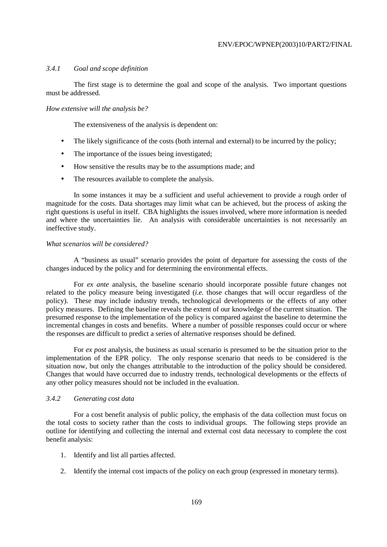# *3.4.1 Goal and scope definition*

 The first stage is to determine the goal and scope of the analysis. Two important questions must be addressed.

#### *How extensive will the analysis be?*

The extensiveness of the analysis is dependent on:

- The likely significance of the costs (both internal and external) to be incurred by the policy;
- The importance of the issues being investigated;
- How sensitive the results may be to the assumptions made; and
- The resources available to complete the analysis.

 In some instances it may be a sufficient and useful achievement to provide a rough order of magnitude for the costs. Data shortages may limit what can be achieved, but the process of asking the right questions is useful in itself. CBA highlights the issues involved, where more information is needed and where the uncertainties lie. An analysis with considerable uncertainties is not necessarily an ineffective study.

#### *What scenarios will be considered?*

 A "business as usual" scenario provides the point of departure for assessing the costs of the changes induced by the policy and for determining the environmental effects.

 For *ex ante* analysis, the baseline scenario should incorporate possible future changes not related to the policy measure being investigated (*i.e.* those changes that will occur regardless of the policy). These may include industry trends, technological developments or the effects of any other policy measures. Defining the baseline reveals the extent of our knowledge of the current situation. The presumed response to the implementation of the policy is compared against the baseline to determine the incremental changes in costs and benefits. Where a number of possible responses could occur or where the responses are difficult to predict a series of alternative responses should be defined.

 For *ex post* analysis, the business as usual scenario is presumed to be the situation prior to the implementation of the EPR policy. The only response scenario that needs to be considered is the situation now, but only the changes attributable to the introduction of the policy should be considered. Changes that would have occurred due to industry trends, technological developments or the effects of any other policy measures should not be included in the evaluation.

# *3.4.2 Generating cost data*

 For a cost benefit analysis of public policy, the emphasis of the data collection must focus on the total costs to society rather than the costs to individual groups. The following steps provide an outline for identifying and collecting the internal and external cost data necessary to complete the cost benefit analysis:

- 1. Identify and list all parties affected.
- 2. Identify the internal cost impacts of the policy on each group (expressed in monetary terms).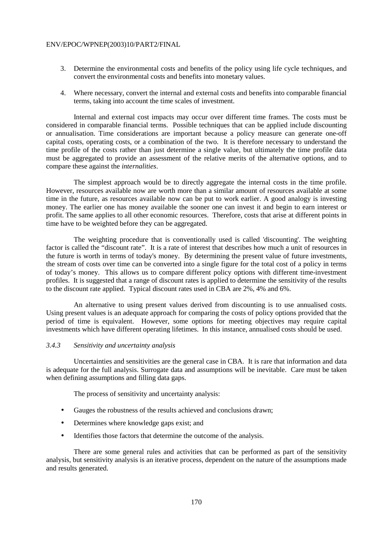- 3. Determine the environmental costs and benefits of the policy using life cycle techniques, and convert the environmental costs and benefits into monetary values.
- 4. Where necessary, convert the internal and external costs and benefits into comparable financial terms, taking into account the time scales of investment.

 Internal and external cost impacts may occur over different time frames. The costs must be considered in comparable financial terms. Possible techniques that can be applied include discounting or annualisation. Time considerations are important because a policy measure can generate one-off capital costs, operating costs, or a combination of the two. It is therefore necessary to understand the time profile of the costs rather than just determine a single value, but ultimately the time profile data must be aggregated to provide an assessment of the relative merits of the alternative options, and to compare these against the *internalities*.

 The simplest approach would be to directly aggregate the internal costs in the time profile. However, resources available now are worth more than a similar amount of resources available at some time in the future, as resources available now can be put to work earlier. A good analogy is investing money. The earlier one has money available the sooner one can invest it and begin to earn interest or profit. The same applies to all other economic resources. Therefore, costs that arise at different points in time have to be weighted before they can be aggregated.

 The weighting procedure that is conventionally used is called 'discounting'. The weighting factor is called the "discount rate". It is a rate of interest that describes how much a unit of resources in the future is worth in terms of today's money. By determining the present value of future investments, the stream of costs over time can be converted into a single figure for the total cost of a policy in terms of today's money. This allows us to compare different policy options with different time-investment profiles. It is suggested that a range of discount rates is applied to determine the sensitivity of the results to the discount rate applied. Typical discount rates used in CBA are 2%, 4% and 6%.

 An alternative to using present values derived from discounting is to use annualised costs. Using present values is an adequate approach for comparing the costs of policy options provided that the period of time is equivalent. However, some options for meeting objectives may require capital investments which have different operating lifetimes. In this instance, annualised costs should be used.

# *3.4.3 Sensitivity and uncertainty analysis*

 Uncertainties and sensitivities are the general case in CBA. It is rare that information and data is adequate for the full analysis. Surrogate data and assumptions will be inevitable. Care must be taken when defining assumptions and filling data gaps.

The process of sensitivity and uncertainty analysis:

- Gauges the robustness of the results achieved and conclusions drawn;
- Determines where knowledge gaps exist; and
- Identifies those factors that determine the outcome of the analysis.

 There are some general rules and activities that can be performed as part of the sensitivity analysis, but sensitivity analysis is an iterative process, dependent on the nature of the assumptions made and results generated.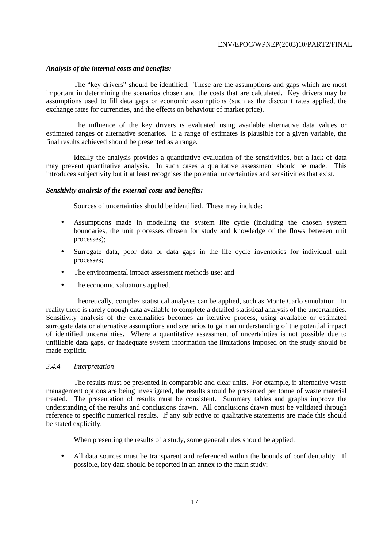# *Analysis of the internal costs and benefits:*

 The "key drivers" should be identified. These are the assumptions and gaps which are most important in determining the scenarios chosen and the costs that are calculated. Key drivers may be assumptions used to fill data gaps or economic assumptions (such as the discount rates applied, the exchange rates for currencies, and the effects on behaviour of market price).

 The influence of the key drivers is evaluated using available alternative data values or estimated ranges or alternative scenarios. If a range of estimates is plausible for a given variable, the final results achieved should be presented as a range.

 Ideally the analysis provides a quantitative evaluation of the sensitivities, but a lack of data may prevent quantitative analysis. In such cases a qualitative assessment should be made. This introduces subjectivity but it at least recognises the potential uncertainties and sensitivities that exist.

# *Sensitivity analysis of the external costs and benefits:*

Sources of uncertainties should be identified. These may include:

- Assumptions made in modelling the system life cycle (including the chosen system boundaries, the unit processes chosen for study and knowledge of the flows between unit processes);
- Surrogate data, poor data or data gaps in the life cycle inventories for individual unit processes;
- The environmental impact assessment methods use; and
- The economic valuations applied.

 Theoretically, complex statistical analyses can be applied, such as Monte Carlo simulation. In reality there is rarely enough data available to complete a detailed statistical analysis of the uncertainties. Sensitivity analysis of the externalities becomes an iterative process, using available or estimated surrogate data or alternative assumptions and scenarios to gain an understanding of the potential impact of identified uncertainties. Where a quantitative assessment of uncertainties is not possible due to unfillable data gaps, or inadequate system information the limitations imposed on the study should be made explicit.

# *3.4.4 Interpretation*

 The results must be presented in comparable and clear units. For example, if alternative waste management options are being investigated, the results should be presented per tonne of waste material treated. The presentation of results must be consistent. Summary tables and graphs improve the understanding of the results and conclusions drawn. All conclusions drawn must be validated through reference to specific numerical results. If any subjective or qualitative statements are made this should be stated explicitly.

When presenting the results of a study, some general rules should be applied:

• All data sources must be transparent and referenced within the bounds of confidentiality. If possible, key data should be reported in an annex to the main study;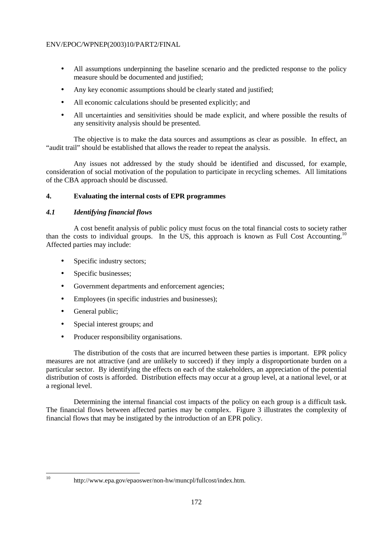- All assumptions underpinning the baseline scenario and the predicted response to the policy measure should be documented and justified;
- Any key economic assumptions should be clearly stated and justified;
- All economic calculations should be presented explicitly; and
- All uncertainties and sensitivities should be made explicit, and where possible the results of any sensitivity analysis should be presented.

 The objective is to make the data sources and assumptions as clear as possible. In effect, an "audit trail" should be established that allows the reader to repeat the analysis.

 Any issues not addressed by the study should be identified and discussed, for example, consideration of social motivation of the population to participate in recycling schemes. All limitations of the CBA approach should be discussed.

# **4. Evaluating the internal costs of EPR programmes**

# *4.1 Identifying financial flows*

 A cost benefit analysis of public policy must focus on the total financial costs to society rather than the costs to individual groups. In the US, this approach is known as Full Cost Accounting.10 Affected parties may include:

- Specific industry sectors;
- Specific businesses;
- Government departments and enforcement agencies;
- Employees (in specific industries and businesses);
- General public;
- Special interest groups; and
- Producer responsibility organisations.

 The distribution of the costs that are incurred between these parties is important. EPR policy measures are not attractive (and are unlikely to succeed) if they imply a disproportionate burden on a particular sector. By identifying the effects on each of the stakeholders, an appreciation of the potential distribution of costs is afforded. Distribution effects may occur at a group level, at a national level, or at a regional level.

 Determining the internal financial cost impacts of the policy on each group is a difficult task. The financial flows between affected parties may be complex. Figure 3 illustrates the complexity of financial flows that may be instigated by the introduction of an EPR policy.

 $10<sup>10</sup>$ 

http://www.epa.gov/epaoswer/non-hw/muncpl/fullcost/index.htm.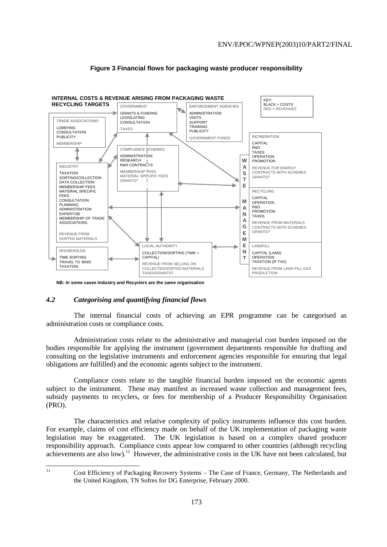

# **Figure 3 Financial flows for packaging waste producer responsibility**

**NB: In some cases Industry and Recyclers are the same organisation**

# *4.2 Categorising and quantifying financial flows*

 The internal financial costs of achieving an EPR programme can be categorised as administration costs or compliance costs.

 Administration costs relate to the administrative and managerial cost burden imposed on the bodies responsible for applying the instrument (government departments responsible for drafting and consulting on the legislative instruments and enforcement agencies responsible for ensuring that legal obligations are fulfilled) and the economic agents subject to the instrument.

 Compliance costs relate to the tangible financial burden imposed on the economic agents subject to the instrument. These may manifest as increased waste collection and management fees, subsidy payments to recyclers, or fees for membership of a Producer Responsibility Organisation (PRO).

 The characteristics and relative complexity of policy instruments influence this cost burden. For example, claims of cost efficiency made on behalf of the UK implementation of packaging waste legislation may be exaggerated. The UK legislation is based on a complex shared producer responsibility approach. Compliance costs appear low compared to other countries (although recycling achievements are also low).<sup>11</sup> However, the administrative costs in the UK have not been calculated, but

 $11$ 

<sup>11</sup> Cost Efficiency of Packaging Recovery Systems – The Case of France, Germany, The Netherlands and the United Kingdom, TN Sofres for DG Enterprise, February 2000.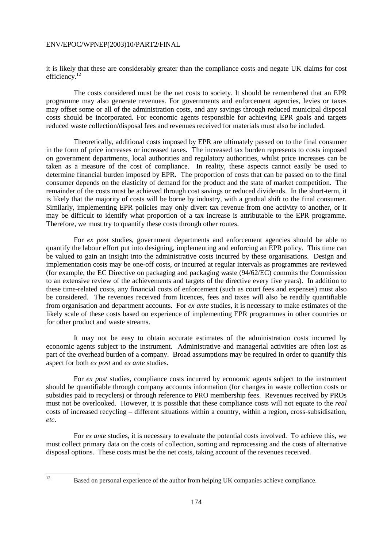it is likely that these are considerably greater than the compliance costs and negate UK claims for cost efficiency.<sup>12</sup>

 The costs considered must be the net costs to society. It should be remembered that an EPR programme may also generate revenues. For governments and enforcement agencies, levies or taxes may offset some or all of the administration costs, and any savings through reduced municipal disposal costs should be incorporated. For economic agents responsible for achieving EPR goals and targets reduced waste collection/disposal fees and revenues received for materials must also be included.

 Theoretically, additional costs imposed by EPR are ultimately passed on to the final consumer in the form of price increases or increased taxes. The increased tax burden represents to costs imposed on government departments, local authorities and regulatory authorities, whilst price increases can be taken as a measure of the cost of compliance. In reality, these aspects cannot easily be used to determine financial burden imposed by EPR. The proportion of costs that can be passed on to the final consumer depends on the elasticity of demand for the product and the state of market competition. The remainder of the costs must be achieved through cost savings or reduced dividends. In the short-term, it is likely that the majority of costs will be borne by industry, with a gradual shift to the final consumer. Similarly, implementing EPR policies may only divert tax revenue from one activity to another, or it may be difficult to identify what proportion of a tax increase is attributable to the EPR programme. Therefore, we must try to quantify these costs through other routes.

 For *ex post* studies, government departments and enforcement agencies should be able to quantify the labour effort put into designing, implementing and enforcing an EPR policy. This time can be valued to gain an insight into the administrative costs incurred by these organisations. Design and implementation costs may be one-off costs, or incurred at regular intervals as programmes are reviewed (for example, the EC Directive on packaging and packaging waste (94/62/EC) commits the Commission to an extensive review of the achievements and targets of the directive every five years). In addition to these time-related costs, any financial costs of enforcement (such as court fees and expenses) must also be considered. The revenues received from licences, fees and taxes will also be readily quantifiable from organisation and department accounts. For *ex ante* studies, it is necessary to make estimates of the likely scale of these costs based on experience of implementing EPR programmes in other countries or for other product and waste streams.

 It may not be easy to obtain accurate estimates of the administration costs incurred by economic agents subject to the instrument. Administrative and managerial activities are often lost as part of the overhead burden of a company. Broad assumptions may be required in order to quantify this aspect for both *ex post* and *ex ante* studies.

 For *ex post* studies, compliance costs incurred by economic agents subject to the instrument should be quantifiable through company accounts information (for changes in waste collection costs or subsidies paid to recyclers) or through reference to PRO membership fees. Revenues received by PROs must not be overlooked. However, it is possible that these compliance costs will not equate to the *real* costs of increased recycling – different situations within a country, within a region, cross-subsidisation, *etc*.

 For *ex ante* studies, it is necessary to evaluate the potential costs involved. To achieve this, we must collect primary data on the costs of collection, sorting and reprocessing and the costs of alternative disposal options. These costs must be the net costs, taking account of the revenues received.

 $12$ 

<sup>12</sup> Based on personal experience of the author from helping UK companies achieve compliance.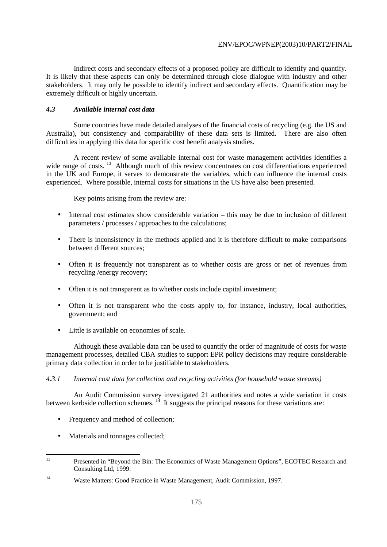Indirect costs and secondary effects of a proposed policy are difficult to identify and quantify. It is likely that these aspects can only be determined through close dialogue with industry and other stakeholders. It may only be possible to identify indirect and secondary effects. Quantification may be extremely difficult or highly uncertain.

# *4.3 Available internal cost data*

 Some countries have made detailed analyses of the financial costs of recycling (e.g. the US and Australia), but consistency and comparability of these data sets is limited. There are also often difficulties in applying this data for specific cost benefit analysis studies.

 A recent review of some available internal cost for waste management activities identifies a wide range of costs.<sup>13</sup> Although much of this review concentrates on cost differentiations experienced in the UK and Europe, it serves to demonstrate the variables, which can influence the internal costs experienced. Where possible, internal costs for situations in the US have also been presented.

Key points arising from the review are:

- Internal cost estimates show considerable variation this may be due to inclusion of different parameters / processes / approaches to the calculations;
- There is inconsistency in the methods applied and it is therefore difficult to make comparisons between different sources;
- Often it is frequently not transparent as to whether costs are gross or net of revenues from recycling /energy recovery;
- Often it is not transparent as to whether costs include capital investment;
- Often it is not transparent who the costs apply to, for instance, industry, local authorities, government; and
- Little is available on economies of scale.

 Although these available data can be used to quantify the order of magnitude of costs for waste management processes, detailed CBA studies to support EPR policy decisions may require considerable primary data collection in order to be justifiable to stakeholders.

# *4.3.1 Internal cost data for collection and recycling activities (for household waste streams)*

 An Audit Commission survey investigated 21 authorities and notes a wide variation in costs between kerbside collection schemes.  $14$  It suggests the principal reasons for these variations are:

- Frequency and method of collection;
- Materials and tonnages collected;

 $13$ 13 Presented in "Beyond the Bin: The Economics of Waste Management Options", ECOTEC Research and Consulting Ltd, 1999.

<sup>14</sup> Waste Matters: Good Practice in Waste Management, Audit Commission, 1997.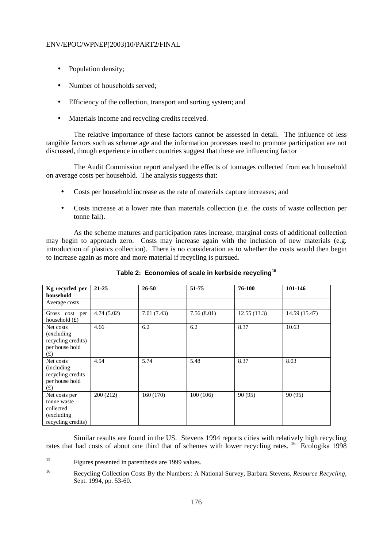- Population density;
- Number of households served:
- Efficiency of the collection, transport and sorting system; and
- Materials income and recycling credits received.

 The relative importance of these factors cannot be assessed in detail. The influence of less tangible factors such as scheme age and the information processes used to promote participation are not discussed, though experience in other countries suggest that these are influencing factor

 The Audit Commission report analysed the effects of tonnages collected from each household on average costs per household. The analysis suggests that:

- Costs per household increase as the rate of materials capture increases; and
- Costs increase at a lower rate than materials collection (i.e. the costs of waste collection per tonne fall).

 As the scheme matures and participation rates increase, marginal costs of additional collection may begin to approach zero. Costs may increase again with the inclusion of new materials (e.g. introduction of plastics collection). There is no consideration as to whether the costs would then begin to increase again as more and more material if recycling is pursued.

| Kg recycled per<br>household                                                   | $21 - 25$  | $26 - 50$  | 51-75      | 76-100      | 101-146       |
|--------------------------------------------------------------------------------|------------|------------|------------|-------------|---------------|
| Average costs                                                                  |            |            |            |             |               |
| Gross cost per<br>household $(f)$                                              | 4.74(5.02) | 7.01(7.43) | 7.56(8.01) | 12.55(13.3) | 14.59 (15.47) |
| Net costs<br>(excluding)<br>recycling credits)<br>per house hold<br>(f)        | 4.66       | 6.2        | 6.2        | 8.37        | 10.63         |
| Net costs<br>(including)<br>recycling credits<br>per house hold<br>(f)         | 4.54       | 5.74       | 5.48       | 8.37        | 8.03          |
| Net costs per<br>tonne waste<br>collected<br>(excluding)<br>recycling credits) | 200(212)   | 160(170)   | 100(106)   | 90 (95)     | 90 (95)       |

**Table 2: Economies of scale in kerbside recycling<sup>15</sup>**

 Similar results are found in the US. Stevens 1994 reports cities with relatively high recycling rates that had costs of about one third that of schemes with lower recycling rates. <sup>16</sup> Ecologika 1998

 $15$ Figures presented in parenthesis are 1999 values.

<sup>16</sup> Recycling Collection Costs By the Numbers: A National Survey, Barbara Stevens, *Resource Recycling*, Sept. 1994, pp. 53-60.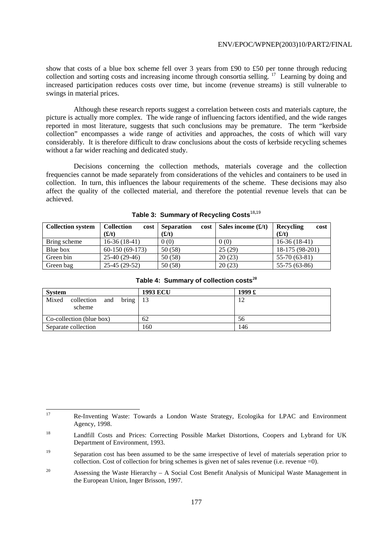show that costs of a blue box scheme fell over 3 years from £90 to £50 per tonne through reducing collection and sorting costs and increasing income through consortia selling. <sup>17</sup> Learning by doing and increased participation reduces costs over time, but income (revenue streams) is still vulnerable to swings in material prices.

 Although these research reports suggest a correlation between costs and materials capture, the picture is actually more complex. The wide range of influencing factors identified, and the wide ranges reported in most literature, suggests that such conclusions may be premature. The term "kerbside collection" encompasses a wide range of activities and approaches, the costs of which will vary considerably. It is therefore difficult to draw conclusions about the costs of kerbside recycling schemes without a far wider reaching and dedicated study.

 Decisions concerning the collection methods, materials coverage and the collection frequencies cannot be made separately from considerations of the vehicles and containers to be used in collection. In turn, this influences the labour requirements of the scheme. These decisions may also affect the quality of the collected material, and therefore the potential revenue levels that can be achieved.

| <b>Collection system</b> | <b>Collection</b><br>cost | <b>Separation</b><br>cost | Sales income $(f/t)$ | Recycling<br>cost |
|--------------------------|---------------------------|---------------------------|----------------------|-------------------|
|                          | (f(t))                    | (f(t))                    |                      | (E/t)             |
| Bring scheme             | $16-36(18-41)$            | 0(0)                      | 0(0)                 | $16-36(18-41)$    |
| Blue box                 | $60-150(69-173)$          | 50 (58)                   | 25(29)               | 18-175 (98-201)   |
| Green bin                | $25-40(29-46)$            | 50 (58)                   | 20(23)               | $55-70(63-81)$    |
| Green bag                | 25-45 (29-52)             | 50 (58)                   | 20(23)               | 55-75 (63-86)     |

|  |  |  |  | Table 3: Summary of Recycling Costs $^{18,19}$ |
|--|--|--|--|------------------------------------------------|
|--|--|--|--|------------------------------------------------|

| Green bag                     |     | $25-45(29-52)$ | 50 (58)         | 20(23)                                             | 55-75 (63-86) |
|-------------------------------|-----|----------------|-----------------|----------------------------------------------------|---------------|
|                               |     |                |                 | Table 4: Summary of collection costs <sup>20</sup> |               |
| <b>System</b>                 |     |                | <b>1993 ECU</b> | 1999 £                                             |               |
| Mixed<br>collection<br>scheme | and | bring          | 13              | 12                                                 |               |
| Co-collection (blue box)      |     |                | 62              | 56                                                 |               |

Separate collection 160 146

 $17$ 17 Re-Inventing Waste: Towards a London Waste Strategy, Ecologika for LPAC and Environment Agency, 1998.

<sup>&</sup>lt;sup>18</sup> Landfill Costs and Prices: Correcting Possible Market Distortions, Coopers and Lybrand for UK Department of Environment, 1993.

<sup>&</sup>lt;sup>19</sup> Separation cost has been assumed to be the same irrespective of level of materials seperation prior to collection. Cost of collection for bring schemes is given net of sales revenue (i.e. revenue  $=0$ ).

<sup>&</sup>lt;sup>20</sup> Assessing the Waste Hierarchy – A Social Cost Benefit Analysis of Municipal Waste Management in the European Union, Inger Brisson, 1997.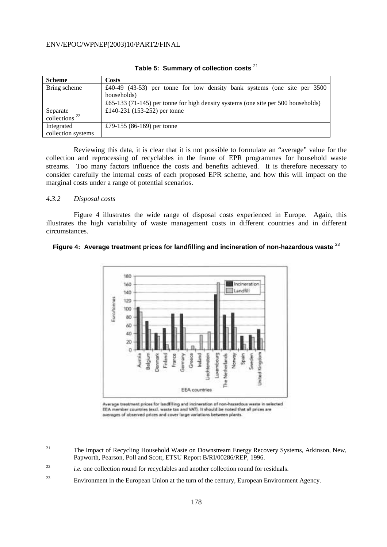| <b>Scheme</b>       | Costs                                                                             |
|---------------------|-----------------------------------------------------------------------------------|
| Bring scheme        | £40-49 $(43-53)$ per tonne for low density bank systems (one site per 3500        |
|                     | households)                                                                       |
|                     | £65-133 (71-145) per tonne for high density systems (one site per 500 households) |
| Separate            | £140-231 (153-252) per tonne                                                      |
| collections $^{22}$ |                                                                                   |
| Integrated          | £79-155 (86-169) per tonne                                                        |
| collection systems  |                                                                                   |

**Table 5: Summary of collection costs** <sup>21</sup>

 Reviewing this data, it is clear that it is not possible to formulate an "average" value for the collection and reprocessing of recyclables in the frame of EPR programmes for household waste streams. Too many factors influence the costs and benefits achieved. It is therefore necessary to consider carefully the internal costs of each proposed EPR scheme, and how this will impact on the marginal costs under a range of potential scenarios.

#### *4.3.2 Disposal costs*

 Figure 4 illustrates the wide range of disposal costs experienced in Europe. Again, this illustrates the high variability of waste management costs in different countries and in different circumstances.

# **Figure 4: Average treatment prices for landfilling and incineration of non-hazardous waste** <sup>23</sup>



Average treatment prices for landfilling and incineration of non-hazardous waste in selected EEA member countries (excl. waste tax and VAT). It should be noted that all prices are averages of observed prices and cover large variations between plants.

 $21$ 21 The Impact of Recycling Household Waste on Downstream Energy Recovery Systems, Atkinson, New, Papworth, Pearson, Poll and Scott, ETSU Report B/RI/00286/REP, 1996.

<sup>&</sup>lt;sup>22</sup> *i.e.* one collection round for recyclables and another collection round for residuals.

 $23$  Environment in the European Union at the turn of the century, European Environment Agency.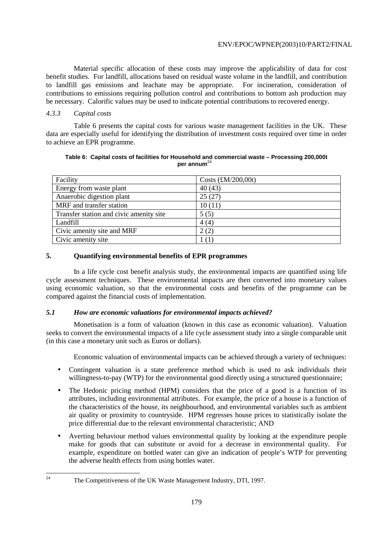Material specific allocation of these costs may improve the applicability of data for cost benefit studies. For landfill, allocations based on residual waste volume in the landfill, and contribution to landfill gas emissions and leachate may be appropriate. For incineration, consideration of contributions to emissions requiring pollution control and contributions to bottom ash production may be necessary. Calorific values may be used to indicate potential contributions to recovered energy.

# *4.3.3 Capital costs*

 Table 6 presents the capital costs for various waste management facilities in the UK. These data are especially useful for identifying the distribution of investment costs required over time in order to achieve an EPR programme.

## **Table 6: Capital costs of facilities for Household and commercial waste – Processing 200,000t per annum<sup>2</sup>**

| Facility                                | Costs $(\text{\pounds}M/200,00t)$ |
|-----------------------------------------|-----------------------------------|
| Energy from waste plant                 | 40(43)                            |
| Anaerobic digestion plant               | 25(27)                            |
| MRF and transfer station                | 10(11)                            |
| Transfer station and civic amenity site | 5(5)                              |
| Landfill                                | 4(4)                              |
| Civic amenity site and MRF              | 2(2)                              |
| Civic amenity site                      |                                   |

# **5. Quantifying environmental benefits of EPR programmes**

 In a life cycle cost benefit analysis study, the environmental impacts are quantified using life cycle assessment techniques. These environmental impacts are then converted into monetary values using economic valuation, so that the environmental costs and benefits of the programme can be compared against the financial costs of implementation.

# *5.1 How are economic valuations for environmental impacts achieved?*

 Monetisation is a form of valuation (known in this case as economic valuation). Valuation seeks to convert the environmental impacts of a life cycle assessment study into a single comparable unit (in this case a monetary unit such as Euros or dollars).

Economic valuation of environmental impacts can be achieved through a variety of techniques:

- Contingent valuation is a state preference method which is used to ask individuals their willingness-to-pay (WTP) for the environmental good directly using a structured questionnaire;
- The Hedonic pricing method (HPM) considers that the price of a good is a function of its attributes, including environmental attributes. For example, the price of a house is a function of the characteristics of the house, its neighbourhood, and environmental variables such as ambient air quality or proximity to countryside. HPM regresses house prices to statistically isolate the price differential due to the relevant environmental characteristic; AND
- Averting behaviour method values environmental quality by looking at the expenditure people make for goods that can substitute or avoid for a decrease in environmental quality. For example, expenditure on bottled water can give an indication of people's WTP for preventing the adverse health effects from using bottles water.

 $24$ 

The Competitiveness of the UK Waste Management Industry, DTI, 1997.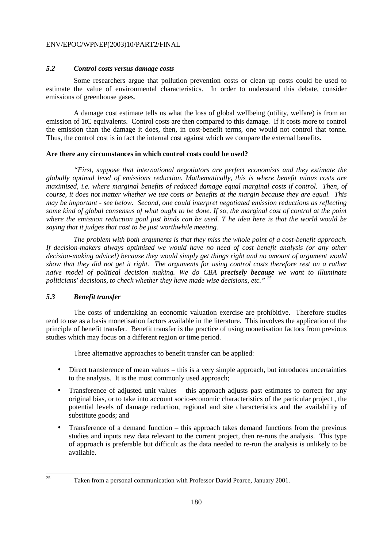# *5.2 Control costs versus damage costs*

 Some researchers argue that pollution prevention costs or clean up costs could be used to estimate the value of environmental characteristics. In order to understand this debate, consider emissions of greenhouse gases.

 A damage cost estimate tells us what the loss of global wellbeing (utility, welfare) is from an emission of 1tC equivalents. Control costs are then compared to this damage. If it costs more to control the emission than the damage it does, then, in cost-benefit terms, one would not control that tonne. Thus, the control cost is in fact the internal cost against which we compare the external benefits.

## **Are there any circumstances in which control costs could be used?**

 *"First, suppose that international negotiators are perfect economists and they estimate the globally optimal level of emissions reduction. Mathematically, this is where benefit minus costs are maximised, i.e. where marginal benefits of reduced damage equal marginal costs if control. Then, of course, it does not matter whether we use costs or benefits at the margin because they are equal. This may be important - see below. Second, one could interpret negotiated emission reductions as reflecting some kind of global consensus of what ought to be done. If so, the marginal cost of control at the point where the emission reduction goal just binds can be used. T he idea here is that the world would be saying that it judges that cost to be just worthwhile meeting.* 

 *The problem with both arguments is that they miss the whole point of a cost-benefit approach. If decision-makers always optimised we would have no need of cost benefit analysis (or any other decision-making advice!) because they would simply get things right and no amount of argument would show that they did not get it right. The arguments for using control costs therefore rest on a rather naïve model of political decision making. We do CBA precisely because we want to illuminate politicians' decisions, to check whether they have made wise decisions, etc." 25* 

# *5.3 Benefit transfer*

 The costs of undertaking an economic valuation exercise are prohibitive. Therefore studies tend to use as a basis monetisation factors available in the literature. This involves the application of the principle of benefit transfer. Benefit transfer is the practice of using monetisation factors from previous studies which may focus on a different region or time period.

Three alternative approaches to benefit transfer can be applied:

- Direct transference of mean values this is a very simple approach, but introduces uncertainties to the analysis. It is the most commonly used approach;
- Transference of adjusted unit values this approach adjusts past estimates to correct for any original bias, or to take into account socio-economic characteristics of the particular project , the potential levels of damage reduction, regional and site characteristics and the availability of substitute goods; and
- Transference of a demand function this approach takes demand functions from the previous studies and inputs new data relevant to the current project, then re-runs the analysis. This type of approach is preferable but difficult as the data needed to re-run the analysis is unlikely to be available.

 $25$ 

Taken from a personal communication with Professor David Pearce, January 2001.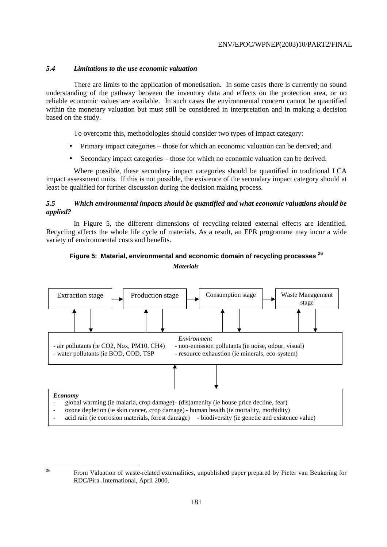# *5.4 Limitations to the use economic valuation*

 There are limits to the application of monetisation. In some cases there is currently no sound understanding of the pathway between the inventory data and effects on the protection area, or no reliable economic values are available. In such cases the environmental concern cannot be quantified within the monetary valuation but must still be considered in interpretation and in making a decision based on the study.

To overcome this, methodologies should consider two types of impact category:

- Primary impact categories those for which an economic valuation can be derived; and
- Secondary impact categories those for which no economic valuation can be derived.

 Where possible, these secondary impact categories should be quantified in traditional LCA impact assessment units. If this is not possible, the existence of the secondary impact category should at least be qualified for further discussion during the decision making process.

# *5.5 Which environmental impacts should be quantified and what economic valuations should be applied?*

 In Figure 5, the different dimensions of recycling-related external effects are identified. Recycling affects the whole life cycle of materials. As a result, an EPR programme may incur a wide variety of environmental costs and benefits.

# **Figure 5: Material, environmental and economic domain of recycling processes <sup>26</sup>**

*Materials* 



- ozone depletion (ie skin cancer, crop damage) human health (ie mortality, morbidity)
- acid rain (ie corrosion materials, forest damage) biodiversity (ie genetic and existence value)

 $26$ 

<sup>26</sup> From Valuation of waste-related externalities, unpublished paper prepared by Pieter van Beukering for RDC/Pira .International, April 2000.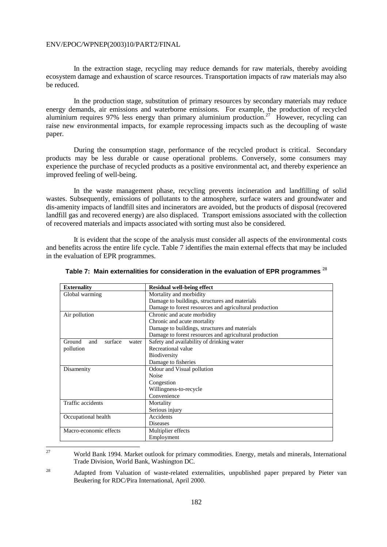In the extraction stage, recycling may reduce demands for raw materials, thereby avoiding ecosystem damage and exhaustion of scarce resources. Transportation impacts of raw materials may also be reduced.

 In the production stage, substitution of primary resources by secondary materials may reduce energy demands, air emissions and waterborne emissions. For example, the production of recycled aluminium requires 97% less energy than primary aluminium production.<sup>27</sup> However, recycling can raise new environmental impacts, for example reprocessing impacts such as the decoupling of waste paper.

 During the consumption stage, performance of the recycled product is critical. Secondary products may be less durable or cause operational problems. Conversely, some consumers may experience the purchase of recycled products as a positive environmental act, and thereby experience an improved feeling of well-being.

 In the waste management phase, recycling prevents incineration and landfilling of solid wastes. Subsequently, emissions of pollutants to the atmosphere, surface waters and groundwater and dis-amenity impacts of landfill sites and incinerators are avoided, but the products of disposal (recovered landfill gas and recovered energy) are also displaced. Transport emissions associated with the collection of recovered materials and impacts associated with sorting must also be considered.

 It is evident that the scope of the analysis must consider all aspects of the environmental costs and benefits across the entire life cycle. Table 7 identifies the main external effects that may be included in the evaluation of EPR programmes.

| <b>Externality</b>                | <b>Residual well-being effect</b>                      |
|-----------------------------------|--------------------------------------------------------|
| Global warming                    | Mortality and morbidity                                |
|                                   | Damage to buildings, structures and materials          |
|                                   | Damage to forest resources and agricultural production |
| Air pollution                     | Chronic and acute morbidity                            |
|                                   | Chronic and acute mortality                            |
|                                   | Damage to buildings, structures and materials          |
|                                   | Damage to forest resources and agricultural production |
| surface<br>Ground<br>and<br>water | Safety and availability of drinking water              |
| pollution                         | Recreational value                                     |
|                                   | <b>Biodiversity</b>                                    |
|                                   | Damage to fisheries                                    |
| Disamenity                        | Odour and Visual pollution                             |
|                                   | Noise                                                  |
|                                   | Congestion                                             |
|                                   | Willingness-to-recycle                                 |
|                                   | Convenience                                            |
| Traffic accidents                 | Mortality                                              |
|                                   | Serious injury                                         |
| Occupational health               | Accidents                                              |
|                                   | <b>Diseases</b>                                        |
| Macro-economic effects            | Multiplier effects                                     |
|                                   | Employment                                             |

| Table 7: $\,$ Main externalities for consideration in the evaluation of EPR programmes $^{28}$ |  |  |
|------------------------------------------------------------------------------------------------|--|--|
|                                                                                                |  |  |

27

<sup>27</sup> World Bank 1994. Market outlook for primary commodities. Energy, metals and minerals, International Trade Division, World Bank, Washington DC.

<sup>&</sup>lt;sup>28</sup> Adapted from Valuation of waste-related externalities, unpublished paper prepared by Pieter van Beukering for RDC/Pira International, April 2000.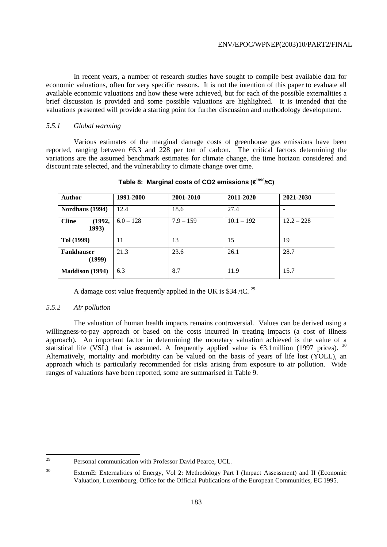In recent years, a number of research studies have sought to compile best available data for economic valuations, often for very specific reasons. It is not the intention of this paper to evaluate all available economic valuations and how these were achieved, but for each of the possible externalities a brief discussion is provided and some possible valuations are highlighted. It is intended that the valuations presented will provide a starting point for further discussion and methodology development.

## *5.5.1 Global warming*

 Various estimates of the marginal damage costs of greenhouse gas emissions have been reported, ranging between  $\epsilon$ 6.3 and 228 per ton of carbon. The critical factors determining the variations are the assumed benchmark estimates for climate change, the time horizon considered and discount rate selected, and the vulnerability to climate change over time.

| <b>Author</b>                   | 1991-2000   | 2001-2010   | 2011-2020    | 2021-2030    |
|---------------------------------|-------------|-------------|--------------|--------------|
| Nordhaus (1994)                 | 12.4        | 18.6        | 27.4         |              |
| <b>Cline</b><br>(1992,<br>1993) | $6.0 - 128$ | $7.9 - 159$ | $10.1 - 192$ | $12.2 - 228$ |
| Tol (1999)                      | 11          | 13          | 15           | 19           |
| <b>Fankhauser</b><br>(1999)     | 21.3        | 23.6        | 26.1         | 28.7         |
| <b>Maddison (1994)</b>          | 6.3         | 8.7         | 11.9         | 15.7         |

**Table 8: Marginal costs of CO2 emissions (**€**1990/tC)** 

A damage cost value frequently applied in the UK is \$34/tC.  $^{29}$ 

# *5.5.2 Air pollution*

 The valuation of human health impacts remains controversial. Values can be derived using a willingness-to-pay approach or based on the costs incurred in treating impacts (a cost of illness approach). An important factor in determining the monetary valuation achieved is the value of a statistical life (VSL) that is assumed. A frequently applied value is  $\epsilon$ 3.1million (1997 prices). <sup>30</sup> Alternatively, mortality and morbidity can be valued on the basis of years of life lost (YOLL), an approach which is particularly recommended for risks arising from exposure to air pollution. Wide ranges of valuations have been reported, some are summarised in Table 9.

<sup>29</sup> Personal communication with Professor David Pearce, UCL.

<sup>&</sup>lt;sup>30</sup> ExternE: Externalities of Energy, Vol 2: Methodology Part I (Impact Assessment) and II (Economic Valuation, Luxembourg, Office for the Official Publications of the European Communities, EC 1995.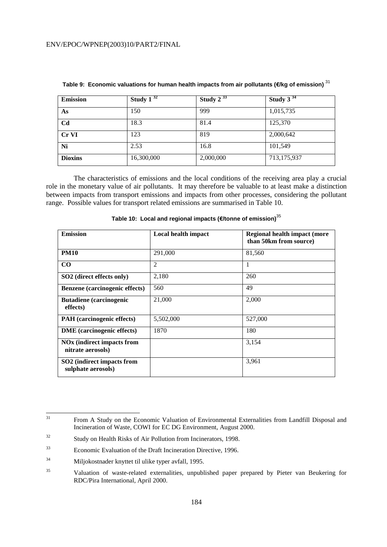| <b>Emission</b> | Study $1^{32}$ | Study $2^{33}$ | Study $3^{34}$ |
|-----------------|----------------|----------------|----------------|
| As              | 150            | 999            | 1,015,735      |
| C <sub>d</sub>  | 18.3           | 81.4           | 125,370        |
| Cr VI           | 123            | 819            | 2,000,642      |
| Ni              | 2.53           | 16.8           | 101,549        |
| <b>Dioxins</b>  | 16,300,000     | 2,000,000      | 713,175,937    |

**Table 9: Economic valuations for human health impacts from air pollutants (**€**/kg of emission)** <sup>31</sup>

 The characteristics of emissions and the local conditions of the receiving area play a crucial role in the monetary value of air pollutants. It may therefore be valuable to at least make a distinction between impacts from transport emissions and impacts from other processes, considering the pollutant range. Possible values for transport related emissions are summarised in Table 10.

| <b>Emission</b>                                        | Local health impact | <b>Regional health impact (more</b><br>than 50km from source) |
|--------------------------------------------------------|---------------------|---------------------------------------------------------------|
| <b>PM10</b>                                            | 291,000             | 81,560                                                        |
| $\bf CO$                                               | $\overline{2}$      | 1                                                             |
| SO2 (direct effects only)                              | 2,180               | 260                                                           |
| Benzene (carcinogenic effects)                         | 560                 | 49                                                            |
| <b>Butadiene</b> (carcinogenic<br>effects)             | 21,000              | 2,000                                                         |
| PAH (carcinogenic effects)                             | 5,502,000           | 527,000                                                       |
| <b>DME</b> (carcinogenic effects)                      | 1870                | 180                                                           |
| <b>NOx</b> (indirect impacts from<br>nitrate aerosols) |                     | 3,154                                                         |
| SO2 (indirect impacts from<br>sulphate aerosols)       |                     | 3,961                                                         |

**Table 10: Local and regional impacts (**€**/tonne of emission)**<sup>35</sup>

 $31$ 31 From A Study on the Economic Valuation of Environmental Externalities from Landfill Disposal and Incineration of Waste, COWI for EC DG Environment, August 2000.

<sup>32</sup> Study on Health Risks of Air Pollution from Incinerators, 1998.

<sup>33</sup> Economic Evaluation of the Draft Incineration Directive, 1996.

<sup>34</sup> Miljokostnader knyttet til ulike typer avfall, 1995.

<sup>35</sup> Valuation of waste-related externalities, unpublished paper prepared by Pieter van Beukering for RDC/Pira International, April 2000.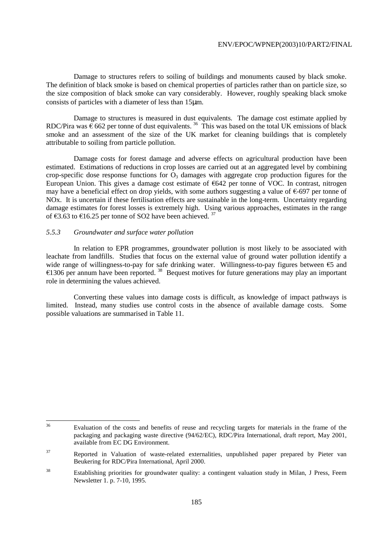Damage to structures refers to soiling of buildings and monuments caused by black smoke. The definition of black smoke is based on chemical properties of particles rather than on particle size, so the size composition of black smoke can vary considerably. However, roughly speaking black smoke consists of particles with a diameter of less than 15µm.

 Damage to structures is measured in dust equivalents. The damage cost estimate applied by RDC/Pira was  $\epsilon$  662 per tonne of dust equivalents.<sup>36</sup> This was based on the total UK emissions of black smoke and an assessment of the size of the UK market for cleaning buildings that is completely attributable to soiling from particle pollution.

 Damage costs for forest damage and adverse effects on agricultural production have been estimated. Estimations of reductions in crop losses are carried out at an aggregated level by combining crop-specific dose response functions for  $\overline{O_3}$  damages with aggregate crop production figures for the European Union. This gives a damage cost estimate of €642 per tonne of VOC. In contrast, nitrogen may have a beneficial effect on drop yields, with some authors suggesting a value of €-697 per tonne of NOx. It is uncertain if these fertilisation effects are sustainable in the long-term. Uncertainty regarding damage estimates for forest losses is extremely high. Using various approaches, estimates in the range of €3.63 to €16.25 per tonne of SO2 have been achieved.<sup>37</sup>

# *5.5.3 Groundwater and surface water pollution*

 In relation to EPR programmes, groundwater pollution is most likely to be associated with leachate from landfills. Studies that focus on the external value of ground water pollution identify a wide range of willingness-to-pay for safe drinking water. Willingness-to-pay figures between €5 and €1306 per annum have been reported.  $38$  Bequest motives for future generations may play an important role in determining the values achieved.

 Converting these values into damage costs is difficult, as knowledge of impact pathways is limited. Instead, many studies use control costs in the absence of available damage costs. Some possible valuations are summarised in Table 11.

 $36$ Evaluation of the costs and benefits of reuse and recycling targets for materials in the frame of the packaging and packaging waste directive (94/62/EC), RDC/Pira International, draft report, May 2001, available from EC DG Environment.

<sup>&</sup>lt;sup>37</sup> Reported in Valuation of waste-related externalities, unpublished paper prepared by Pieter van Beukering for RDC/Pira International, April 2000.

<sup>38</sup> Establishing priorities for groundwater quality: a contingent valuation study in Milan, J Press, Feem Newsletter 1. p. 7-10, 1995.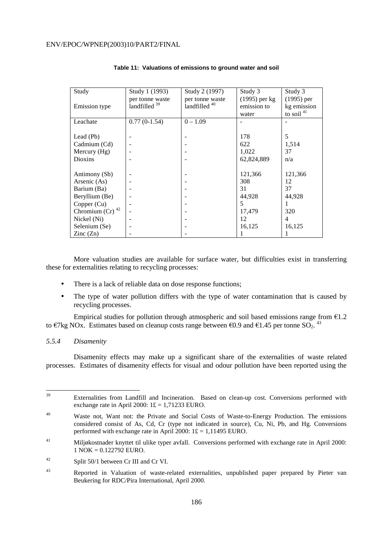| Study                    | Study 1 (1993)           | Study 2 (1997)           | Study 3         | Study 3      |
|--------------------------|--------------------------|--------------------------|-----------------|--------------|
|                          | per tonne waste          | per tonne waste          | $(1995)$ per kg | $(1995)$ per |
| <b>Emission type</b>     | landfilled <sup>39</sup> | landfilled <sup>40</sup> | emission to     | kg emission  |
|                          |                          |                          | water           | to soil $41$ |
| Leachate                 | $0.77(0-1.54)$           | $0 - 1.09$               |                 |              |
|                          |                          |                          |                 |              |
| Lead (Pb)                |                          |                          | 178             | 5            |
| Cadmium (Cd)             |                          |                          | 622             | 1,514        |
| Mercury $(Hg)$           |                          |                          | 1,022           | 37           |
| Dioxins                  |                          |                          | 62,824,889      | n/a          |
|                          |                          |                          |                 |              |
| Antimony (Sb)            |                          |                          | 121,366         | 121,366      |
| Arsenic (As)             |                          |                          | 308             | 12           |
| Barium (Ba)              |                          |                          | 31              | 37           |
| Beryllium (Be)           |                          |                          | 44,928          | 44,928       |
| Copper (Cu)              |                          |                          | 5               | 1            |
| Chromium (Cr) $42$       |                          |                          | 17,479          | 320          |
| Nickel (Ni)              |                          |                          | 12              | 4            |
| Selenium (Se)            |                          |                          | 16,125          | 16,125       |
| $\text{Zinc}(\text{Zn})$ |                          |                          |                 |              |

## **Table 11: Valuations of emissions to ground water and soil**

 More valuation studies are available for surface water, but difficulties exist in transferring these for externalities relating to recycling processes:

- There is a lack of reliable data on dose response functions;
- The type of water pollution differs with the type of water contamination that is caused by recycling processes.

Empirical studies for pollution through atmospheric and soil based emissions range from  $E1.2$ to €7kg NOx. Estimates based on cleanup costs range between €0.9 and €1.45 per tonne SO<sub>2</sub>.<sup>43</sup>

## *5.5.4 Disamenity*

 Disamenity effects may make up a significant share of the externalities of waste related processes. Estimates of disamenity effects for visual and odour pollution have been reported using the

 $39$ Externalities from Landfill and Incineration. Based on clean-up cost. Conversions performed with exchange rate in April 2000:  $1 \pounds = 1,71233$  EURO.

<sup>&</sup>lt;sup>40</sup> Waste not, Want not: the Private and Social Costs of Waste-to-Energy Production. The emissions considered consist of As, Cd, Cr (type not indicated in source), Cu, Ni, Pb, and Hg. Conversions performed with exchange rate in April 2000:  $1 \pounds = 1,11495$  EURO.

<sup>41</sup> Miljøkostnader knyttet til ulike typer avfall. Conversions performed with exchange rate in April 2000: 1 NOK = 0.122792 EURO.

<sup>42</sup> Split 50/1 between Cr III and Cr VI.

<sup>43</sup> Reported in Valuation of waste-related externalities, unpublished paper prepared by Pieter van Beukering for RDC/Pira International, April 2000.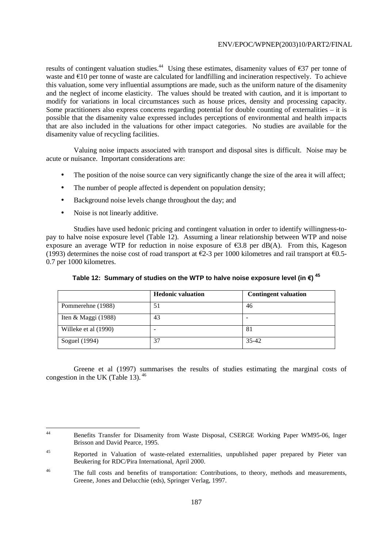results of contingent valuation studies.<sup>44</sup> Using these estimates, disamenity values of  $\epsilon$ 37 per tonne of waste and €10 per tonne of waste are calculated for landfilling and incineration respectively. To achieve this valuation, some very influential assumptions are made, such as the uniform nature of the disamenity and the neglect of income elasticity. The values should be treated with caution, and it is important to modify for variations in local circumstances such as house prices, density and processing capacity. Some practitioners also express concerns regarding potential for double counting of externalities – it is possible that the disamenity value expressed includes perceptions of environmental and health impacts that are also included in the valuations for other impact categories. No studies are available for the disamenity value of recycling facilities.

 Valuing noise impacts associated with transport and disposal sites is difficult. Noise may be acute or nuisance. Important considerations are:

- The position of the noise source can very significantly change the size of the area it will affect;
- The number of people affected is dependent on population density;
- Background noise levels change throughout the day; and
- Noise is not linearly additive.

 Studies have used hedonic pricing and contingent valuation in order to identify willingness-topay to halve noise exposure level (Table 12). Assuming a linear relationship between WTP and noise exposure an average WTP for reduction in noise exposure of  $\epsilon$ 3.8 per dB(A). From this, Kageson (1993) determines the noise cost of road transport at  $\epsilon$ 2-3 per 1000 kilometres and rail transport at  $\epsilon$ 0.5-0.7 per 1000 kilometres.

|                       | <b>Hedonic valuation</b> | <b>Contingent valuation</b> |
|-----------------------|--------------------------|-----------------------------|
| Pommerehne (1988)     | 51                       | 46                          |
| Iten & Maggi $(1988)$ | 43                       | -                           |
| Willeke et al (1990)  | -                        | 81                          |
| Soguel (1994)         | 37                       | 35-42                       |

**Table 12: Summary of studies on the WTP to halve noise exposure level (in** €**) <sup>45</sup>**

 Greene et al (1997) summarises the results of studies estimating the marginal costs of congestion in the UK (Table 13).  $46$ 

 $44$ 44 Benefits Transfer for Disamenity from Waste Disposal, CSERGE Working Paper WM95-06, Inger Brisson and David Pearce, 1995.

<sup>&</sup>lt;sup>45</sup> Reported in Valuation of waste-related externalities, unpublished paper prepared by Pieter van Beukering for RDC/Pira International, April 2000.

<sup>&</sup>lt;sup>46</sup> The full costs and benefits of transportation: Contributions, to theory, methods and measurements, Greene, Jones and Delucchie (eds), Springer Verlag, 1997.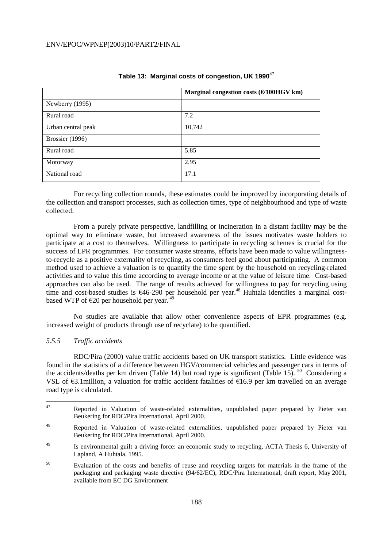|                    | Marginal congestion costs $(\text{\textsterling} / 100$ HGV km) |
|--------------------|-----------------------------------------------------------------|
| Newberry (1995)    |                                                                 |
| Rural road         | 7.2                                                             |
| Urban central peak | 10,742                                                          |
| Brossier (1996)    |                                                                 |
| Rural road         | 5.85                                                            |
| Motorway           | 2.95                                                            |
| National road      | 17.1                                                            |

# **Table 13: Marginal costs of congestion, UK 1990**<sup>47</sup>

 For recycling collection rounds, these estimates could be improved by incorporating details of the collection and transport processes, such as collection times, type of neighbourhood and type of waste collected.

 From a purely private perspective, landfilling or incineration in a distant facility may be the optimal way to eliminate waste, but increased awareness of the issues motivates waste holders to participate at a cost to themselves. Willingness to participate in recycling schemes is crucial for the success of EPR programmes. For consumer waste streams, efforts have been made to value willingnessto-recycle as a positive externality of recycling, as consumers feel good about participating. A common method used to achieve a valuation is to quantify the time spent by the household on recycling-related activities and to value this time according to average income or at the value of leisure time. Cost-based approaches can also be used. The range of results achieved for willingness to pay for recycling using time and cost-based studies is €46-290 per household per year.<sup>48</sup> Huhtala identifies a marginal costbased WTP of  $\epsilon$ 20 per household per year.<sup>49</sup>

 No studies are available that allow other convenience aspects of EPR programmes (e.g. increased weight of products through use of recyclate) to be quantified.

# *5.5.5 Traffic accidents*

 RDC/Pira (2000) value traffic accidents based on UK transport statistics. Little evidence was found in the statistics of a difference between HGV/commercial vehicles and passenger cars in terms of the accidents/deaths per km driven (Table 14) but road type is significant (Table 15). <sup>50</sup> Considering a VSL of  $\epsilon$ 3.1 million, a valuation for traffic accident fatalities of  $\epsilon$ 16.9 per km travelled on an average road type is calculated.

<sup>47</sup> 47 Reported in Valuation of waste-related externalities, unpublished paper prepared by Pieter van Beukering for RDC/Pira International, April 2000.

<sup>48</sup> Reported in Valuation of waste-related externalities, unpublished paper prepared by Pieter van Beukering for RDC/Pira International, April 2000.

<sup>49</sup> Is environmental guilt a driving force: an economic study to recycling, ACTA Thesis 6, University of Lapland, A Huhtala, 1995.

<sup>50</sup> Evaluation of the costs and benefits of reuse and recycling targets for materials in the frame of the packaging and packaging waste directive (94/62/EC), RDC/Pira International, draft report, May 2001, available from EC DG Environment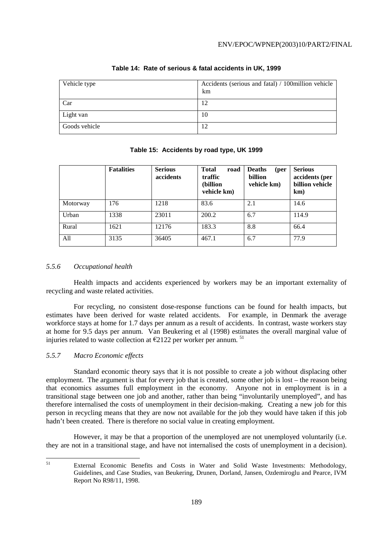| Vehicle type  | Accidents (serious and fatal) / 100million vehicle<br>km |
|---------------|----------------------------------------------------------|
| Car           | 12                                                       |
| Light van     | 10                                                       |
| Goods vehicle | 12                                                       |

# **Table 14: Rate of serious & fatal accidents in UK, 1999**

## **Table 15: Accidents by road type, UK 1999**

|          | <b>Fatalities</b> | <b>Serious</b><br>accidents | <b>Total</b><br>road<br>traffic<br>(billion<br>vehicle km) | <b>Deaths</b><br>(per<br>billion<br>vehicle km) | <b>Serious</b><br>accidents (per<br>billion vehicle<br>km) |
|----------|-------------------|-----------------------------|------------------------------------------------------------|-------------------------------------------------|------------------------------------------------------------|
| Motorway | 176               | 1218                        | 83.6                                                       | 2.1                                             | 14.6                                                       |
| Urban    | 1338              | 23011                       | 200.2                                                      | 6.7                                             | 114.9                                                      |
| Rural    | 1621              | 12176                       | 183.3                                                      | 8.8                                             | 66.4                                                       |
| All      | 3135              | 36405                       | 467.1                                                      | 6.7                                             | 77.9                                                       |

## *5.5.6 Occupational health*

 Health impacts and accidents experienced by workers may be an important externality of recycling and waste related activities.

 For recycling, no consistent dose-response functions can be found for health impacts, but estimates have been derived for waste related accidents. For example, in Denmark the average workforce stays at home for 1.7 days per annum as a result of accidents. In contrast, waste workers stay at home for 9.5 days per annum. Van Beukering et al (1998) estimates the overall marginal value of injuries related to waste collection at  $\epsilon$ 2122 per worker per annum. <sup>51</sup>

# *5.5.7 Macro Economic effects*

 Standard economic theory says that it is not possible to create a job without displacing other employment. The argument is that for every job that is created, some other job is lost – the reason being that economics assumes full employment in the economy. Anyone not in employment is in a transitional stage between one job and another, rather than being "involuntarily unemployed", and has therefore internalised the costs of unemployment in their decision-making. Creating a new job for this person in recycling means that they are now not available for the job they would have taken if this job hadn't been created. There is therefore no social value in creating employment.

 However, it may be that a proportion of the unemployed are not unemployed voluntarily (i.e. they are not in a transitional stage, and have not internalised the costs of unemployment in a decision).

 $51$ 

External Economic Benefits and Costs in Water and Solid Waste Investments: Methodology, Guidelines, and Case Studies, van Beukering, Drunen, Dorland, Jansen, Ozdemiroglu and Pearce, IVM Report No R98/11, 1998.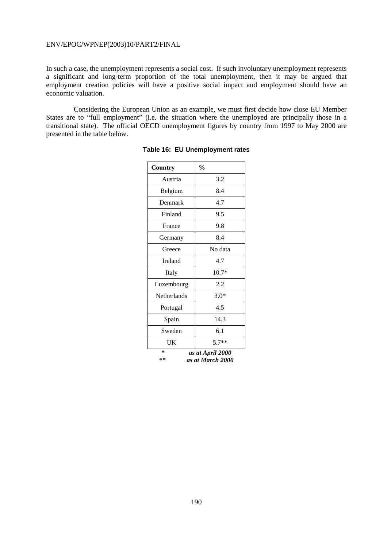In such a case, the unemployment represents a social cost. If such involuntary unemployment represents a significant and long-term proportion of the total unemployment, then it may be argued that employment creation policies will have a positive social impact and employment should have an economic valuation.

 Considering the European Union as an example, we must first decide how close EU Member States are to "full employment" (i.e. the situation where the unemployed are principally those in a transitional state). The official OECD unemployment figures by country from 1997 to May 2000 are presented in the table below.

| Country     | $\frac{0}{0}$                        |
|-------------|--------------------------------------|
| Austria     | 3.2                                  |
| Belgium     | 8.4                                  |
| Denmark     | 4.7                                  |
| Finland     | 9.5                                  |
| France      | 9.8                                  |
| Germany     | 8.4                                  |
| Greece      | No data                              |
| Ireland     | 4.7                                  |
| Italy       | $10.7*$                              |
| Luxembourg  | 2.2                                  |
| Netherlands | $3.0*$                               |
| Portugal    | 4.5                                  |
| Spain       | 14.3                                 |
| Sweden      | 6.1                                  |
| UK          | $5.7**$                              |
| ∗<br>**     | as at April 2000<br>as at March 2000 |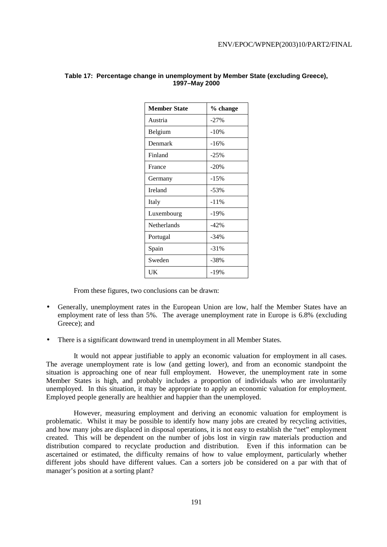| <b>Member State</b> | % change |  |  |
|---------------------|----------|--|--|
| Austria             | $-27%$   |  |  |
| Belgium             | $-10%$   |  |  |
| Denmark             | $-16%$   |  |  |
| Finland             | $-25%$   |  |  |
| France              | $-20%$   |  |  |
| Germany             | $-15%$   |  |  |
| Ireland             | $-53%$   |  |  |
| Italy               | $-11%$   |  |  |
| Luxembourg          | $-19%$   |  |  |
| Netherlands         | $-42%$   |  |  |
| Portugal            | $-34%$   |  |  |
| Spain               | $-31%$   |  |  |
| Sweden              | $-38%$   |  |  |
| UK                  | $-19%$   |  |  |

## **Table 17: Percentage change in unemployment by Member State (excluding Greece), 1997–May 2000**

From these figures, two conclusions can be drawn:

- Generally, unemployment rates in the European Union are low, half the Member States have an employment rate of less than 5%. The average unemployment rate in Europe is 6.8% (excluding Greece); and
- There is a significant downward trend in unemployment in all Member States.

 It would not appear justifiable to apply an economic valuation for employment in all cases. The average unemployment rate is low (and getting lower), and from an economic standpoint the situation is approaching one of near full employment. However, the unemployment rate in some Member States is high, and probably includes a proportion of individuals who are involuntarily unemployed. In this situation, it may be appropriate to apply an economic valuation for employment. Employed people generally are healthier and happier than the unemployed.

 However, measuring employment and deriving an economic valuation for employment is problematic. Whilst it may be possible to identify how many jobs are created by recycling activities, and how many jobs are displaced in disposal operations, it is not easy to establish the "net" employment created. This will be dependent on the number of jobs lost in virgin raw materials production and distribution compared to recyclate production and distribution. Even if this information can be ascertained or estimated, the difficulty remains of how to value employment, particularly whether different jobs should have different values. Can a sorters job be considered on a par with that of manager's position at a sorting plant?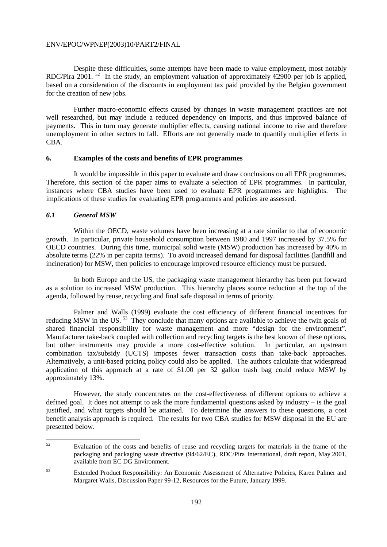Despite these difficulties, some attempts have been made to value employment, most notably RDC/Pira 2001. <sup>52</sup> In the study, an employment valuation of approximately  $\epsilon$ 2900 per job is applied, based on a consideration of the discounts in employment tax paid provided by the Belgian government for the creation of new jobs.

 Further macro-economic effects caused by changes in waste management practices are not well researched, but may include a reduced dependency on imports, and thus improved balance of payments. This in turn may generate multiplier effects, causing national income to rise and therefore unemployment in other sectors to fall. Efforts are not generally made to quantify multiplier effects in CBA.

#### **6. Examples of the costs and benefits of EPR programmes**

 It would be impossible in this paper to evaluate and draw conclusions on all EPR programmes. Therefore, this section of the paper aims to evaluate a selection of EPR programmes. In particular, instances where CBA studies have been used to evaluate EPR programmes are highlights. The implications of these studies for evaluating EPR programmes and policies are assessed.

## *6.1 General MSW*

 Within the OECD, waste volumes have been increasing at a rate similar to that of economic growth. In particular, private household consumption between 1980 and 1997 increased by 37.5% for OECD countries. During this time, municipal solid waste (MSW) production has increased by 40% in absolute terms (22% in per capita terms). To avoid increased demand for disposal facilities (landfill and incineration) for MSW, then policies to encourage improved resource efficiency must be pursued.

 In both Europe and the US, the packaging waste management hierarchy has been put forward as a solution to increased MSW production. This hierarchy places source reduction at the top of the agenda, followed by reuse, recycling and final safe disposal in terms of priority.

 Palmer and Walls (1999) evaluate the cost efficiency of different financial incentives for reducing MSW in the US.<sup>53</sup> They conclude that many options are available to achieve the twin goals of shared financial responsibility for waste management and more "design for the environment". Manufacturer take-back coupled with collection and recycling targets is the best known of these options, but other instruments may provide a more cost-effective solution. In particular, an upstream combination tax/subsidy (UCTS) imposes fewer transaction costs than take-back approaches. Alternatively, a unit-based pricing policy could also be applied. The authors calculate that widespread application of this approach at a rate of \$1.00 per 32 gallon trash bag could reduce MSW by approximately 13%.

 However, the study concentrates on the cost-effectiveness of different options to achieve a defined goal. It does not attempt to ask the more fundamental questions asked by industry – is the goal justified, and what targets should be attained. To determine the answers to these questions, a cost benefit analysis approach is required. The results for two CBA studies for MSW disposal in the EU are presented below.

 $52$ 52 Evaluation of the costs and benefits of reuse and recycling targets for materials in the frame of the packaging and packaging waste directive (94/62/EC), RDC/Pira International, draft report, May 2001, available from EC DG Environment.

<sup>53</sup> Extended Product Responsibility: An Economic Assessment of Alternative Policies, Karen Palmer and Margaret Walls, Discussion Paper 99-12, Resources for the Future, January 1999.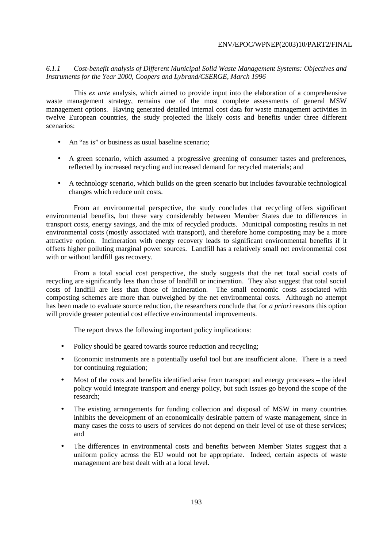# *6.1.1 Cost-benefit analysis of Different Municipal Solid Waste Management Systems: Objectives and Instruments for the Year 2000, Coopers and Lybrand/CSERGE, March 1996*

 This *ex ante* analysis, which aimed to provide input into the elaboration of a comprehensive waste management strategy, remains one of the most complete assessments of general MSW management options. Having generated detailed internal cost data for waste management activities in twelve European countries, the study projected the likely costs and benefits under three different scenarios:

- An "as is" or business as usual baseline scenario;
- A green scenario, which assumed a progressive greening of consumer tastes and preferences, reflected by increased recycling and increased demand for recycled materials; and
- A technology scenario, which builds on the green scenario but includes favourable technological changes which reduce unit costs.

 From an environmental perspective, the study concludes that recycling offers significant environmental benefits, but these vary considerably between Member States due to differences in transport costs, energy savings, and the mix of recycled products. Municipal composting results in net environmental costs (mostly associated with transport), and therefore home composting may be a more attractive option. Incineration with energy recovery leads to significant environmental benefits if it offsets higher polluting marginal power sources. Landfill has a relatively small net environmental cost with or without landfill gas recovery.

 From a total social cost perspective, the study suggests that the net total social costs of recycling are significantly less than those of landfill or incineration. They also suggest that total social costs of landfill are less than those of incineration. The small economic costs associated with composting schemes are more than outweighed by the net environmental costs. Although no attempt has been made to evaluate source reduction, the researchers conclude that for *a priori* reasons this option will provide greater potential cost effective environmental improvements.

The report draws the following important policy implications:

- Policy should be geared towards source reduction and recycling;
- Economic instruments are a potentially useful tool but are insufficient alone. There is a need for continuing regulation;
- Most of the costs and benefits identified arise from transport and energy processes the ideal policy would integrate transport and energy policy, but such issues go beyond the scope of the research;
- The existing arrangements for funding collection and disposal of MSW in many countries inhibits the development of an economically desirable pattern of waste management, since in many cases the costs to users of services do not depend on their level of use of these services; and
- The differences in environmental costs and benefits between Member States suggest that a uniform policy across the EU would not be appropriate. Indeed, certain aspects of waste management are best dealt with at a local level.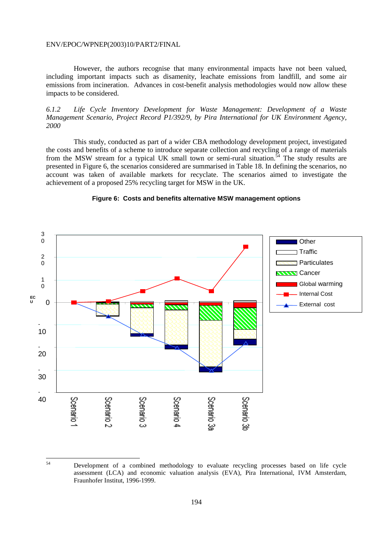54

 However, the authors recognise that many environmental impacts have not been valued, including important impacts such as disamenity, leachate emissions from landfill, and some air emissions from incineration. Advances in cost-benefit analysis methodologies would now allow these impacts to be considered.

*6.1.2 Life Cycle Inventory Development for Waste Management: Development of a Waste Management Scenario, Project Record P1/392/9, by Pira International for UK Environment Agency, 2000* 

 This study, conducted as part of a wider CBA methodology development project, investigated the costs and benefits of a scheme to introduce separate collection and recycling of a range of materials from the MSW stream for a typical UK small town or semi-rural situation.<sup>54</sup> The study results are presented in Figure 6, the scenarios considered are summarised in Table 18. In defining the scenarios, no account was taken of available markets for recyclate. The scenarios aimed to investigate the achievement of a proposed 25% recycling target for MSW in the UK.



## **Figure 6: Costs and benefits alternative MSW management options**

Development of a combined methodology to evaluate recycling processes based on life cycle assessment (LCA) and economic valuation analysis (EVA), Pira International, IVM Amsterdam, Fraunhofer Institut, 1996-1999.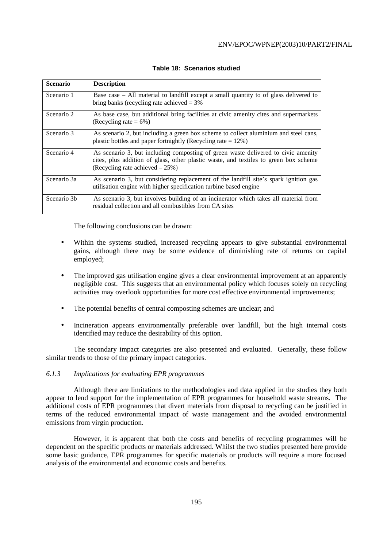| <b>Scenario</b> | <b>Description</b>                                                                                                                                                                                              |
|-----------------|-----------------------------------------------------------------------------------------------------------------------------------------------------------------------------------------------------------------|
| Scenario 1      | Base case $-$ All material to landfill except a small quantity to of glass delivered to<br>bring banks (recycling rate achieved $=$ 3%                                                                          |
| Scenario 2      | As base case, but additional bring facilities at civic amenity cites and supermarkets<br>(Recycling rate $= 6\%)$                                                                                               |
| Scenario 3      | As scenario 2, but including a green box scheme to collect aluminium and steel cans,<br>plastic bottles and paper fortnightly (Recycling rate $= 12\%$ )                                                        |
| Scenario 4      | As scenario 3, but including composting of green waste delivered to civic amenity<br>cites, plus addition of glass, other plastic waste, and textiles to green box scheme<br>(Recycling rate achieved $-25\%$ ) |
| Scenario 3a     | As scenario 3, but considering replacement of the landfill site's spark ignition gas<br>utilisation engine with higher specification turbine based engine                                                       |
| Scenario 3b     | As scenario 3, but involves building of an incinerator which takes all material from<br>residual collection and all combustibles from CA sites                                                                  |

# **Table 18: Scenarios studied**

The following conclusions can be drawn:

- Within the systems studied, increased recycling appears to give substantial environmental gains, although there may be some evidence of diminishing rate of returns on capital employed;
- The improved gas utilisation engine gives a clear environmental improvement at an apparently negligible cost. This suggests that an environmental policy which focuses solely on recycling activities may overlook opportunities for more cost effective environmental improvements;
- The potential benefits of central composting schemes are unclear; and
- Incineration appears environmentally preferable over landfill, but the high internal costs identified may reduce the desirability of this option.

 The secondary impact categories are also presented and evaluated. Generally, these follow similar trends to those of the primary impact categories.

# *6.1.3 Implications for evaluating EPR programmes*

 Although there are limitations to the methodologies and data applied in the studies they both appear to lend support for the implementation of EPR programmes for household waste streams. The additional costs of EPR programmes that divert materials from disposal to recycling can be justified in terms of the reduced environmental impact of waste management and the avoided environmental emissions from virgin production.

 However, it is apparent that both the costs and benefits of recycling programmes will be dependent on the specific products or materials addressed. Whilst the two studies presented here provide some basic guidance, EPR programmes for specific materials or products will require a more focused analysis of the environmental and economic costs and benefits.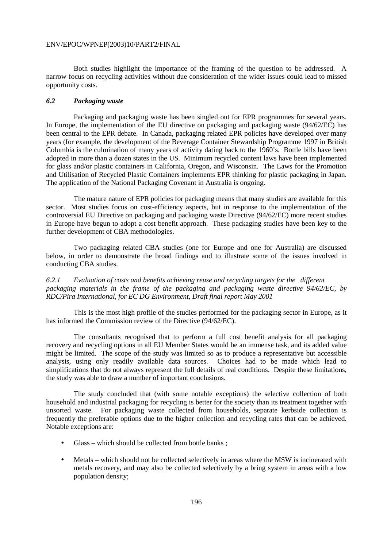Both studies highlight the importance of the framing of the question to be addressed. A narrow focus on recycling activities without due consideration of the wider issues could lead to missed opportunity costs.

# *6.2 Packaging waste*

 Packaging and packaging waste has been singled out for EPR programmes for several years. In Europe, the implementation of the EU directive on packaging and packaging waste (94/62/EC) has been central to the EPR debate. In Canada, packaging related EPR policies have developed over many years (for example, the development of the Beverage Container Stewardship Programme 1997 in British Columbia is the culmination of many years of activity dating back to the 1960's. Bottle bills have been adopted in more than a dozen states in the US. Minimum recycled content laws have been implemented for glass and/or plastic containers in California, Oregon, and Wisconsin. The Laws for the Promotion and Utilisation of Recycled Plastic Containers implements EPR thinking for plastic packaging in Japan. The application of the National Packaging Covenant in Australia is ongoing.

 The mature nature of EPR policies for packaging means that many studies are available for this sector. Most studies focus on cost-efficiency aspects, but in response to the implementation of the controversial EU Directive on packaging and packaging waste Directive (94/62/EC) more recent studies in Europe have begun to adopt a cost benefit approach. These packaging studies have been key to the further development of CBA methodologies.

 Two packaging related CBA studies (one for Europe and one for Australia) are discussed below, in order to demonstrate the broad findings and to illustrate some of the issues involved in conducting CBA studies.

*6.2.1 Evaluation of costs and benefits achieving reuse and recycling targets for the different packaging materials in the frame of the packaging and packaging waste directive 94/62/EC, by RDC/Pira International, for EC DG Environment, Draft final report May 2001* 

 This is the most high profile of the studies performed for the packaging sector in Europe, as it has informed the Commission review of the Directive (94/62/EC).

 The consultants recognised that to perform a full cost benefit analysis for all packaging recovery and recycling options in all EU Member States would be an immense task, and its added value might be limited. The scope of the study was limited so as to produce a representative but accessible analysis, using only readily available data sources. Choices had to be made which lead to simplifications that do not always represent the full details of real conditions. Despite these limitations, the study was able to draw a number of important conclusions.

 The study concluded that (with some notable exceptions) the selective collection of both household and industrial packaging for recycling is better for the society than its treatment together with unsorted waste. For packaging waste collected from households, separate kerbside collection is frequently the preferable options due to the higher collection and recycling rates that can be achieved. Notable exceptions are:

- Glass which should be collected from bottle banks;
- Metals which should not be collected selectively in areas where the MSW is incinerated with metals recovery, and may also be collected selectively by a bring system in areas with a low population density;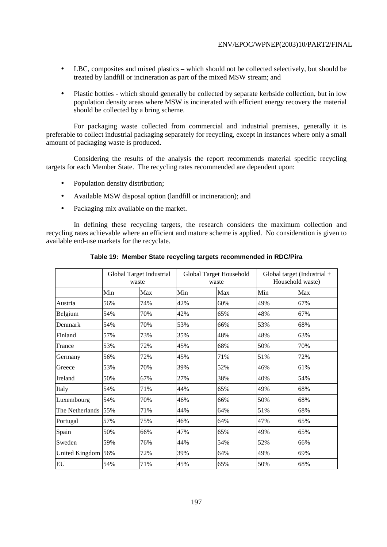- LBC, composites and mixed plastics which should not be collected selectively, but should be treated by landfill or incineration as part of the mixed MSW stream; and
- Plastic bottles which should generally be collected by separate kerbside collection, but in low population density areas where MSW is incinerated with efficient energy recovery the material should be collected by a bring scheme.

 For packaging waste collected from commercial and industrial premises, generally it is preferable to collect industrial packaging separately for recycling, except in instances where only a small amount of packaging waste is produced.

 Considering the results of the analysis the report recommends material specific recycling targets for each Member State. The recycling rates recommended are dependent upon:

- Population density distribution:
- Available MSW disposal option (landfill or incineration); and
- Packaging mix available on the market.

 In defining these recycling targets, the research considers the maximum collection and recycling rates achievable where an efficient and mature scheme is applied. No consideration is given to available end-use markets for the recyclate.

|                    | Global Target Industrial<br>waste |     | Global Target Household<br>waste |     | Global target (Industrial $+$<br>Household waste) |     |
|--------------------|-----------------------------------|-----|----------------------------------|-----|---------------------------------------------------|-----|
|                    | Min                               | Max | Min                              | Max | Min                                               | Max |
| Austria            | 56%                               | 74% | 42%                              | 60% | 49%                                               | 67% |
| Belgium            | 54%                               | 70% | 42%                              | 65% | 48%                                               | 67% |
| Denmark            | 54%                               | 70% | 53%                              | 66% | 53%                                               | 68% |
| Finland            | 57%                               | 73% | 35%                              | 48% | 48%                                               | 63% |
| France             | 53%                               | 72% | 45%                              | 68% | 50%                                               | 70% |
| Germany            | 56%                               | 72% | 45%                              | 71% | 51%                                               | 72% |
| Greece             | 53%                               | 70% | 39%                              | 52% | 46%                                               | 61% |
| Ireland            | 50%                               | 67% | 27%                              | 38% | 40%                                               | 54% |
| Italy              | 54%                               | 71% | 44%                              | 65% | 49%                                               | 68% |
| Luxembourg         | 54%                               | 70% | 46%                              | 66% | 50%                                               | 68% |
| The Netherlands    | 55%                               | 71% | 44%                              | 64% | 51%                                               | 68% |
| Portugal           | 57%                               | 75% | 46%                              | 64% | 47%                                               | 65% |
| Spain              | 50%                               | 66% | 47%                              | 65% | 49%                                               | 65% |
| Sweden             | 59%                               | 76% | 44%                              | 54% | 52%                                               | 66% |
| United Kingdom 56% |                                   | 72% | 39%                              | 64% | 49%                                               | 69% |
| EU                 | 54%                               | 71% | 45%                              | 65% | 50%                                               | 68% |

# **Table 19: Member State recycling targets recommended in RDC/Pira**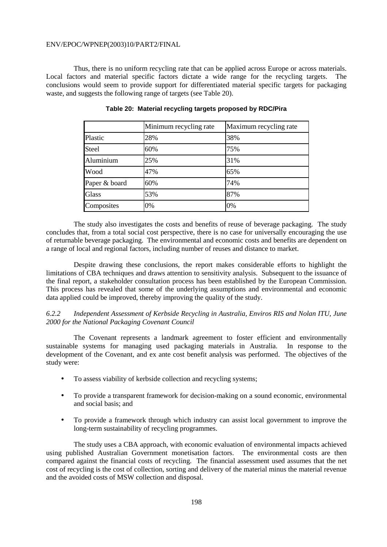Thus, there is no uniform recycling rate that can be applied across Europe or across materials. Local factors and material specific factors dictate a wide range for the recycling targets. The conclusions would seem to provide support for differentiated material specific targets for packaging waste, and suggests the following range of targets (see Table 20).

|               | Minimum recycling rate | Maximum recycling rate |  |  |
|---------------|------------------------|------------------------|--|--|
| Plastic       | 28%                    | 38%                    |  |  |
| Steel         | 60%                    | 75%                    |  |  |
| Aluminium     | 25%                    | 31%                    |  |  |
| Wood          | 47%                    | 65%                    |  |  |
| Paper & board | 60%                    | 74%                    |  |  |
| Glass         | 53%                    | 87%                    |  |  |
| Composites    | 0%                     | 0%                     |  |  |

#### **Table 20: Material recycling targets proposed by RDC/Pira**

 The study also investigates the costs and benefits of reuse of beverage packaging. The study concludes that, from a total social cost perspective, there is no case for universally encouraging the use of returnable beverage packaging. The environmental and economic costs and benefits are dependent on a range of local and regional factors, including number of reuses and distance to market.

 Despite drawing these conclusions, the report makes considerable efforts to highlight the limitations of CBA techniques and draws attention to sensitivity analysis. Subsequent to the issuance of the final report, a stakeholder consultation process has been established by the European Commission. This process has revealed that some of the underlying assumptions and environmental and economic data applied could be improved, thereby improving the quality of the study.

*6.2.2 Independent Assessment of Kerbside Recycling in Australia, Enviros RIS and Nolan ITU, June 2000 for the National Packaging Covenant Council* 

 The Covenant represents a landmark agreement to foster efficient and environmentally sustainable systems for managing used packaging materials in Australia. In response to the development of the Covenant, and ex ante cost benefit analysis was performed. The objectives of the study were:

- To assess viability of kerbside collection and recycling systems;
- To provide a transparent framework for decision-making on a sound economic, environmental and social basis; and
- To provide a framework through which industry can assist local government to improve the long-term sustainability of recycling programmes.

 The study uses a CBA approach, with economic evaluation of environmental impacts achieved using published Australian Government monetisation factors. The environmental costs are then compared against the financial costs of recycling. The financial assessment used assumes that the net cost of recycling is the cost of collection, sorting and delivery of the material minus the material revenue and the avoided costs of MSW collection and disposal.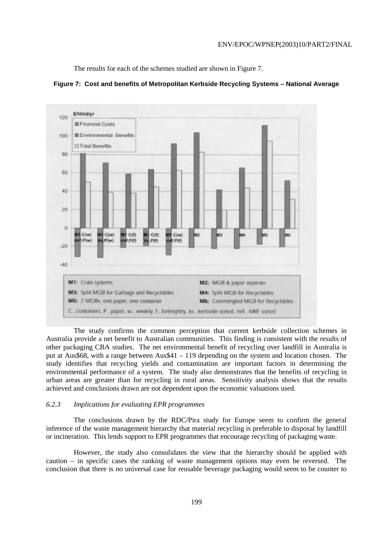The results for each of the schemes studied are shown in Figure 7.



**Figure 7: Cost and benefits of Metropolitan Kerbside Recycling Systems – National Average** 

 The study confirms the common perception that current kerbside collection schemes in Australia provide a net benefit to Australian communities. This finding is consistent with the results of other packaging CBA studies. The net environmental benefit of recycling over landfill in Australia is put at Aus\$68, with a range between Aus\$41 – 119 depending on the system and location chosen. The study identifies that recycling yields and contamination are important factors in determining the environmental performance of a system. The study also demonstrates that the benefits of recycling in urban areas are greater than for recycling in rural areas. Sensitivity analysis shows that the results achieved and conclusions drawn are not dependent upon the economic valuations used.

## *6.2.3 Implications for evaluating EPR programmes*

 The conclusions drawn by the RDC/Pira study for Europe seem to confirm the general inference of the waste management hierarchy that material recycling is preferable to disposal by landfill or incineration. This lends support to EPR programmes that encourage recycling of packaging waste.

 However, the study also consolidates the view that the hierarchy should be applied with caution – in specific cases the ranking of waste management options may even be reversed. The conclusion that there is no universal case for reusable beverage packaging would seem to be counter to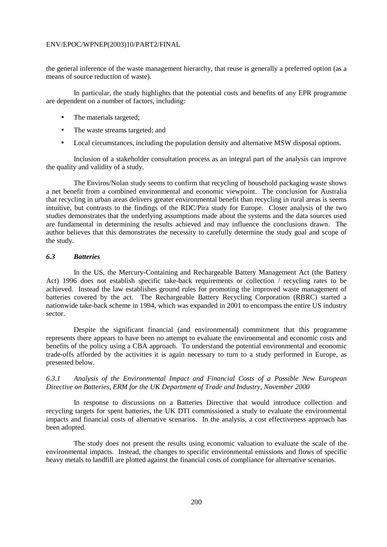the general inference of the waste management hierarchy, that reuse is generally a preferred option (as a means of source reduction of waste).

 In particular, the study highlights that the potential costs and benefits of any EPR programme are dependent on a number of factors, including:

- The materials targeted;
- The waste streams targeted; and
- Local circumstances, including the population density and alternative MSW disposal options.

 Inclusion of a stakeholder consultation process as an integral part of the analysis can improve the quality and validity of a study.

 The Enviros/Nolan study seems to confirm that recycling of household packaging waste shows a net benefit from a combined environmental and economic viewpoint. The conclusion for Australia that recycling in urban areas delivers greater environmental benefit than recycling in rural areas is seems intuitive, but contrasts to the findings of the RDC/Pira study for Europe. Closer analysis of the two studies demonstrates that the underlying assumptions made about the systems and the data sources used are fundamental in determining the results achieved and may influence the conclusions drawn. The author believes that this demonstrates the necessity to carefully determine the study goal and scope of the study.

#### *6.3 Batteries*

 In the US, the Mercury-Containing and Rechargeable Battery Management Act (the Battery Act) 1996 does not establish specific take-back requirements or collection / recycling rates to be achieved. Instead the law establishes ground rules for promoting the improved waste management of batteries covered by the act. The Rechargeable Battery Recycling Corporation (RBRC) started a nationwide take-back scheme in 1994, which was expanded in 2001 to encompass the entire US industry sector.

 Despite the significant financial (and environmental) commitment that this programme represents there appears to have been no attempt to evaluate the environmental and economic costs and benefits of the policy using a CBA approach. To understand the potential environmental and economic trade-offs afforded by the activities it is again necessary to turn to a study performed in Europe, as presented below.

# *6.3.1 Analysis of the Environmental Impact and Financial Costs of a Possible New European Directive on Batteries, ERM for the UK Department of Trade and Industry, November 2000*

 In response to discussions on a Batteries Directive that would introduce collection and recycling targets for spent batteries, the UK DTI commissioned a study to evaluate the environmental impacts and financial costs of alternative scenarios. In the analysis, a cost effectiveness approach has been adopted.

 The study does not present the results using economic valuation to evaluate the scale of the environmental impacts. Instead, the changes to specific environmental emissions and flows of specific heavy metals to landfill are plotted against the financial costs of compliance for alternative scenarios.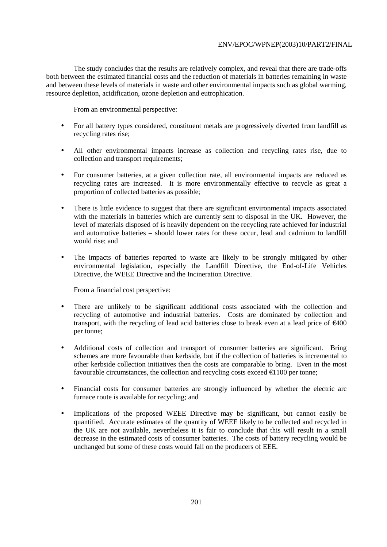The study concludes that the results are relatively complex, and reveal that there are trade-offs both between the estimated financial costs and the reduction of materials in batteries remaining in waste and between these levels of materials in waste and other environmental impacts such as global warming, resource depletion, acidification, ozone depletion and eutrophication.

From an environmental perspective:

- For all battery types considered, constituent metals are progressively diverted from landfill as recycling rates rise;
- All other environmental impacts increase as collection and recycling rates rise, due to collection and transport requirements;
- For consumer batteries, at a given collection rate, all environmental impacts are reduced as recycling rates are increased. It is more environmentally effective to recycle as great a proportion of collected batteries as possible;
- There is little evidence to suggest that there are significant environmental impacts associated with the materials in batteries which are currently sent to disposal in the UK. However, the level of materials disposed of is heavily dependent on the recycling rate achieved for industrial and automotive batteries – should lower rates for these occur, lead and cadmium to landfill would rise; and
- The impacts of batteries reported to waste are likely to be strongly mitigated by other environmental legislation, especially the Landfill Directive, the End-of-Life Vehicles Directive, the WEEE Directive and the Incineration Directive.

From a financial cost perspective:

- There are unlikely to be significant additional costs associated with the collection and recycling of automotive and industrial batteries. Costs are dominated by collection and transport, with the recycling of lead acid batteries close to break even at a lead price of €400 per tonne;
- Additional costs of collection and transport of consumer batteries are significant. Bring schemes are more favourable than kerbside, but if the collection of batteries is incremental to other kerbside collection initiatives then the costs are comparable to bring. Even in the most favourable circumstances, the collection and recycling costs exceed  $€1100$  per tonne;
- Financial costs for consumer batteries are strongly influenced by whether the electric arc furnace route is available for recycling; and
- Implications of the proposed WEEE Directive may be significant, but cannot easily be quantified. Accurate estimates of the quantity of WEEE likely to be collected and recycled in the UK are not available, nevertheless it is fair to conclude that this will result in a small decrease in the estimated costs of consumer batteries. The costs of battery recycling would be unchanged but some of these costs would fall on the producers of EEE.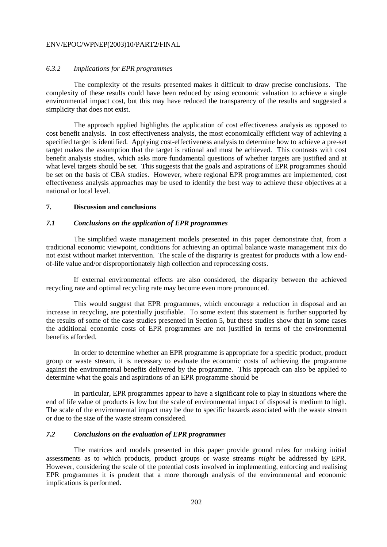## *6.3.2 Implications for EPR programmes*

 The complexity of the results presented makes it difficult to draw precise conclusions. The complexity of these results could have been reduced by using economic valuation to achieve a single environmental impact cost, but this may have reduced the transparency of the results and suggested a simplicity that does not exist.

 The approach applied highlights the application of cost effectiveness analysis as opposed to cost benefit analysis. In cost effectiveness analysis, the most economically efficient way of achieving a specified target is identified. Applying cost-effectiveness analysis to determine how to achieve a pre-set target makes the assumption that the target is rational and must be achieved. This contrasts with cost benefit analysis studies, which asks more fundamental questions of whether targets are justified and at what level targets should be set. This suggests that the goals and aspirations of EPR programmes should be set on the basis of CBA studies. However, where regional EPR programmes are implemented, cost effectiveness analysis approaches may be used to identify the best way to achieve these objectives at a national or local level.

## **7. Discussion and conclusions**

#### *7.1 Conclusions on the application of EPR programmes*

 The simplified waste management models presented in this paper demonstrate that, from a traditional economic viewpoint, conditions for achieving an optimal balance waste management mix do not exist without market intervention. The scale of the disparity is greatest for products with a low endof-life value and/or disproportionately high collection and reprocessing costs.

 If external environmental effects are also considered, the disparity between the achieved recycling rate and optimal recycling rate may become even more pronounced.

 This would suggest that EPR programmes, which encourage a reduction in disposal and an increase in recycling, are potentially justifiable. To some extent this statement is further supported by the results of some of the case studies presented in Section 5, but these studies show that in some cases the additional economic costs of EPR programmes are not justified in terms of the environmental benefits afforded.

 In order to determine whether an EPR programme is appropriate for a specific product, product group or waste stream, it is necessary to evaluate the economic costs of achieving the programme against the environmental benefits delivered by the programme. This approach can also be applied to determine what the goals and aspirations of an EPR programme should be

 In particular, EPR programmes appear to have a significant role to play in situations where the end of life value of products is low but the scale of environmental impact of disposal is medium to high. The scale of the environmental impact may be due to specific hazards associated with the waste stream or due to the size of the waste stream considered.

# *7.2 Conclusions on the evaluation of EPR programmes*

 The matrices and models presented in this paper provide ground rules for making initial assessments as to which products, product groups or waste streams *might* be addressed by EPR. However, considering the scale of the potential costs involved in implementing, enforcing and realising EPR programmes it is prudent that a more thorough analysis of the environmental and economic implications is performed.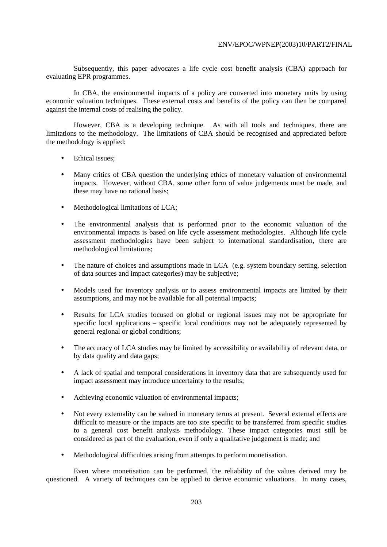Subsequently, this paper advocates a life cycle cost benefit analysis (CBA) approach for evaluating EPR programmes.

 In CBA, the environmental impacts of a policy are converted into monetary units by using economic valuation techniques. These external costs and benefits of the policy can then be compared against the internal costs of realising the policy.

 However, CBA is a developing technique. As with all tools and techniques, there are limitations to the methodology. The limitations of CBA should be recognised and appreciated before the methodology is applied:

- Ethical issues;
- Many critics of CBA question the underlying ethics of monetary valuation of environmental impacts. However, without CBA, some other form of value judgements must be made, and these may have no rational basis;
- Methodological limitations of LCA;
- The environmental analysis that is performed prior to the economic valuation of the environmental impacts is based on life cycle assessment methodologies. Although life cycle assessment methodologies have been subject to international standardisation, there are methodological limitations;
- The nature of choices and assumptions made in LCA (e.g. system boundary setting, selection of data sources and impact categories) may be subjective;
- Models used for inventory analysis or to assess environmental impacts are limited by their assumptions, and may not be available for all potential impacts;
- Results for LCA studies focused on global or regional issues may not be appropriate for specific local applications – specific local conditions may not be adequately represented by general regional or global conditions;
- The accuracy of LCA studies may be limited by accessibility or availability of relevant data, or by data quality and data gaps;
- A lack of spatial and temporal considerations in inventory data that are subsequently used for impact assessment may introduce uncertainty to the results;
- Achieving economic valuation of environmental impacts;
- Not every externality can be valued in monetary terms at present. Several external effects are difficult to measure or the impacts are too site specific to be transferred from specific studies to a general cost benefit analysis methodology. These impact categories must still be considered as part of the evaluation, even if only a qualitative judgement is made; and
- Methodological difficulties arising from attempts to perform monetisation.

 Even where monetisation can be performed, the reliability of the values derived may be questioned. A variety of techniques can be applied to derive economic valuations. In many cases,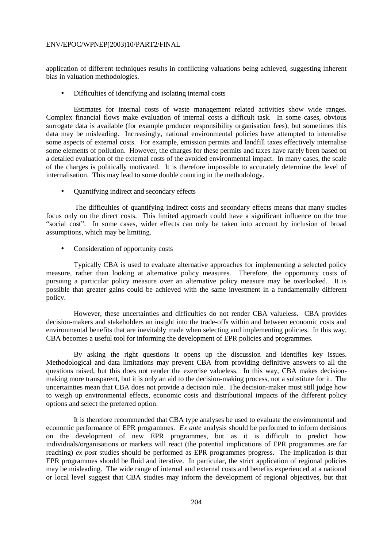application of different techniques results in conflicting valuations being achieved, suggesting inherent bias in valuation methodologies.

• Difficulties of identifying and isolating internal costs

 Estimates for internal costs of waste management related activities show wide ranges. Complex financial flows make evaluation of internal costs a difficult task. In some cases, obvious surrogate data is available (for example producer responsibility organisation fees), but sometimes this data may be misleading. Increasingly, national environmental policies have attempted to internalise some aspects of external costs. For example, emission permits and landfill taxes effectively internalise some elements of pollution. However, the charges for these permits and taxes have rarely been based on a detailed evaluation of the external costs of the avoided environmental impact. In many cases, the scale of the charges is politically motivated. It is therefore impossible to accurately determine the level of internalisation. This may lead to some double counting in the methodology.

• Quantifying indirect and secondary effects

The difficulties of quantifying indirect costs and secondary effects means that many studies focus only on the direct costs. This limited approach could have a significant influence on the true "social cost". In some cases, wider effects can only be taken into account by inclusion of broad assumptions, which may be limiting.

• Consideration of opportunity costs

 Typically CBA is used to evaluate alternative approaches for implementing a selected policy measure, rather than looking at alternative policy measures. Therefore, the opportunity costs of pursuing a particular policy measure over an alternative policy measure may be overlooked. It is possible that greater gains could be achieved with the same investment in a fundamentally different policy.

 However, these uncertainties and difficulties do not render CBA valueless. CBA provides decision-makers and stakeholders an insight into the trade-offs within and between economic costs and environmental benefits that are inevitably made when selecting and implementing policies. In this way, CBA becomes a useful tool for informing the development of EPR policies and programmes.

 By asking the right questions it opens up the discussion and identifies key issues. Methodological and data limitations may prevent CBA from providing definitive answers to all the questions raised, but this does not render the exercise valueless. In this way, CBA makes decisionmaking more transparent, but it is only an aid to the decision-making process, not a substitute for it. The uncertainties mean that CBA does not provide a decision rule. The decision-maker must still judge how to weigh up environmental effects, economic costs and distributional impacts of the different policy options and select the preferred option.

 It is therefore recommended that CBA type analyses be used to evaluate the environmental and economic performance of EPR programmes. *Ex ante* analysis should be performed to inform decisions on the development of new EPR programmes, but as it is difficult to predict how individuals/organisations or markets will react (the potential implications of EPR programmes are far reaching) *ex post* studies should be performed as EPR programmes progress. The implication is that EPR programmes should be fluid and iterative. In particular, the strict application of regional policies may be misleading. The wide range of internal and external costs and benefits experienced at a national or local level suggest that CBA studies may inform the development of regional objectives, but that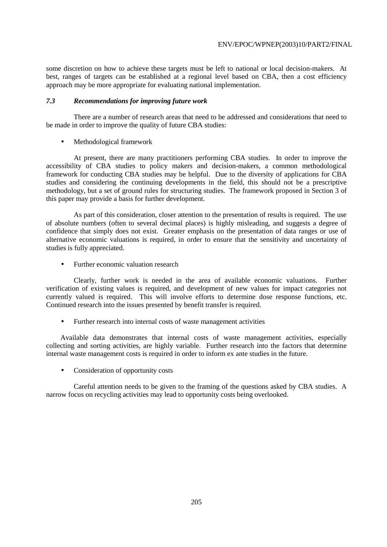some discretion on how to achieve these targets must be left to national or local decision-makers. At best, ranges of targets can be established at a regional level based on CBA, then a cost efficiency approach may be more appropriate for evaluating national implementation.

## *7.3 Recommendations for improving future work*

 There are a number of research areas that need to be addressed and considerations that need to be made in order to improve the quality of future CBA studies:

• Methodological framework

 At present, there are many practitioners performing CBA studies. In order to improve the accessibility of CBA studies to policy makers and decision-makers, a common methodological framework for conducting CBA studies may be helpful. Due to the diversity of applications for CBA studies and considering the continuing developments in the field, this should not be a prescriptive methodology, but a set of ground rules for structuring studies. The framework proposed in Section 3 of this paper may provide a basis for further development.

 As part of this consideration, closer attention to the presentation of results is required. The use of absolute numbers (often to several decimal places) is highly misleading, and suggests a degree of confidence that simply does not exist. Greater emphasis on the presentation of data ranges or use of alternative economic valuations is required, in order to ensure that the sensitivity and uncertainty of studies is fully appreciated.

• Further economic valuation research

 Clearly, further work is needed in the area of available economic valuations. Further verification of existing values is required, and development of new values for impact categories not currently valued is required. This will involve efforts to determine dose response functions, etc. Continued research into the issues presented by benefit transfer is required.

• Further research into internal costs of waste management activities

Available data demonstrates that internal costs of waste management activities, especially collecting and sorting activities, are highly variable. Further research into the factors that determine internal waste management costs is required in order to inform ex ante studies in the future.

• Consideration of opportunity costs

 Careful attention needs to be given to the framing of the questions asked by CBA studies. A narrow focus on recycling activities may lead to opportunity costs being overlooked.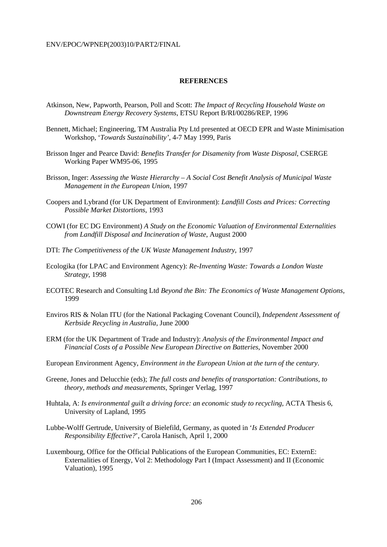#### **REFERENCES**

- Atkinson, New, Papworth, Pearson, Poll and Scott: *The Impact of Recycling Household Waste on Downstream Energy Recovery Systems*, ETSU Report B/RI/00286/REP, 1996
- Bennett, Michael; Engineering, TM Australia Pty Ltd presented at OECD EPR and Waste Minimisation Workshop, '*Towards Sustainability'*, 4-7 May 1999, Paris
- Brisson Inger and Pearce David: *Benefits Transfer for Disamenity from Waste Disposal*, CSERGE Working Paper WM95-06, 1995
- Brisson, Inger: *Assessing the Waste Hierarchy A Social Cost Benefit Analysis of Municipal Waste Management in the European Union*, 1997
- Coopers and Lybrand (for UK Department of Environment): *Landfill Costs and Prices: Correcting Possible Market Distortions*, 1993
- COWI (for EC DG Environment) *A Study on the Economic Valuation of Environmental Externalities from Landfill Disposal and Incineration of Waste*, August 2000
- DTI: *The Competitiveness of the UK Waste Management Industry*, 1997
- Ecologika (for LPAC and Environment Agency): *Re-Inventing Waste: Towards a London Waste Strategy*, 1998
- ECOTEC Research and Consulting Ltd *Beyond the Bin: The Economics of Waste Management Options*, 1999
- Enviros RIS & Nolan ITU (for the National Packaging Covenant Council), *Independent Assessment of Kerbside Recycling in Australia*, June 2000
- ERM (for the UK Department of Trade and Industry): *Analysis of the Environmental Impact and Financial Costs of a Possible New European Directive on Batteries*, November 2000
- European Environment Agency, *Environment in the European Union at the turn of the century*.
- Greene, Jones and Delucchie (eds); *The full costs and benefits of transportation: Contributions, to theory, methods and measurements*, Springer Verlag, 1997
- Huhtala, A: *Is environmental guilt a driving force: an economic study to recycling*, ACTA Thesis 6, University of Lapland, 1995
- Lubbe-Wolff Gertrude, University of Bielefild, Germany, as quoted in '*Is Extended Producer Responsibility Effective?*', Carola Hanisch, April 1, 2000
- Luxembourg, Office for the Official Publications of the European Communities, EC: ExternE: Externalities of Energy, Vol 2: Methodology Part I (Impact Assessment) and II (Economic Valuation), 1995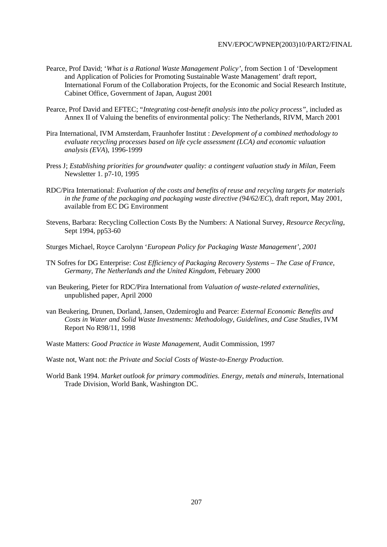- Pearce, Prof David; '*What is a Rational Waste Management Policy'*, from Section 1 of 'Development and Application of Policies for Promoting Sustainable Waste Management' draft report, International Forum of the Collaboration Projects, for the Economic and Social Research Institute, Cabinet Office, Government of Japan, August 2001
- Pearce, Prof David and EFTEC; "*Integrating cost-benefit analysis into the policy process"*, included as Annex II of Valuing the benefits of environmental policy: The Netherlands, RIVM, March 2001
- Pira International, IVM Amsterdam, Fraunhofer Institut : *Development of a combined methodology to evaluate recycling processes based on life cycle assessment (LCA) and economic valuation analysis (EVA*), 1996-1999
- Press J; *Establishing priorities for groundwater quality: a contingent valuation study in Milan*, Feem Newsletter 1. p7-10, 1995
- RDC/Pira International: *Evaluation of the costs and benefits of reuse and recycling targets for materials in the frame of the packaging and packaging waste directive (94/62/EC*), draft report, May 2001, available from EC DG Environment
- Stevens, Barbara: Recycling Collection Costs By the Numbers: A National Survey, *Resource Recycling*, Sept 1994, pp53-60
- Sturges Michael, Royce Carolynn '*European Policy for Packaging Waste Management', 2001*
- TN Sofres for DG Enterprise: *Cost Efficiency of Packaging Recovery Systems The Case of France, Germany, The Netherlands and the United Kingdom*, February 2000
- van Beukering, Pieter for RDC/Pira International from *Valuation of waste-related externalities*, unpublished paper, April 2000
- van Beukering, Drunen, Dorland, Jansen, Ozdemiroglu and Pearce: *External Economic Benefits and Costs in Water and Solid Waste Investments: Methodology, Guidelines, and Case Studies*, IVM Report No R98/11, 1998
- Waste Matters: *Good Practice in Waste Management*, Audit Commission, 1997
- Waste not, Want not: *the Private and Social Costs of Waste-to-Energy Production*.
- World Bank 1994. *Market outlook for primary commodities. Energy, metals and minerals*, International Trade Division, World Bank, Washington DC.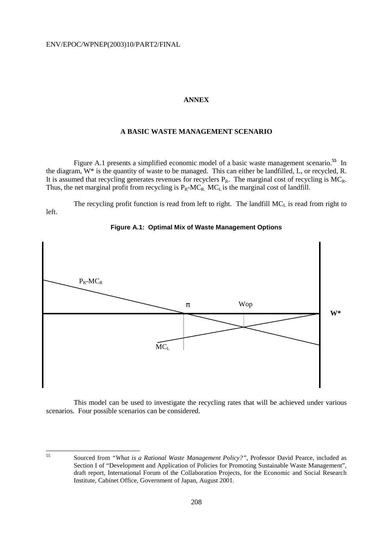# **ANNEX**

# **A BASIC WASTE MANAGEMENT SCENARIO**

 Figure A.1 presents a simplified economic model of a basic waste management scenario.**<sup>55</sup>** In the diagram, W\* is the quantity of waste to be managed. This can either be landfilled, L, or recycled, R. It is assumed that recycling generates revenues for recyclers  $P_R$ . The marginal cost of recycling is  $MC_R$ . Thus, the net marginal profit from recycling is  $P_R-MC_R$ .  $MC_L$  is the marginal cost of landfill.

The recycling profit function is read from left to right. The landfill  $MC<sub>L</sub>$  is read from right to left.



# **Figure A.1: Optimal Mix of Waste Management Options**

 This model can be used to investigate the recycling rates that will be achieved under various scenarios. Four possible scenarios can be considered.

55

<sup>55</sup> Sourced from *"What is a Rational Waste Management Policy?"*, Professor David Pearce, included as Section I of "Development and Application of Policies for Promoting Sustainable Waste Management", draft report, International Forum of the Collaboration Projects, for the Economic and Social Research Institute, Cabinet Office, Government of Japan, August 2001.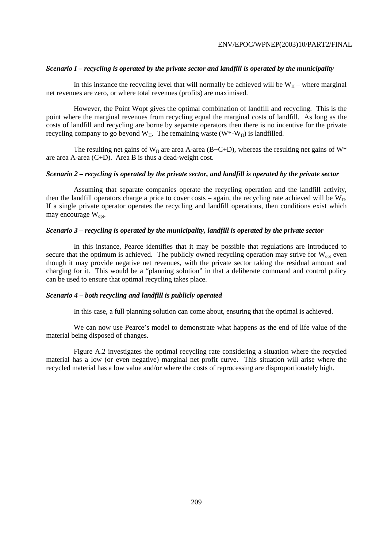# *Scenario I – recycling is operated by the private sector and landfill is operated by the municipality*

In this instance the recycling level that will normally be achieved will be  $W_{\Pi}$  – where marginal net revenues are zero, or where total revenues (profits) are maximised.

 However, the Point Wopt gives the optimal combination of landfill and recycling. This is the point where the marginal revenues from recycling equal the marginal costs of landfill. As long as the costs of landfill and recycling are borne by separate operators then there is no incentive for the private recycling company to go beyond  $W_{\Pi}$ . The remaining waste  $(W^* - W_{\Pi})$  is landfilled.

The resulting net gains of  $W_{\Pi}$  are area A-area (B+C+D), whereas the resulting net gains of  $W^*$ are area A-area (C+D). Area B is thus a dead-weight cost.

## *Scenario 2 – recycling is operated by the private sector, and landfill is operated by the private sector*

 Assuming that separate companies operate the recycling operation and the landfill activity, then the landfill operators charge a price to cover costs – again, the recycling rate achieved will be  $W_{\Pi}$ . If a single private operator operates the recycling and landfill operations, then conditions exist which may encourage  $W_{\text{opt}}$ .

## *Scenario 3 – recycling is operated by the municipality, landfill is operated by the private sector*

 In this instance, Pearce identifies that it may be possible that regulations are introduced to secure that the optimum is achieved. The publicly owned recycling operation may strive for  $W_{\text{opt}}$  even though it may provide negative net revenues, with the private sector taking the residual amount and charging for it. This would be a "planning solution" in that a deliberate command and control policy can be used to ensure that optimal recycling takes place.

# *Scenario 4 – both recycling and landfill is publicly operated*

In this case, a full planning solution can come about, ensuring that the optimal is achieved.

 We can now use Pearce's model to demonstrate what happens as the end of life value of the material being disposed of changes.

 Figure A.2 investigates the optimal recycling rate considering a situation where the recycled material has a low (or even negative) marginal net profit curve. This situation will arise where the recycled material has a low value and/or where the costs of reprocessing are disproportionately high.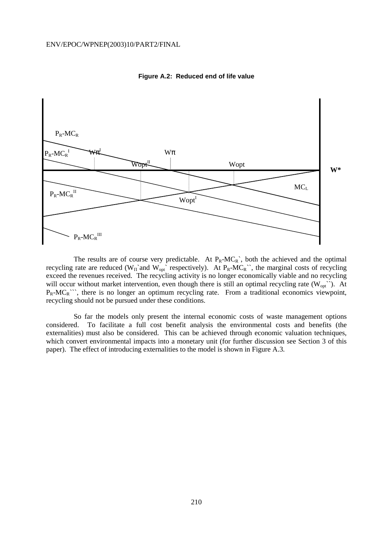

**Figure A.2: Reduced end of life value** 

The results are of course very predictable. At  $P_R-MC_R^*$ , both the achieved and the optimal recycling rate are reduced ( $W_{\Pi}$ `and  $W_{opt}$ <sup>'</sup> respectively). At  $P_R-MC_R$ <sup>'</sup>, the marginal costs of recycling exceed the revenues received. The recycling activity is no longer economically viable and no recycling will occur without market intervention, even though there is still an optimal recycling rate  $(W_{opt}^{\cdot})$ . At  $P_R-MC_R$ <sup>\*\*\*</sup>, there is no longer an optimum recycling rate. From a traditional economics viewpoint, recycling should not be pursued under these conditions.

 So far the models only present the internal economic costs of waste management options considered. To facilitate a full cost benefit analysis the environmental costs and benefits (the externalities) must also be considered. This can be achieved through economic valuation techniques, which convert environmental impacts into a monetary unit (for further discussion see Section 3 of this paper). The effect of introducing externalities to the model is shown in Figure A.3.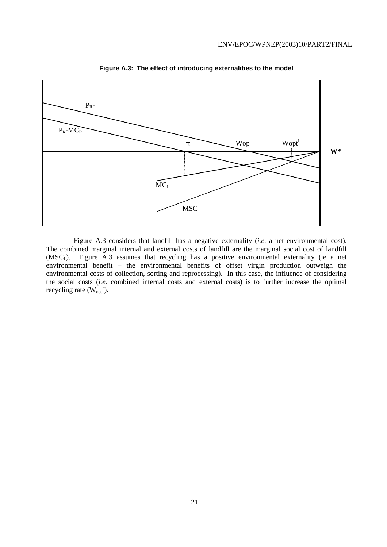

**Figure A.3: The effect of introducing externalities to the model** 

 Figure A.3 considers that landfill has a negative externality (*i.e.* a net environmental cost). The combined marginal internal and external costs of landfill are the marginal social cost of landfill (MSCL). Figure A.3 assumes that recycling has a positive environmental externality (ie a net environmental benefit – the environmental benefits of offset virgin production outweigh the environmental costs of collection, sorting and reprocessing). In this case, the influence of considering the social costs (*i.e.* combined internal costs and external costs) is to further increase the optimal recycling rate  $(W_{opt})$ .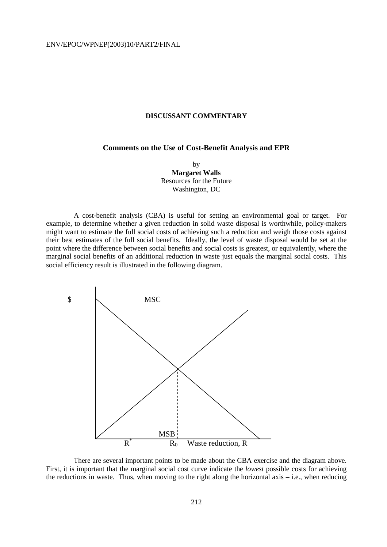#### **DISCUSSANT COMMENTARY**

### **Comments on the Use of Cost-Benefit Analysis and EPR**

by **Margaret Walls**  Resources for the Future Washington, DC

 A cost-benefit analysis (CBA) is useful for setting an environmental goal or target. For example, to determine whether a given reduction in solid waste disposal is worthwhile, policy-makers might want to estimate the full social costs of achieving such a reduction and weigh those costs against their best estimates of the full social benefits. Ideally, the level of waste disposal would be set at the point where the difference between social benefits and social costs is greatest, or equivalently, where the marginal social benefits of an additional reduction in waste just equals the marginal social costs. This social efficiency result is illustrated in the following diagram.



There are several important points to be made about the CBA exercise and the diagram above. First, it is important that the marginal social cost curve indicate the *lowest* possible costs for achieving the reductions in waste. Thus, when moving to the right along the horizontal axis  $-$  i.e., when reducing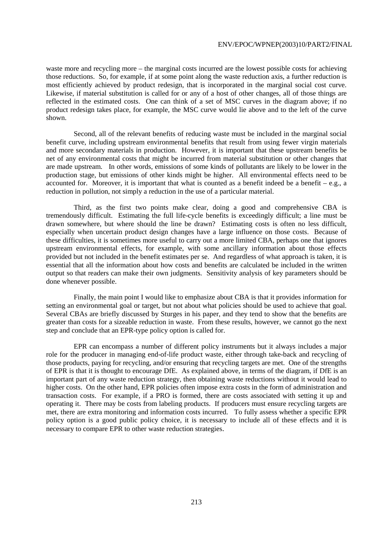waste more and recycling more – the marginal costs incurred are the lowest possible costs for achieving those reductions. So, for example, if at some point along the waste reduction axis, a further reduction is most efficiently achieved by product redesign, that is incorporated in the marginal social cost curve. Likewise, if material substitution is called for or any of a host of other changes, all of those things are reflected in the estimated costs. One can think of a set of MSC curves in the diagram above; if no product redesign takes place, for example, the MSC curve would lie above and to the left of the curve shown.

 Second, all of the relevant benefits of reducing waste must be included in the marginal social benefit curve, including upstream environmental benefits that result from using fewer virgin materials and more secondary materials in production. However, it is important that these upstream benefits be net of any environmental costs that might be incurred from material substitution or other changes that are made upstream. In other words, emissions of some kinds of pollutants are likely to be lower in the production stage, but emissions of other kinds might be higher. All environmental effects need to be accounted for. Moreover, it is important that what is counted as a benefit indeed be a benefit – e.g., a reduction in pollution, not simply a reduction in the use of a particular material.

 Third, as the first two points make clear, doing a good and comprehensive CBA is tremendously difficult. Estimating the full life-cycle benefits is exceedingly difficult; a line must be drawn somewhere, but where should the line be drawn? Estimating costs is often no less difficult, especially when uncertain product design changes have a large influence on those costs. Because of these difficulties, it is sometimes more useful to carry out a more limited CBA, perhaps one that ignores upstream environmental effects, for example, with some ancillary information about those effects provided but not included in the benefit estimates per se. And regardless of what approach is taken, it is essential that all the information about how costs and benefits are calculated be included in the written output so that readers can make their own judgments. Sensitivity analysis of key parameters should be done whenever possible.

 Finally, the main point I would like to emphasize about CBA is that it provides information for setting an environmental goal or target, but not about what policies should be used to achieve that goal. Several CBAs are briefly discussed by Sturges in his paper, and they tend to show that the benefits are greater than costs for a sizeable reduction in waste. From these results, however, we cannot go the next step and conclude that an EPR-type policy option is called for.

 EPR can encompass a number of different policy instruments but it always includes a major role for the producer in managing end-of-life product waste, either through take-back and recycling of those products, paying for recycling, and/or ensuring that recycling targets are met. One of the strengths of EPR is that it is thought to encourage DfE. As explained above, in terms of the diagram, if DfE is an important part of any waste reduction strategy, then obtaining waste reductions without it would lead to higher costs. On the other hand, EPR policies often impose extra costs in the form of administration and transaction costs. For example, if a PRO is formed, there are costs associated with setting it up and operating it. There may be costs from labeling products. If producers must ensure recycling targets are met, there are extra monitoring and information costs incurred. To fully assess whether a specific EPR policy option is a good public policy choice, it is necessary to include all of these effects and it is necessary to compare EPR to other waste reduction strategies.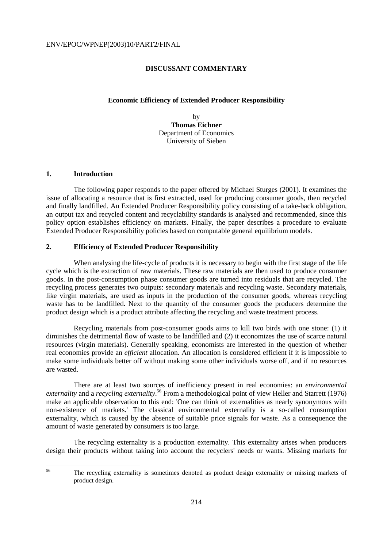# **DISCUSSANT COMMENTARY**

#### **Economic Efficiency of Extended Producer Responsibility**

by **Thomas Eichner** Department of Economics University of Sieben

# **1. Introduction**

56

 The following paper responds to the paper offered by Michael Sturges (2001). It examines the issue of allocating a resource that is first extracted, used for producing consumer goods, then recycled and finally landfilled. An Extended Producer Responsibility policy consisting of a take-back obligation, an output tax and recycled content and recyclability standards is analysed and recommended, since this policy option establishes efficiency on markets. Finally, the paper describes a procedure to evaluate Extended Producer Responsibility policies based on computable general equilibrium models.

## **2. Efficiency of Extended Producer Responsibility**

When analysing the life-cycle of products it is necessary to begin with the first stage of the life cycle which is the extraction of raw materials. These raw materials are then used to produce consumer goods. In the post-consumption phase consumer goods are turned into residuals that are recycled. The recycling process generates two outputs: secondary materials and recycling waste. Secondary materials, like virgin materials, are used as inputs in the production of the consumer goods, whereas recycling waste has to be landfilled. Next to the quantity of the consumer goods the producers determine the product design which is a product attribute affecting the recycling and waste treatment process.

 Recycling materials from post-consumer goods aims to kill two birds with one stone: (1) it diminishes the detrimental flow of waste to be landfilled and (2) it economizes the use of scarce natural resources (virgin materials). Generally speaking, economists are interested in the question of whether real economies provide an *efficient* allocation. An allocation is considered efficient if it is impossible to make some individuals better off without making some other individuals worse off, and if no resources are wasted.

 There are at least two sources of inefficiency present in real economies: an *environmental externality* and a *recycling externality*. 56 From a methodological point of view Heller and Starrett (1976) make an applicable observation to this end: 'One can think of externalities as nearly synonymous with non-existence of markets.' The classical environmental externality is a so-called consumption externality, which is caused by the absence of suitable price signals for waste. As a consequence the amount of waste generated by consumers is too large.

 The recycling externality is a production externality. This externality arises when producers design their products without taking into account the recyclers' needs or wants. Missing markets for

The recycling externality is sometimes denoted as product design externality or missing markets of product design.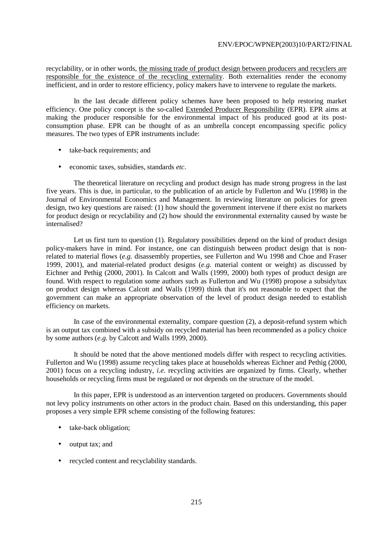recyclability, or in other words, the missing trade of product design between producers and recyclers are responsible for the existence of the recycling externality. Both externalities render the economy inefficient, and in order to restore efficiency, policy makers have to intervene to regulate the markets.

 In the last decade different policy schemes have been proposed to help restoring market efficiency. One policy concept is the so-called Extended Producer Responsibility (EPR). EPR aims at making the producer responsible for the environmental impact of his produced good at its postconsumption phase. EPR can be thought of as an umbrella concept encompassing specific policy measures. The two types of EPR instruments include:

- take-back requirements; and
- economic taxes, subsidies, standards *etc*.

 The theoretical literature on recycling and product design has made strong progress in the last five years. This is due, in particular, to the publication of an article by Fullerton and Wu (1998) in the Journal of Environmental Economics and Management. In reviewing literature on policies for green design, two key questions are raised: (1) how should the government intervene if there exist no markets for product design or recyclability and (2) how should the environmental externality caused by waste be internalised?

Let us first turn to question (1). Regulatory possibilities depend on the kind of product design policy-makers have in mind. For instance, one can distinguish between product design that is nonrelated to material flows (*e.g.* disassembly properties, see Fullerton and Wu 1998 and Choe and Fraser 1999, 2001), and material-related product designs (*e.g.* material content or weight) as discussed by Eichner and Pethig (2000, 2001). In Calcott and Walls (1999, 2000) both types of product design are found. With respect to regulation some authors such as Fullerton and Wu (1998) propose a subsidy/tax on product design whereas Calcott and Walls (1999) think that it's not reasonable to expect that the government can make an appropriate observation of the level of product design needed to establish efficiency on markets.

 In case of the environmental externality, compare question (2), a deposit-refund system which is an output tax combined with a subsidy on recycled material has been recommended as a policy choice by some authors (*e.g.* by Calcott and Walls 1999, 2000).

 It should be noted that the above mentioned models differ with respect to recycling activities. Fullerton and Wu (1998) assume recycling takes place at households whereas Eichner and Pethig (2000, 2001) focus on a recycling industry, *i.e.* recycling activities are organized by firms. Clearly, whether households or recycling firms must be regulated or not depends on the structure of the model.

 In this paper, EPR is understood as an intervention targeted on producers. Governments should not levy policy instruments on other actors in the product chain. Based on this understanding, this paper proposes a very simple EPR scheme consisting of the following features:

- take-back obligation;
- output tax; and
- recycled content and recyclability standards.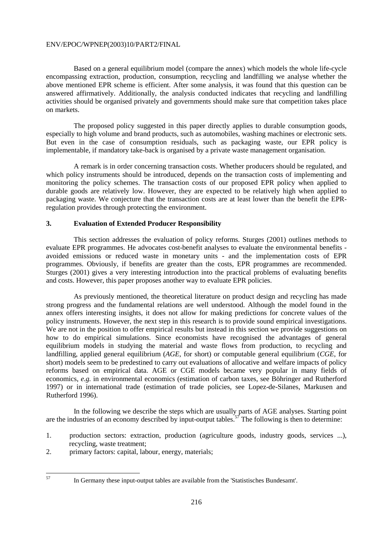Based on a general equilibrium model (compare the annex) which models the whole life-cycle encompassing extraction, production, consumption, recycling and landfilling we analyse whether the above mentioned EPR scheme is efficient. After some analysis, it was found that this question can be answered affirmatively. Additionally, the analysis conducted indicates that recycling and landfilling activities should be organised privately and governments should make sure that competition takes place on markets.

 The proposed policy suggested in this paper directly applies to durable consumption goods, especially to high volume and brand products, such as automobiles, washing machines or electronic sets. But even in the case of consumption residuals, such as packaging waste, our EPR policy is implementable, if mandatory take-back is organised by a private waste management organisation.

 A remark is in order concerning transaction costs. Whether producers should be regulated, and which policy instruments should be introduced, depends on the transaction costs of implementing and monitoring the policy schemes. The transaction costs of our proposed EPR policy when applied to durable goods are relatively low. However, they are expected to be relatively high when applied to packaging waste. We conjecture that the transaction costs are at least lower than the benefit the EPRregulation provides through protecting the environment.

# **3. Evaluation of Extended Producer Responsibility**

 This section addresses the evaluation of policy reforms. Sturges (2001) outlines methods to evaluate EPR programmes. He advocates cost-benefit analyses to evaluate the environmental benefits avoided emissions or reduced waste in monetary units - and the implementation costs of EPR programmes. Obviously, if benefits are greater than the costs, EPR programmes are recommended. Sturges (2001) gives a very interesting introduction into the practical problems of evaluating benefits and costs. However, this paper proposes another way to evaluate EPR policies.

 As previously mentioned, the theoretical literature on product design and recycling has made strong progress and the fundamental relations are well understood. Although the model found in the annex offers interesting insights, it does not allow for making predictions for concrete values of the policy instruments. However, the next step in this research is to provide sound empirical investigations. We are not in the position to offer empirical results but instead in this section we provide suggestions on how to do empirical simulations. Since economists have recognised the advantages of general equilibrium models in studying the material and waste flows from production, to recycling and landfilling, applied general equilibrium (*AGE*, for short) or computable general equilibrium (*CGE*, for short) models seem to be predestined to carry out evaluations of allocative and welfare impacts of policy reforms based on empirical data. AGE or CGE models became very popular in many fields of economics, *e.g.* in environmental economics (estimation of carbon taxes, see Böhringer and Rutherford 1997) or in international trade (estimation of trade policies, see Lopez-de-Silanes, Markusen and Rutherford 1996).

 In the following we describe the steps which are usually parts of AGE analyses. Starting point are the industries of an economy described by input-output tables.<sup>57</sup> The following is then to determine:

- 1. production sectors: extraction, production (agriculture goods, industry goods, services ...), recycling, waste treatment;
- 2. primary factors: capital, labour, energy, materials;

<sup>57</sup> In Germany these input-output tables are available from the 'Statistisches Bundesamt'.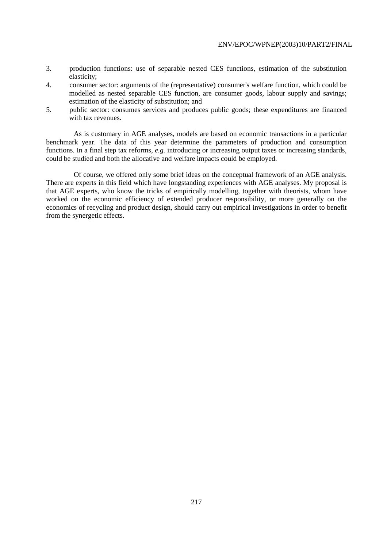- 3. production functions: use of separable nested CES functions, estimation of the substitution elasticity;
- 4. consumer sector: arguments of the (representative) consumer's welfare function, which could be modelled as nested separable CES function, are consumer goods, labour supply and savings; estimation of the elasticity of substitution; and
- 5. public sector: consumes services and produces public goods; these expenditures are financed with tax revenues.

 As is customary in AGE analyses, models are based on economic transactions in a particular benchmark year. The data of this year determine the parameters of production and consumption functions. In a final step tax reforms, *e.g.* introducing or increasing output taxes or increasing standards, could be studied and both the allocative and welfare impacts could be employed.

 Of course, we offered only some brief ideas on the conceptual framework of an AGE analysis. There are experts in this field which have longstanding experiences with AGE analyses. My proposal is that AGE experts, who know the tricks of empirically modelling, together with theorists, whom have worked on the economic efficiency of extended producer responsibility, or more generally on the economics of recycling and product design, should carry out empirical investigations in order to benefit from the synergetic effects.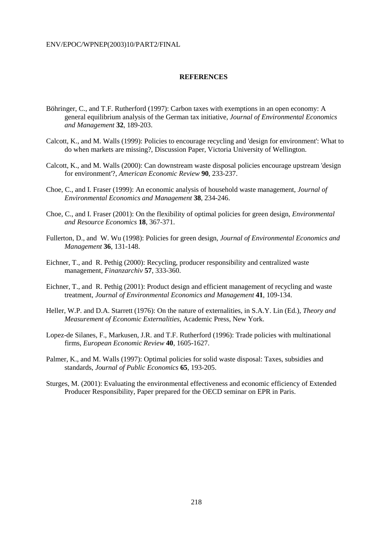# **REFERENCES**

- Böhringer, C., and T.F. Rutherford (1997): Carbon taxes with exemptions in an open economy: A general equilibrium analysis of the German tax initiative, *Journal of Environmental Economics and Management* **32**, 189-203.
- Calcott, K., and M. Walls (1999): Policies to encourage recycling and 'design for environment': What to do when markets are missing?, Discussion Paper, Victoria University of Wellington.
- Calcott, K., and M. Walls (2000): Can downstream waste disposal policies encourage upstream 'design for environment'?, *American Economic Review* **90**, 233-237.
- Choe, C., and I. Fraser (1999): An economic analysis of household waste management, *Journal of Environmental Economics and Management* **38**, 234-246.
- Choe, C., and I. Fraser (2001): On the flexibility of optimal policies for green design, *Environmental and Resource Economics* **18**, 367-371.
- Fullerton, D., and W. Wu (1998): Policies for green design*, Journal of Environmental Economics and Management* **36**, 131-148.
- Eichner, T., and R. Pethig (2000): Recycling, producer responsibility and centralized waste management, *Finanzarchiv* **57**, 333-360.
- Eichner, T., and R. Pethig (2001): Product design and efficient management of recycling and waste treatment, *Journal of Environmental Economics and Management* **41**, 109-134.
- Heller, W.P. and D.A. Starrett (1976): On the nature of externalities, in S.A.Y. Lin (Ed.), *Theory and Measurement of Economic Externalities*, Academic Press, New York.
- Lopez-de Silanes, F., Markusen, J.R. and T.F. Rutherford (1996): Trade policies with multinational firms, *European Economic Review* **40**, 1605-1627.
- Palmer, K., and M. Walls (1997): Optimal policies for solid waste disposal: Taxes, subsidies and standards, *Journal of Public Economics* **65**, 193-205.
- Sturges, M. (2001): Evaluating the environmental effectiveness and economic efficiency of Extended Producer Responsibility, Paper prepared for the OECD seminar on EPR in Paris.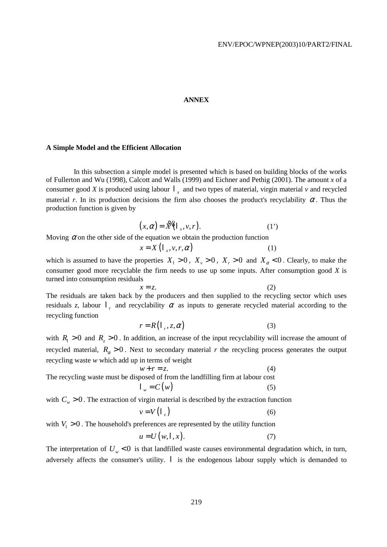#### **ANNEX**

# **A Simple Model and the Efficient Allocation**

 In this subsection a simple model is presented which is based on building blocks of the works of Fullerton and Wu (1998), Calcott and Walls (1999) and Eichner and Pethig (2001). The amount *x* of a consumer good *X* is produced using labour  $\mathsf{l}$ , and two types of material, virgin material *v* and recycled material *r*. In its production decisions the firm also chooses the product's recyclability  $\alpha$ . Thus the production function is given by

$$
(x, \alpha) = \mathbb{X} \left( \mathbf{1}_x, v, r \right). \tag{1'}
$$

Moving  $\alpha$  on the other side of the equation we obtain the production function

$$
x = X\left(1_x, v, r, \alpha\right) \tag{1}
$$

which is assumed to have the properties  $X_1 > 0$ ,  $X_2 > 0$ ,  $X_r > 0$  and  $X_\alpha < 0$ . Clearly, to make the consumer good more recyclable the firm needs to use up some inputs. After consumption good *X* is turned into consumption residuals

$$
x = z.
$$
 (2)

The residuals are taken back by the producers and then supplied to the recycling sector which uses residuals *z*, labour  $\mathsf{r}_r$  and recyclability  $\alpha$  as inputs to generate recycled material according to the recycling function

$$
r = R\left(1_{r}, z, \alpha\right) \tag{3}
$$

with  $R_1 > 0$  and  $R_2 > 0$ . In addition, an increase of the input recyclability will increase the amount of recycled material,  $R_{\alpha} > 0$ . Next to secondary material *r* the recycling process generates the output recycling waste *w* which add up in terms of weight

 $w + r = z.$  (4) The recycling waste must be disposed of from the landfilling firm at labour cost  $l_w = C(w)$  (5)

with  $C_w > 0$ . The extraction of virgin material is described by the extraction function

$$
v = V \left( \begin{matrix} | & \\ v & \end{matrix} \right) \tag{6}
$$

with  $V_1 > 0$ . The household's preferences are represented by the utility function

$$
u = U(w, l, x). \tag{7}
$$

The interpretation of  $U_w < 0$  is that landfilled waste causes environmental degradation which, in turn, adversely affects the consumer's utility. l is the endogenous labour supply which is demanded to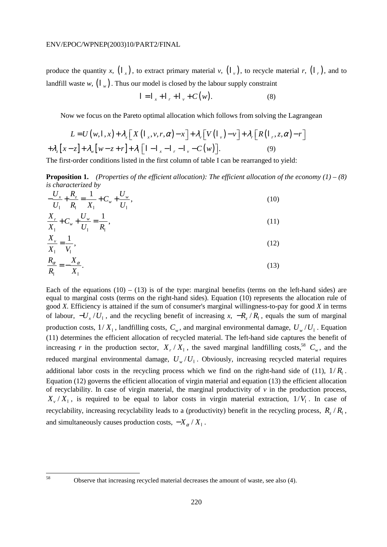produce the quantity *x*,  $(\mathsf{I}_x)$ , to extract primary material *v*,  $(\mathsf{I}_x)$ , to recycle material *r*,  $(\mathsf{I}_x)$ , and to landfill waste *w*,  $( \nvert_{w})$ . Thus our model is closed by the labour supply constraint

$$
I = I_x + I_r + I_v + C(w).
$$
 (8)

Now we focus on the Pareto optimal allocation which follows from solving the Lagrangean

$$
L = U(w,1,x) + \lambda_x \left[ X \left( \mathbf{1}_x, v, r, \alpha \right) - x \right] + \lambda_v \left[ V \left( \mathbf{1}_v \right) - v \right] + \lambda_r \left[ R \left( \mathbf{1}_r, z, \alpha \right) - r \right]
$$

$$
+ \lambda_z \left[ x - z \right] + \lambda_w \left[ w - z + r \right] + \lambda_1 \left[ 1 - \mathbf{1}_x - \mathbf{1}_r - \mathbf{1}_v - C(w) \right]. \tag{9}
$$

The first-order conditions listed in the first column of table I can be rearranged to yield:

**Proposition 1.** *(Properties of the efficient allocation): The efficient allocation of the economy*  $(1) - (8)$ *is characterized by*

| $-\frac{U_x}{U_1} + \frac{R_z}{R_1} = \frac{1}{X_1} + C_w + \frac{U_w}{U_1},$ |  |
|-------------------------------------------------------------------------------|--|
| $\frac{X_r}{X_1} + C_w + \frac{U_w}{U_1} = \frac{1}{R_1},$                    |  |
| $X_{\nu} = \frac{1}{\nu}$<br>__ _                                             |  |

$$
\frac{X_{\nu}}{X_{1}} = \frac{1}{V_{1}},
$$
\n
$$
R_{\alpha} \qquad X_{\alpha}
$$
\n(12)

$$
\frac{R_{\alpha}}{R_{\parallel}} = -\frac{X_{\alpha}}{X_{\perp}}.\tag{13}
$$

Each of the equations  $(10) - (13)$  is of the type: marginal benefits (terms on the left-hand sides) are equal to marginal costs (terms on the right-hand sides). Equation (10) represents the allocation rule of good *X*. Efficiency is attained if the sum of consumer's marginal willingness-to-pay for good *X* in terms of labour,  $-U_y/U_1$ , and the recycling benefit of increasing *x*,  $-R_y/R_1$ , equals the sum of marginal production costs,  $1/X_1$ , landfilling costs,  $C_w$ , and marginal environmental damage,  $U_w/U_1$ . Equation (11) determines the efficient allocation of recycled material. The left-hand side captures the benefit of increasing *r* in the production sector,  $X_r / X_1$ , the saved marginal landfilling costs,<sup>58</sup>  $C_w$ , and the reduced marginal environmental damage,  $U_w / U_1$ . Obviously, increasing recycled material requires additional labor costs in the recycling process which we find on the right-hand side of (11),  $1/R<sub>1</sub>$ . Equation (12) governs the efficient allocation of virgin material and equation (13) the efficient allocation of recyclability. In case of virgin material, the marginal productivity of  $\nu$  in the production process,  $X_y/X_1$ , is required to be equal to labor costs in virgin material extraction,  $1/V_1$ . In case of recyclability, increasing recyclability leads to a (productivity) benefit in the recycling process,  $R_z/R$ , and simultaneously causes production costs,  $-X_{\alpha}/X_{\perp}$ .

Observe that increasing recycled material decreases the amount of waste, see also (4).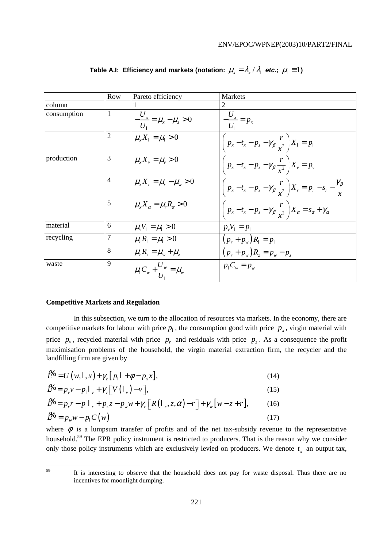|             | Row            | Pareto efficiency                                                   | <b>Markets</b>                                                                         |
|-------------|----------------|---------------------------------------------------------------------|----------------------------------------------------------------------------------------|
| column      |                |                                                                     | 2                                                                                      |
| consumption | 1              | $-\frac{U_x}{U_x} = \mu_x - \mu_z > 0$                              | $\frac{U_x}{U_1} = p_x$                                                                |
|             |                | $\mu_{r} X_1 = \mu_1 > 0$                                           | $\left( p_x - t_x - p_z - \gamma_\beta \frac{r}{x^2} \right) X_1 = p_1$                |
| production  | 3              | $\mu_{r} X_{v} = \mu_{v} > 0$                                       | $\left(p_x-t_x-p_z-\gamma_\beta\frac{r}{r^2}\right)X_v=p_v$                            |
|             | $\overline{4}$ | $\mu_{r} X_{r} = \mu_{r} - \mu_{w} > 0$                             | $\left(p_x-t_x-p_z-\gamma_\beta\frac{r}{r^2}\right)X_r=p_r-s_r-\frac{\gamma_\beta}{r}$ |
|             | 5              | $\mu_{r} X_{\alpha} = \mu_{r} R_{\alpha} > 0$                       | $\left(p_x-t_x-p_z-\gamma_\beta\frac{r}{r^2}\right)X_\alpha=s_\alpha+\gamma_\alpha$    |
| material    | 6              | $\mu_{v}V_{1} = \mu_{1} > 0$                                        | $p_v V_1 = p_1$                                                                        |
| recycling   |                | $\mu_{r} R_{1} = \mu_{1} > 0$                                       | $(p_r + p_w) R_1 = p_1$                                                                |
|             | 8              | $\mu_{r} R_{r} = \mu_{w} + \mu_{r}$                                 | $(p_r + p_w)R_z = p_w - p_z$                                                           |
| waste       | 9              | $\mu_{\rm l} C_{\rm w} + \frac{U_{\rm w}}{U_{\rm r}} = \mu_{\rm w}$ | $p_1 C_w = p_w$                                                                        |

**Table A.I: Efficiency and markets (notation:**  $\mu_x = \lambda_x / \lambda_1$  **etc.;**  $\mu_1 \equiv 1$ **)** 

#### **Competitive Markets and Regulation**

 In this subsection, we turn to the allocation of resources via markets. In the economy, there are competitive markets for labour with price  $p_1$ , the consumption good with price  $p_x$ , virgin material with price  $p<sub>v</sub>$ , recycled material with price  $p<sub>r</sub>$  and residuals with price  $p<sub>r</sub>$ . As a consequence the profit maximisation problems of the household, the virgin material extraction firm, the recycler and the landfilling firm are given by

$$
\tilde{\mathcal{L}}^H = U(w, \mathsf{I}, x) + \gamma_c \left[ p_{\mathsf{I}} \mathsf{I} + \phi - p_{\mathsf{x}} x \right],\tag{14}
$$

$$
\mathcal{L} = p_v v - p_1 l_v + \gamma_v \left[ V \left( l_v \right) - v \right],\tag{15}
$$

$$
\mathcal{L}^R = p_r r - p_l l_r + p_z z - p_w w + \gamma_r [R(l_r, z, \alpha) - r] + \gamma_w [w - z + r], \qquad (16)
$$
  

$$
\mathcal{L}^W = p_w w - p_l C(w) \qquad (17)
$$

where  $\phi$  is a lumpsum transfer of profits and of the net tax-subsidy revenue to the representative household.59 The EPR policy instrument is restricted to producers. That is the reason why we consider only those policy instruments which are exclusively levied on producers. We denote  $t<sub>x</sub>$  an output tax,

It is interesting to observe that the household does not pay for waste disposal. Thus there are no incentives for moonlight dumping.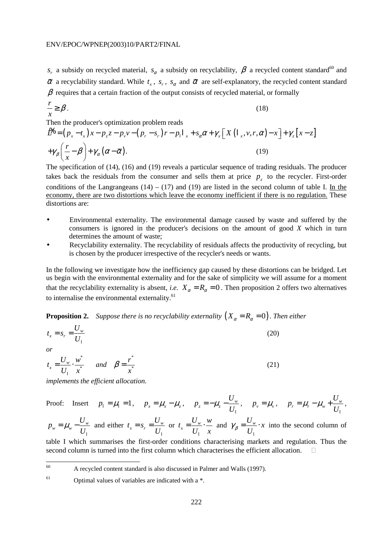$s_r$  a subsidy on recycled material,  $s_\alpha$  a subsidy on recyclability,  $\beta$  a recycled content standard<sup>60</sup> and  $\overline{\alpha}$  a recyclability standard. While  $t_r$ ,  $s_r$ ,  $s_\alpha$  and  $\overline{\alpha}$  are self-explanatory, the recycled content standard  $\beta$  requires that a certain fraction of the output consists of recycled material, or formally

$$
\frac{r}{x} \ge \beta. \tag{18}
$$

Then the producer's optimization problem reads

$$
\mathcal{L} = (p_x - t_x)x - p_z z - p_v v - (p_r - s_r)r - p_1 l_x + s_\alpha \alpha + \gamma_x [X (l_x, v, r, \alpha) - x] + \gamma_z [x - z]
$$
  
+
$$
\gamma_\beta \left(\frac{r}{x} - \beta\right) + \gamma_\alpha (\alpha - \overline{\alpha}).
$$
 (19)

The specification of (14), (16) and (19) reveals a particular sequence of trading residuals. The producer takes back the residuals from the consumer and sells them at price  $p<sub>z</sub>$  to the recycler. First-order conditions of the Langrangeans  $(14) - (17)$  and  $(19)$  are listed in the second column of table I. In the economy, there are two distortions which leave the economy inefficient if there is no regulation. These distortions are:

- Environmental externality. The environmental damage caused by waste and suffered by the consumers is ignored in the producer's decisions on the amount of good *X* which in turn determines the amount of waste;
- Recyclability externality. The recyclability of residuals affects the productivity of recycling, but is chosen by the producer irrespective of the recycler's needs or wants.

In the following we investigate how the inefficiency gap caused by these distortions can be bridged. Let us begin with the environmental externality and for the sake of simplicity we will assume for a moment that the recyclability externality is absent, *i.e.*  $X_a = R_a = 0$ . Then proposition 2 offers two alternatives to internalise the environmental externality.<sup>61</sup>

**Proposition 2.** Suppose there is no recyclability externality  $(X_{\alpha} = R_{\alpha} = 0)$ . Then either

$$
t_x = s_r = \frac{U_w}{U_1}
$$
\nor

\n
$$
U = \frac{U_w}{U_1} + \frac{v^*}{U_2}
$$
\n(20)

\*  $\frac{C_w}{I} = \frac{C_w}{I}$  $t_x = \frac{U_w}{U_1} \cdot \frac{w}{x^2}$  *and*  \* *r x*  $\beta = \frac{1}{2}$  (21)

*implements the efficient allocation.* 

Proof: Insert 
$$
p_1 = \mu_1 = 1
$$
,  $p_x = \mu_x - \mu_z$ ,  $p_z = -\mu_z - \frac{U_w}{U_1}$ ,  $p_v = \mu_v$ ,  $p_r = \mu_r - \mu_w + \frac{U_w}{U_1}$ ,

 $w_{w} = \mu_{w} - \frac{U_{w}}{U}$  $p_w = \mu_w - \frac{U_w}{U_1}$ and either  $t_x = s_r = \frac{C_w}{U}$  $t_x = s_r = \frac{U_u}{U_l}$ or  $t_x = \frac{U_w}{U}$  $t_x = \frac{U_w}{U_1} \cdot \frac{w}{x}$ and  $\gamma_{\beta} = \frac{U_{w}}{U_{1}} \cdot x$ into the second column of

table I which summarises the first-order conditions characterising markets and regulation. Thus the second column is turned into the first column which characterises the efficient allocation.

60 60 A recycled content standard is also discussed in Palmer and Walls (1997).

 $61$  Optimal values of variables are indicated with a  $*$ .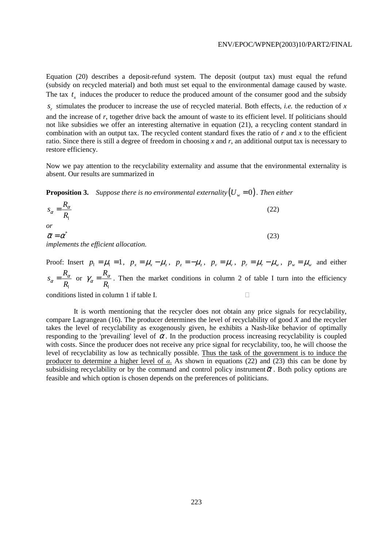Equation (20) describes a deposit-refund system. The deposit (output tax) must equal the refund (subsidy on recycled material) and both must set equal to the environmental damage caused by waste. The tax  $t<sub>x</sub>$  induces the producer to reduce the produced amount of the consumer good and the subsidy

*<sup>r</sup> s* stimulates the producer to increase the use of recycled material. Both effects, *i.e.* the reduction of *x* and the increase of *r*, together drive back the amount of waste to its efficient level. If politicians should not like subsidies we offer an interesting alternative in equation (21), a recycling content standard in combination with an output tax. The recycled content standard fixes the ratio of *r* and *x* to the efficient ratio. Since there is still a degree of freedom in choosing *x* and *r*, an additional output tax is necessary to restore efficiency.

Now we pay attention to the recyclability externality and assume that the environmental externality is absent. Our results are summarized in

**Proposition 3.** Suppose there is no environmental externality  $(U_w = 0)$ . Then either

$$
s_{\alpha} = \frac{R_{\alpha}}{R_{1}}
$$
  
or  

$$
\overline{\alpha} = \alpha^{*}
$$
  
implements the efficient allocation. (23)

Proof: Insert  $p_1 = \mu_1 = 1$ ,  $p_x = \mu_x - \mu_z$ ,  $p_z = -\mu_z$ ,  $p_y = \mu_y$ ,  $p_r = \mu_r - \mu_w$ ,  $p_w = \mu_w$  and either  $s_{\alpha} = \frac{R}{R}$ *R*  $a = \frac{R_{\alpha}}{R}$ l or  $\gamma_{\alpha} = \frac{R}{R}$ *R*  $\gamma_{\alpha} = \frac{R_{\alpha}}{R}$ l . Then the market conditions in column 2 of table I turn into the efficiency

conditions listed in column 1 if table I.

 It is worth mentioning that the recycler does not obtain any price signals for recyclability, compare Lagrangean (16). The producer determines the level of recyclability of good *X* and the recycler takes the level of recyclability as exogenously given, he exhibits a Nash-like behavior of optimally responding to the 'prevailing' level of  $\alpha$ . In the production process increasing recyclability is coupled with costs. Since the producer does not receive any price signal for recyclability, too, he will choose the level of recyclability as low as technically possible. Thus the task of the government is to induce the producer to determine a higher level of *α*. As shown in equations (22) and (23) this can be done by subsidising recyclability or by the command and control policy instrument  $\overline{\alpha}$ . Both policy options are feasible and which option is chosen depends on the preferences of politicians.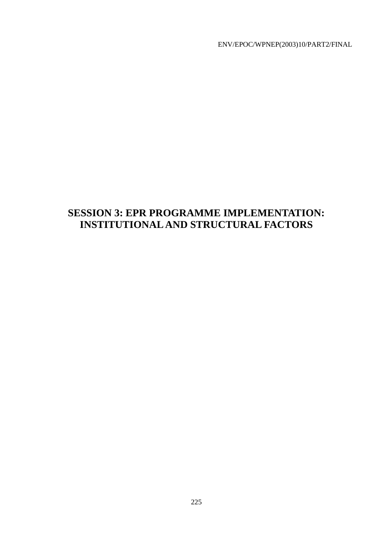# **SESSION 3: EPR PROGRAMME IMPLEMENTATION: INSTITUTIONAL AND STRUCTURAL FACTORS**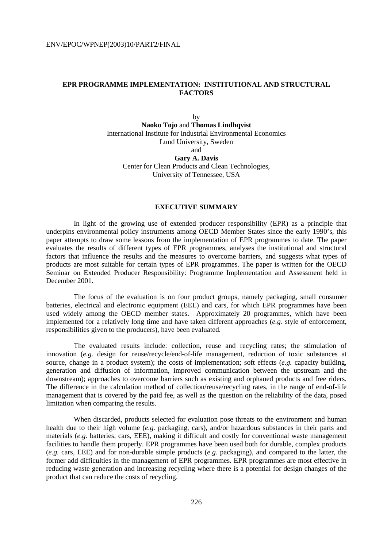# **EPR PROGRAMME IMPLEMENTATION: INSTITUTIONAL AND STRUCTURAL FACTORS**

by **Naoko Tojo** and **Thomas Lindhqvist** International Institute for Industrial Environmental Economics Lund University, Sweden and **Gary A. Davis**  Center for Clean Products and Clean Technologies, University of Tennessee, USA

## **EXECUTIVE SUMMARY**

 In light of the growing use of extended producer responsibility (EPR) as a principle that underpins environmental policy instruments among OECD Member States since the early 1990's, this paper attempts to draw some lessons from the implementation of EPR programmes to date. The paper evaluates the results of different types of EPR programmes, analyses the institutional and structural factors that influence the results and the measures to overcome barriers, and suggests what types of products are most suitable for certain types of EPR programmes. The paper is written for the OECD Seminar on Extended Producer Responsibility: Programme Implementation and Assessment held in December 2001.

 The focus of the evaluation is on four product groups, namely packaging, small consumer batteries, electrical and electronic equipment (EEE) and cars, for which EPR programmes have been used widely among the OECD member states. Approximately 20 programmes, which have been implemented for a relatively long time and have taken different approaches (*e.g.* style of enforcement, responsibilities given to the producers), have been evaluated.

 The evaluated results include: collection, reuse and recycling rates; the stimulation of innovation (*e.g.* design for reuse/recycle/end-of-life management, reduction of toxic substances at source, change in a product system); the costs of implementation; soft effects (*e.g.* capacity building, generation and diffusion of information, improved communication between the upstream and the downstream); approaches to overcome barriers such as existing and orphaned products and free riders. The difference in the calculation method of collection/reuse/recycling rates, in the range of end-of-life management that is covered by the paid fee, as well as the question on the reliability of the data, posed limitation when comparing the results.

When discarded, products selected for evaluation pose threats to the environment and human health due to their high volume (*e.g.* packaging, cars), and/or hazardous substances in their parts and materials (*e.g.* batteries, cars, EEE), making it difficult and costly for conventional waste management facilities to handle them properly. EPR programmes have been used both for durable, complex products (*e.g.* cars, EEE) and for non-durable simple products (*e.g.* packaging), and compared to the latter, the former add difficulties in the management of EPR programmes. EPR programmes are most effective in reducing waste generation and increasing recycling where there is a potential for design changes of the product that can reduce the costs of recycling.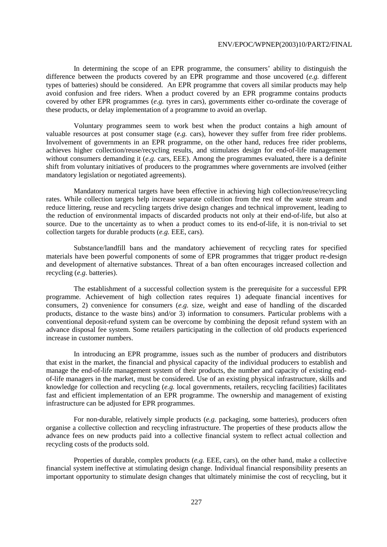In determining the scope of an EPR programme, the consumers' ability to distinguish the difference between the products covered by an EPR programme and those uncovered (*e.g.* different types of batteries) should be considered. An EPR programme that covers all similar products may help avoid confusion and free riders. When a product covered by an EPR programme contains products covered by other EPR programmes (*e.g.* tyres in cars), governments either co-ordinate the coverage of these products, or delay implementation of a programme to avoid an overlap.

 Voluntary programmes seem to work best when the product contains a high amount of valuable resources at post consumer stage (*e.g.* cars), however they suffer from free rider problems. Involvement of governments in an EPR programme, on the other hand, reduces free rider problems, achieves higher collection/reuse/recycling results, and stimulates design for end-of-life management without consumers demanding it (*e.g.* cars, EEE). Among the programmes evaluated, there is a definite shift from voluntary initiatives of producers to the programmes where governments are involved (either mandatory legislation or negotiated agreements).

 Mandatory numerical targets have been effective in achieving high collection/reuse/recycling rates. While collection targets help increase separate collection from the rest of the waste stream and reduce littering, reuse and recycling targets drive design changes and technical improvement, leading to the reduction of environmental impacts of discarded products not only at their end-of-life, but also at source. Due to the uncertainty as to when a product comes to its end-of-life, it is non-trivial to set collection targets for durable products (*e.g.* EEE, cars).

 Substance/landfill bans and the mandatory achievement of recycling rates for specified materials have been powerful components of some of EPR programmes that trigger product re-design and development of alternative substances. Threat of a ban often encourages increased collection and recycling (*e.g.* batteries).

 The establishment of a successful collection system is the prerequisite for a successful EPR programme. Achievement of high collection rates requires 1) adequate financial incentives for consumers, 2) convenience for consumers (*e.g.* size, weight and ease of handling of the discarded products, distance to the waste bins) and/or 3) information to consumers. Particular problems with a conventional deposit-refund system can be overcome by combining the deposit refund system with an advance disposal fee system. Some retailers participating in the collection of old products experienced increase in customer numbers.

 In introducing an EPR programme, issues such as the number of producers and distributors that exist in the market, the financial and physical capacity of the individual producers to establish and manage the end-of-life management system of their products, the number and capacity of existing endof-life managers in the market, must be considered. Use of an existing physical infrastructure, skills and knowledge for collection and recycling (*e.g.* local governments, retailers, recycling facilities) facilitates fast and efficient implementation of an EPR programme. The ownership and management of existing infrastructure can be adjusted for EPR programmes.

 For non-durable, relatively simple products (*e.g.* packaging, some batteries), producers often organise a collective collection and recycling infrastructure. The properties of these products allow the advance fees on new products paid into a collective financial system to reflect actual collection and recycling costs of the products sold.

 Properties of durable, complex products (*e.g.* EEE, cars), on the other hand, make a collective financial system ineffective at stimulating design change. Individual financial responsibility presents an important opportunity to stimulate design changes that ultimately minimise the cost of recycling, but it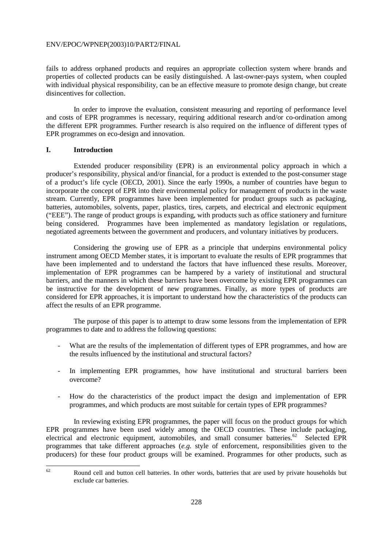fails to address orphaned products and requires an appropriate collection system where brands and properties of collected products can be easily distinguished. A last-owner-pays system, when coupled with individual physical responsibility, can be an effective measure to promote design change, but create disincentives for collection.

 In order to improve the evaluation, consistent measuring and reporting of performance level and costs of EPR programmes is necessary, requiring additional research and/or co-ordination among the different EPR programmes. Further research is also required on the influence of different types of EPR programmes on eco-design and innovation.

# **I. Introduction**

 Extended producer responsibility (EPR) is an environmental policy approach in which a producer's responsibility, physical and/or financial, for a product is extended to the post-consumer stage of a product's life cycle (OECD, 2001). Since the early 1990s, a number of countries have begun to incorporate the concept of EPR into their environmental policy for management of products in the waste stream. Currently, EPR programmes have been implemented for product groups such as packaging, batteries, automobiles, solvents, paper, plastics, tires, carpets, and electrical and electronic equipment ("EEE"). The range of product groups is expanding, with products such as office stationery and furniture being considered. Programmes have been implemented as mandatory legislation or regulations, negotiated agreements between the government and producers, and voluntary initiatives by producers.

 Considering the growing use of EPR as a principle that underpins environmental policy instrument among OECD Member states, it is important to evaluate the results of EPR programmes that have been implemented and to understand the factors that have influenced these results. Moreover, implementation of EPR programmes can be hampered by a variety of institutional and structural barriers, and the manners in which these barriers have been overcome by existing EPR programmes can be instructive for the development of new programmes. Finally, as more types of products are considered for EPR approaches, it is important to understand how the characteristics of the products can affect the results of an EPR programme.

 The purpose of this paper is to attempt to draw some lessons from the implementation of EPR programmes to date and to address the following questions:

- What are the results of the implementation of different types of EPR programmes, and how are the results influenced by the institutional and structural factors?
- In implementing EPR programmes, how have institutional and structural barriers been overcome?
- How do the characteristics of the product impact the design and implementation of EPR programmes, and which products are most suitable for certain types of EPR programmes?

 In reviewing existing EPR programmes, the paper will focus on the product groups for which EPR programmes have been used widely among the OECD countries. These include packaging, electrical and electronic equipment, automobiles, and small consumer batteries.<sup>62</sup> Selected EPR programmes that take different approaches (*e.g.* style of enforcement, responsibilities given to the producers) for these four product groups will be examined. Programmes for other products, such as

<sup>62</sup> Round cell and button cell batteries. In other words, batteries that are used by private households but exclude car batteries.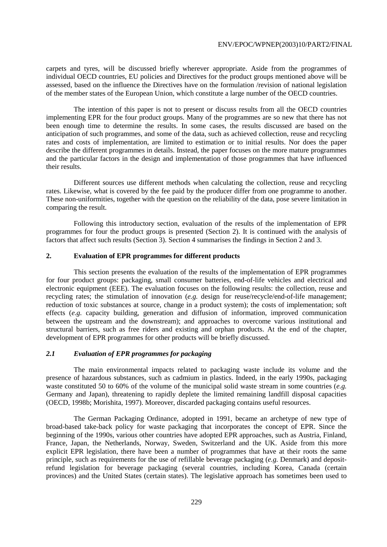carpets and tyres, will be discussed briefly wherever appropriate. Aside from the programmes of individual OECD countries, EU policies and Directives for the product groups mentioned above will be assessed, based on the influence the Directives have on the formulation /revision of national legislation of the member states of the European Union, which constitute a large number of the OECD countries.

 The intention of this paper is not to present or discuss results from all the OECD countries implementing EPR for the four product groups. Many of the programmes are so new that there has not been enough time to determine the results. In some cases, the results discussed are based on the anticipation of such programmes, and some of the data, such as achieved collection, reuse and recycling rates and costs of implementation, are limited to estimation or to initial results. Nor does the paper describe the different programmes in details. Instead, the paper focuses on the more mature programmes and the particular factors in the design and implementation of those programmes that have influenced their results.

 Different sources use different methods when calculating the collection, reuse and recycling rates. Likewise, what is covered by the fee paid by the producer differ from one programme to another. These non-uniformities, together with the question on the reliability of the data, pose severe limitation in comparing the result.

 Following this introductory section, evaluation of the results of the implementation of EPR programmes for four the product groups is presented (Section 2). It is continued with the analysis of factors that affect such results (Section 3). Section 4 summarises the findings in Section 2 and 3.

# **2. Evaluation of EPR programmes for different products**

 This section presents the evaluation of the results of the implementation of EPR programmes for four product groups: packaging, small consumer batteries, end-of-life vehicles and electrical and electronic equipment (EEE). The evaluation focuses on the following results: the collection, reuse and recycling rates; the stimulation of innovation (*e.g.* design for reuse/recycle/end-of-life management; reduction of toxic substances at source, change in a product system); the costs of implementation; soft effects (*e.g.* capacity building, generation and diffusion of information, improved communication between the upstream and the downstream); and approaches to overcome various institutional and structural barriers, such as free riders and existing and orphan products. At the end of the chapter, development of EPR programmes for other products will be briefly discussed.

# *2.1 Evaluation of EPR programmes for packaging*

 The main environmental impacts related to packaging waste include its volume and the presence of hazardous substances, such as cadmium in plastics. Indeed, in the early 1990s, packaging waste constituted 50 to 60% of the volume of the municipal solid waste stream in some countries (*e.g.* Germany and Japan), threatening to rapidly deplete the limited remaining landfill disposal capacities (OECD, 1998b; Morishita, 1997). Moreover, discarded packaging contains useful resources.

 The German Packaging Ordinance, adopted in 1991, became an archetype of new type of broad-based take-back policy for waste packaging that incorporates the concept of EPR. Since the beginning of the 1990s, various other countries have adopted EPR approaches, such as Austria, Finland, France, Japan, the Netherlands, Norway, Sweden, Switzerland and the UK. Aside from this more explicit EPR legislation, there have been a number of programmes that have at their roots the same principle, such as requirements for the use of refillable beverage packaging (*e.g.* Denmark) and depositrefund legislation for beverage packaging (several countries, including Korea, Canada (certain provinces) and the United States (certain states). The legislative approach has sometimes been used to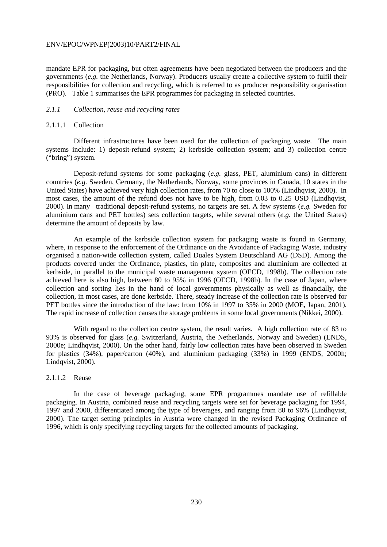mandate EPR for packaging, but often agreements have been negotiated between the producers and the governments (*e.g.* the Netherlands, Norway). Producers usually create a collective system to fulfil their responsibilities for collection and recycling, which is referred to as producer responsibility organisation (PRO). Table 1 summarises the EPR programmes for packaging in selected countries.

# *2.1.1 Collection, reuse and recycling rates*

# 2.1.1.1 Collection

 Different infrastructures have been used for the collection of packaging waste. The main systems include: 1) deposit-refund system; 2) kerbside collection system; and 3) collection centre ("bring") system.

 Deposit-refund systems for some packaging (*e.g.* glass, PET, aluminium cans) in different countries (*e.g.* Sweden, Germany, the Netherlands, Norway, some provinces in Canada, 10 states in the United States) have achieved very high collection rates, from 70 to close to 100% (Lindhqvist, 2000). In most cases, the amount of the refund does not have to be high, from 0.03 to 0.25 USD (Lindhqvist, 2000). In many traditional deposit-refund systems, no targets are set. A few systems (*e.g.* Sweden for aluminium cans and PET bottles) sets collection targets, while several others (*e.g.* the United States) determine the amount of deposits by law.

 An example of the kerbside collection system for packaging waste is found in Germany, where, in response to the enforcement of the Ordinance on the Avoidance of Packaging Waste, industry organised a nation-wide collection system, called Duales System Deutschland AG (DSD). Among the products covered under the Ordinance, plastics, tin plate, composites and aluminium are collected at kerbside, in parallel to the municipal waste management system (OECD, 1998b). The collection rate achieved here is also high, between 80 to 95% in 1996 (OECD, 1998b). In the case of Japan, where collection and sorting lies in the hand of local governments physically as well as financially, the collection, in most cases, are done kerbside. There, steady increase of the collection rate is observed for PET bottles since the introduction of the law: from 10% in 1997 to 35% in 2000 (MOE, Japan, 2001). The rapid increase of collection causes the storage problems in some local governments (Nikkei, 2000).

 With regard to the collection centre system, the result varies. A high collection rate of 83 to 93% is observed for glass (*e.g.* Switzerland, Austria, the Netherlands, Norway and Sweden) (ENDS, 2000e; Lindhqvist, 2000). On the other hand, fairly low collection rates have been observed in Sweden for plastics (34%), paper/carton (40%), and aluminium packaging (33%) in 1999 (ENDS, 2000h; Lindqvist, 2000).

# 2.1.1.2 Reuse

 In the case of beverage packaging, some EPR programmes mandate use of refillable packaging. In Austria, combined reuse and recycling targets were set for beverage packaging for 1994, 1997 and 2000, differentiated among the type of beverages, and ranging from 80 to 96% (Lindhqvist, 2000). The target setting principles in Austria were changed in the revised Packaging Ordinance of 1996, which is only specifying recycling targets for the collected amounts of packaging.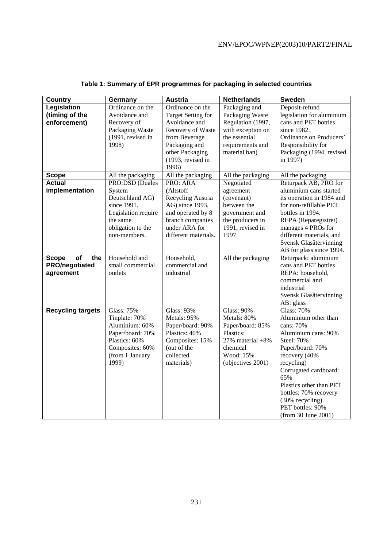| <b>Country</b>            | Germany             | <b>Austria</b>            | <b>Netherlands</b>     | <b>Sweden</b>             |
|---------------------------|---------------------|---------------------------|------------------------|---------------------------|
| Legislation               | Ordinance on the    | Ordinance on the          | Packaging and          | Deposit-refund            |
| (timing of the            | Avoidance and       | <b>Target Setting for</b> | Packaging Waste        | legislation for aluminium |
| enforcement)              | Recovery of         | Avoidance and             | Regulation (1997,      | cans and PET bottles      |
|                           | Packaging Waste     | Recovery of Waste         | with exception on      | since 1982.               |
|                           | (1991, revised in   | from Beverage             | the essential          | Ordinance on Producers'   |
|                           | 1998)               | Packaging and             | requirements and       | Responsibility for        |
|                           |                     | other Packaging           | material ban)          | Packaging (1994, revised  |
|                           |                     | (1993, revised in         |                        | in 1997)                  |
|                           |                     | 1996)                     |                        |                           |
| <b>Scope</b>              | All the packaging   | All the packaging         | All the packaging      | All the packaging         |
| <b>Actual</b>             | PRO:DSD (Duales     | PRO: ARA                  | Negotiated             | Returpack AB, PRO for     |
| implementation            | System              | (Altstoff                 | agreement              | aluminium cans started    |
|                           | Deutschland AG)     | Recycling Austria         | (covenant)             | its operation in 1984 and |
|                           | since 1991.         | AG) since 1993,           | between the            | for non-refillable PET    |
|                           | Legislation require | and operated by 8         | government and         | bottles in 1994.          |
|                           | the same            | branch companies          | the producers in       | REPA (Reparegistret)      |
|                           | obligation to the   | under ARA for             | 1991, revised in       | manages 4 PROs for        |
|                           | non-members.        | different materials.      | 1997                   | different materials, and  |
|                           |                     |                           |                        | Svensk Glasåtervinning    |
|                           |                     |                           |                        | AB for glass since 1994.  |
| of<br><b>Scope</b><br>the | Household and       | Household,                | All the packaging      | Returpack: aluminium      |
| PRO/negotiated            | small commercial    | commercial and            |                        | cans and PET bottles      |
| agreement                 | outlets             | industrial                |                        | REPA: household,          |
|                           |                     |                           |                        | commercial and            |
|                           |                     |                           |                        | industrial                |
|                           |                     |                           |                        | Svensk Glasåtervinning    |
|                           |                     |                           |                        | AB: glass                 |
| <b>Recycling targets</b>  | <b>Glass: 75%</b>   | <b>Glass: 93%</b>         | <b>Glass: 90%</b>      | <b>Glass: 70%</b>         |
|                           | Tinplate: 70%       | Metals: 95%               | Metals: 80%            | Aluminium other than      |
|                           | Aluminium: 60%      | Paper/board: 90%          | Paper/board: 85%       | cans: 70%                 |
|                           | Paper/board: 70%    | Plastics: 40%             | Plastics:              | Aluminium cans: 90%       |
|                           | Plastics: 60%       | Composites: 15%           | $27\%$ material $+8\%$ | <b>Steel: 70%</b>         |
|                           | Composites: 60%     | (out of the               | chemical               | Paper/board: 70%          |
|                           | (from 1 January     | collected                 | Wood: 15%              | recovery (40%             |
|                           | 1999)               | materials)                | (objectives 2001)      | recycling)                |
|                           |                     |                           |                        | Corrugated cardboard:     |
|                           |                     |                           |                        | 65%                       |
|                           |                     |                           |                        | Plastics other than PET   |
|                           |                     |                           |                        | bottles: 70% recovery     |
|                           |                     |                           |                        | (30% recycling)           |
|                           |                     |                           |                        | PET bottles: 90%          |
|                           |                     |                           |                        | (from 30 June 2001)       |

# **Table 1: Summary of EPR programmes for packaging in selected countries**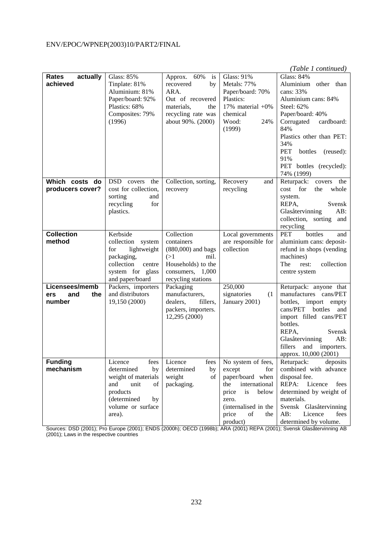|                                     |                                        |                             |                               | (Table 1 continued)                             |
|-------------------------------------|----------------------------------------|-----------------------------|-------------------------------|-------------------------------------------------|
| actually<br>Rates                   | <b>Glass: 85%</b>                      | Approx. 60%<br>is           | <b>Glass: 91%</b>             | <b>Glass: 84%</b>                               |
| achieved                            | Tinplate: 81%                          | recovered<br>by             | Metals: 77%                   | Aluminium other than                            |
|                                     | Aluminium: 81%                         | ARA.                        | Paper/board: 70%              | cans: 33%                                       |
|                                     | Paper/board: 92%                       | Out of recovered            | Plastics:                     | Aluminium cans: 84%                             |
|                                     | Plastics: 68%                          | materials,<br>the           | 17% material $+0\%$           | Steel: 62%                                      |
|                                     | Composites: 79%                        | recycling rate was          | chemical                      | Paper/board: 40%                                |
|                                     | (1996)                                 | about 90%. (2000)           | Wood:<br>24%                  | Corrugated<br>cardboard:                        |
|                                     |                                        |                             | (1999)                        | 84%                                             |
|                                     |                                        |                             |                               | Plastics other than PET:                        |
|                                     |                                        |                             |                               | 34%                                             |
|                                     |                                        |                             |                               | PET<br>bottles<br>(reused):                     |
|                                     |                                        |                             |                               | 91%                                             |
|                                     |                                        |                             |                               | PET bottles (recycled):                         |
|                                     |                                        |                             |                               | 74% (1999)                                      |
| Which costs do                      | DSD covers<br>the                      | Collection, sorting,        | Recovery<br>and               | Returpack:<br>covers<br>the                     |
| producers cover?                    | cost for collection,                   | recovery                    | recycling                     | for<br>cost<br>the<br>whole                     |
|                                     | sorting<br>and                         |                             |                               | system.                                         |
|                                     | recycling<br>for                       |                             |                               | REPA,<br>Svensk                                 |
|                                     | plastics.                              |                             |                               | Glasåtervinning<br>AB:                          |
|                                     |                                        |                             |                               | collection, sorting<br>and                      |
|                                     |                                        |                             |                               | recycling                                       |
| <b>Collection</b>                   | Kerbside                               | Collection                  | Local governments             | PET<br>bottles<br>and                           |
| method                              | collection system                      | containers                  | are responsible for           | aluminium cans: deposit-                        |
|                                     | for<br>lightweight                     | $(880,000)$ and bags        | collection                    | refund in shops (vending                        |
|                                     | packaging,                             | (>1)<br>mil.                |                               | machines)                                       |
|                                     | collection<br>centre                   | Households) to the          |                               | The<br>collection<br>rest:                      |
|                                     | system for glass                       | consumers, 1,000            |                               | centre system                                   |
|                                     | and paper/board                        | recycling stations          |                               |                                                 |
| Licensees/memb<br>and<br>the<br>ers | Packers, importers<br>and distributors | Packaging<br>manufacturers, | 250,000<br>signatories<br>(1) | Returpack: anyone that<br>manufactures cans/PET |
| number                              | 19,150 (2000)                          | dealers,<br>fillers,        | January 2001)                 | bottles, import empty                           |
|                                     |                                        | packers, importers.         |                               | cans/PET<br>bottles<br>and                      |
|                                     |                                        | 12,295 (2000)               |                               | import filled cans/PET                          |
|                                     |                                        |                             |                               | bottles.                                        |
|                                     |                                        |                             |                               | REPA,<br>Svensk                                 |
|                                     |                                        |                             |                               | Glasåtervinning<br>AB:                          |
|                                     |                                        |                             |                               | fillers<br>and<br>importers.                    |
|                                     |                                        |                             |                               | approx. 10,000 (2001)                           |
| <b>Funding</b>                      | Licence<br>fees                        | Licence<br>fees             | No system of fees,            | Returpack:<br>deposits                          |
| mechanism                           | determined<br>by                       | determined<br>by            | except<br>for                 | combined with advance                           |
|                                     | weight of materials                    | weight<br>of                | paper/board when              | disposal fee.                                   |
|                                     | and<br>unit<br>of                      | packaging.                  | international<br>the          | REPA: Licence<br>fees                           |
|                                     | products                               |                             | price<br>is<br>below          | determined by weight of                         |
|                                     | (determined<br>by                      |                             | zero.                         | materials.                                      |
|                                     | volume or surface                      |                             | (internalised in the          | Svensk Glasåtervinning                          |
|                                     | area).                                 |                             | price<br>of<br>the            | AB:<br>Licence<br>fees                          |
|                                     |                                        |                             | product)                      | determined by volume.                           |

Sources: DSD (2001); Pro Europe (2001); ENDS (2000h); OECD (1998b); ARA (2001) REPA (2001); Svensk Glasåtervinning AB (2001); Laws in the respective countries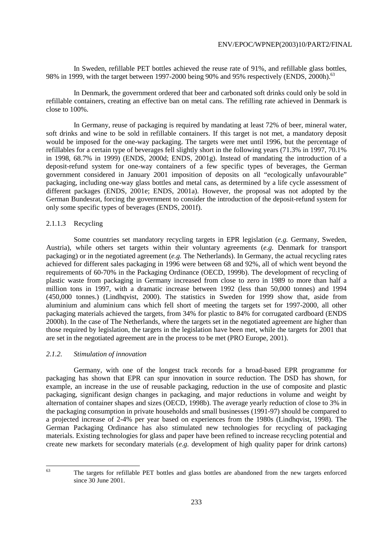In Sweden, refillable PET bottles achieved the reuse rate of 91%, and refillable glass bottles, 98% in 1999, with the target between 1997-2000 being 90% and 95% respectively (ENDS, 2000h).<sup>63</sup>

 In Denmark, the government ordered that beer and carbonated soft drinks could only be sold in refillable containers, creating an effective ban on metal cans. The refilling rate achieved in Denmark is close to 100%.

 In Germany, reuse of packaging is required by mandating at least 72% of beer, mineral water, soft drinks and wine to be sold in refillable containers. If this target is not met, a mandatory deposit would be imposed for the one-way packaging. The targets were met until 1996, but the percentage of refillables for a certain type of beverages fell slightly short in the following years (71.3% in 1997, 70.1% in 1998, 68.7% in 1999) (ENDS, 2000d; ENDS, 2001g). Instead of mandating the introduction of a deposit-refund system for one-way containers of a few specific types of beverages, the German government considered in January 2001 imposition of deposits on all "ecologically unfavourable" packaging, including one-way glass bottles and metal cans, as determined by a life cycle assessment of different packages (ENDS, 2001e; ENDS, 2001a). However, the proposal was not adopted by the German Bundesrat, forcing the government to consider the introduction of the deposit-refund system for only some specific types of beverages (ENDS, 2001f).

# 2.1.1.3 Recycling

 Some countries set mandatory recycling targets in EPR legislation (*e.g.* Germany, Sweden, Austria), while others set targets within their voluntary agreements (*e.g.* Denmark for transport packaging) or in the negotiated agreement (*e.g.* The Netherlands). In Germany, the actual recycling rates achieved for different sales packaging in 1996 were between 68 and 92%, all of which went beyond the requirements of 60-70% in the Packaging Ordinance (OECD, 1999b). The development of recycling of plastic waste from packaging in Germany increased from close to zero in 1989 to more than half a million tons in 1997, with a dramatic increase between 1992 (less than 50,000 tonnes) and 1994 (450,000 tonnes.) (Lindhqvist, 2000). The statistics in Sweden for 1999 show that, aside from aluminium and aluminium cans which fell short of meeting the targets set for 1997-2000, all other packaging materials achieved the targets, from 34% for plastic to 84% for corrugated cardboard (ENDS 2000h). In the case of The Netherlands, where the targets set in the negotiated agreement are higher than those required by legislation, the targets in the legislation have been met, while the targets for 2001 that are set in the negotiated agreement are in the process to be met (PRO Europe, 2001).

# *2.1.2. Stimulation of innovation*

 Germany, with one of the longest track records for a broad-based EPR programme for packaging has shown that EPR can spur innovation in source reduction. The DSD has shown, for example, an increase in the use of reusable packaging, reduction in the use of composite and plastic packaging, significant design changes in packaging, and major reductions in volume and weight by alternation of container shapes and sizes (OECD, 1998b). The average yearly reduction of close to 3% in the packaging consumption in private households and small businesses (1991-97) should be compared to a projected increase of 2-4% per year based on experiences from the 1980s (Lindhqvist, 1998). The German Packaging Ordinance has also stimulated new technologies for recycling of packaging materials. Existing technologies for glass and paper have been refined to increase recycling potential and create new markets for secondary materials (*e.g.* development of high quality paper for drink cartons)

The targets for refillable PET bottles and glass bottles are abandoned from the new targets enforced since 30 June 2001.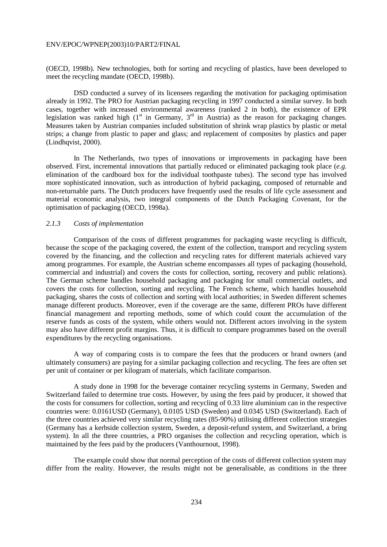(OECD, 1998b). New technologies, both for sorting and recycling of plastics, have been developed to meet the recycling mandate (OECD, 1998b).

 DSD conducted a survey of its licensees regarding the motivation for packaging optimisation already in 1992. The PRO for Austrian packaging recycling in 1997 conducted a similar survey. In both cases, together with increased environmental awareness (ranked 2 in both), the existence of EPR legislation was ranked high  $(1<sup>st</sup>$  in Germany,  $3<sup>rd</sup>$  in Austria) as the reason for packaging changes. Measures taken by Austrian companies included substitution of shrink wrap plastics by plastic or metal strips; a change from plastic to paper and glass; and replacement of composites by plastics and paper (Lindhqvist, 2000).

 In The Netherlands, two types of innovations or improvements in packaging have been observed. First, incremental innovations that partially reduced or eliminated packaging took place (*e.g.* elimination of the cardboard box for the individual toothpaste tubes). The second type has involved more sophisticated innovation, such as introduction of hybrid packaging, composed of returnable and non-returnable parts. The Dutch producers have frequently used the results of life cycle assessment and material economic analysis, two integral components of the Dutch Packaging Covenant, for the optimisation of packaging (OECD, 1998a).

# *2.1.3 Costs of implementation*

 Comparison of the costs of different programmes for packaging waste recycling is difficult, because the scope of the packaging covered, the extent of the collection, transport and recycling system covered by the financing, and the collection and recycling rates for different materials achieved vary among programmes. For example, the Austrian scheme encompasses all types of packaging (household, commercial and industrial) and covers the costs for collection, sorting, recovery and public relations). The German scheme handles household packaging and packaging for small commercial outlets, and covers the costs for collection, sorting and recycling. The French scheme, which handles household packaging, shares the costs of collection and sorting with local authorities; in Sweden different schemes manage different products. Moreover, even if the coverage are the same, different PROs have different financial management and reporting methods, some of which could count the accumulation of the reserve funds as costs of the system, while others would not. Different actors involving in the system may also have different profit margins. Thus, it is difficult to compare programmes based on the overall expenditures by the recycling organisations.

 A way of comparing costs is to compare the fees that the producers or brand owners (and ultimately consumers) are paying for a similar packaging collection and recycling. The fees are often set per unit of container or per kilogram of materials, which facilitate comparison.

 A study done in 1998 for the beverage container recycling systems in Germany, Sweden and Switzerland failed to determine true costs. However, by using the fees paid by producer, it showed that the costs for consumers for collection, sorting and recycling of 0.33 litre aluminium can in the respective countries were: 0.0161USD (Germany), 0.0105 USD (Sweden) and 0.0345 USD (Switzerland). Each of the three countries achieved very similar recycling rates (85-90%) utilising different collection strategies (Germany has a kerbside collection system, Sweden, a deposit-refund system, and Switzerland, a bring system). In all the three countries, a PRO organises the collection and recycling operation, which is maintained by the fees paid by the producers (Vanthournout, 1998).

 The example could show that normal perception of the costs of different collection system may differ from the reality. However, the results might not be generalisable, as conditions in the three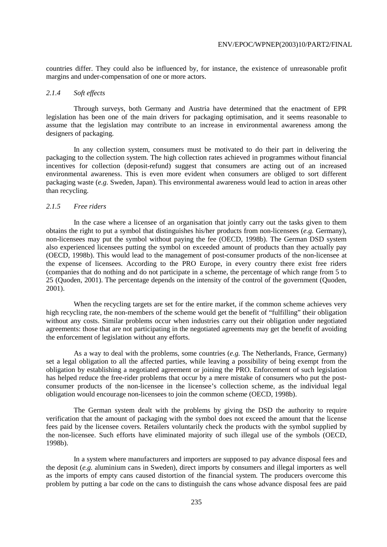countries differ. They could also be influenced by, for instance, the existence of unreasonable profit margins and under-compensation of one or more actors.

#### *2.1.4 Soft effects*

 Through surveys, both Germany and Austria have determined that the enactment of EPR legislation has been one of the main drivers for packaging optimisation, and it seems reasonable to assume that the legislation may contribute to an increase in environmental awareness among the designers of packaging.

 In any collection system, consumers must be motivated to do their part in delivering the packaging to the collection system. The high collection rates achieved in programmes without financial incentives for collection (deposit-refund) suggest that consumers are acting out of an increased environmental awareness. This is even more evident when consumers are obliged to sort different packaging waste (*e.g.* Sweden, Japan). This environmental awareness would lead to action in areas other than recycling.

# *2.1.5 Free riders*

 In the case where a licensee of an organisation that jointly carry out the tasks given to them obtains the right to put a symbol that distinguishes his/her products from non-licensees (*e.g.* Germany), non-licensees may put the symbol without paying the fee (OECD, 1998b). The German DSD system also experienced licensees putting the symbol on exceeded amount of products than they actually pay (OECD, 1998b). This would lead to the management of post-consumer products of the non-licensee at the expense of licensees. According to the PRO Europe, in every country there exist free riders (companies that do nothing and do not participate in a scheme, the percentage of which range from 5 to 25 (Quoden, 2001). The percentage depends on the intensity of the control of the government (Quoden, 2001).

 When the recycling targets are set for the entire market, if the common scheme achieves very high recycling rate, the non-members of the scheme would get the benefit of "fulfilling" their obligation without any costs. Similar problems occur when industries carry out their obligation under negotiated agreements: those that are not participating in the negotiated agreements may get the benefit of avoiding the enforcement of legislation without any efforts.

 As a way to deal with the problems, some countries (*e.g.* The Netherlands, France, Germany) set a legal obligation to all the affected parties, while leaving a possibility of being exempt from the obligation by establishing a negotiated agreement or joining the PRO. Enforcement of such legislation has helped reduce the free-rider problems that occur by a mere mistake of consumers who put the postconsumer products of the non-licensee in the licensee's collection scheme, as the individual legal obligation would encourage non-licensees to join the common scheme (OECD, 1998b).

 The German system dealt with the problems by giving the DSD the authority to require verification that the amount of packaging with the symbol does not exceed the amount that the license fees paid by the licensee covers. Retailers voluntarily check the products with the symbol supplied by the non-licensee. Such efforts have eliminated majority of such illegal use of the symbols (OECD, 1998b).

 In a system where manufacturers and importers are supposed to pay advance disposal fees and the deposit (*e.g.* aluminium cans in Sweden), direct imports by consumers and illegal importers as well as the imports of empty cans caused distortion of the financial system. The producers overcome this problem by putting a bar code on the cans to distinguish the cans whose advance disposal fees are paid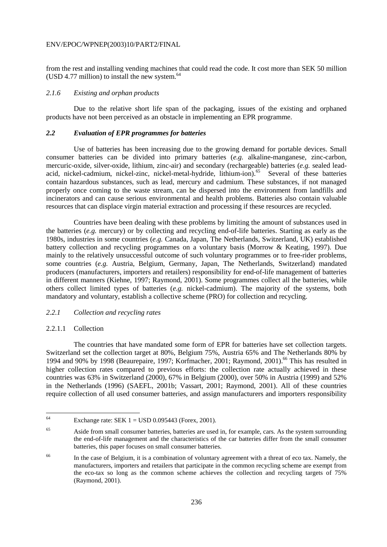from the rest and installing vending machines that could read the code. It cost more than SEK 50 million (USD 4.77 million) to install the new system. $64$ 

#### *2.1.6 Existing and orphan products*

 Due to the relative short life span of the packaging, issues of the existing and orphaned products have not been perceived as an obstacle in implementing an EPR programme.

# *2.2 Evaluation of EPR programmes for batteries*

 Use of batteries has been increasing due to the growing demand for portable devices. Small consumer batteries can be divided into primary batteries (*e.g.* alkaline-manganese, zinc-carbon, mercuric-oxide, silver-oxide, lithium, zinc-air) and secondary (rechargeable) batteries (*e.g.* sealed leadacid, nickel-cadmium, nickel-zinc, nickel-metal-hydride, lithium-ion).<sup>65</sup> Several of these batteries contain hazardous substances, such as lead, mercury and cadmium. These substances, if not managed properly once coming to the waste stream, can be dispersed into the environment from landfills and incinerators and can cause serious environmental and health problems. Batteries also contain valuable resources that can displace virgin material extraction and processing if these resources are recycled.

 Countries have been dealing with these problems by limiting the amount of substances used in the batteries (*e.g.* mercury) or by collecting and recycling end-of-life batteries. Starting as early as the 1980s, industries in some countries (*e.g.* Canada, Japan, The Netherlands, Switzerland, UK) established battery collection and recycling programmes on a voluntary basis (Morrow & Keating, 1997). Due mainly to the relatively unsuccessful outcome of such voluntary programmes or to free-rider problems, some countries (*e.g.* Austria, Belgium, Germany, Japan, The Netherlands, Switzerland) mandated producers (manufacturers, importers and retailers) responsibility for end-of-life management of batteries in different manners (Kiehne, 1997; Raymond, 2001). Some programmes collect all the batteries, while others collect limited types of batteries (*e.g.* nickel-cadmium). The majority of the systems, both mandatory and voluntary, establish a collective scheme (PRO) for collection and recycling.

# *2.2.1 Collection and recycling rates*

#### 2.2.1.1 Collection

 The countries that have mandated some form of EPR for batteries have set collection targets. Switzerland set the collection target at 80%, Belgium 75%, Austria 65% and The Netherlands 80% by 1994 and 90% by 1998 (Beaurepaire, 1997; Korfmacher, 2001; Raymond, 2001).<sup>66</sup> This has resulted in higher collection rates compared to previous efforts: the collection rate actually achieved in these countries was 63% in Switzerland (2000), 67% in Belgium (2000), over 50% in Austria (1999) and 52% in the Netherlands (1996) (SAEFL, 2001b; Vassart, 2001; Raymond, 2001). All of these countries require collection of all used consumer batteries, and assign manufacturers and importers responsibility

<sup>64</sup> Exchange rate: SEK  $1 =$  USD 0.095443 (Forex, 2001).

<sup>65</sup> Aside from small consumer batteries, batteries are used in, for example, cars. As the system surrounding the end-of-life management and the characteristics of the car batteries differ from the small consumer batteries, this paper focuses on small consumer batteries.

<sup>&</sup>lt;sup>66</sup> In the case of Belgium, it is a combination of voluntary agreement with a threat of eco tax. Namely, the manufacturers, importers and retailers that participate in the common recycling scheme are exempt from the eco-tax so long as the common scheme achieves the collection and recycling targets of 75% (Raymond, 2001).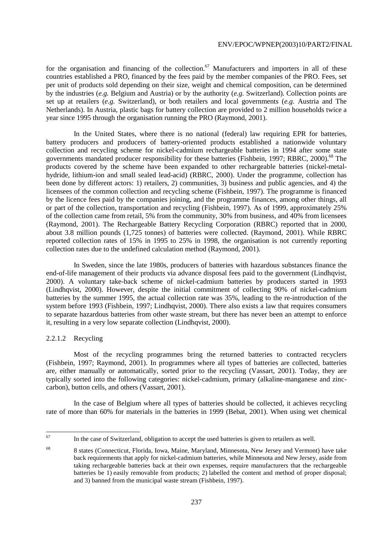for the organisation and financing of the collection.<sup>67</sup> Manufacturers and importers in all of these countries established a PRO, financed by the fees paid by the member companies of the PRO. Fees, set per unit of products sold depending on their size, weight and chemical composition, can be determined by the industries (*e.g.* Belgium and Austria) or by the authority (*e.g.* Switzerland). Collection points are set up at retailers (*e.g.* Switzerland), or both retailers and local governments (*e.g.* Austria and The Netherlands). In Austria, plastic bags for battery collection are provided to 2 million households twice a year since 1995 through the organisation running the PRO (Raymond, 2001).

 In the United States, where there is no national (federal) law requiring EPR for batteries, battery producers and producers of battery-oriented products established a nationwide voluntary collection and recycling scheme for nickel-cadmium rechargeable batteries in 1994 after some state governments mandated producer responsibility for these batteries (Fishbein, 1997; RBRC, 2000).<sup>68</sup> The products covered by the scheme have been expanded to other rechargeable batteries (nickel-metalhydride, lithium-ion and small sealed lead-acid) (RBRC, 2000). Under the programme, collection has been done by different actors: 1) retailers, 2) communities, 3) business and public agencies, and 4) the licensees of the common collection and recycling scheme (Fishbein, 1997). The programme is financed by the licence fees paid by the companies joining, and the programme finances, among other things, all or part of the collection, transportation and recycling (Fishbein, 1997). As of 1999, approximately 25% of the collection came from retail, 5% from the community, 30% from business, and 40% from licensees (Raymond, 2001). The Rechargeable Battery Recycling Corporation (RBRC) reported that in 2000, about 3.8 million pounds (1,725 tonnes) of batteries were collected. (Raymond, 2001). While RBRC reported collection rates of 15% in 1995 to 25% in 1998, the organisation is not currently reporting collection rates due to the undefined calculation method (Raymond, 2001).

 In Sweden, since the late 1980s, producers of batteries with hazardous substances finance the end-of-life management of their products via advance disposal fees paid to the government (Lindhqvist, 2000). A voluntary take-back scheme of nickel-cadmium batteries by producers started in 1993 (Lindhqvist, 2000). However, despite the initial commitment of collecting 90% of nickel-cadmium batteries by the summer 1995, the actual collection rate was 35%, leading to the re-introduction of the system before 1993 (Fishbein, 1997; Lindhqvist, 2000). There also exists a law that requires consumers to separate hazardous batteries from other waste stream, but there has never been an attempt to enforce it, resulting in a very low separate collection (Lindhqvist, 2000).

# 2.2.1.2 Recycling

 Most of the recycling programmes bring the returned batteries to contracted recyclers (Fishbein, 1997; Raymond, 2001). In programmes where all types of batteries are collected, batteries are, either manually or automatically, sorted prior to the recycling (Vassart, 2001). Today, they are typically sorted into the following categories: nickel-cadmium, primary (alkaline-manganese and zinccarbon), button cells, and others (Vassart, 2001).

 In the case of Belgium where all types of batteries should be collected, it achieves recycling rate of more than 60% for materials in the batteries in 1999 (Bebat, 2001). When using wet chemical

<sup>67</sup> In the case of Switzerland, obligation to accept the used batteries is given to retailers as well.

<sup>68 8</sup> states (Connecticut, Florida, Iowa, Maine, Maryland, Minnesota, New Jersey and Vermont) have take back requirements that apply for nickel-cadmium batteries, while Minnesota and New Jersey, aside from taking rechargeable batteries back at their own expenses, require manufacturers that the rechargeable batteries be 1) easily removable from products; 2) labelled the content and method of proper disposal; and 3) banned from the municipal waste stream (Fishbein, 1997).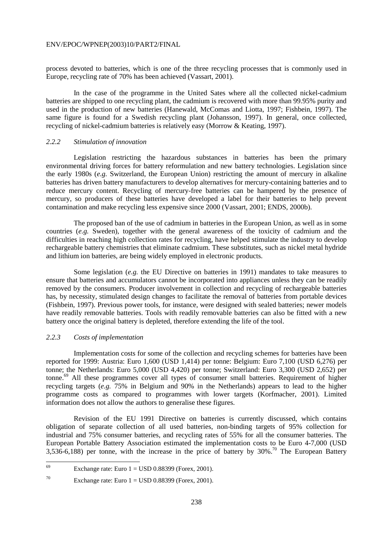process devoted to batteries, which is one of the three recycling processes that is commonly used in Europe, recycling rate of 70% has been achieved (Vassart, 2001).

 In the case of the programme in the United Sates where all the collected nickel-cadmium batteries are shipped to one recycling plant, the cadmium is recovered with more than 99.95% purity and used in the production of new batteries (Hanewald, McComas and Liotta, 1997; Fishbein, 1997). The same figure is found for a Swedish recycling plant (Johansson, 1997). In general, once collected, recycling of nickel-cadmium batteries is relatively easy (Morrow & Keating, 1997).

# *2.2.2 Stimulation of innovation*

 Legislation restricting the hazardous substances in batteries has been the primary environmental driving forces for battery reformulation and new battery technologies. Legislation since the early 1980s (*e.g.* Switzerland, the European Union) restricting the amount of mercury in alkaline batteries has driven battery manufacturers to develop alternatives for mercury-containing batteries and to reduce mercury content. Recycling of mercury-free batteries can be hampered by the presence of mercury, so producers of these batteries have developed a label for their batteries to help prevent contamination and make recycling less expensive since 2000 (Vassart, 2001; ENDS, 2000b).

 The proposed ban of the use of cadmium in batteries in the European Union, as well as in some countries (*e.g.* Sweden), together with the general awareness of the toxicity of cadmium and the difficulties in reaching high collection rates for recycling, have helped stimulate the industry to develop rechargeable battery chemistries that eliminate cadmium. These substitutes, such as nickel metal hydride and lithium ion batteries, are being widely employed in electronic products.

 Some legislation (*e.g.* the EU Directive on batteries in 1991) mandates to take measures to ensure that batteries and accumulators cannot be incorporated into appliances unless they can be readily removed by the consumers. Producer involvement in collection and recycling of rechargeable batteries has, by necessity, stimulated design changes to facilitate the removal of batteries from portable devices (Fishbein, 1997). Previous power tools, for instance, were designed with sealed batteries; newer models have readily removable batteries. Tools with readily removable batteries can also be fitted with a new battery once the original battery is depleted, therefore extending the life of the tool.

# *2.2.3 Costs of implementation*

 Implementation costs for some of the collection and recycling schemes for batteries have been reported for 1999: Austria: Euro 1,600 (USD 1,414) per tonne: Belgium: Euro 7,100 (USD 6,276) per tonne; the Netherlands: Euro 5,000 (USD 4,420) per tonne; Switzerland: Euro 3,300 (USD 2,652) per tonne.69 All these programmes cover all types of consumer small batteries. Requirement of higher recycling targets (*e.g.* 75% in Belgium and 90% in the Netherlands) appears to lead to the higher programme costs as compared to programmes with lower targets (Korfmacher, 2001). Limited information does not allow the authors to generalise these figures.

 Revision of the EU 1991 Directive on batteries is currently discussed, which contains obligation of separate collection of all used batteries, non-binding targets of 95% collection for industrial and 75% consumer batteries, and recycling rates of 55% for all the consumer batteries. The European Portable Battery Association estimated the implementation costs to be Euro 4-7,000 (USD 3,536-6,188) per tonne, with the increase in the price of battery by  $30\%$ .<sup>70</sup> The European Battery

<sup>69</sup> Exchange rate: Euro  $1 =$  USD 0.88399 (Forex, 2001).

<sup>&</sup>lt;sup>70</sup> Exchange rate: Euro  $1 =$  USD 0.88399 (Forex, 2001).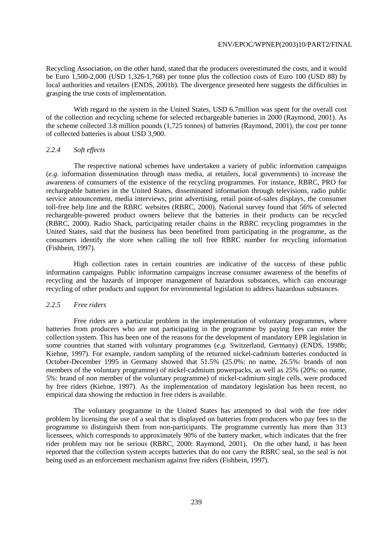Recycling Association, on the other hand, stated that the producers overestimated the costs, and it would be Euro 1,500-2,000 (USD 1,326-1,768) per tonne plus the collection costs of Euro 100 (USD 88) by local authorities and retailers (ENDS, 2001b). The divergence presented here suggests the difficulties in grasping the true costs of implementation.

 With regard to the system in the United States, USD 6.7million was spent for the overall cost of the collection and recycling scheme for selected rechargeable batteries in 2000 (Raymond, 2001). As the scheme collected 3.8 million pounds (1,725 tonnes) of batteries (Raymond, 2001), the cost per tonne of collected batteries is about USD 3,900.

# *2.2.4 Soft effects*

 The respective national schemes have undertaken a variety of public information campaigns (*e.g.* information dissemination through mass media, at retailers, local governments) to increase the awareness of consumers of the existence of the recycling programmes. For instance, RBRC, PRO for rechargeable batteries in the United States, disseminated information through televisions, radio public service announcement, media interviews, print advertising, retail point-of-sales displays, the consumer toll-free help line and the RBRC websites (RBRC, 2000). National survey found that 56% of selected rechargeable-powered product owners believe that the batteries in their products can be recycled (RBRC, 2000). Radio Shack, participating retailer chains in the RBRC recycling programmes in the United States, said that the business has been benefited from participating in the programme, as the consumers identify the store when calling the toll free RBRC number for recycling information (Fishbein, 1997).

 High collection rates in certain countries are indicative of the success of these public information campaigns. Public information campaigns increase consumer awareness of the benefits of recycling and the hazards of improper management of hazardous substances, which can encourage recycling of other products and support for environmental legislation to address hazardous substances.

# *2.2.5 Free riders*

Free riders are a particular problem in the implementation of voluntary programmes, where batteries from producers who are not participating in the programme by paying fees can enter the collection system. This has been one of the reasons for the development of mandatory EPR legislation in some countries that started with voluntary programmes (*e.g.* Switzerland, Germany) (ENDS, 1998b; Kiehne, 1997). For example, random sampling of the returned nickel-cadmium batteries conducted in October-December 1995 in Germany showed that 51.5% (25.0%: no name, 26.5%: brands of non members of the voluntary programme) of nickel-cadmium powerpacks, as well as 25% (20%: no name, 5%: brand of non member of the voluntary programme) of nickel-cadmium single cells, were produced by free riders (Kiehne, 1997). As the implementation of mandatory legislation has been recent, no empirical data showing the reduction in free riders is available.

 The voluntary programme in the United States has attempted to deal with the free rider problem by licensing the use of a seal that is displayed on batteries from producers who pay fees to the programme to distinguish them from non-participants. The programme currently has more than 313 licensees, which corresponds to approximately 90% of the battery market, which indicates that the free rider problem may not be serious (RBRC, 2000: Raymond, 2001). On the other hand, it has been reported that the collection system accepts batteries that do not carry the RBRC seal, so the seal is not being used as an enforcement mechanism against free riders (Fishbein, 1997).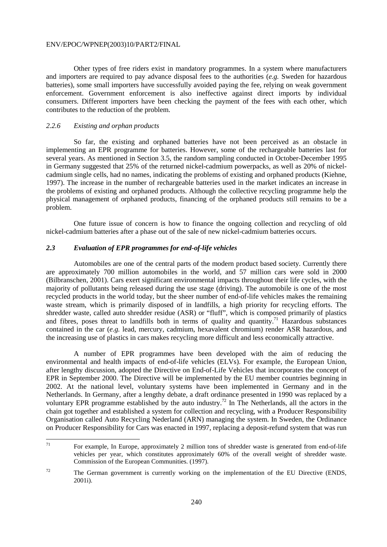Other types of free riders exist in mandatory programmes. In a system where manufacturers and importers are required to pay advance disposal fees to the authorities (*e.g.* Sweden for hazardous batteries), some small importers have successfully avoided paying the fee, relying on weak government enforcement. Government enforcement is also ineffective against direct imports by individual consumers. Different importers have been checking the payment of the fees with each other, which contributes to the reduction of the problem.

#### *2.2.6 Existing and orphan products*

 So far, the existing and orphaned batteries have not been perceived as an obstacle in implementing an EPR programme for batteries. However, some of the rechargeable batteries last for several years. As mentioned in Section 3.5, the random sampling conducted in October-December 1995 in Germany suggested that 25% of the returned nickel-cadmium powerpacks, as well as 20% of nickelcadmium single cells, had no names, indicating the problems of existing and orphaned products (Kiehne, 1997). The increase in the number of rechargeable batteries used in the market indicates an increase in the problems of existing and orphaned products. Although the collective recycling programme help the physical management of orphaned products, financing of the orphaned products still remains to be a problem.

 One future issue of concern is how to finance the ongoing collection and recycling of old nickel-cadmium batteries after a phase out of the sale of new nickel-cadmium batteries occurs.

# *2.3 Evaluation of EPR programmes for end-of-life vehicles*

 Automobiles are one of the central parts of the modern product based society. Currently there are approximately 700 million automobiles in the world, and 57 million cars were sold in 2000 (Bilbranschen, 2001). Cars exert significant environmental impacts throughout their life cycles, with the majority of pollutants being released during the use stage (driving). The automobile is one of the most recycled products in the world today, but the sheer number of end-of-life vehicles makes the remaining waste stream, which is primarily disposed of in landfills, a high priority for recycling efforts. The shredder waste, called auto shredder residue (ASR) or "fluff", which is composed primarily of plastics and fibres, poses threat to landfills both in terms of quality and quantity.<sup>71</sup> Hazardous substances contained in the car (*e.g.* lead, mercury, cadmium, hexavalent chromium) render ASR hazardous, and the increasing use of plastics in cars makes recycling more difficult and less economically attractive.

 A number of EPR programmes have been developed with the aim of reducing the environmental and health impacts of end-of-life vehicles (ELVs). For example, the European Union, after lengthy discussion, adopted the Directive on End-of-Life Vehicles that incorporates the concept of EPR in September 2000. The Directive will be implemented by the EU member countries beginning in 2002. At the national level, voluntary systems have been implemented in Germany and in the Netherlands. In Germany, after a lengthy debate, a draft ordinance presented in 1990 was replaced by a voluntary EPR programme established by the auto industry.<sup>72</sup> In The Netherlands, all the actors in the chain got together and established a system for collection and recycling, with a Producer Responsibility Organisation called Auto Recycling Nederland (ARN) managing the system. In Sweden, the Ordinance on Producer Responsibility for Cars was enacted in 1997, replacing a deposit-refund system that was run

 $71$ For example, In Europe, approximately 2 million tons of shredder waste is generated from end-of-life vehicles per year, which constitutes approximately 60% of the overall weight of shredder waste. Commission of the European Communities. (1997).

 $72$  The German government is currently working on the implementation of the EU Directive (ENDS, 2001i).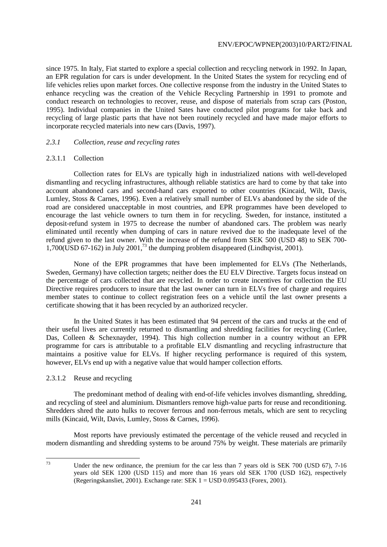since 1975. In Italy, Fiat started to explore a special collection and recycling network in 1992. In Japan, an EPR regulation for cars is under development. In the United States the system for recycling end of life vehicles relies upon market forces. One collective response from the industry in the United States to enhance recycling was the creation of the Vehicle Recycling Partnership in 1991 to promote and conduct research on technologies to recover, reuse, and dispose of materials from scrap cars (Poston, 1995). Individual companies in the United Sates have conducted pilot programs for take back and recycling of large plastic parts that have not been routinely recycled and have made major efforts to incorporate recycled materials into new cars (Davis, 1997).

#### *2.3.1 Collection, reuse and recycling rates*

#### 2.3.1.1 Collection

 Collection rates for ELVs are typically high in industrialized nations with well-developed dismantling and recycling infrastructures, although reliable statistics are hard to come by that take into account abandoned cars and second-hand cars exported to other countries (Kincaid, Wilt, Davis, Lumley, Stoss & Carnes, 1996). Even a relatively small number of ELVs abandoned by the side of the road are considered unacceptable in most countries, and EPR programmes have been developed to encourage the last vehicle owners to turn them in for recycling. Sweden, for instance, instituted a deposit-refund system in 1975 to decrease the number of abandoned cars. The problem was nearly eliminated until recently when dumping of cars in nature revived due to the inadequate level of the refund given to the last owner. With the increase of the refund from SEK 500 (USD 48) to SEK 700- 1,700(USD 67-162) in July 2001,<sup>73</sup> the dumping problem disappeared (Lindhqvist, 2001).

 None of the EPR programmes that have been implemented for ELVs (The Netherlands, Sweden, Germany) have collection targets; neither does the EU ELV Directive. Targets focus instead on the percentage of cars collected that are recycled. In order to create incentives for collection the EU Directive requires producers to insure that the last owner can turn in ELVs free of charge and requires member states to continue to collect registration fees on a vehicle until the last owner presents a certificate showing that it has been recycled by an authorized recycler.

 In the United States it has been estimated that 94 percent of the cars and trucks at the end of their useful lives are currently returned to dismantling and shredding facilities for recycling (Curlee, Das, Colleen & Schexnayder, 1994). This high collection number in a country without an EPR programme for cars is attributable to a profitable ELV dismantling and recycling infrastructure that maintains a positive value for ELVs. If higher recycling performance is required of this system, however, ELVs end up with a negative value that would hamper collection efforts.

# 2.3.1.2 Reuse and recycling

 The predominant method of dealing with end-of-life vehicles involves dismantling, shredding, and recycling of steel and aluminium. Dismantlers remove high-value parts for reuse and reconditioning. Shredders shred the auto hulks to recover ferrous and non-ferrous metals, which are sent to recycling mills (Kincaid, Wilt, Davis, Lumley, Stoss & Carnes, 1996).

 Most reports have previously estimated the percentage of the vehicle reused and recycled in modern dismantling and shredding systems to be around 75% by weight. These materials are primarily

Under the new ordinance, the premium for the car less than 7 years old is SEK 700 (USD 67), 7-16 years old SEK 1200 (USD 115) and more than 16 years old SEK 1700 (USD 162), respectively (Regeringskansliet, 2001). Exchange rate: SEK 1 = USD 0.095433 (Forex, 2001).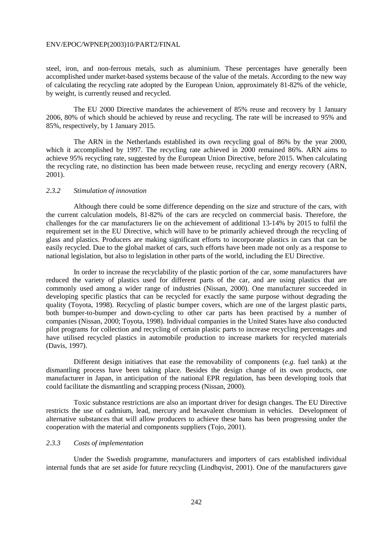steel, iron, and non-ferrous metals, such as aluminium. These percentages have generally been accomplished under market-based systems because of the value of the metals. According to the new way of calculating the recycling rate adopted by the European Union, approximately 81-82% of the vehicle, by weight, is currently reused and recycled.

 The EU 2000 Directive mandates the achievement of 85% reuse and recovery by 1 January 2006, 80% of which should be achieved by reuse and recycling. The rate will be increased to 95% and 85%, respectively, by 1 January 2015.

 The ARN in the Netherlands established its own recycling goal of 86% by the year 2000, which it accomplished by 1997. The recycling rate achieved in 2000 remained 86%. ARN aims to achieve 95% recycling rate, suggested by the European Union Directive, before 2015. When calculating the recycling rate, no distinction has been made between reuse, recycling and energy recovery (ARN, 2001).

# *2.3.2 Stimulation of innovation*

 Although there could be some difference depending on the size and structure of the cars, with the current calculation models, 81-82% of the cars are recycled on commercial basis. Therefore, the challenges for the car manufacturers lie on the achievement of additional 13-14% by 2015 to fulfil the requirement set in the EU Directive, which will have to be primarily achieved through the recycling of glass and plastics. Producers are making significant efforts to incorporate plastics in cars that can be easily recycled. Due to the global market of cars, such efforts have been made not only as a response to national legislation, but also to legislation in other parts of the world, including the EU Directive.

 In order to increase the recyclability of the plastic portion of the car, some manufacturers have reduced the variety of plastics used for different parts of the car, and are using plastics that are commonly used among a wider range of industries (Nissan, 2000). One manufacturer succeeded in developing specific plastics that can be recycled for exactly the same purpose without degrading the quality (Toyota, 1998). Recycling of plastic bumper covers, which are one of the largest plastic parts, both bumper-to-bumper and down-cycling to other car parts has been practised by a number of companies (Nissan, 2000; Toyota, 1998). Individual companies in the United States have also conducted pilot programs for collection and recycling of certain plastic parts to increase recycling percentages and have utilised recycled plastics in automobile production to increase markets for recycled materials (Davis, 1997).

 Different design initiatives that ease the removability of components (*e.g.* fuel tank) at the dismantling process have been taking place. Besides the design change of its own products, one manufacturer in Japan, in anticipation of the national EPR regulation, has been developing tools that could facilitate the dismantling and scrapping process (Nissan, 2000).

 Toxic substance restrictions are also an important driver for design changes. The EU Directive restricts the use of cadmium, lead, mercury and hexavalent chromium in vehicles. Development of alternative substances that will allow producers to achieve these bans has been progressing under the cooperation with the material and components suppliers (Tojo, 2001).

# *2.3.3 Costs of implementation*

 Under the Swedish programme, manufacturers and importers of cars established individual internal funds that are set aside for future recycling (Lindhqvist, 2001). One of the manufacturers gave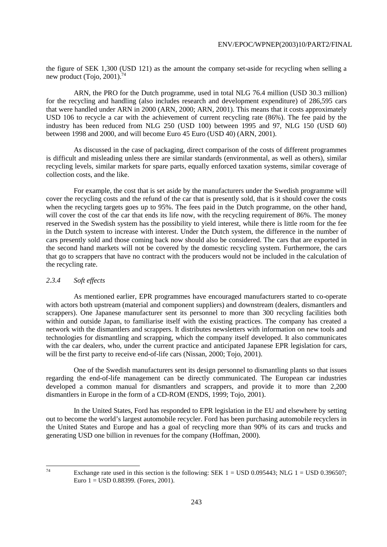the figure of SEK 1,300 (USD 121) as the amount the company set-aside for recycling when selling a new product (Tojo, 2001).<sup>74</sup>

 ARN, the PRO for the Dutch programme, used in total NLG 76.4 million (USD 30.3 million) for the recycling and handling (also includes research and development expenditure) of 286,595 cars that were handled under ARN in 2000 (ARN, 2000; ARN, 2001). This means that it costs approximately USD 106 to recycle a car with the achievement of current recycling rate (86%). The fee paid by the industry has been reduced from NLG 250 (USD 100) between 1995 and 97, NLG 150 (USD 60) between 1998 and 2000, and will become Euro 45 Euro (USD 40) (ARN, 2001).

 As discussed in the case of packaging, direct comparison of the costs of different programmes is difficult and misleading unless there are similar standards (environmental, as well as others), similar recycling levels, similar markets for spare parts, equally enforced taxation systems, similar coverage of collection costs, and the like.

 For example, the cost that is set aside by the manufacturers under the Swedish programme will cover the recycling costs and the refund of the car that is presently sold, that is it should cover the costs when the recycling targets goes up to 95%. The fees paid in the Dutch programme, on the other hand, will cover the cost of the car that ends its life now, with the recycling requirement of 86%. The money reserved in the Swedish system has the possibility to yield interest, while there is little room for the fee in the Dutch system to increase with interest. Under the Dutch system, the difference in the number of cars presently sold and those coming back now should also be considered. The cars that are exported in the second hand markets will not be covered by the domestic recycling system. Furthermore, the cars that go to scrappers that have no contract with the producers would not be included in the calculation of the recycling rate.

# *2.3.4 Soft effects*

 As mentioned earlier, EPR programmes have encouraged manufacturers started to co-operate with actors both upstream (material and component suppliers) and downstream (dealers, dismantlers and scrappers). One Japanese manufacturer sent its personnel to more than 300 recycling facilities both within and outside Japan, to familiarise itself with the existing practices. The company has created a network with the dismantlers and scrappers. It distributes newsletters with information on new tools and technologies for dismantling and scrapping, which the company itself developed. It also communicates with the car dealers, who, under the current practice and anticipated Japanese EPR legislation for cars, will be the first party to receive end-of-life cars (Nissan, 2000; Tojo, 2001).

 One of the Swedish manufacturers sent its design personnel to dismantling plants so that issues regarding the end-of-life management can be directly communicated. The European car industries developed a common manual for dismantlers and scrappers, and provide it to more than 2,200 dismantlers in Europe in the form of a CD-ROM (ENDS, 1999; Tojo, 2001).

 In the United States, Ford has responded to EPR legislation in the EU and elsewhere by setting out to become the world's largest automobile recycler. Ford has been purchasing automobile recyclers in the United States and Europe and has a goal of recycling more than 90% of its cars and trucks and generating USD one billion in revenues for the company (Hoffman, 2000).

Exchange rate used in this section is the following: SEK  $1 =$  USD 0.095443; NLG  $1 =$  USD 0.396507; Euro 1 = USD 0.88399. (Forex, 2001).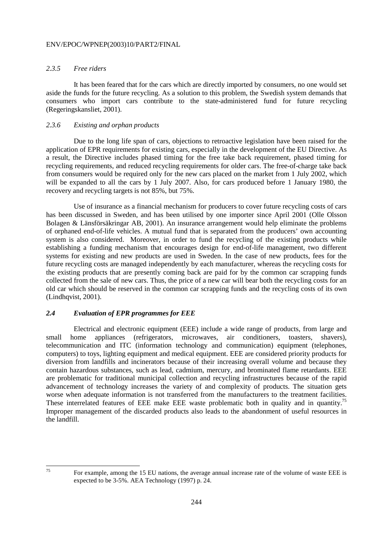# *2.3.5 Free riders*

 It has been feared that for the cars which are directly imported by consumers, no one would set aside the funds for the future recycling. As a solution to this problem, the Swedish system demands that consumers who import cars contribute to the state-administered fund for future recycling (Regeringskansliet, 2001).

#### *2.3.6 Existing and orphan products*

 Due to the long life span of cars, objections to retroactive legislation have been raised for the application of EPR requirements for existing cars, especially in the development of the EU Directive. As a result, the Directive includes phased timing for the free take back requirement, phased timing for recycling requirements, and reduced recycling requirements for older cars. The free-of-charge take back from consumers would be required only for the new cars placed on the market from 1 July 2002, which will be expanded to all the cars by 1 July 2007. Also, for cars produced before 1 January 1980, the recovery and recycling targets is not 85%, but 75%.

 Use of insurance as a financial mechanism for producers to cover future recycling costs of cars has been discussed in Sweden, and has been utilised by one importer since April 2001 (Olle Olsson Bolagen & Länsförsäkringar AB, 2001). An insurance arrangement would help eliminate the problems of orphaned end-of-life vehicles. A mutual fund that is separated from the producers' own accounting system is also considered. Moreover, in order to fund the recycling of the existing products while establishing a funding mechanism that encourages design for end-of-life management, two different systems for existing and new products are used in Sweden. In the case of new products, fees for the future recycling costs are managed independently by each manufacturer, whereas the recycling costs for the existing products that are presently coming back are paid for by the common car scrapping funds collected from the sale of new cars. Thus, the price of a new car will bear both the recycling costs for an old car which should be reserved in the common car scrapping funds and the recycling costs of its own (Lindhqvist, 2001).

# *2.4 Evaluation of EPR programmes for EEE*

 Electrical and electronic equipment (EEE) include a wide range of products, from large and small home appliances (refrigerators, microwaves, air conditioners, toasters, shavers), telecommunication and ITC (information technology and communication) equipment (telephones, computers) to toys, lighting equipment and medical equipment. EEE are considered priority products for diversion from landfills and incinerators because of their increasing overall volume and because they contain hazardous substances, such as lead, cadmium, mercury, and brominated flame retardants. EEE are problematic for traditional municipal collection and recycling infrastructures because of the rapid advancement of technology increases the variety of and complexity of products. The situation gets worse when adequate information is not transferred from the manufacturers to the treatment facilities. These interrelated features of EEE make EEE waste problematic both in quality and in quantity.<sup>75</sup> Improper management of the discarded products also leads to the abandonment of useful resources in the landfill.

For example, among the 15 EU nations, the average annual increase rate of the volume of waste EEE is expected to be 3-5%. AEA Technology (1997) p. 24.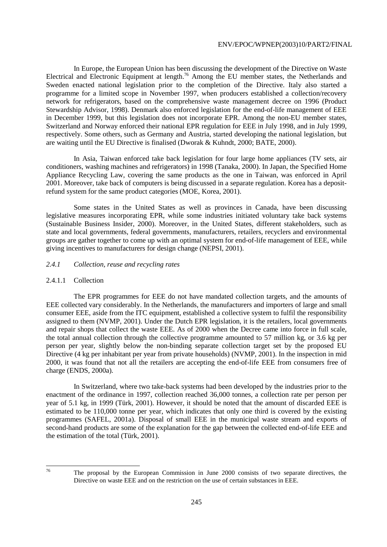In Europe, the European Union has been discussing the development of the Directive on Waste Electrical and Electronic Equipment at length.<sup>76</sup> Among the EU member states, the Netherlands and Sweden enacted national legislation prior to the completion of the Directive. Italy also started a programme for a limited scope in November 1997, when producers established a collection/recovery network for refrigerators, based on the comprehensive waste management decree on 1996 (Product Stewardship Advisor, 1998). Denmark also enforced legislation for the end-of-life management of EEE in December 1999, but this legislation does not incorporate EPR. Among the non-EU member states, Switzerland and Norway enforced their national EPR regulation for EEE in July 1998, and in July 1999, respectively. Some others, such as Germany and Austria, started developing the national legislation, but are waiting until the EU Directive is finalised (Dworak & Kuhndt, 2000; BATE, 2000).

 In Asia, Taiwan enforced take back legislation for four large home appliances (TV sets, air conditioners, washing machines and refrigerators) in 1998 (Tanaka, 2000). In Japan, the Specified Home Appliance Recycling Law, covering the same products as the one in Taiwan, was enforced in April 2001. Moreover, take back of computers is being discussed in a separate regulation. Korea has a depositrefund system for the same product categories (MOE, Korea, 2001).

 Some states in the United States as well as provinces in Canada, have been discussing legislative measures incorporating EPR, while some industries initiated voluntary take back systems (Sustainable Business Insider, 2000). Moreover, in the United States, different stakeholders, such as state and local governments, federal governments, manufacturers, retailers, recyclers and environmental groups are gather together to come up with an optimal system for end-of-life management of EEE, while giving incentives to manufacturers for design change (NEPSI, 2001).

# *2.4.1 Collection, reuse and recycling rates*

# 2.4.1.1 Collection

 The EPR programmes for EEE do not have mandated collection targets, and the amounts of EEE collected vary considerably. In the Netherlands, the manufacturers and importers of large and small consumer EEE, aside from the ITC equipment, established a collective system to fulfil the responsibility assigned to them (NVMP, 2001). Under the Dutch EPR legislation, it is the retailers, local governments and repair shops that collect the waste EEE. As of 2000 when the Decree came into force in full scale, the total annual collection through the collective programme amounted to 57 million kg, or 3.6 kg per person per year, slightly below the non-binding separate collection target set by the proposed EU Directive (4 kg per inhabitant per year from private households) (NVMP, 2001). In the inspection in mid 2000, it was found that not all the retailers are accepting the end-of-life EEE from consumers free of charge (ENDS, 2000a).

 In Switzerland, where two take-back systems had been developed by the industries prior to the enactment of the ordinance in 1997, collection reached 36,000 tonnes, a collection rate per person per year of 5.1 kg, in 1999 (Türk, 2001). However, it should be noted that the amount of discarded EEE is estimated to be 110,000 tonne per year, which indicates that only one third is covered by the existing programmes (SAFEL, 2001a). Disposal of small EEE in the municipal waste stream and exports of second-hand products are some of the explanation for the gap between the collected end-of-life EEE and the estimation of the total (Türk, 2001).

<sup>76</sup> The proposal by the European Commission in June 2000 consists of two separate directives, the Directive on waste EEE and on the restriction on the use of certain substances in EEE.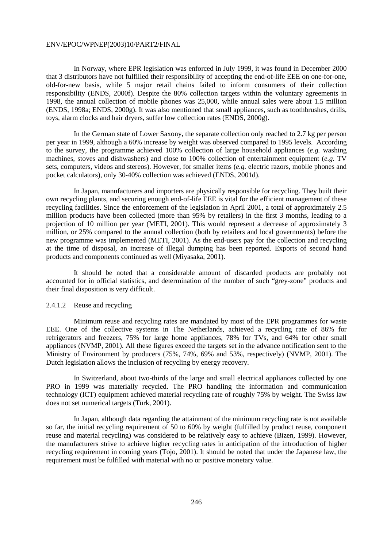In Norway, where EPR legislation was enforced in July 1999, it was found in December 2000 that 3 distributors have not fulfilled their responsibility of accepting the end-of-life EEE on one-for-one, old-for-new basis, while 5 major retail chains failed to inform consumers of their collection responsibility (ENDS, 2000f). Despite the 80% collection targets within the voluntary agreements in 1998, the annual collection of mobile phones was 25,000, while annual sales were about 1.5 million (ENDS, 1998a; ENDS, 2000g). It was also mentioned that small appliances, such as toothbrushes, drills, toys, alarm clocks and hair dryers, suffer low collection rates (ENDS, 2000g).

 In the German state of Lower Saxony, the separate collection only reached to 2.7 kg per person per year in 1999, although a 60% increase by weight was observed compared to 1995 levels. According to the survey, the programme achieved 100% collection of large household appliances (*e.g.* washing machines, stoves and dishwashers) and close to 100% collection of entertainment equipment (*e.g.* TV sets, computers, videos and stereos). However, for smaller items (*e.g.* electric razors, mobile phones and pocket calculators), only 30-40% collection was achieved (ENDS, 2001d).

 In Japan, manufacturers and importers are physically responsible for recycling. They built their own recycling plants, and securing enough end-of-life EEE is vital for the efficient management of these recycling facilities. Since the enforcement of the legislation in April 2001, a total of approximately 2.5 million products have been collected (more than 95% by retailers) in the first 3 months, leading to a projection of 10 million per year (METI, 2001). This would represent a decrease of approximately 3 million, or 25% compared to the annual collection (both by retailers and local governments) before the new programme was implemented (METI, 2001). As the end-users pay for the collection and recycling at the time of disposal, an increase of illegal dumping has been reported. Exports of second hand products and components continued as well (Miyasaka, 2001).

 It should be noted that a considerable amount of discarded products are probably not accounted for in official statistics, and determination of the number of such "grey-zone" products and their final disposition is very difficult.

# 2.4.1.2 Reuse and recycling

 Minimum reuse and recycling rates are mandated by most of the EPR programmes for waste EEE. One of the collective systems in The Netherlands, achieved a recycling rate of 86% for refrigerators and freezers, 75% for large home appliances, 78% for TVs, and 64% for other small appliances (NVMP, 2001). All these figures exceed the targets set in the advance notification sent to the Ministry of Environment by producers (75%, 74%, 69% and 53%, respectively) (NVMP, 2001). The Dutch legislation allows the inclusion of recycling by energy recovery.

 In Switzerland, about two-thirds of the large and small electrical appliances collected by one PRO in 1999 was materially recycled. The PRO handling the information and communication technology (ICT) equipment achieved material recycling rate of roughly 75% by weight. The Swiss law does not set numerical targets (Türk, 2001).

 In Japan, although data regarding the attainment of the minimum recycling rate is not available so far, the initial recycling requirement of 50 to 60% by weight (fulfilled by product reuse, component reuse and material recycling) was considered to be relatively easy to achieve (Bizen, 1999). However, the manufacturers strive to achieve higher recycling rates in anticipation of the introduction of higher recycling requirement in coming years (Tojo, 2001). It should be noted that under the Japanese law, the requirement must be fulfilled with material with no or positive monetary value.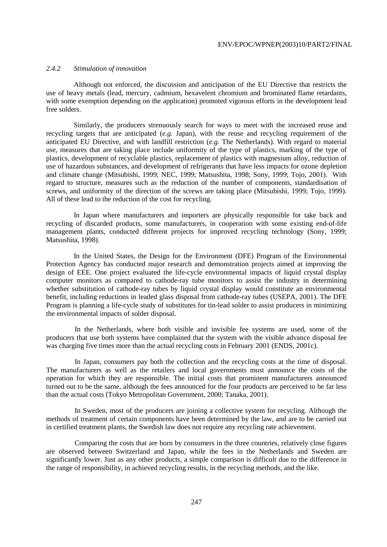# *2.4.2 Stimulation of innovation*

 Although not enforced, the discussion and anticipation of the EU Directive that restricts the use of heavy metals (lead, mercury, cadmium, hexavelent chromium and brominated flame retardants, with some exemption depending on the application) promoted vigorous efforts in the development lead free solders.

 Similarly, the producers strenuously search for ways to meet with the increased reuse and recycling targets that are anticipated (*e.g.* Japan), with the reuse and recycling requirement of the anticipated EU Directive, and with landfill restriction (*e.g.* The Netherlands). With regard to material use, measures that are taking place include uniformity of the type of plastics, marking of the type of plastics, development of recyclable plastics, replacement of plastics with magnesium alloy, reduction of use of hazardous substances, and development of refrigerants that have less impacts for ozone depletion and climate change (Mitsubishi, 1999; NEC, 1999; Matsushita, 1998; Sony, 1999; Tojo, 2001). With regard to structure, measures such as the reduction of the number of components, standardisation of screws, and uniformity of the direction of the screws are taking place (Mitsubishi, 1999; Tojo, 1999). All of these lead to the reduction of the cost for recycling.

 In Japan where manufacturers and importers are physically responsible for take back and recycling of discarded products, some manufacturers, in cooperation with some existing end-of-life management plants, conducted different projects for improved recycling technology (Sony, 1999; Matsushita, 1998).

 In the United States, the Design for the Environment (DFE) Program of the Environmental Protection Agency has conducted major research and demonstration projects aimed at improving the design of EEE. One project evaluated the life-cycle environmental impacts of liquid crystal display computer monitors as compared to cathode-ray tube monitors to assist the industry in determining whether substitution of cathode-ray tubes by liquid crystal display would constitute an environmental benefit, including reductions in leaded glass disposal from cathode-ray tubes (USEPA, 2001). The DFE Program is planning a life-cycle study of substitutes for tin-lead solder to assist producers in minimizing the environmental impacts of solder disposal.

In the Netherlands, where both visible and invisible fee systems are used, some of the producers that use both systems have complained that the system with the visible advance disposal fee was charging five times more than the actual recycling costs in February 2001 (ENDS, 2001c).

In Japan, consumers pay both the collection and the recycling costs at the time of disposal. The manufacturers as well as the retailers and local governments must announce the costs of the operation for which they are responsible. The initial costs that prominent manufacturers announced turned out to be the same, although the fees announced for the four products are perceived to be far less than the actual costs (Tokyo Metropolitan Government, 2000; Tanaka, 2001).

In Sweden, most of the producers are joining a collective system for recycling. Although the methods of treatment of certain components have been determined by the law, and are to be carried out in certified treatment plants, the Swedish law does not require any recycling rate achievement.

Comparing the costs that are born by consumers in the three countries, relatively close figures are observed between Switzerland and Japan, while the fees in the Netherlands and Sweden are significantly lower. Just as any other products, a simple comparison is difficult due to the difference in the range of responsibility, in achieved recycling results, in the recycling methods, and the like*.*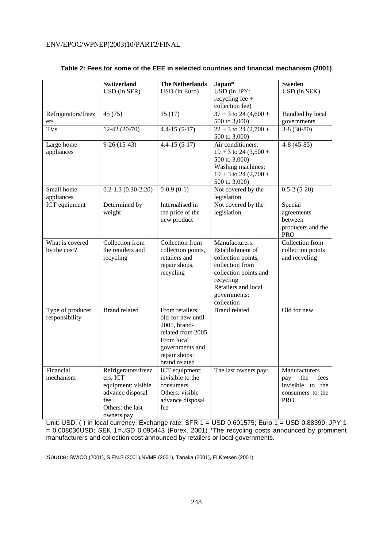|                      | <b>Switzerland</b>       | <b>The Netherlands</b> | $Japan*$                | <b>Sweden</b>                 |
|----------------------|--------------------------|------------------------|-------------------------|-------------------------------|
|                      | USD (in SFR)             | USD (in Euro)          | USD (in JPY:            | USD (in SEK)                  |
|                      |                          |                        | recycling fee $+$       |                               |
|                      |                          |                        | collection fee)         |                               |
| Refrigerators/freez  | 45 (75)                  | 15(17)                 | $37 + 3$ to 24 (4,600 + | Handled by local              |
| ers                  |                          |                        | 500 to 3,000)           | governments                   |
| TV <sub>S</sub>      | $12-42(20-70)$           | $4.4 - 15(5 - 17)$     | $22 + 3$ to 24 (2,700 + | $3-8(30-80)$                  |
|                      |                          |                        | 500 to 3,000)           |                               |
| Large home           | $9-26(15-43)$            | $4.4 - 15(5 - 17)$     | Air conditioners:       | $4-8(45-85)$                  |
| appliances           |                          |                        | $19 + 3$ to 24 (3,500 + |                               |
|                      |                          |                        | 500 to 3,000)           |                               |
|                      |                          |                        | Washing machines:       |                               |
|                      |                          |                        | $19 + 3$ to 24 (2,700 + |                               |
|                      |                          |                        | 500 to 3,000)           |                               |
| Small home           | $0.2 - 1.3(0.30 - 2.20)$ | $0-0.9(0-1)$           | Not covered by the      | $0.5-2(5-20)$                 |
| appliances           |                          |                        | legislation             |                               |
| <b>ICT</b> equipment | Determined by            | Internalised in        | Not covered by the      | Special                       |
|                      | weight                   | the price of the       | legislation             | agreements                    |
|                      |                          | new product            |                         | between                       |
|                      |                          |                        |                         | producers and the             |
| What is covered      | Collection from          | Collection from        | Manufacturers:          | <b>PRO</b><br>Collection from |
| by the cost?         | the retailers and        | collection points,     | Establishment of        | collection points             |
|                      | recycling                | retailers and          | collection points,      | and recycling                 |
|                      |                          | repair shops,          | collection from         |                               |
|                      |                          | recycling              | collection points and   |                               |
|                      |                          |                        | recycling               |                               |
|                      |                          |                        | Retailers and local     |                               |
|                      |                          |                        | governments:            |                               |
|                      |                          |                        | collection              |                               |
| Type of producer     | <b>Brand related</b>     | From retailers:        | <b>Brand related</b>    | Old for new                   |
| responsibility       |                          | old-for new until      |                         |                               |
|                      |                          | 2005, brand-           |                         |                               |
|                      |                          | related from 2005      |                         |                               |
|                      |                          | From local             |                         |                               |
|                      |                          | governments and        |                         |                               |
|                      |                          | repair shops:          |                         |                               |
|                      |                          | brand related          |                         |                               |
| Financial            | Refrigerators/freez      | ICT equipment:         | The last owners pay:    | Manufacturers                 |
| mechanism            | ers, ICT                 | invisible to the       |                         | the<br>fees<br>pay            |
|                      | equipment: visible       | consumers              |                         | invisible to the              |
|                      | advance disposal         | Others: visible        |                         | consumers to the              |
|                      | fee                      | advance disposal       |                         | PRO.                          |
|                      | Others: the last         | fee                    |                         |                               |
|                      | owners pay               |                        |                         |                               |

# **Table 2: Fees for some of the EEE in selected countries and financial mechanism (2001)**

Unit: USD, ( ) in local currency. Exchange rate: SFR 1 = USD 0.601575; Euro 1 = USD 0.88399; JPY 1 = 0.008036USD; SEK 1=USD 0.095443 (Forex, 2001) \*The recycling costs announced by prominent manufacturers and collection cost announced by retailers or local governments.

Source: SWICO (2001), S.EN.S (2001),NVMP (2001), Tanaka (2001), El Kretsen (2001)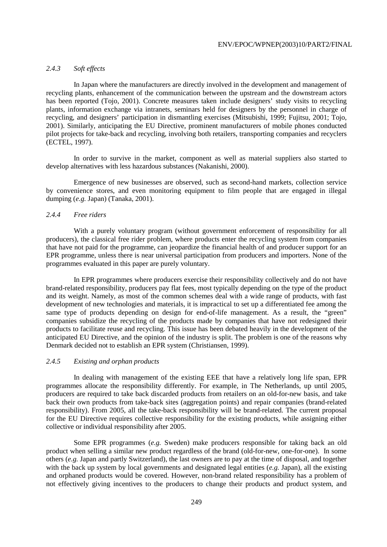# *2.4.3 Soft effects*

 In Japan where the manufacturers are directly involved in the development and management of recycling plants, enhancement of the communication between the upstream and the downstream actors has been reported (Tojo, 2001). Concrete measures taken include designers' study visits to recycling plants, information exchange via intranets, seminars held for designers by the personnel in charge of recycling, and designers' participation in dismantling exercises (Mitsubishi, 1999; Fujitsu, 2001; Tojo, 2001). Similarly, anticipating the EU Directive, prominent manufacturers of mobile phones conducted pilot projects for take-back and recycling, involving both retailers, transporting companies and recyclers (ECTEL, 1997).

 In order to survive in the market, component as well as material suppliers also started to develop alternatives with less hazardous substances (Nakanishi, 2000).

 Emergence of new businesses are observed, such as second-hand markets, collection service by convenience stores, and even monitoring equipment to film people that are engaged in illegal dumping (*e.g.* Japan) (Tanaka, 2001).

#### *2.4.4 Free riders*

 With a purely voluntary program (without government enforcement of responsibility for all producers), the classical free rider problem, where products enter the recycling system from companies that have not paid for the programme, can jeopardize the financial health of and producer support for an EPR programme, unless there is near universal participation from producers and importers. None of the programmes evaluated in this paper are purely voluntary.

 In EPR programmes where producers exercise their responsibility collectively and do not have brand-related responsibility, producers pay flat fees, most typically depending on the type of the product and its weight. Namely, as most of the common schemes deal with a wide range of products, with fast development of new technologies and materials, it is impractical to set up a differentiated fee among the same type of products depending on design for end-of-life management. As a result, the "green" companies subsidize the recycling of the products made by companies that have not redesigned their products to facilitate reuse and recycling. This issue has been debated heavily in the development of the anticipated EU Directive, and the opinion of the industry is split. The problem is one of the reasons why Denmark decided not to establish an EPR system (Christiansen, 1999).

# *2.4.5 Existing and orphan products*

 In dealing with management of the existing EEE that have a relatively long life span, EPR programmes allocate the responsibility differently. For example, in The Netherlands, up until 2005, producers are required to take back discarded products from retailers on an old-for-new basis, and take back their own products from take-back sites (aggregation points) and repair companies (brand-related responsibility). From 2005, all the take-back responsibility will be brand-related. The current proposal for the EU Directive requires collective responsibility for the existing products, while assigning either collective or individual responsibility after 2005.

 Some EPR programmes (*e.g.* Sweden) make producers responsible for taking back an old product when selling a similar new product regardless of the brand (old-for-new, one-for-one). In some others (*e.g.* Japan and partly Switzerland), the last owners are to pay at the time of disposal, and together with the back up system by local governments and designated legal entities (*e.g.* Japan), all the existing and orphaned products would be covered. However, non-brand related responsibility has a problem of not effectively giving incentives to the producers to change their products and product system, and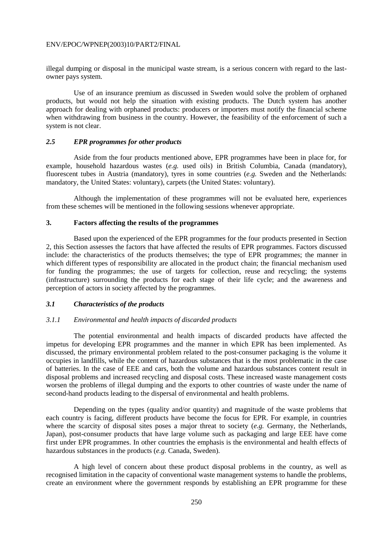illegal dumping or disposal in the municipal waste stream, is a serious concern with regard to the lastowner pays system.

 Use of an insurance premium as discussed in Sweden would solve the problem of orphaned products, but would not help the situation with existing products. The Dutch system has another approach for dealing with orphaned products: producers or importers must notify the financial scheme when withdrawing from business in the country. However, the feasibility of the enforcement of such a system is not clear.

# *2.5 EPR programmes for other products*

 Aside from the four products mentioned above, EPR programmes have been in place for, for example, household hazardous wastes (*e.g.* used oils) in British Columbia, Canada (mandatory), fluorescent tubes in Austria (mandatory), tyres in some countries (*e.g.* Sweden and the Netherlands: mandatory, the United States: voluntary), carpets (the United States: voluntary).

 Although the implementation of these programmes will not be evaluated here, experiences from these schemes will be mentioned in the following sessions whenever appropriate.

#### **3. Factors affecting the results of the programmes**

 Based upon the experienced of the EPR programmes for the four products presented in Section 2, this Section assesses the factors that have affected the results of EPR programmes. Factors discussed include: the characteristics of the products themselves; the type of EPR programmes; the manner in which different types of responsibility are allocated in the product chain; the financial mechanism used for funding the programmes; the use of targets for collection, reuse and recycling; the systems (infrastructure) surrounding the products for each stage of their life cycle; and the awareness and perception of actors in society affected by the programmes.

#### *3.1 Characteristics of the products*

# *3.1.1 Environmental and health impacts of discarded products*

 The potential environmental and health impacts of discarded products have affected the impetus for developing EPR programmes and the manner in which EPR has been implemented. As discussed, the primary environmental problem related to the post-consumer packaging is the volume it occupies in landfills, while the content of hazardous substances that is the most problematic in the case of batteries. In the case of EEE and cars, both the volume and hazardous substances content result in disposal problems and increased recycling and disposal costs. These increased waste management costs worsen the problems of illegal dumping and the exports to other countries of waste under the name of second-hand products leading to the dispersal of environmental and health problems.

 Depending on the types (quality and/or quantity) and magnitude of the waste problems that each country is facing, different products have become the focus for EPR. For example, in countries where the scarcity of disposal sites poses a major threat to society (*e.g.* Germany, the Netherlands, Japan), post-consumer products that have large volume such as packaging and large EEE have come first under EPR programmes. In other countries the emphasis is the environmental and health effects of hazardous substances in the products (*e.g.* Canada, Sweden).

 A high level of concern about these product disposal problems in the country, as well as recognised limitation in the capacity of conventional waste management systems to handle the problems, create an environment where the government responds by establishing an EPR programme for these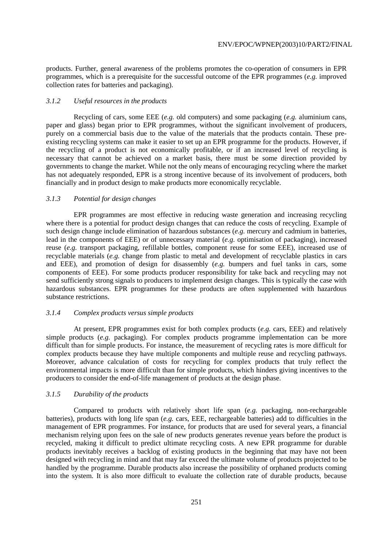products. Further, general awareness of the problems promotes the co-operation of consumers in EPR programmes, which is a prerequisite for the successful outcome of the EPR programmes (*e.g.* improved collection rates for batteries and packaging).

#### *3.1.2 Useful resources in the products*

 Recycling of cars, some EEE (*e.g.* old computers) and some packaging (*e.g.* aluminium cans, paper and glass) began prior to EPR programmes, without the significant involvement of producers, purely on a commercial basis due to the value of the materials that the products contain. These preexisting recycling systems can make it easier to set up an EPR programme for the products. However, if the recycling of a product is not economically profitable, or if an increased level of recycling is necessary that cannot be achieved on a market basis, there must be some direction provided by governments to change the market. While not the only means of encouraging recycling where the market has not adequately responded, EPR is a strong incentive because of its involvement of producers, both financially and in product design to make products more economically recyclable.

#### *3.1.3 Potential for design changes*

 EPR programmes are most effective in reducing waste generation and increasing recycling where there is a potential for product design changes that can reduce the costs of recycling. Example of such design change include elimination of hazardous substances (*e.g.* mercury and cadmium in batteries, lead in the components of EEE) or of unnecessary material (*e.g.* optimisation of packaging), increased reuse (*e.g.* transport packaging, refillable bottles, component reuse for some EEE), increased use of recyclable materials (*e.g.* change from plastic to metal and development of recyclable plastics in cars and EEE), and promotion of design for disassembly (*e.g.* bumpers and fuel tanks in cars, some components of EEE). For some products producer responsibility for take back and recycling may not send sufficiently strong signals to producers to implement design changes. This is typically the case with hazardous substances. EPR programmes for these products are often supplemented with hazardous substance restrictions.

## *3.1.4 Complex products versus simple products*

 At present, EPR programmes exist for both complex products (*e.g.* cars, EEE) and relatively simple products (*e.g.* packaging). For complex products programme implementation can be more difficult than for simple products. For instance, the measurement of recycling rates is more difficult for complex products because they have multiple components and multiple reuse and recycling pathways. Moreover, advance calculation of costs for recycling for complex products that truly reflect the environmental impacts is more difficult than for simple products, which hinders giving incentives to the producers to consider the end-of-life management of products at the design phase.

## *3.1.5 Durability of the products*

 Compared to products with relatively short life span (*e.g.* packaging, non-rechargeable batteries), products with long life span (*e.g.* cars, EEE, rechargeable batteries) add to difficulties in the management of EPR programmes. For instance, for products that are used for several years, a financial mechanism relying upon fees on the sale of new products generates revenue years before the product is recycled, making it difficult to predict ultimate recycling costs. A new EPR programme for durable products inevitably receives a backlog of existing products in the beginning that may have not been designed with recycling in mind and that may far exceed the ultimate volume of products projected to be handled by the programme. Durable products also increase the possibility of orphaned products coming into the system. It is also more difficult to evaluate the collection rate of durable products, because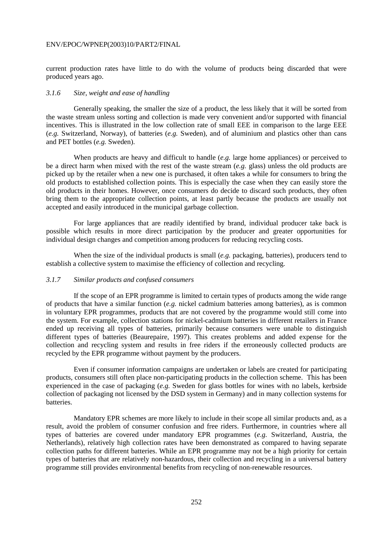current production rates have little to do with the volume of products being discarded that were produced years ago.

#### *3.1.6 Size, weight and ease of handling*

 Generally speaking, the smaller the size of a product, the less likely that it will be sorted from the waste stream unless sorting and collection is made very convenient and/or supported with financial incentives. This is illustrated in the low collection rate of small EEE in comparison to the large EEE (*e.g.* Switzerland, Norway), of batteries (*e.g.* Sweden), and of aluminium and plastics other than cans and PET bottles (*e.g.* Sweden).

 When products are heavy and difficult to handle (*e.g.* large home appliances) or perceived to be a direct harm when mixed with the rest of the waste stream (*e.g.* glass) unless the old products are picked up by the retailer when a new one is purchased, it often takes a while for consumers to bring the old products to established collection points. This is especially the case when they can easily store the old products in their homes. However, once consumers do decide to discard such products, they often bring them to the appropriate collection points, at least partly because the products are usually not accepted and easily introduced in the municipal garbage collection.

 For large appliances that are readily identified by brand, individual producer take back is possible which results in more direct participation by the producer and greater opportunities for individual design changes and competition among producers for reducing recycling costs.

 When the size of the individual products is small (*e.g.* packaging, batteries), producers tend to establish a collective system to maximise the efficiency of collection and recycling.

#### *3.1.7 Similar products and confused consumers*

 If the scope of an EPR programme is limited to certain types of products among the wide range of products that have a similar function (*e.g.* nickel cadmium batteries among batteries), as is common in voluntary EPR programmes, products that are not covered by the programme would still come into the system. For example, collection stations for nickel-cadmium batteries in different retailers in France ended up receiving all types of batteries, primarily because consumers were unable to distinguish different types of batteries (Beaurepaire, 1997). This creates problems and added expense for the collection and recycling system and results in free riders if the erroneously collected products are recycled by the EPR programme without payment by the producers.

 Even if consumer information campaigns are undertaken or labels are created for participating products, consumers still often place non-participating products in the collection scheme. This has been experienced in the case of packaging (*e.g.* Sweden for glass bottles for wines with no labels, kerbside collection of packaging not licensed by the DSD system in Germany) and in many collection systems for batteries.

 Mandatory EPR schemes are more likely to include in their scope all similar products and, as a result, avoid the problem of consumer confusion and free riders. Furthermore, in countries where all types of batteries are covered under mandatory EPR programmes (*e.g.* Switzerland, Austria, the Netherlands), relatively high collection rates have been demonstrated as compared to having separate collection paths for different batteries. While an EPR programme may not be a high priority for certain types of batteries that are relatively non-hazardous, their collection and recycling in a universal battery programme still provides environmental benefits from recycling of non-renewable resources.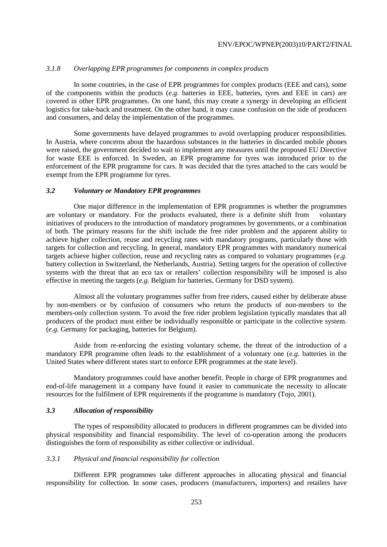## *3.1.8 Overlapping EPR programmes for components in complex products*

 In some countries, in the case of EPR programmes for complex products (EEE and cars), some of the components within the products (*e.g.* batteries in EEE, batteries, tyres and EEE in cars) are covered in other EPR programmes. On one hand, this may create a synergy in developing an efficient logistics for take-back and treatment. On the other hand, it may cause confusion on the side of producers and consumers, and delay the implementation of the programmes.

 Some governments have delayed programmes to avoid overlapping producer responsibilities. In Austria, where concerns about the hazardous substances in the batteries in discarded mobile phones were raised, the government decided to wait to implement any measures until the proposed EU Directive for waste EEE is enforced. In Sweden, an EPR programme for tyres was introduced prior to the enforcement of the EPR programme for cars. It was decided that the tyres attached to the cars would be exempt from the EPR programme for tyres.

## *3.2 Voluntary or Mandatory EPR programmes*

 One major difference in the implementation of EPR programmes is whether the programmes are voluntary or mandatory. For the products evaluated, there is a definite shift from voluntary initiatives of producers to the introduction of mandatory programmes by governments, or a combination of both. The primary reasons for the shift include the free rider problem and the apparent ability to achieve higher collection, reuse and recycling rates with mandatory programs, particularly those with targets for collection and recycling. In general, mandatory EPR programmes with mandatory numerical targets achieve higher collection, reuse and recycling rates as compared to voluntary programmes (*e.g.* battery collection in Switzerland, the Netherlands, Austria). Setting targets for the operation of collective systems with the threat that an eco tax or retailers' collection responsibility will be imposed is also effective in meeting the targets (*e.g.* Belgium for batteries, Germany for DSD system).

 Almost all the voluntary programmes suffer from free riders, caused either by deliberate abuse by non-members or by confusion of consumers who return the products of non-members to the members-only collection system. To avoid the free rider problem legislation typically mandates that all producers of the product must either be individually responsible or participate in the collective system. (*e.g.* Germany for packaging, batteries for Belgium).

 Aside from re-enforcing the existing voluntary scheme, the threat of the introduction of a mandatory EPR programme often leads to the establishment of a voluntary one (*e.g.* batteries in the United States where different states start to enforce EPR programmes at the state level).

 Mandatory programmes could have another benefit. People in charge of EPR programmes and end-of-life management in a company have found it easier to communicate the necessity to allocate resources for the fulfilment of EPR requirements if the programme is mandatory (Tojo, 2001).

## *3.3 Allocation of responsibility*

 The types of responsibility allocated to producers in different programmes can be divided into physical responsibility and financial responsibility. The level of co-operation among the producers distinguishes the form of responsibility as either collective or individual.

## *3.3.1 Physical and financial responsibility for collection*

 Different EPR programmes take different approaches in allocating physical and financial responsibility for collection. In some cases, producers (manufacturers, importers) and retailers have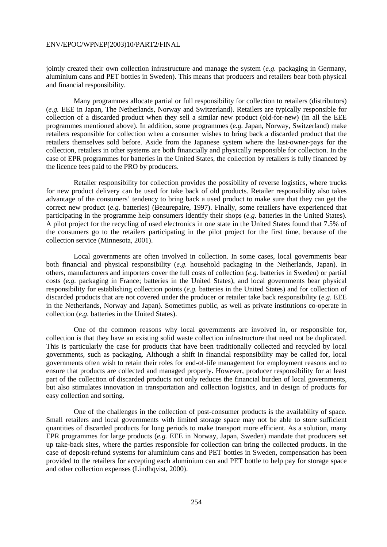jointly created their own collection infrastructure and manage the system (*e.g.* packaging in Germany, aluminium cans and PET bottles in Sweden). This means that producers and retailers bear both physical and financial responsibility.

 Many programmes allocate partial or full responsibility for collection to retailers (distributors) (*e.g.* EEE in Japan, The Netherlands, Norway and Switzerland). Retailers are typically responsible for collection of a discarded product when they sell a similar new product (old-for-new) (in all the EEE programmes mentioned above). In addition, some programmes (*e.g.* Japan, Norway, Switzerland) make retailers responsible for collection when a consumer wishes to bring back a discarded product that the retailers themselves sold before. Aside from the Japanese system where the last-owner-pays for the collection, retailers in other systems are both financially and physically responsible for collection. In the case of EPR programmes for batteries in the United States, the collection by retailers is fully financed by the licence fees paid to the PRO by producers.

 Retailer responsibility for collection provides the possibility of reverse logistics, where trucks for new product delivery can be used for take back of old products. Retailer responsibility also takes advantage of the consumers' tendency to bring back a used product to make sure that they can get the correct new product (*e.g.* batteries) (Beaurepaire, 1997). Finally, some retailers have experienced that participating in the programme help consumers identify their shops (*e.g.* batteries in the United States). A pilot project for the recycling of used electronics in one state in the United States found that 7.5% of the consumers go to the retailers participating in the pilot project for the first time, because of the collection service (Minnesota, 2001).

 Local governments are often involved in collection. In some cases, local governments bear both financial and physical responsibility (*e.g.* household packaging in the Netherlands, Japan). In others, manufacturers and importers cover the full costs of collection (*e.g.* batteries in Sweden) or partial costs (*e.g.* packaging in France; batteries in the United States), and local governments bear physical responsibility for establishing collection points (*e.g.* batteries in the United States) and for collection of discarded products that are not covered under the producer or retailer take back responsibility (*e.g.* EEE in the Netherlands, Norway and Japan). Sometimes public, as well as private institutions co-operate in collection (*e.g.* batteries in the United States).

 One of the common reasons why local governments are involved in, or responsible for, collection is that they have an existing solid waste collection infrastructure that need not be duplicated. This is particularly the case for products that have been traditionally collected and recycled by local governments, such as packaging. Although a shift in financial responsibility may be called for, local governments often wish to retain their roles for end-of-life management for employment reasons and to ensure that products are collected and managed properly. However, producer responsibility for at least part of the collection of discarded products not only reduces the financial burden of local governments, but also stimulates innovation in transportation and collection logistics, and in design of products for easy collection and sorting.

 One of the challenges in the collection of post-consumer products is the availability of space. Small retailers and local governments with limited storage space may not be able to store sufficient quantities of discarded products for long periods to make transport more efficient. As a solution, many EPR programmes for large products (*e.g.* EEE in Norway, Japan, Sweden) mandate that producers set up take-back sites, where the parties responsible for collection can bring the collected products. In the case of deposit-refund systems for aluminium cans and PET bottles in Sweden, compensation has been provided to the retailers for accepting each aluminium can and PET bottle to help pay for storage space and other collection expenses (Lindhqvist, 2000).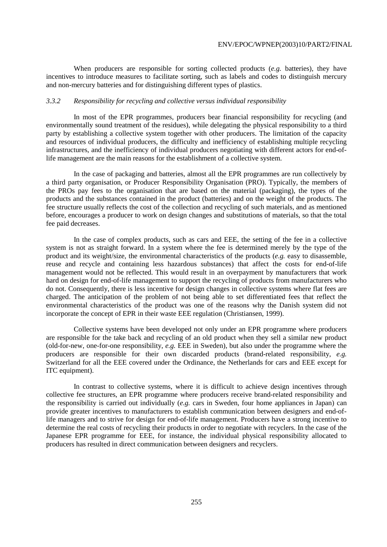When producers are responsible for sorting collected products (*e.g.* batteries), they have incentives to introduce measures to facilitate sorting, such as labels and codes to distinguish mercury and non-mercury batteries and for distinguishing different types of plastics.

#### *3.3.2 Responsibility for recycling and collective versus individual responsibility*

 In most of the EPR programmes, producers bear financial responsibility for recycling (and environmentally sound treatment of the residues), while delegating the physical responsibility to a third party by establishing a collective system together with other producers. The limitation of the capacity and resources of individual producers, the difficulty and inefficiency of establishing multiple recycling infrastructures, and the inefficiency of individual producers negotiating with different actors for end-oflife management are the main reasons for the establishment of a collective system.

 In the case of packaging and batteries, almost all the EPR programmes are run collectively by a third party organisation, or Producer Responsibility Organisation (PRO). Typically, the members of the PROs pay fees to the organisation that are based on the material (packaging), the types of the products and the substances contained in the product (batteries) and on the weight of the products. The fee structure usually reflects the cost of the collection and recycling of such materials, and as mentioned before, encourages a producer to work on design changes and substitutions of materials, so that the total fee paid decreases.

 In the case of complex products, such as cars and EEE, the setting of the fee in a collective system is not as straight forward. In a system where the fee is determined merely by the type of the product and its weight/size, the environmental characteristics of the products (*e.g.* easy to disassemble, reuse and recycle and containing less hazardous substances) that affect the costs for end-of-life management would not be reflected. This would result in an overpayment by manufacturers that work hard on design for end-of-life management to support the recycling of products from manufacturers who do not. Consequently, there is less incentive for design changes in collective systems where flat fees are charged. The anticipation of the problem of not being able to set differentiated fees that reflect the environmental characteristics of the product was one of the reasons why the Danish system did not incorporate the concept of EPR in their waste EEE regulation (Christiansen, 1999).

 Collective systems have been developed not only under an EPR programme where producers are responsible for the take back and recycling of an old product when they sell a similar new product (old-for-new, one-for-one responsibility, *e.g.* EEE in Sweden), but also under the programme where the producers are responsible for their own discarded products (brand-related responsibility, *e.g.* Switzerland for all the EEE covered under the Ordinance, the Netherlands for cars and EEE except for ITC equipment).

 In contrast to collective systems, where it is difficult to achieve design incentives through collective fee structures, an EPR programme where producers receive brand-related responsibility and the responsibility is carried out individually (*e.g.* cars in Sweden, four home appliances in Japan) can provide greater incentives to manufacturers to establish communication between designers and end-oflife managers and to strive for design for end-of-life management. Producers have a strong incentive to determine the real costs of recycling their products in order to negotiate with recyclers. In the case of the Japanese EPR programme for EEE, for instance, the individual physical responsibility allocated to producers has resulted in direct communication between designers and recyclers.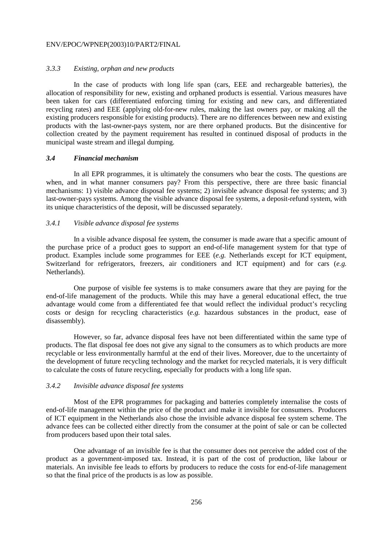#### *3.3.3 Existing, orphan and new products*

 In the case of products with long life span (cars, EEE and rechargeable batteries), the allocation of responsibility for new, existing and orphaned products is essential. Various measures have been taken for cars (differentiated enforcing timing for existing and new cars, and differentiated recycling rates) and EEE (applying old-for-new rules, making the last owners pay, or making all the existing producers responsible for existing products). There are no differences between new and existing products with the last-owner-pays system, nor are there orphaned products. But the disincentive for collection created by the payment requirement has resulted in continued disposal of products in the municipal waste stream and illegal dumping.

#### *3.4 Financial mechanism*

 In all EPR programmes, it is ultimately the consumers who bear the costs. The questions are when, and in what manner consumers pay? From this perspective, there are three basic financial mechanisms: 1) visible advance disposal fee systems; 2) invisible advance disposal fee systems; and 3) last-owner-pays systems. Among the visible advance disposal fee systems, a deposit-refund system, with its unique characteristics of the deposit, will be discussed separately.

#### *3.4.1 Visible advance disposal fee systems*

 In a visible advance disposal fee system, the consumer is made aware that a specific amount of the purchase price of a product goes to support an end-of-life management system for that type of product. Examples include some programmes for EEE (*e.g.* Netherlands except for ICT equipment, Switzerland for refrigerators, freezers, air conditioners and ICT equipment) and for cars (*e.g.* Netherlands).

 One purpose of visible fee systems is to make consumers aware that they are paying for the end-of-life management of the products. While this may have a general educational effect, the true advantage would come from a differentiated fee that would reflect the individual product's recycling costs or design for recycling characteristics (*e.g.* hazardous substances in the product, ease of disassembly).

 However, so far, advance disposal fees have not been differentiated within the same type of products. The flat disposal fee does not give any signal to the consumers as to which products are more recyclable or less environmentally harmful at the end of their lives. Moreover, due to the uncertainty of the development of future recycling technology and the market for recycled materials, it is very difficult to calculate the costs of future recycling, especially for products with a long life span.

#### *3.4.2 Invisible advance disposal fee systems*

 Most of the EPR programmes for packaging and batteries completely internalise the costs of end-of-life management within the price of the product and make it invisible for consumers. Producers of ICT equipment in the Netherlands also chose the invisible advance disposal fee system scheme. The advance fees can be collected either directly from the consumer at the point of sale or can be collected from producers based upon their total sales.

 One advantage of an invisible fee is that the consumer does not perceive the added cost of the product as a government-imposed tax. Instead, it is part of the cost of production, like labour or materials. An invisible fee leads to efforts by producers to reduce the costs for end-of-life management so that the final price of the products is as low as possible.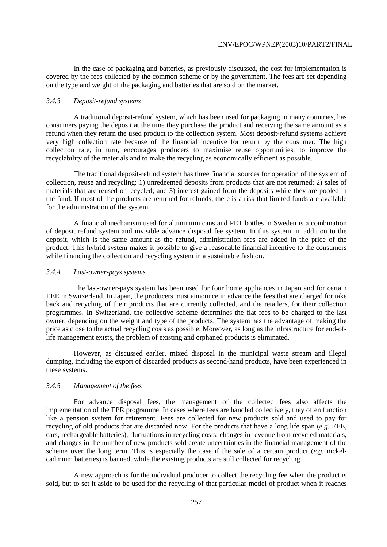In the case of packaging and batteries, as previously discussed, the cost for implementation is covered by the fees collected by the common scheme or by the government. The fees are set depending on the type and weight of the packaging and batteries that are sold on the market.

#### *3.4.3 Deposit-refund systems*

 A traditional deposit-refund system, which has been used for packaging in many countries, has consumers paying the deposit at the time they purchase the product and receiving the same amount as a refund when they return the used product to the collection system. Most deposit-refund systems achieve very high collection rate because of the financial incentive for return by the consumer. The high collection rate, in turn, encourages producers to maximise reuse opportunities, to improve the recyclability of the materials and to make the recycling as economically efficient as possible.

 The traditional deposit-refund system has three financial sources for operation of the system of collection, reuse and recycling: 1) unredeemed deposits from products that are not returned; 2) sales of materials that are reused or recycled; and 3) interest gained from the deposits while they are pooled in the fund. If most of the products are returned for refunds, there is a risk that limited funds are available for the administration of the system.

 A financial mechanism used for aluminium cans and PET bottles in Sweden is a combination of deposit refund system and invisible advance disposal fee system. In this system, in addition to the deposit, which is the same amount as the refund, administration fees are added in the price of the product. This hybrid system makes it possible to give a reasonable financial incentive to the consumers while financing the collection and recycling system in a sustainable fashion.

#### *3.4.4 Last-owner-pays systems*

 The last-owner-pays system has been used for four home appliances in Japan and for certain EEE in Switzerland. In Japan, the producers must announce in advance the fees that are charged for take back and recycling of their products that are currently collected, and the retailers, for their collection programmes. In Switzerland, the collective scheme determines the flat fees to be charged to the last owner, depending on the weight and type of the products. The system has the advantage of making the price as close to the actual recycling costs as possible. Moreover, as long as the infrastructure for end-oflife management exists, the problem of existing and orphaned products is eliminated.

 However, as discussed earlier, mixed disposal in the municipal waste stream and illegal dumping, including the export of discarded products as second-hand products, have been experienced in these systems.

## *3.4.5 Management of the fees*

 For advance disposal fees, the management of the collected fees also affects the implementation of the EPR programme. In cases where fees are handled collectively, they often function like a pension system for retirement. Fees are collected for new products sold and used to pay for recycling of old products that are discarded now. For the products that have a long life span (*e.g.* EEE, cars, rechargeable batteries), fluctuations in recycling costs, changes in revenue from recycled materials, and changes in the number of new products sold create uncertainties in the financial management of the scheme over the long term. This is especially the case if the sale of a certain product (*e.g.* nickelcadmium batteries) is banned, while the existing products are still collected for recycling.

 A new approach is for the individual producer to collect the recycling fee when the product is sold, but to set it aside to be used for the recycling of that particular model of product when it reaches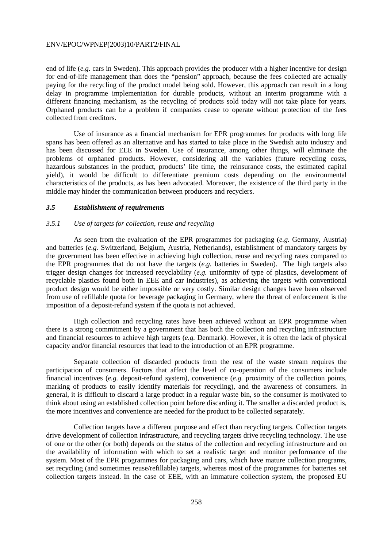end of life (*e.g.* cars in Sweden). This approach provides the producer with a higher incentive for design for end-of-life management than does the "pension" approach, because the fees collected are actually paying for the recycling of the product model being sold. However, this approach can result in a long delay in programme implementation for durable products, without an interim programme with a different financing mechanism, as the recycling of products sold today will not take place for years. Orphaned products can be a problem if companies cease to operate without protection of the fees collected from creditors.

 Use of insurance as a financial mechanism for EPR programmes for products with long life spans has been offered as an alternative and has started to take place in the Swedish auto industry and has been discussed for EEE in Sweden. Use of insurance, among other things, will eliminate the problems of orphaned products. However, considering all the variables (future recycling costs, hazardous substances in the product, products' life time, the reinsurance costs, the estimated capital yield), it would be difficult to differentiate premium costs depending on the environmental characteristics of the products, as has been advocated. Moreover, the existence of the third party in the middle may hinder the communication between producers and recyclers.

#### *3.5 Establishment of requirements*

#### *3.5.1 Use of targets for collection, reuse and recycling*

 As seen from the evaluation of the EPR programmes for packaging (*e.g.* Germany, Austria) and batteries (*e.g.* Switzerland, Belgium, Austria, Netherlands), establishment of mandatory targets by the government has been effective in achieving high collection, reuse and recycling rates compared to the EPR programmes that do not have the targets (*e.g.* batteries in Sweden). The high targets also trigger design changes for increased recyclability (*e.g.* uniformity of type of plastics, development of recyclable plastics found both in EEE and car industries), as achieving the targets with conventional product design would be either impossible or very costly. Similar design changes have been observed from use of refillable quota for beverage packaging in Germany, where the threat of enforcement is the imposition of a deposit-refund system if the quota is not achieved.

 High collection and recycling rates have been achieved without an EPR programme when there is a strong commitment by a government that has both the collection and recycling infrastructure and financial resources to achieve high targets (*e.g.* Denmark). However, it is often the lack of physical capacity and/or financial resources that lead to the introduction of an EPR programme.

 Separate collection of discarded products from the rest of the waste stream requires the participation of consumers. Factors that affect the level of co-operation of the consumers include financial incentives (*e.g.* deposit-refund system), convenience (*e.g.* proximity of the collection points, marking of products to easily identify materials for recycling), and the awareness of consumers. In general, it is difficult to discard a large product in a regular waste bin, so the consumer is motivated to think about using an established collection point before discarding it. The smaller a discarded product is, the more incentives and convenience are needed for the product to be collected separately.

 Collection targets have a different purpose and effect than recycling targets. Collection targets drive development of collection infrastructure, and recycling targets drive recycling technology. The use of one or the other (or both) depends on the status of the collection and recycling infrastructure and on the availability of information with which to set a realistic target and monitor performance of the system. Most of the EPR programmes for packaging and cars, which have mature collection programs, set recycling (and sometimes reuse/refillable) targets, whereas most of the programmes for batteries set collection targets instead. In the case of EEE, with an immature collection system, the proposed EU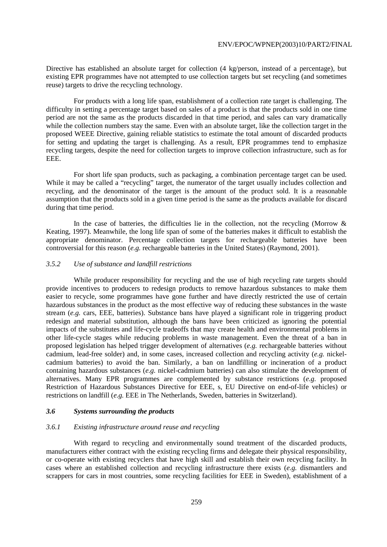Directive has established an absolute target for collection (4 kg/person, instead of a percentage), but existing EPR programmes have not attempted to use collection targets but set recycling (and sometimes reuse) targets to drive the recycling technology.

 For products with a long life span, establishment of a collection rate target is challenging. The difficulty in setting a percentage target based on sales of a product is that the products sold in one time period are not the same as the products discarded in that time period, and sales can vary dramatically while the collection numbers stay the same. Even with an absolute target, like the collection target in the proposed WEEE Directive, gaining reliable statistics to estimate the total amount of discarded products for setting and updating the target is challenging. As a result, EPR programmes tend to emphasize recycling targets, despite the need for collection targets to improve collection infrastructure, such as for EEE.

 For short life span products, such as packaging, a combination percentage target can be used. While it may be called a "recycling" target, the numerator of the target usually includes collection and recycling, and the denominator of the target is the amount of the product sold. It is a reasonable assumption that the products sold in a given time period is the same as the products available for discard during that time period.

In the case of batteries, the difficulties lie in the collection, not the recycling (Morrow  $\&$ Keating, 1997). Meanwhile, the long life span of some of the batteries makes it difficult to establish the appropriate denominator. Percentage collection targets for rechargeable batteries have been controversial for this reason (*e.g.* rechargeable batteries in the United States) (Raymond, 2001).

#### *3.5.2 Use of substance and landfill restrictions*

 While producer responsibility for recycling and the use of high recycling rate targets should provide incentives to producers to redesign products to remove hazardous substances to make them easier to recycle, some programmes have gone further and have directly restricted the use of certain hazardous substances in the product as the most effective way of reducing these substances in the waste stream (*e.g.* cars, EEE, batteries). Substance bans have played a significant role in triggering product redesign and material substitution, although the bans have been criticized as ignoring the potential impacts of the substitutes and life-cycle tradeoffs that may create health and environmental problems in other life-cycle stages while reducing problems in waste management. Even the threat of a ban in proposed legislation has helped trigger development of alternatives (*e.g.* rechargeable batteries without cadmium, lead-free solder) and, in some cases, increased collection and recycling activity (*e.g.* nickelcadmium batteries) to avoid the ban. Similarly, a ban on landfilling or incineration of a product containing hazardous substances (*e.g.* nickel-cadmium batteries) can also stimulate the development of alternatives. Many EPR programmes are complemented by substance restrictions (*e.g.* proposed Restriction of Hazardous Substances Directive for EEE, s, EU Directive on end-of-life vehicles) or restrictions on landfill (*e.g.* EEE in The Netherlands, Sweden, batteries in Switzerland).

### *3.6 Systems surrounding the products*

#### *3.6.1 Existing infrastructure around reuse and recycling*

 With regard to recycling and environmentally sound treatment of the discarded products, manufacturers either contract with the existing recycling firms and delegate their physical responsibility, or co-operate with existing recyclers that have high skill and establish their own recycling facility. In cases where an established collection and recycling infrastructure there exists (*e.g.* dismantlers and scrappers for cars in most countries, some recycling facilities for EEE in Sweden), establishment of a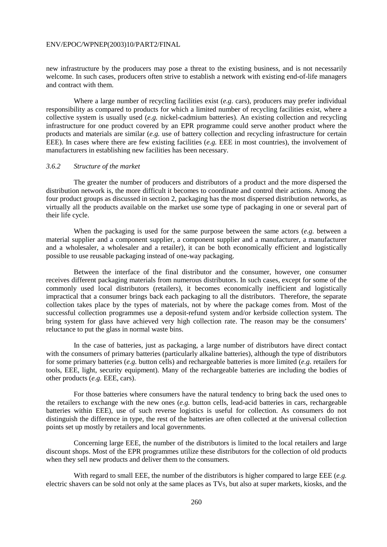new infrastructure by the producers may pose a threat to the existing business, and is not necessarily welcome. In such cases, producers often strive to establish a network with existing end-of-life managers and contract with them.

 Where a large number of recycling facilities exist (*e.g.* cars), producers may prefer individual responsibility as compared to products for which a limited number of recycling facilities exist, where a collective system is usually used (*e.g.* nickel-cadmium batteries). An existing collection and recycling infrastructure for one product covered by an EPR programme could serve another product where the products and materials are similar (*e.g.* use of battery collection and recycling infrastructure for certain EEE). In cases where there are few existing facilities (*e.g.* EEE in most countries), the involvement of manufacturers in establishing new facilities has been necessary.

#### *3.6.2 Structure of the market*

 The greater the number of producers and distributors of a product and the more dispersed the distribution network is, the more difficult it becomes to coordinate and control their actions. Among the four product groups as discussed in section 2, packaging has the most dispersed distribution networks, as virtually all the products available on the market use some type of packaging in one or several part of their life cycle.

 When the packaging is used for the same purpose between the same actors (*e.g.* between a material supplier and a component supplier, a component supplier and a manufacturer, a manufacturer and a wholesaler, a wholesaler and a retailer), it can be both economically efficient and logistically possible to use reusable packaging instead of one-way packaging.

 Between the interface of the final distributor and the consumer, however, one consumer receives different packaging materials from numerous distributors. In such cases, except for some of the commonly used local distributors (retailers), it becomes economically inefficient and logistically impractical that a consumer brings back each packaging to all the distributors. Therefore, the separate collection takes place by the types of materials, not by where the package comes from. Most of the successful collection programmes use a deposit-refund system and/or kerbside collection system. The bring system for glass have achieved very high collection rate. The reason may be the consumers' reluctance to put the glass in normal waste bins.

 In the case of batteries, just as packaging, a large number of distributors have direct contact with the consumers of primary batteries (particularly alkaline batteries), although the type of distributors for some primary batteries (*e.g.* button cells) and rechargeable batteries is more limited (*e.g.* retailers for tools, EEE, light, security equipment). Many of the rechargeable batteries are including the bodies of other products (*e.g.* EEE, cars).

 For those batteries where consumers have the natural tendency to bring back the used ones to the retailers to exchange with the new ones (*e.g.* button cells, lead-acid batteries in cars, rechargeable batteries within EEE), use of such reverse logistics is useful for collection. As consumers do not distinguish the difference in type, the rest of the batteries are often collected at the universal collection points set up mostly by retailers and local governments.

 Concerning large EEE, the number of the distributors is limited to the local retailers and large discount shops. Most of the EPR programmes utilize these distributors for the collection of old products when they sell new products and deliver them to the consumers.

 With regard to small EEE, the number of the distributors is higher compared to large EEE (*e.g.* electric shavers can be sold not only at the same places as TVs, but also at super markets, kiosks, and the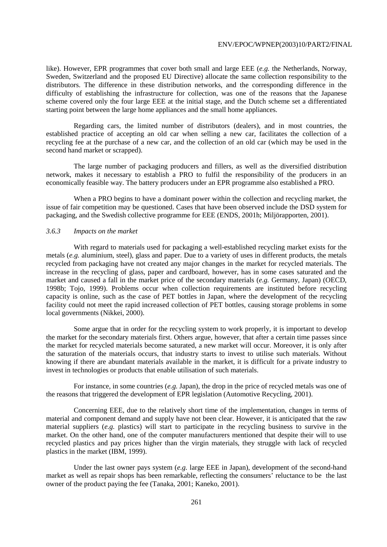like). However, EPR programmes that cover both small and large EEE (*e.g.* the Netherlands, Norway, Sweden, Switzerland and the proposed EU Directive) allocate the same collection responsibility to the distributors. The difference in these distribution networks, and the corresponding difference in the difficulty of establishing the infrastructure for collection, was one of the reasons that the Japanese scheme covered only the four large EEE at the initial stage, and the Dutch scheme set a differentiated starting point between the large home appliances and the small home appliances.

 Regarding cars, the limited number of distributors (dealers), and in most countries, the established practice of accepting an old car when selling a new car, facilitates the collection of a recycling fee at the purchase of a new car, and the collection of an old car (which may be used in the second hand market or scrapped).

 The large number of packaging producers and fillers, as well as the diversified distribution network, makes it necessary to establish a PRO to fulfil the responsibility of the producers in an economically feasible way. The battery producers under an EPR programme also established a PRO.

 When a PRO begins to have a dominant power within the collection and recycling market, the issue of fair competition may be questioned. Cases that have been observed include the DSD system for packaging, and the Swedish collective programme for EEE (ENDS, 2001h; Miljörapporten, 2001).

### *3.6.3 Impacts on the market*

 With regard to materials used for packaging a well-established recycling market exists for the metals (*e.g.* aluminium, steel), glass and paper. Due to a variety of uses in different products, the metals recycled from packaging have not created any major changes in the market for recycled materials. The increase in the recycling of glass, paper and cardboard, however, has in some cases saturated and the market and caused a fall in the market price of the secondary materials (*e.g.* Germany, Japan) (OECD, 1998b; Tojo, 1999). Problems occur when collection requirements are instituted before recycling capacity is online, such as the case of PET bottles in Japan, where the development of the recycling facility could not meet the rapid increased collection of PET bottles, causing storage problems in some local governments (Nikkei, 2000).

 Some argue that in order for the recycling system to work properly, it is important to develop the market for the secondary materials first. Others argue, however, that after a certain time passes since the market for recycled materials become saturated, a new market will occur. Moreover, it is only after the saturation of the materials occurs, that industry starts to invest to utilise such materials. Without knowing if there are abundant materials available in the market, it is difficult for a private industry to invest in technologies or products that enable utilisation of such materials.

 For instance, in some countries (*e.g.* Japan), the drop in the price of recycled metals was one of the reasons that triggered the development of EPR legislation (Automotive Recycling, 2001).

 Concerning EEE, due to the relatively short time of the implementation, changes in terms of material and component demand and supply have not been clear. However, it is anticipated that the raw material suppliers (*e.g.* plastics) will start to participate in the recycling business to survive in the market. On the other hand, one of the computer manufacturers mentioned that despite their will to use recycled plastics and pay prices higher than the virgin materials, they struggle with lack of recycled plastics in the market (IBM, 1999).

 Under the last owner pays system (*e.g.* large EEE in Japan), development of the second-hand market as well as repair shops has been remarkable, reflecting the consumers' reluctance to be the last owner of the product paying the fee (Tanaka, 2001; Kaneko, 2001).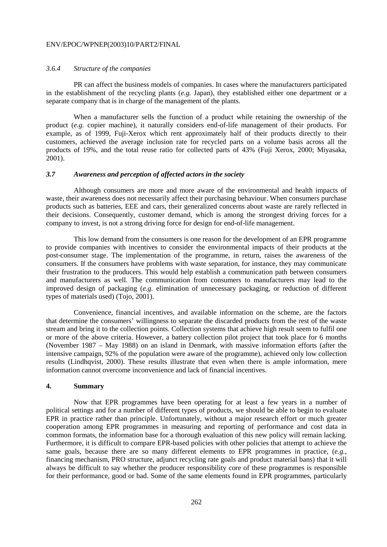#### *3.6.4 Structure of the companies*

 PR can affect the business models of companies. In cases where the manufacturers participated in the establishment of the recycling plants (*e.g.* Japan), they established either one department or a separate company that is in charge of the management of the plants.

 When a manufacturer sells the function of a product while retaining the ownership of the product (*e.g.* copier machine), it naturally considers end-of-life management of their products. For example, as of 1999, Fuji-Xerox which rent approximately half of their products directly to their customers, achieved the average inclusion rate for recycled parts on a volume basis across all the products of 19%, and the total reuse ratio for collected parts of 43% (Fuji Xerox, 2000; Miyasaka, 2001).

## *3.7 Awareness and perception of affected actors in the society*

 Although consumers are more and more aware of the environmental and health impacts of waste, their awareness does not necessarily affect their purchasing behaviour. When consumers purchase products such as batteries, EEE and cars, their generalized concerns about waste are rarely reflected in their decisions. Consequently, customer demand, which is among the strongest driving forces for a company to invest, is not a strong driving force for design for end-of-life management.

 This low demand from the consumers is one reason for the development of an EPR programme to provide companies with incentives to consider the environmental impacts of their products at the post-consumer stage. The implementation of the programme, in return, raises the awareness of the consumers. If the consumers have problems with waste separation, for instance, they may communicate their frustration to the producers. This would help establish a communication path between consumers and manufacturers as well. The communication from consumers to manufacturers may lead to the improved design of packaging (*e.g.* elimination of unnecessary packaging, or reduction of different types of materials used) (Tojo, 2001).

 Convenience, financial incentives, and available information on the scheme, are the factors that determine the consumers' willingness to separate the discarded products from the rest of the waste stream and bring it to the collection points. Collection systems that achieve high result seem to fulfil one or more of the above criteria. However, a battery collection pilot project that took place for 6 months (November 1987 – May 1988) on an island in Denmark, with massive information efforts (after the intensive campaign, 92% of the population were aware of the programme), achieved only low collection results (Lindhqvist, 2000). These results illustrate that even when there is ample information, mere information cannot overcome inconvenience and lack of financial incentives.

#### **4. Summary**

 Now that EPR programmes have been operating for at least a few years in a number of political settings and for a number of different types of products, we should be able to begin to evaluate EPR in practice rather than principle. Unfortunately, without a major research effort or much greater cooperation among EPR programmes in measuring and reporting of performance and cost data in common formats, the information base for a thorough evaluation of this new policy will remain lacking. Furthermore, it is difficult to compare EPR-based policies with other policies that attempt to achieve the same goals, because there are so many different elements to EPR programmes in practice, (*e.g.*, financing mechanism, PRO structure, adjunct recycling rate goals and product material bans) that it will always be difficult to say whether the producer responsibility core of these programmes is responsible for their performance, good or bad. Some of the same elements found in EPR programmes, particularly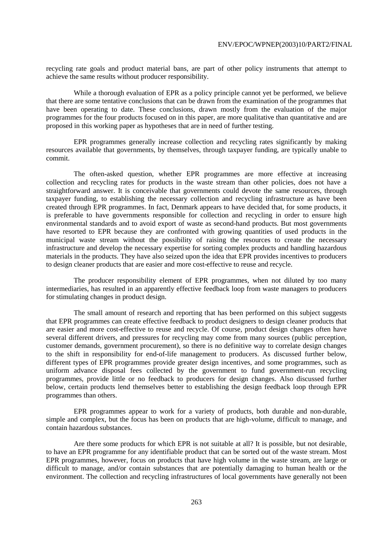recycling rate goals and product material bans, are part of other policy instruments that attempt to achieve the same results without producer responsibility.

 While a thorough evaluation of EPR as a policy principle cannot yet be performed, we believe that there are some tentative conclusions that can be drawn from the examination of the programmes that have been operating to date. These conclusions, drawn mostly from the evaluation of the major programmes for the four products focused on in this paper, are more qualitative than quantitative and are proposed in this working paper as hypotheses that are in need of further testing.

 EPR programmes generally increase collection and recycling rates significantly by making resources available that governments, by themselves, through taxpayer funding, are typically unable to commit.

 The often-asked question, whether EPR programmes are more effective at increasing collection and recycling rates for products in the waste stream than other policies, does not have a straightforward answer. It is conceivable that governments could devote the same resources, through taxpayer funding, to establishing the necessary collection and recycling infrastructure as have been created through EPR programmes. In fact, Denmark appears to have decided that, for some products, it is preferable to have governments responsible for collection and recycling in order to ensure high environmental standards and to avoid export of waste as second-hand products. But most governments have resorted to EPR because they are confronted with growing quantities of used products in the municipal waste stream without the possibility of raising the resources to create the necessary infrastructure and develop the necessary expertise for sorting complex products and handling hazardous materials in the products. They have also seized upon the idea that EPR provides incentives to producers to design cleaner products that are easier and more cost-effective to reuse and recycle.

 The producer responsibility element of EPR programmes, when not diluted by too many intermediaries, has resulted in an apparently effective feedback loop from waste managers to producers for stimulating changes in product design.

 The small amount of research and reporting that has been performed on this subject suggests that EPR programmes can create effective feedback to product designers to design cleaner products that are easier and more cost-effective to reuse and recycle. Of course, product design changes often have several different drivers, and pressures for recycling may come from many sources (public perception, customer demands, government procurement), so there is no definitive way to correlate design changes to the shift in responsibility for end-of-life management to producers. As discussed further below, different types of EPR programmes provide greater design incentives, and some programmes, such as uniform advance disposal fees collected by the government to fund government-run recycling programmes, provide little or no feedback to producers for design changes. Also discussed further below, certain products lend themselves better to establishing the design feedback loop through EPR programmes than others.

 EPR programmes appear to work for a variety of products, both durable and non-durable, simple and complex, but the focus has been on products that are high-volume, difficult to manage, and contain hazardous substances.

 Are there some products for which EPR is not suitable at all? It is possible, but not desirable, to have an EPR programme for any identifiable product that can be sorted out of the waste stream. Most EPR programmes, however, focus on products that have high volume in the waste stream, are large or difficult to manage, and/or contain substances that are potentially damaging to human health or the environment. The collection and recycling infrastructures of local governments have generally not been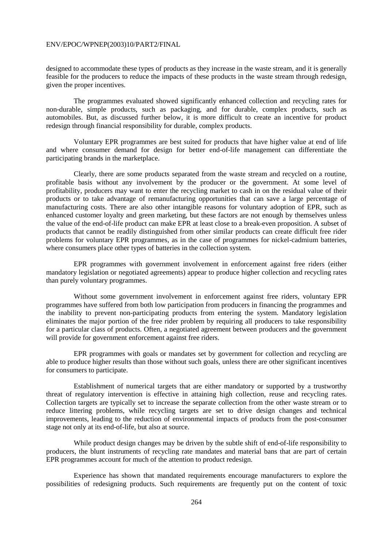designed to accommodate these types of products as they increase in the waste stream, and it is generally feasible for the producers to reduce the impacts of these products in the waste stream through redesign, given the proper incentives.

 The programmes evaluated showed significantly enhanced collection and recycling rates for non-durable, simple products, such as packaging, and for durable, complex products, such as automobiles. But, as discussed further below, it is more difficult to create an incentive for product redesign through financial responsibility for durable, complex products.

 Voluntary EPR programmes are best suited for products that have higher value at end of life and where consumer demand for design for better end-of-life management can differentiate the participating brands in the marketplace.

 Clearly, there are some products separated from the waste stream and recycled on a routine, profitable basis without any involvement by the producer or the government. At some level of profitability, producers may want to enter the recycling market to cash in on the residual value of their products or to take advantage of remanufacturing opportunities that can save a large percentage of manufacturing costs. There are also other intangible reasons for voluntary adoption of EPR, such as enhanced customer loyalty and green marketing, but these factors are not enough by themselves unless the value of the end-of-life product can make EPR at least close to a break-even proposition. A subset of products that cannot be readily distinguished from other similar products can create difficult free rider problems for voluntary EPR programmes, as in the case of programmes for nickel-cadmium batteries, where consumers place other types of batteries in the collection system.

 EPR programmes with government involvement in enforcement against free riders (either mandatory legislation or negotiated agreements) appear to produce higher collection and recycling rates than purely voluntary programmes.

 Without some government involvement in enforcement against free riders, voluntary EPR programmes have suffered from both low participation from producers in financing the programmes and the inability to prevent non-participating products from entering the system. Mandatory legislation eliminates the major portion of the free rider problem by requiring all producers to take responsibility for a particular class of products. Often, a negotiated agreement between producers and the government will provide for government enforcement against free riders.

 EPR programmes with goals or mandates set by government for collection and recycling are able to produce higher results than those without such goals, unless there are other significant incentives for consumers to participate.

 Establishment of numerical targets that are either mandatory or supported by a trustworthy threat of regulatory intervention is effective in attaining high collection, reuse and recycling rates. Collection targets are typically set to increase the separate collection from the other waste stream or to reduce littering problems, while recycling targets are set to drive design changes and technical improvements, leading to the reduction of environmental impacts of products from the post-consumer stage not only at its end-of-life, but also at source.

 While product design changes may be driven by the subtle shift of end-of-life responsibility to producers, the blunt instruments of recycling rate mandates and material bans that are part of certain EPR programmes account for much of the attention to product redesign.

 Experience has shown that mandated requirements encourage manufacturers to explore the possibilities of redesigning products. Such requirements are frequently put on the content of toxic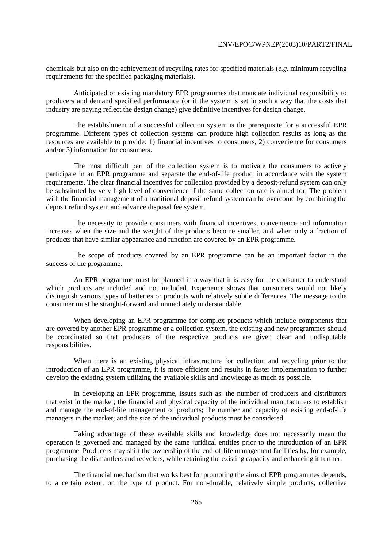chemicals but also on the achievement of recycling rates for specified materials (*e.g.* minimum recycling requirements for the specified packaging materials).

 Anticipated or existing mandatory EPR programmes that mandate individual responsibility to producers and demand specified performance (or if the system is set in such a way that the costs that industry are paying reflect the design change) give definitive incentives for design change.

 The establishment of a successful collection system is the prerequisite for a successful EPR programme. Different types of collection systems can produce high collection results as long as the resources are available to provide: 1) financial incentives to consumers, 2) convenience for consumers and/or 3) information for consumers.

 The most difficult part of the collection system is to motivate the consumers to actively participate in an EPR programme and separate the end-of-life product in accordance with the system requirements. The clear financial incentives for collection provided by a deposit-refund system can only be substituted by very high level of convenience if the same collection rate is aimed for. The problem with the financial management of a traditional deposit-refund system can be overcome by combining the deposit refund system and advance disposal fee system.

 The necessity to provide consumers with financial incentives, convenience and information increases when the size and the weight of the products become smaller, and when only a fraction of products that have similar appearance and function are covered by an EPR programme.

 The scope of products covered by an EPR programme can be an important factor in the success of the programme.

 An EPR programme must be planned in a way that it is easy for the consumer to understand which products are included and not included. Experience shows that consumers would not likely distinguish various types of batteries or products with relatively subtle differences. The message to the consumer must be straight-forward and immediately understandable.

 When developing an EPR programme for complex products which include components that are covered by another EPR programme or a collection system, the existing and new programmes should be coordinated so that producers of the respective products are given clear and undisputable responsibilities.

 When there is an existing physical infrastructure for collection and recycling prior to the introduction of an EPR programme, it is more efficient and results in faster implementation to further develop the existing system utilizing the available skills and knowledge as much as possible.

 In developing an EPR programme, issues such as: the number of producers and distributors that exist in the market; the financial and physical capacity of the individual manufacturers to establish and manage the end-of-life management of products; the number and capacity of existing end-of-life managers in the market; and the size of the individual products must be considered.

 Taking advantage of these available skills and knowledge does not necessarily mean the operation is governed and managed by the same juridical entities prior to the introduction of an EPR programme. Producers may shift the ownership of the end-of-life management facilities by, for example, purchasing the dismantlers and recyclers, while retaining the existing capacity and enhancing it further.

 The financial mechanism that works best for promoting the aims of EPR programmes depends, to a certain extent, on the type of product. For non-durable, relatively simple products, collective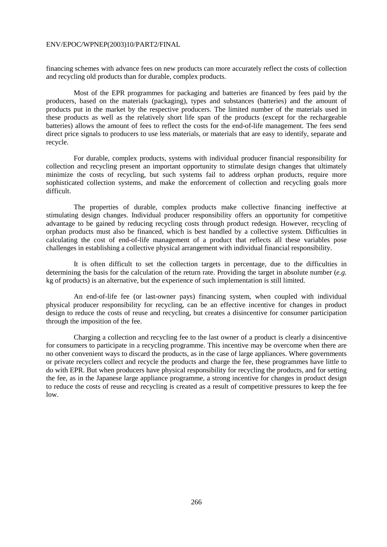financing schemes with advance fees on new products can more accurately reflect the costs of collection and recycling old products than for durable, complex products.

 Most of the EPR programmes for packaging and batteries are financed by fees paid by the producers, based on the materials (packaging), types and substances (batteries) and the amount of products put in the market by the respective producers. The limited number of the materials used in these products as well as the relatively short life span of the products (except for the rechargeable batteries) allows the amount of fees to reflect the costs for the end-of-life management. The fees send direct price signals to producers to use less materials, or materials that are easy to identify, separate and recycle.

 For durable, complex products, systems with individual producer financial responsibility for collection and recycling present an important opportunity to stimulate design changes that ultimately minimize the costs of recycling, but such systems fail to address orphan products, require more sophisticated collection systems, and make the enforcement of collection and recycling goals more difficult.

 The properties of durable, complex products make collective financing ineffective at stimulating design changes. Individual producer responsibility offers an opportunity for competitive advantage to be gained by reducing recycling costs through product redesign. However, recycling of orphan products must also be financed, which is best handled by a collective system. Difficulties in calculating the cost of end-of-life management of a product that reflects all these variables pose challenges in establishing a collective physical arrangement with individual financial responsibility.

 It is often difficult to set the collection targets in percentage, due to the difficulties in determining the basis for the calculation of the return rate. Providing the target in absolute number (*e.g.* kg of products) is an alternative, but the experience of such implementation is still limited.

 An end-of-life fee (or last-owner pays) financing system, when coupled with individual physical producer responsibility for recycling, can be an effective incentive for changes in product design to reduce the costs of reuse and recycling, but creates a disincentive for consumer participation through the imposition of the fee.

 Charging a collection and recycling fee to the last owner of a product is clearly a disincentive for consumers to participate in a recycling programme. This incentive may be overcome when there are no other convenient ways to discard the products, as in the case of large appliances. Where governments or private recyclers collect and recycle the products and charge the fee, these programmes have little to do with EPR. But when producers have physical responsibility for recycling the products, and for setting the fee, as in the Japanese large appliance programme, a strong incentive for changes in product design to reduce the costs of reuse and recycling is created as a result of competitive pressures to keep the fee low.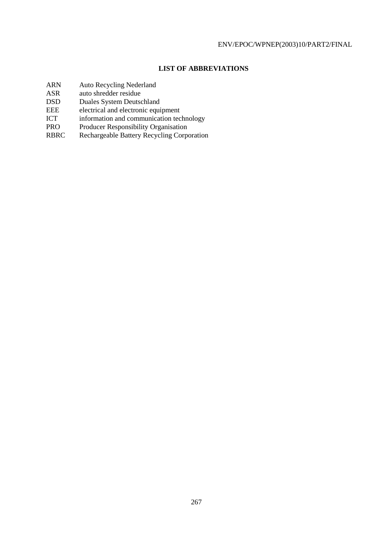## **LIST OF ABBREVIATIONS**

- ARN Auto Recycling Nederland
- ASR auto shredder residue
- DSD Duales System Deutschland
- EEE electrical and electronic equipment<br>ICT information and communication tec
- ICT information and communication technology<br>PRO Producer Responsibility Organisation
- Producer Responsibility Organisation
- RBRC Rechargeable Battery Recycling Corporation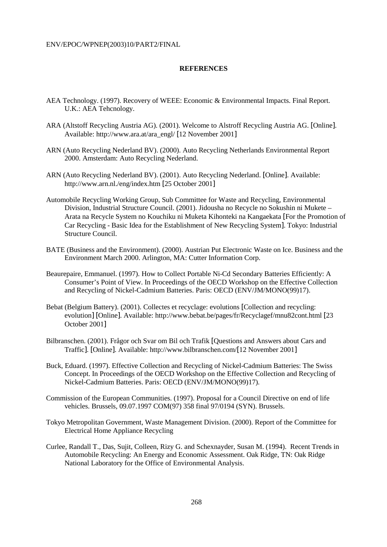#### **REFERENCES**

- AEA Technology. (1997). Recovery of WEEE: Economic & Environmental Impacts. Final Report. U.K.: AEA Tehcnology.
- ARA (Altstoff Recycling Austria AG). (2001). Welcome to Alstroff Recycling Austria AG. [Online]. Available: http://www.ara.at/ara\_engl/ [12 November 2001]
- ARN (Auto Recycling Nederland BV). (2000). Auto Recycling Netherlands Environmental Report 2000. Amsterdam: Auto Recycling Nederland.
- ARN (Auto Recycling Nederland BV). (2001). Auto Recycling Nederland. [Online]. Available: http://www.arn.nl./eng/index.htm [25 October 2001]
- Automobile Recycling Working Group, Sub Committee for Waste and Recycling, Environmental Division, Industrial Structure Council. (2001). Jidousha no Recycle no Sokushin ni Mukete – Arata na Recycle System no Kouchiku ni Muketa Kihonteki na Kangaekata [For the Promotion of Car Recycling - Basic Idea for the Establishment of New Recycling System]. Tokyo: Industrial Structure Council.
- BATE (Business and the Environment). (2000). Austrian Put Electronic Waste on Ice. Business and the Environment March 2000. Arlington, MA: Cutter Information Corp.
- Beaurepaire, Emmanuel. (1997). How to Collect Portable Ni-Cd Secondary Batteries Efficiently: A Consumer's Point of View. In Proceedings of the OECD Workshop on the Effective Collection and Recycling of Nickel-Cadmium Batteries. Paris: OECD (ENV/JM/MONO(99)17).
- Bebat (Belgium Battery). (2001). Collectes et recyclage: evolutions [Collection and recycling: evolution] [Online]. Available: http://www.bebat.be/pages/fr/Recyclagef/mnu82cont.html [23 October 2001]
- Bilbranschen. (2001). Frågor och Svar om Bil och Trafik [Questions and Answers about Cars and Traffic]. [Online]. Available: http://www.bilbranschen.com/[12 November 2001]
- Buck, Eduard. (1997). Effective Collection and Recycling of Nickel-Cadmium Batteries: The Swiss Concept. In Proceedings of the OECD Workshop on the Effective Collection and Recycling of Nickel-Cadmium Batteries. Paris: OECD (ENV/JM/MONO(99)17).
- Commission of the European Communities. (1997). Proposal for a Council Directive on end of life vehicles. Brussels, 09.07.1997 COM(97) 358 final 97/0194 (SYN). Brussels.
- Tokyo Metropolitan Government, Waste Management Division. (2000). Report of the Committee for Electrical Home Appliance Recycling
- Curlee, Randall T., Das, Sujit, Colleen, Rizy G. and Schexnayder, Susan M. (1994). Recent Trends in Automobile Recycling: An Energy and Economic Assessment. Oak Ridge, TN: Oak Ridge National Laboratory for the Office of Environmental Analysis.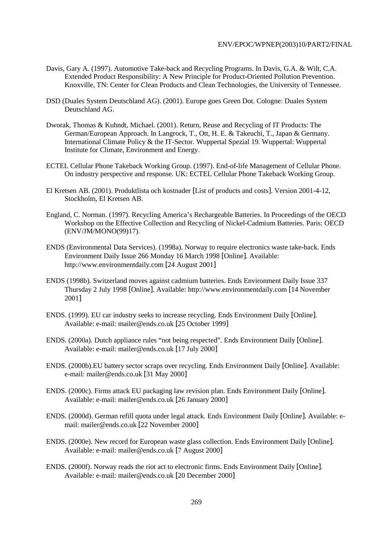- Davis, Gary A. (1997). Automotive Take-back and Recycling Programs. In Davis, G.A. & Wilt, C.A. Extended Product Responsibility: A New Principle for Product-Oriented Pollution Prevention. Knoxville, TN: Center for Clean Products and Clean Technologies, the University of Tennessee.
- DSD (Duales System Deutschland AG). (2001). Europe goes Green Dot. Cologne: Duales System Deutschland AG.
- Dworak, Thomas & Kuhndt, Michael. (2001). Return, Reuse and Recycling of IT Products: The German/European Approach. In Langrock, T., Ott, H. E. & Takeuchi, T., Japan & Germany. International Climate Policy & the IT-Sector. Wuppertal Spezial 19. Wuppertal: Wuppertal Institute for Climate, Environment and Energy.
- ECTEL Cellular Phone Takeback Working Group. (1997). End-of-life Management of Cellular Phone. On industry perspective and response. UK: ECTEL Cellular Phone Takeback Working Group.
- El Kretsen AB. (2001). Produktlista och kostnader [List of products and costs]. Version 2001-4-12, Stockholm, El Kretsen AB.
- England, C. Norman. (1997). Recycling America's Rechargeable Batteries. In Proceedings of the OECD Workshop on the Effective Collection and Recycling of Nickel-Cadmium Batteries. Paris: OECD (ENV/JM/MONO(99)17).
- ENDS (Environmental Data Services). (1998a). Norway to require electronics waste take-back. Ends Environment Daily Issue 266 Monday 16 March 1998 [Online]. Available: http://www.environmentdaily.com [24 August 2001]
- ENDS (1998b). Switzerland moves against cadmium batteries. Ends Environment Daily Issue 337 Thursday 2 July 1998 [Online]. Available: http://www.environmentdaily.com [14 November 2001]
- ENDS. (1999). EU car industry seeks to increase recycling. Ends Environment Daily [Online]. Available: e-mail: mailer@ends.co.uk [25 October 1999]
- ENDS. (2000a). Dutch appliance rules "not being respected". Ends Environment Daily [Online]. Available: e-mail: mailer@ends.co.uk [17 July 2000]
- ENDS. (2000b).EU battery sector scraps over recycling. Ends Environment Daily [Online]. Available: e-mail: mailer@ends.co.uk [31 May 2000]
- ENDS. (2000c). Firms attack EU packaging law revision plan. Ends Environment Daily [Online]. Available: e-mail: mailer@ends.co.uk [26 January 2000]
- ENDS. (2000d). German refill quota under legal attack. Ends Environment Daily [Online]. Available: email: mailer@ends.co.uk [22 November 2000]
- ENDS. (2000e). New record for European waste glass collection. Ends Environment Daily [Online]. Available: e-mail: mailer@ends.co.uk [7 August 2000]
- ENDS. (2000f). Norway reads the riot act to electronic firms. Ends Environment Daily [Online]. Available: e-mail: mailer@ends.co.uk [20 December 2000]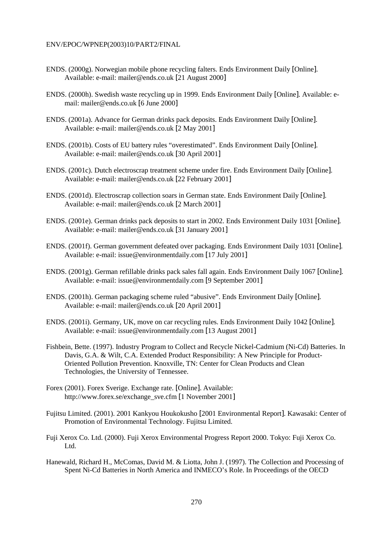- ENDS. (2000g). Norwegian mobile phone recycling falters. Ends Environment Daily [Online]. Available: e-mail: mailer@ends.co.uk [21 August 2000]
- ENDS. (2000h). Swedish waste recycling up in 1999. Ends Environment Daily [Online]. Available: email: mailer@ends.co.uk [6 June 2000]
- ENDS. (2001a). Advance for German drinks pack deposits. Ends Environment Daily [Online]. Available: e-mail: mailer@ends.co.uk [2 May 2001]
- ENDS. (2001b). Costs of EU battery rules "overestimated". Ends Environment Daily [Online]. Available: e-mail: mailer@ends.co.uk [30 April 2001]
- ENDS. (2001c). Dutch electroscrap treatment scheme under fire. Ends Environment Daily [Online]. Available: e-mail: mailer@ends.co.uk [22 February 2001]
- ENDS. (2001d). Electroscrap collection soars in German state. Ends Environment Daily [Online]. Available: e-mail: mailer@ends.co.uk [2 March 2001]
- ENDS. (2001e). German drinks pack deposits to start in 2002. Ends Environment Daily 1031 [Online]. Available: e-mail: mailer@ends.co.uk [31 January 2001]
- ENDS. (2001f). German government defeated over packaging. Ends Environment Daily 1031 [Online]. Available: e-mail: issue@environmentdaily.com [17 July 2001]
- ENDS. (2001g). German refillable drinks pack sales fall again. Ends Environment Daily 1067 [Online]. Available: e-mail: issue@environmentdaily.com [9 September 2001]
- ENDS. (2001h). German packaging scheme ruled "abusive". Ends Environment Daily [Online]. Available: e-mail: mailer@ends.co.uk [20 April 2001]
- ENDS. (2001i). Germany, UK, move on car recycling rules. Ends Environment Daily 1042 [Online]. Available: e-mail: issue@environmentdaily.com [13 August 2001]
- Fishbein, Bette. (1997). Industry Program to Collect and Recycle Nickel-Cadmium (Ni-Cd) Batteries. In Davis, G.A. & Wilt, C.A. Extended Product Responsibility: A New Principle for Product-Oriented Pollution Prevention. Knoxville, TN: Center for Clean Products and Clean Technologies, the University of Tennessee.
- Forex (2001). Forex Sverige. Exchange rate. [Online]. Available: http://www.forex.se/exchange\_sve.cfm [1 November 2001]
- Fujitsu Limited. (2001). 2001 Kankyou Houkokusho [2001 Environmental Report]. Kawasaki: Center of Promotion of Environmental Technology. Fujitsu Limited.
- Fuji Xerox Co. Ltd. (2000). Fuji Xerox Environmental Progress Report 2000. Tokyo: Fuji Xerox Co. L<sub>td</sub>
- Hanewald, Richard H., McComas, David M. & Liotta, John J. (1997). The Collection and Processing of Spent Ni-Cd Batteries in North America and INMECO's Role. In Proceedings of the OECD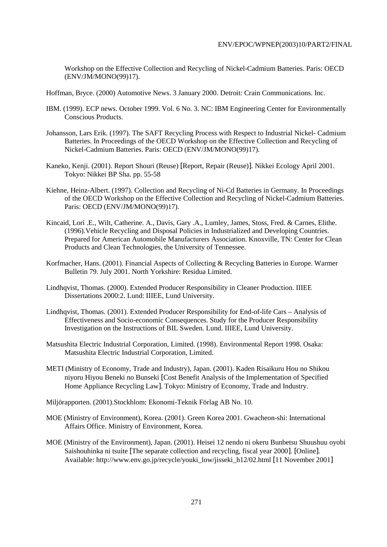Workshop on the Effective Collection and Recycling of Nickel-Cadmium Batteries. Paris: OECD (ENV/JM/MONO(99)17).

Hoffman, Bryce. (2000) Automotive News. 3 January 2000. Detroit: Crain Communications. Inc.

- IBM. (1999). ECP news. October 1999. Vol. 6 No. 3. NC: IBM Engineering Center for Environmentally Conscious Products.
- Johansson, Lars Erik. (1997). The SAFT Recycling Process with Respect to Industrial Nickel- Cadmium Batteries. In Proceedings of the OECD Workshop on the Effective Collection and Recycling of Nickel-Cadmium Batteries. Paris: OECD (ENV/JM/MONO(99)17).
- Kaneko, Kenji. (2001). Report Shouri (Reuse) [Report, Repair (Reuse)]. Nikkei Ecology April 2001. Tokyo: Nikkei BP Sha. pp. 55-58
- Kiehne, Heinz-Albert. (1997). Collection and Recycling of Ni-Cd Batteries in Germany. In Proceedings of the OECD Workshop on the Effective Collection and Recycling of Nickel-Cadmium Batteries. Paris: OECD (ENV/JM/MONO(99)17).
- Kincaid, Lori .E., Wilt, Catherine. A., Davis, Gary .A., Lumley, James, Stoss, Fred. & Carnes, Elithe. (1996).Vehicle Recycling and Disposal Policies in Industrialized and Developing Countries. Prepared for American Automobile Manufacturers Association. Knoxville, TN: Center for Clean Products and Clean Technologies, the University of Tennessee.
- Korfmacher, Hans. (2001). Financial Aspects of Collecting & Recycling Batteries in Europe. Warmer Bulletin 79. July 2001. North Yorkshire: Residua Limited.
- Lindhqvist, Thomas. (2000). Extended Producer Responsibility in Cleaner Production. IIIEE Dissertations 2000:2. Lund: IIIEE, Lund University.
- Lindhqvist, Thomas. (2001). Extended Producer Responsibility for End-of-life Cars Analysis of Effectiveness and Socio-economic Consequences. Study for the Producer Responsibility Investigation on the Instructions of BIL Sweden. Lund. IIIEE, Lund University.
- Matsushita Electric Industrial Corporation, Limited. (1998). Environmental Report 1998. Osaka: Matsushita Electric Industrial Corporation, Limited.
- METI (Ministry of Economy, Trade and Industry), Japan. (2001). Kaden Risaikuru Hou no Shikou niyoru Hiyou Beneki no Bunseki [Cost Benefit Analysis of the Implementation of Specified Home Appliance Recycling Law]. Tokyo: Ministry of Economy, Trade and Industry.

Miljörapporten. (2001).Stockhlom: Ekonomi-Teknik Förlag AB No. 10.

- MOE (Ministry of Environment), Korea. (2001). Green Korea 2001. Gwacheon-shi: International Affairs Office. Ministry of Environment, Korea.
- MOE (Ministry of the Environment), Japan. (2001). Heisei 12 nendo ni okeru Bunbetsu Shuushuu oyobi Saishouhinka ni tsuite [The separate collection and recycling, fiscal year 2000]. [Online]. Available: http://www.env.go.jp/recycle/youki\_low/jisseki\_h12/02.html [11 November 2001]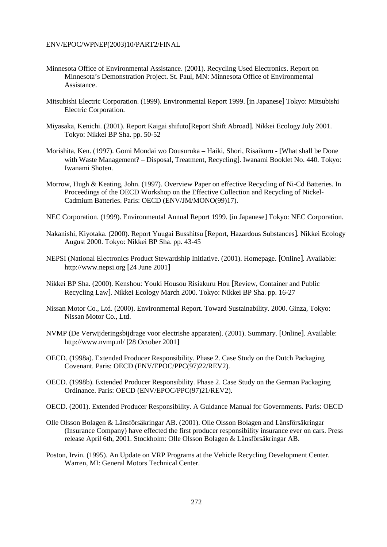- Minnesota Office of Environmental Assistance. (2001). Recycling Used Electronics. Report on Minnesota's Demonstration Project. St. Paul, MN: Minnesota Office of Environmental Assistance.
- Mitsubishi Electric Corporation. (1999). Environmental Report 1999. [in Japanese] Tokyo: Mitsubishi Electric Corporation.
- Miyasaka, Kenichi. (2001). Report Kaigai shifuto[Report Shift Abroad]. Nikkei Ecology July 2001. Tokyo: Nikkei BP Sha. pp. 50-52
- Morishita, Ken. (1997). Gomi Mondai wo Dousuruka Haiki, Shori, Risaikuru [What shall be Done with Waste Management? – Disposal, Treatment, Recycling]. Iwanami Booklet No. 440. Tokyo: Iwanami Shoten.
- Morrow, Hugh & Keating, John. (1997). Overview Paper on effective Recycling of Ni-Cd Batteries. In Proceedings of the OECD Workshop on the Effective Collection and Recycling of Nickel-Cadmium Batteries. Paris: OECD (ENV/JM/MONO(99)17).
- NEC Corporation. (1999). Environmental Annual Report 1999. [in Japanese] Tokyo: NEC Corporation.
- Nakanishi, Kiyotaka. (2000). Report Yuugai Busshitsu [Report, Hazardous Substances]. Nikkei Ecology August 2000. Tokyo: Nikkei BP Sha. pp. 43-45
- NEPSI (National Electronics Product Stewardship Initiative. (2001). Homepage. [Online]. Available: http://www.nepsi.org [24 June 2001]
- Nikkei BP Sha. (2000). Kenshou: Youki Housou Risiakuru Hou [Review, Container and Public Recycling Law]. Nikkei Ecology March 2000. Tokyo: Nikkei BP Sha. pp. 16-27
- Nissan Motor Co., Ltd. (2000). Environmental Report. Toward Sustainability. 2000. Ginza, Tokyo: Nissan Motor Co., Ltd.
- NVMP (De Verwijderingsbijdrage voor electrishe apparaten). (2001). Summary. [Online]. Available: http://www.nvmp.nl/ [28 October 2001]
- OECD. (1998a). Extended Producer Responsibility. Phase 2. Case Study on the Dutch Packaging Covenant. Paris: OECD (ENV/EPOC/PPC(97)22/REV2).
- OECD. (1998b). Extended Producer Responsibility. Phase 2. Case Study on the German Packaging Ordinance. Paris: OECD (ENV/EPOC/PPC(97)21/REV2).
- OECD. (2001). Extended Producer Responsibility. A Guidance Manual for Governments. Paris: OECD
- Olle Olsson Bolagen & Länsförsäkringar AB. (2001). Olle Olsson Bolagen and Länsförsäkringar (Insurance Company) have effected the first producer responsibility insurance ever on cars. Press release April 6th, 2001. Stockholm: Olle Olsson Bolagen & Länsförsäkringar AB.
- Poston, Irvin. (1995). An Update on VRP Programs at the Vehicle Recycling Development Center. Warren, MI: General Motors Technical Center.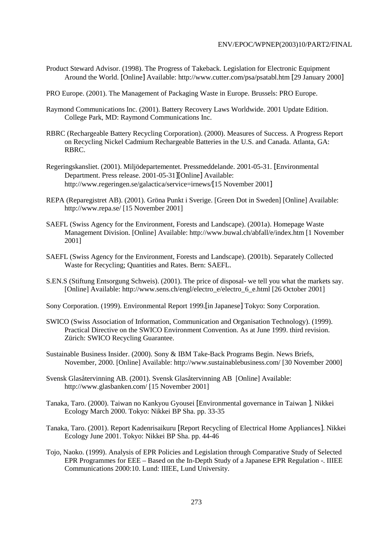Product Steward Advisor. (1998). The Progress of Takeback. Legislation for Electronic Equipment Around the World. [Online] Available: http://www.cutter.com/psa/psatabl.htm [29 January 2000]

PRO Europe. (2001). The Management of Packaging Waste in Europe. Brussels: PRO Europe.

- Raymond Communications Inc. (2001). Battery Recovery Laws Worldwide. 2001 Update Edition. College Park, MD: Raymond Communications Inc.
- RBRC (Rechargeable Battery Recycling Corporation). (2000). Measures of Success. A Progress Report on Recycling Nickel Cadmium Rechargeable Batteries in the U.S. and Canada. Atlanta, GA: RBRC.
- Regeringskansliet. (2001). Miljödepartementet. Pressmeddelande. 2001-05-31. [Environmental Department. Press release. 2001-05-31][Online] Available: http://www.regeringen.se/galactica/service=irnews/[15 November 2001]
- REPA (Reparegistret AB). (2001). Gröna Punkt i Sverige. [Green Dot in Sweden] [Online] Available: http://www.repa.se/ [15 November 2001]
- SAEFL (Swiss Agency for the Environment, Forests and Landscape). (2001a). Homepage Waste Management Division. [Online] Available: http://www.buwal.ch/abfall/e/index.htm [1 November 2001]
- SAEFL (Swiss Agency for the Environment, Forests and Landscape). (2001b). Separately Collected Waste for Recycling; Quantities and Rates. Bern: SAEFL.
- S.EN.S (Stiftung Entsorgung Schweis). (2001). The price of disposal- we tell you what the markets say. [Online] Available: http://www.sens.ch/engl/electro\_e/electro\_6\_e.html [26 October 2001]
- Sony Corporation. (1999). Environmental Report 1999.[in Japanese] Tokyo: Sony Corporation.
- SWICO (Swiss Association of Information, Communication and Organisation Technology). (1999). Practical Directive on the SWICO Environment Convention. As at June 1999. third revision. Zürich: SWICO Recycling Guarantee.
- Sustainable Business Insider. (2000). Sony & IBM Take-Back Programs Begin. News Briefs, November, 2000. [Online] Available: http://www.sustainablebusiness.com/ [30 November 2000]
- Svensk Glasåtervinning AB. (2001). Svensk Glasåtervinning AB [Online] Available: http://www.glasbanken.com/ [15 November 2001]
- Tanaka, Taro. (2000). Taiwan no Kankyou Gyousei [Environmental governance in Taiwan ]. Nikkei Ecology March 2000. Tokyo: Nikkei BP Sha. pp. 33-35
- Tanaka, Taro. (2001). Report Kadenrisaikuru [Report Recycling of Electrical Home Appliances]. Nikkei Ecology June 2001. Tokyo: Nikkei BP Sha. pp. 44-46
- Tojo, Naoko. (1999). Analysis of EPR Policies and Legislation through Comparative Study of Selected EPR Programmes for EEE – Based on the In-Depth Study of a Japanese EPR Regulation -. IIIEE Communications 2000:10. Lund: IIIEE, Lund University.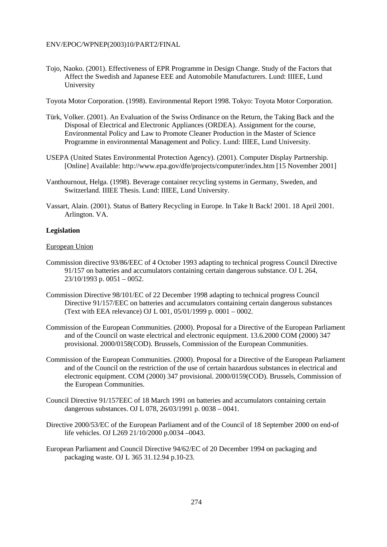Tojo, Naoko. (2001). Effectiveness of EPR Programme in Design Change. Study of the Factors that Affect the Swedish and Japanese EEE and Automobile Manufacturers. Lund: IIIEE, Lund University

Toyota Motor Corporation. (1998). Environmental Report 1998. Tokyo: Toyota Motor Corporation.

- Türk, Volker. (2001). An Evaluation of the Swiss Ordinance on the Return, the Taking Back and the Disposal of Electrical and Electronic Appliances (ORDEA). Assignment for the course, Environmental Policy and Law to Promote Cleaner Production in the Master of Science Programme in environmental Management and Policy. Lund: IIIEE, Lund University.
- USEPA (United States Environmental Protection Agency). (2001). Computer Display Partnership. [Online] Available: http://www.epa.gov/dfe/projects/computer/index.htm [15 November 2001]
- Vanthournout, Helga. (1998). Beverage container recycling systems in Germany, Sweden, and Switzerland. IIIEE Thesis. Lund: IIIEE, Lund University.
- Vassart, Alain. (2001). Status of Battery Recycling in Europe. In Take It Back! 2001. 18 April 2001. Arlington. VA.

## **Legislation**

## European Union

- Commission directive 93/86/EEC of 4 October 1993 adapting to technical progress Council Directive 91/157 on batteries and accumulators containing certain dangerous substance. OJ L 264, 23/10/1993 p. 0051 – 0052.
- Commission Directive 98/101/EC of 22 December 1998 adapting to technical progress Council Directive 91/157/EEC on batteries and accumulators containing certain dangerous substances (Text with EEA relevance) OJ L 001, 05/01/1999 p. 0001 – 0002.
- Commission of the European Communities. (2000). Proposal for a Directive of the European Parliament and of the Council on waste electrical and electronic equipment. 13.6.2000 COM (2000) 347 provisional. 2000/0158(COD). Brussels, Commission of the European Communities.
- Commission of the European Communities. (2000). Proposal for a Directive of the European Parliament and of the Council on the restriction of the use of certain hazardous substances in electrical and electronic equipment. COM (2000) 347 provisional. 2000/0159(COD). Brussels, Commission of the European Communities.
- Council Directive 91/157EEC of 18 March 1991 on batteries and accumulators containing certain dangerous substances. OJ L 078, 26/03/1991 p. 0038 – 0041.
- Directive 2000/53/EC of the European Parliament and of the Council of 18 September 2000 on end-of life vehicles. OJ L269 21/10/2000 p.0034 –0043.
- European Parliament and Council Directive 94/62/EC of 20 December 1994 on packaging and packaging waste. OJ L 365 31.12.94 p.10-23.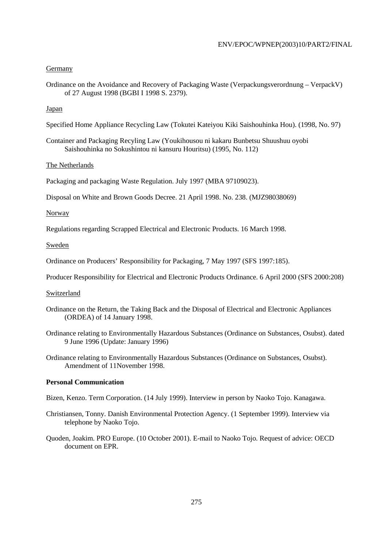## Germany

Ordinance on the Avoidance and Recovery of Packaging Waste (Verpackungsverordnung – VerpackV) of 27 August 1998 (BGBI I 1998 S. 2379).

## Japan

Specified Home Appliance Recycling Law (Tokutei Kateiyou Kiki Saishouhinka Hou). (1998, No. 97)

Container and Packaging Recyling Law (Youkihousou ni kakaru Bunbetsu Shuushuu oyobi Saishouhinka no Sokushintou ni kansuru Houritsu) (1995, No. 112)

## The Netherlands

Packaging and packaging Waste Regulation. July 1997 (MBA 97109023).

Disposal on White and Brown Goods Decree. 21 April 1998. No. 238. (MJZ98038069)

## Norway

Regulations regarding Scrapped Electrical and Electronic Products. 16 March 1998.

## Sweden

Ordinance on Producers' Responsibility for Packaging, 7 May 1997 (SFS 1997:185).

Producer Responsibility for Electrical and Electronic Products Ordinance. 6 April 2000 (SFS 2000:208)

#### Switzerland

- Ordinance on the Return, the Taking Back and the Disposal of Electrical and Electronic Appliances (ORDEA) of 14 January 1998.
- Ordinance relating to Environmentally Hazardous Substances (Ordinance on Substances, Osubst). dated 9 June 1996 (Update: January 1996)
- Ordinance relating to Environmentally Hazardous Substances (Ordinance on Substances, Osubst). Amendment of 11November 1998.

## **Personal Communication**

Bizen, Kenzo. Term Corporation. (14 July 1999). Interview in person by Naoko Tojo. Kanagawa.

- Christiansen, Tonny. Danish Environmental Protection Agency. (1 September 1999). Interview via telephone by Naoko Tojo.
- Quoden, Joakim. PRO Europe. (10 October 2001). E-mail to Naoko Tojo. Request of advice: OECD document on EPR.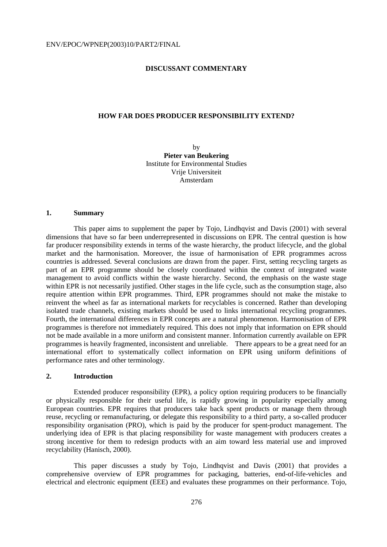## **DISCUSSANT COMMENTARY**

#### **HOW FAR DOES PRODUCER RESPONSIBILITY EXTEND?**

by **Pieter van Beukering** Institute for Environmental Studies Vrije Universiteit Amsterdam

#### **1. Summary**

 This paper aims to supplement the paper by Tojo, Lindhqvist and Davis (2001) with several dimensions that have so far been underrepresented in discussions on EPR. The central question is how far producer responsibility extends in terms of the waste hierarchy, the product lifecycle, and the global market and the harmonisation. Moreover, the issue of harmonisation of EPR programmes across countries is addressed. Several conclusions are drawn from the paper. First, setting recycling targets as part of an EPR programme should be closely coordinated within the context of integrated waste management to avoid conflicts within the waste hierarchy. Second, the emphasis on the waste stage within EPR is not necessarily justified. Other stages in the life cycle, such as the consumption stage, also require attention within EPR programmes. Third, EPR programmes should not make the mistake to reinvent the wheel as far as international markets for recyclables is concerned. Rather than developing isolated trade channels, existing markets should be used to links international recycling programmes. Fourth, the international differences in EPR concepts are a natural phenomenon. Harmonisation of EPR programmes is therefore not immediately required. This does not imply that information on EPR should not be made available in a more uniform and consistent manner. Information currently available on EPR programmes is heavily fragmented, inconsistent and unreliable. There appears to be a great need for an international effort to systematically collect information on EPR using uniform definitions of performance rates and other terminology.

## **2. Introduction**

 Extended producer responsibility (EPR), a policy option requiring producers to be financially or physically responsible for their useful life, is rapidly growing in popularity especially among European countries. EPR requires that producers take back spent products or manage them through reuse, recycling or remanufacturing, or delegate this responsibility to a third party, a so-called producer responsibility organisation (PRO), which is paid by the producer for spent-product management. The underlying idea of EPR is that placing responsibility for waste management with producers creates a strong incentive for them to redesign products with an aim toward less material use and improved recyclability (Hanisch, 2000).

 This paper discusses a study by Tojo, Lindhqvist and Davis (2001) that provides a comprehensive overview of EPR programmes for packaging, batteries, end-of-life-vehicles and electrical and electronic equipment (EEE) and evaluates these programmes on their performance. Tojo,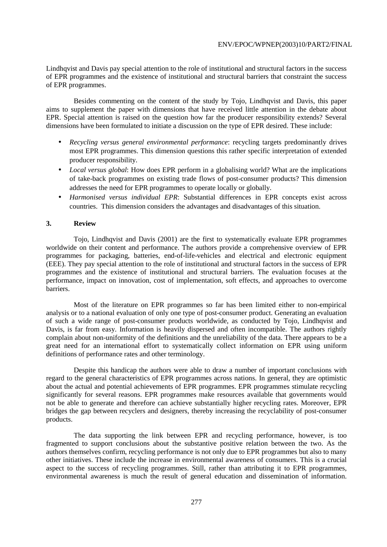Lindhqvist and Davis pay special attention to the role of institutional and structural factors in the success of EPR programmes and the existence of institutional and structural barriers that constraint the success of EPR programmes.

 Besides commenting on the content of the study by Tojo, Lindhqvist and Davis, this paper aims to supplement the paper with dimensions that have received little attention in the debate about EPR. Special attention is raised on the question how far the producer responsibility extends? Several dimensions have been formulated to initiate a discussion on the type of EPR desired. These include:

- *Recycling versus general environmental performance*: recycling targets predominantly drives most EPR programmes. This dimension questions this rather specific interpretation of extended producer responsibility.
- *Local versus global*: How does EPR perform in a globalising world? What are the implications of take-back programmes on existing trade flows of post-consumer products? This dimension addresses the need for EPR programmes to operate locally or globally.
- *Harmonised versus individual EPR*: Substantial differences in EPR concepts exist across countries. This dimension considers the advantages and disadvantages of this situation.

## **3. Review**

 Tojo, Lindhqvist and Davis (2001) are the first to systematically evaluate EPR programmes worldwide on their content and performance. The authors provide a comprehensive overview of EPR programmes for packaging, batteries, end-of-life-vehicles and electrical and electronic equipment (EEE). They pay special attention to the role of institutional and structural factors in the success of EPR programmes and the existence of institutional and structural barriers. The evaluation focuses at the performance, impact on innovation, cost of implementation, soft effects, and approaches to overcome barriers.

 Most of the literature on EPR programmes so far has been limited either to non-empirical analysis or to a national evaluation of only one type of post-consumer product. Generating an evaluation of such a wide range of post-consumer products worldwide, as conducted by Tojo, Lindhqvist and Davis, is far from easy. Information is heavily dispersed and often incompatible. The authors rightly complain about non-uniformity of the definitions and the unreliability of the data. There appears to be a great need for an international effort to systematically collect information on EPR using uniform definitions of performance rates and other terminology.

 Despite this handicap the authors were able to draw a number of important conclusions with regard to the general characteristics of EPR programmes across nations. In general, they are optimistic about the actual and potential achievements of EPR programmes. EPR programmes stimulate recycling significantly for several reasons. EPR programmes make resources available that governments would not be able to generate and therefore can achieve substantially higher recycling rates. Moreover, EPR bridges the gap between recyclers and designers, thereby increasing the recyclability of post-consumer products.

 The data supporting the link between EPR and recycling performance, however, is too fragmented to support conclusions about the substantive positive relation between the two. As the authors themselves confirm, recycling performance is not only due to EPR programmes but also to many other initiatives. These include the increase in environmental awareness of consumers. This is a crucial aspect to the success of recycling programmes. Still, rather than attributing it to EPR programmes, environmental awareness is much the result of general education and dissemination of information.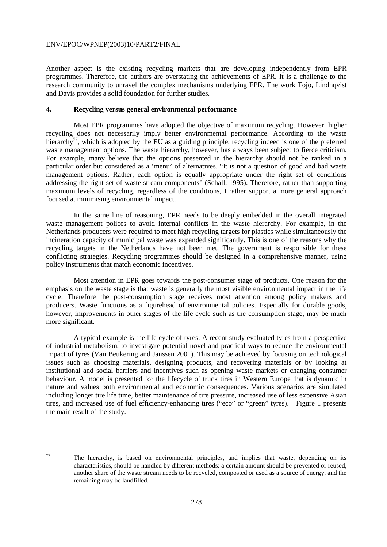Another aspect is the existing recycling markets that are developing independently from EPR programmes. Therefore, the authors are overstating the achievements of EPR. It is a challenge to the research community to unravel the complex mechanisms underlying EPR. The work Tojo, Lindhqvist and Davis provides a solid foundation for further studies.

## **4. Recycling versus general environmental performance**

 Most EPR programmes have adopted the objective of maximum recycling. However, higher recycling does not necessarily imply better environmental performance. According to the waste hierarchy<sup>77</sup>, which is adopted by the EU as a guiding principle, recycling indeed is one of the preferred waste management options. The waste hierarchy, however, has always been subject to fierce criticism. For example, many believe that the options presented in the hierarchy should not be ranked in a particular order but considered as a 'menu' of alternatives. "It is not a question of good and bad waste management options. Rather, each option is equally appropriate under the right set of conditions addressing the right set of waste stream components" (Schall, 1995). Therefore, rather than supporting maximum levels of recycling, regardless of the conditions, I rather support a more general approach focused at minimising environmental impact.

 In the same line of reasoning, EPR needs to be deeply embedded in the overall integrated waste management polices to avoid internal conflicts in the waste hierarchy. For example, in the Netherlands producers were required to meet high recycling targets for plastics while simultaneously the incineration capacity of municipal waste was expanded significantly. This is one of the reasons why the recycling targets in the Netherlands have not been met. The government is responsible for these conflicting strategies. Recycling programmes should be designed in a comprehensive manner, using policy instruments that match economic incentives.

 Most attention in EPR goes towards the post-consumer stage of products. One reason for the emphasis on the waste stage is that waste is generally the most visible environmental impact in the life cycle. Therefore the post-consumption stage receives most attention among policy makers and producers. Waste functions as a figurehead of environmental policies. Especially for durable goods, however, improvements in other stages of the life cycle such as the consumption stage, may be much more significant.

 A typical example is the life cycle of tyres. A recent study evaluated tyres from a perspective of industrial metabolism, to investigate potential novel and practical ways to reduce the environmental impact of tyres (Van Beukering and Janssen 2001). This may be achieved by focusing on technological issues such as choosing materials, designing products, and recovering materials or by looking at institutional and social barriers and incentives such as opening waste markets or changing consumer behaviour. A model is presented for the lifecycle of truck tires in Western Europe that is dynamic in nature and values both environmental and economic consequences. Various scenarios are simulated including longer tire life time, better maintenance of tire pressure, increased use of less expensive Asian tires, and increased use of fuel efficiency-enhancing tires ("eco" or "green" tyres). Figure 1 presents the main result of the study.

<sup>77</sup> The hierarchy, is based on environmental principles, and implies that waste, depending on its characteristics, should be handled by different methods: a certain amount should be prevented or reused, another share of the waste stream needs to be recycled, composted or used as a source of energy, and the remaining may be landfilled.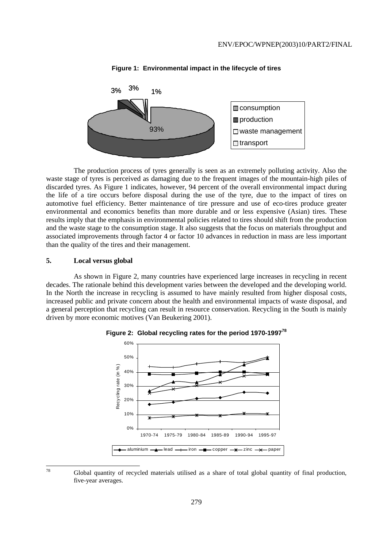

#### **Figure 1: Environmental impact in the lifecycle of tires**

 The production process of tyres generally is seen as an extremely polluting activity. Also the waste stage of tyres is perceived as damaging due to the frequent images of the mountain-high piles of discarded tyres. As Figure 1 indicates, however, 94 percent of the overall environmental impact during the life of a tire occurs before disposal during the use of the tyre, due to the impact of tires on automotive fuel efficiency. Better maintenance of tire pressure and use of eco-tires produce greater environmental and economics benefits than more durable and or less expensive (Asian) tires. These results imply that the emphasis in environmental policies related to tires should shift from the production and the waste stage to the consumption stage. It also suggests that the focus on materials throughput and associated improvements through factor 4 or factor 10 advances in reduction in mass are less important than the quality of the tires and their management.

## **5. Local versus global**

78

 As shown in Figure 2, many countries have experienced large increases in recycling in recent decades. The rationale behind this development varies between the developed and the developing world. In the North the increase in recycling is assumed to have mainly resulted from higher disposal costs, increased public and private concern about the health and environmental impacts of waste disposal, and a general perception that recycling can result in resource conservation. Recycling in the South is mainly driven by more economic motives (Van Beukering 2001).





Global quantity of recycled materials utilised as a share of total global quantity of final production, five-year averages.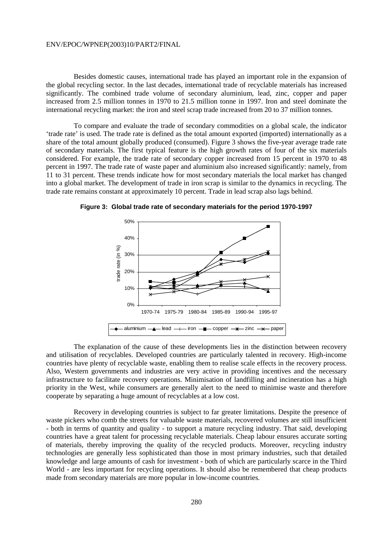Besides domestic causes, international trade has played an important role in the expansion of the global recycling sector. In the last decades, international trade of recyclable materials has increased significantly. The combined trade volume of secondary aluminium, lead, zinc, copper and paper increased from 2.5 million tonnes in 1970 to 21.5 million tonne in 1997. Iron and steel dominate the international recycling market: the iron and steel scrap trade increased from 20 to 37 million tonnes.

 To compare and evaluate the trade of secondary commodities on a global scale, the indicator 'trade rate' is used. The trade rate is defined as the total amount exported (imported) internationally as a share of the total amount globally produced (consumed). Figure 3 shows the five-year average trade rate of secondary materials. The first typical feature is the high growth rates of four of the six materials considered. For example, the trade rate of secondary copper increased from 15 percent in 1970 to 48 percent in 1997. The trade rate of waste paper and aluminium also increased significantly: namely, from 11 to 31 percent. These trends indicate how for most secondary materials the local market has changed into a global market. The development of trade in iron scrap is similar to the dynamics in recycling. The trade rate remains constant at approximately 10 percent. Trade in lead scrap also lags behind.



**Figure 3: Global trade rate of secondary materials for the period 1970-1997** 

 The explanation of the cause of these developments lies in the distinction between recovery and utilisation of recyclables. Developed countries are particularly talented in recovery. High-income countries have plenty of recyclable waste, enabling them to realise scale effects in the recovery process. Also, Western governments and industries are very active in providing incentives and the necessary infrastructure to facilitate recovery operations. Minimisation of landfilling and incineration has a high priority in the West, while consumers are generally alert to the need to minimise waste and therefore cooperate by separating a huge amount of recyclables at a low cost.

 Recovery in developing countries is subject to far greater limitations. Despite the presence of waste pickers who comb the streets for valuable waste materials, recovered volumes are still insufficient - both in terms of quantity and quality - to support a mature recycling industry. That said, developing countries have a great talent for processing recyclable materials. Cheap labour ensures accurate sorting of materials, thereby improving the quality of the recycled products. Moreover, recycling industry technologies are generally less sophisticated than those in most primary industries, such that detailed knowledge and large amounts of cash for investment - both of which are particularly scarce in the Third World - are less important for recycling operations. It should also be remembered that cheap products made from secondary materials are more popular in low-income countries.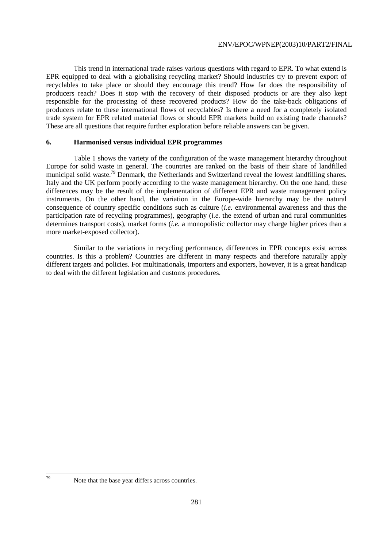This trend in international trade raises various questions with regard to EPR. To what extend is EPR equipped to deal with a globalising recycling market? Should industries try to prevent export of recyclables to take place or should they encourage this trend? How far does the responsibility of producers reach? Does it stop with the recovery of their disposed products or are they also kept responsible for the processing of these recovered products? How do the take-back obligations of producers relate to these international flows of recyclables? Is there a need for a completely isolated trade system for EPR related material flows or should EPR markets build on existing trade channels? These are all questions that require further exploration before reliable answers can be given.

#### **6. Harmonised versus individual EPR programmes**

 Table 1 shows the variety of the configuration of the waste management hierarchy throughout Europe for solid waste in general. The countries are ranked on the basis of their share of landfilled municipal solid waste.<sup>79</sup> Denmark, the Netherlands and Switzerland reveal the lowest landfilling shares. Italy and the UK perform poorly according to the waste management hierarchy. On the one hand, these differences may be the result of the implementation of different EPR and waste management policy instruments. On the other hand, the variation in the Europe-wide hierarchy may be the natural consequence of country specific conditions such as culture (*i.e.* environmental awareness and thus the participation rate of recycling programmes), geography (*i.e.* the extend of urban and rural communities determines transport costs), market forms (*i.e.* a monopolistic collector may charge higher prices than a more market-exposed collector).

 Similar to the variations in recycling performance, differences in EPR concepts exist across countries. Is this a problem? Countries are different in many respects and therefore naturally apply different targets and policies. For multinationals, importers and exporters, however, it is a great handicap to deal with the different legislation and customs procedures.

 $70$ 

Note that the base year differs across countries.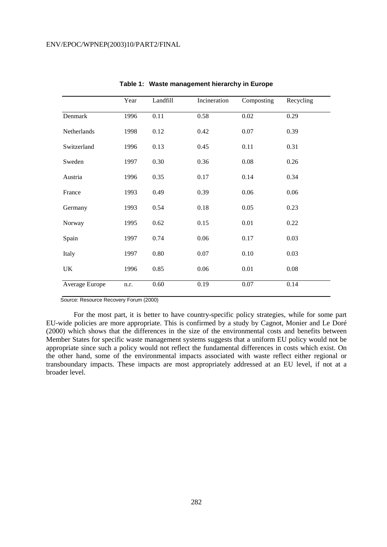|                | Year | Landfill | Incineration | Composting | Recycling |
|----------------|------|----------|--------------|------------|-----------|
| Denmark        | 1996 | 0.11     | 0.58         | 0.02       | 0.29      |
| Netherlands    | 1998 | 0.12     | 0.42         | 0.07       | 0.39      |
| Switzerland    | 1996 | 0.13     | 0.45         | 0.11       | 0.31      |
| Sweden         | 1997 | 0.30     | 0.36         | 0.08       | 0.26      |
| Austria        | 1996 | 0.35     | 0.17         | 0.14       | 0.34      |
| France         | 1993 | 0.49     | 0.39         | 0.06       | 0.06      |
| Germany        | 1993 | 0.54     | 0.18         | 0.05       | 0.23      |
| Norway         | 1995 | 0.62     | 0.15         | 0.01       | 0.22      |
| Spain          | 1997 | 0.74     | 0.06         | 0.17       | 0.03      |
| Italy          | 1997 | 0.80     | 0.07         | 0.10       | 0.03      |
| UK             | 1996 | 0.85     | 0.06         | 0.01       | 0.08      |
| Average Europe | n.r. | 0.60     | 0.19         | 0.07       | 0.14      |

**Table 1: Waste management hierarchy in Europe** 

Source: Resource Recovery Forum (2000)

 For the most part, it is better to have country-specific policy strategies, while for some part EU-wide policies are more appropriate. This is confirmed by a study by Cagnot, Monier and Le Doré (2000) which shows that the differences in the size of the environmental costs and benefits between Member States for specific waste management systems suggests that a uniform EU policy would not be appropriate since such a policy would not reflect the fundamental differences in costs which exist. On the other hand, some of the environmental impacts associated with waste reflect either regional or transboundary impacts. These impacts are most appropriately addressed at an EU level, if not at a broader level.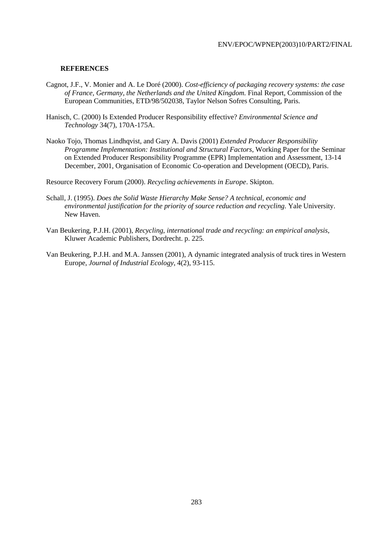## **REFERENCES**

- Cagnot, J.F., V. Monier and A. Le Doré (2000). *Cost-efficiency of packaging recovery systems: the case of France, Germany, the Netherlands and the United Kingdom.* Final Report, Commission of the European Communities, ETD/98/502038, Taylor Nelson Sofres Consulting, Paris.
- Hanisch, C. (2000) Is Extended Producer Responsibility effective? *Environmental Science and Technology* 34(7), 170A-175A.
- Naoko Tojo, Thomas Lindhqvist, and Gary A. Davis (2001) *Extended Producer Responsibility Programme Implementation: Institutional and Structural Factors*, Working Paper for the Seminar on Extended Producer Responsibility Programme (EPR) Implementation and Assessment, 13-14 December, 2001, Organisation of Economic Co-operation and Development (OECD), Paris.

Resource Recovery Forum (2000). *Recycling achievements in Europe*. Skipton.

- Schall, J. (1995). *Does the Solid Waste Hierarchy Make Sense? A technical, economic and environmental justification for the priority of source reduction and recycling*. Yale University. New Haven.
- Van Beukering, P.J.H. (2001), *Recycling, international trade and recycling: an empirical analysis*, Kluwer Academic Publishers, Dordrecht. p. 225.
- Van Beukering, P.J.H. and M.A. Janssen (2001), A dynamic integrated analysis of truck tires in Western Europe, *Journal of Industrial Ecology*, 4(2), 93-115.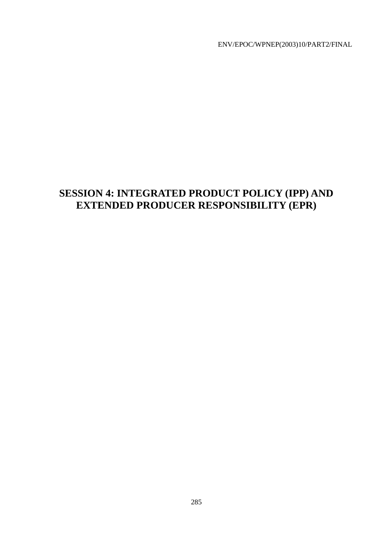# **SESSION 4: INTEGRATED PRODUCT POLICY (IPP) AND EXTENDED PRODUCER RESPONSIBILITY (EPR)**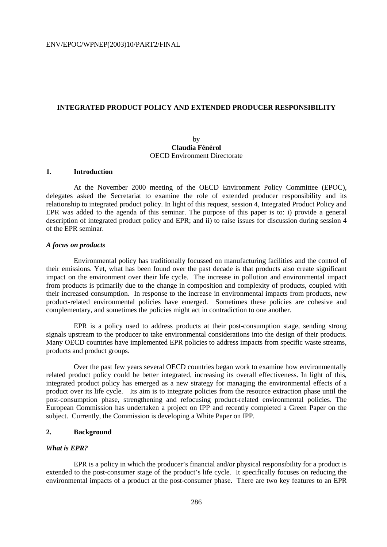#### **INTEGRATED PRODUCT POLICY AND EXTENDED PRODUCER RESPONSIBILITY**

## by **Claudia Fénérol**  OECD Environment Directorate

#### **1. Introduction**

 At the November 2000 meeting of the OECD Environment Policy Committee (EPOC), delegates asked the Secretariat to examine the role of extended producer responsibility and its relationship to integrated product policy. In light of this request, session 4, Integrated Product Policy and EPR was added to the agenda of this seminar. The purpose of this paper is to: i) provide a general description of integrated product policy and EPR; and ii) to raise issues for discussion during session 4 of the EPR seminar.

#### *A focus on products*

 Environmental policy has traditionally focussed on manufacturing facilities and the control of their emissions. Yet, what has been found over the past decade is that products also create significant impact on the environment over their life cycle. The increase in pollution and environmental impact from products is primarily due to the change in composition and complexity of products, coupled with their increased consumption. In response to the increase in environmental impacts from products, new product-related environmental policies have emerged. Sometimes these policies are cohesive and complementary, and sometimes the policies might act in contradiction to one another.

 EPR is a policy used to address products at their post-consumption stage, sending strong signals upstream to the producer to take environmental considerations into the design of their products. Many OECD countries have implemented EPR policies to address impacts from specific waste streams, products and product groups.

 Over the past few years several OECD countries began work to examine how environmentally related product policy could be better integrated, increasing its overall effectiveness. In light of this, integrated product policy has emerged as a new strategy for managing the environmental effects of a product over its life cycle. Its aim is to integrate policies from the resource extraction phase until the post-consumption phase, strengthening and refocusing product-related environmental policies. The European Commission has undertaken a project on IPP and recently completed a Green Paper on the subject. Currently, the Commission is developing a White Paper on IPP.

#### **2. Background**

## *What is EPR?*

 EPR is a policy in which the producer's financial and/or physical responsibility for a product is extended to the post-consumer stage of the product's life cycle. It specifically focuses on reducing the environmental impacts of a product at the post-consumer phase. There are two key features to an EPR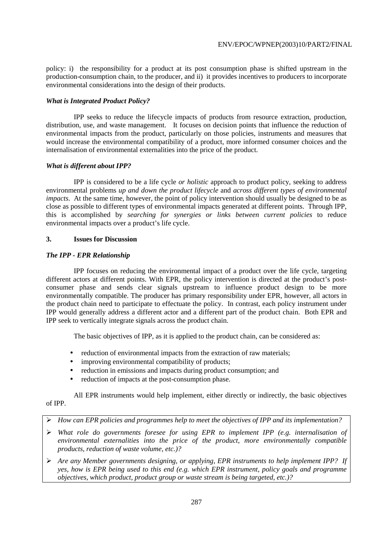policy: i) the responsibility for a product at its post consumption phase is shifted upstream in the production-consumption chain, to the producer, and ii) it provides incentives to producers to incorporate environmental considerations into the design of their products.

# *What is Integrated Product Policy?*

 IPP seeks to reduce the lifecycle impacts of products from resource extraction, production, distribution, use, and waste management. It focuses on decision points that influence the reduction of environmental impacts from the product, particularly on those policies, instruments and measures that would increase the environmental compatibility of a product, more informed consumer choices and the internalisation of environmental externalities into the price of the product.

### *What is different about IPP?*

 IPP is considered to be a life cycle *or holistic* approach to product policy, seeking to address environmental problems *up and down the product lifecycle* and *across different types of environmental impacts*. At the same time, however, the point of policy intervention should usually be designed to be as close as possible to different types of environmental impacts generated at different points. Through IPP, this is accomplished by *searching for synergies or links between current policies* to reduce environmental impacts over a product's life cycle.

### **3. Issues for Discussion**

### *The IPP - EPR Relationship*

 IPP focuses on reducing the environmental impact of a product over the life cycle, targeting different actors at different points. With EPR, the policy intervention is directed at the product's postconsumer phase and sends clear signals upstream to influence product design to be more environmentally compatible. The producer has primary responsibility under EPR, however, all actors in the product chain need to participate to effectuate the policy. In contrast, each policy instrument under IPP would generally address a different actor and a different part of the product chain. Both EPR and IPP seek to vertically integrate signals across the product chain.

The basic objectives of IPP, as it is applied to the product chain, can be considered as:

- reduction of environmental impacts from the extraction of raw materials;
- improving environmental compatibility of products:
- reduction in emissions and impacts during product consumption; and
- reduction of impacts at the post-consumption phase.

 All EPR instruments would help implement, either directly or indirectly, the basic objectives of IPP.

- ! *How can EPR policies and programmes help to meet the objectives of IPP and its implementation?*
- ! *What role do governments foresee for using EPR to implement IPP (e.g. internalisation of environmental externalities into the price of the product, more environmentally compatible products, reduction of waste volume, etc.)?*
- ! *Are any Member governments designing, or applying, EPR instruments to help implement IPP? If yes, how is EPR being used to this end (e.g. which EPR instrument, policy goals and programme objectives, which product, product group or waste stream is being targeted, etc.)?*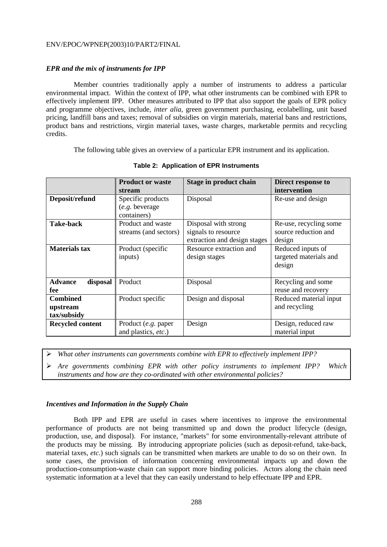### *EPR and the mix of instruments for IPP*

 Member countries traditionally apply a number of instruments to address a particular environmental impact. Within the context of IPP, what other instruments can be combined with EPR to effectively implement IPP. Other measures attributed to IPP that also support the goals of EPR policy and programme objectives, include, *inter alia*, green government purchasing, ecolabelling, unit based pricing, landfill bans and taxes; removal of subsidies on virgin materials, material bans and restrictions, product bans and restrictions, virgin material taxes, waste charges, marketable permits and recycling credits.

The following table gives an overview of a particular EPR instrument and its application.

|                                            | <b>Product or waste</b><br>stream                  | Stage in product chain                                                      | Direct response to<br>intervention                       |  |
|--------------------------------------------|----------------------------------------------------|-----------------------------------------------------------------------------|----------------------------------------------------------|--|
| Deposit/refund                             | Specific products<br>(e.g. beverage<br>containers) | Disposal                                                                    | Re-use and design                                        |  |
| <b>Take-back</b>                           | Product and waste<br>streams (and sectors)         | Disposal with strong<br>signals to resource<br>extraction and design stages | Re-use, recycling some<br>source reduction and<br>design |  |
| <b>Materials tax</b>                       | Product (specific<br>inputs)                       | Resource extraction and<br>design stages                                    | Reduced inputs of<br>targeted materials and<br>design    |  |
| <b>Advance</b><br>disposal<br>fee          | Product                                            | Disposal                                                                    | Recycling and some<br>reuse and recovery                 |  |
| <b>Combined</b><br>upstream<br>tax/subsidy | Product specific                                   | Design and disposal                                                         | Reduced material input<br>and recycling                  |  |
| Recycled content                           | Product (e.g. paper<br>and plastics, etc.)         | Design                                                                      | Design, reduced raw<br>material input                    |  |

**Table 2: Application of EPR Instruments** 

! *What other instruments can governments combine with EPR to effectively implement IPP?*

! *Are governments combining EPR with other policy instruments to implement IPP? Which instruments and how are they co-ordinated with other environmental policies?* 

### *Incentives and Information in the Supply Chain*

 Both IPP and EPR are useful in cases where incentives to improve the environmental performance of products are not being transmitted up and down the product lifecycle (design, production, use, and disposal). For instance, "markets" for some environmentally-relevant attribute of the products may be missing. By introducing appropriate policies (such as deposit-refund, take-back, material taxes, *etc*.) such signals can be transmitted when markets are unable to do so on their own. In some cases, the provision of information concerning environmental impacts up and down the production-consumption-waste chain can support more binding policies. Actors along the chain need systematic information at a level that they can easily understand to help effectuate IPP and EPR.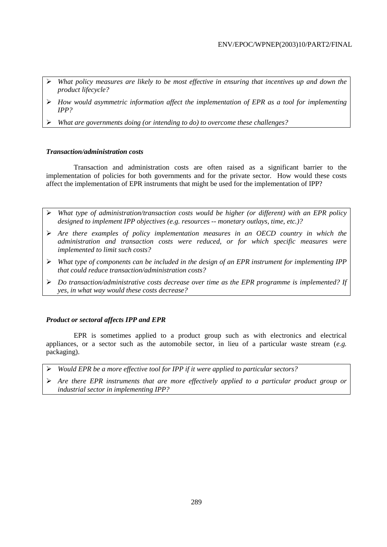- ! *What policy measures are likely to be most effective in ensuring that incentives up and down the product lifecycle?*
- ! *How would asymmetric information affect the implementation of EPR as a tool for implementing IPP?*
- ! *What are governments doing (or intending to do) to overcome these challenges?*

### *Transaction/administration costs*

 Transaction and administration costs are often raised as a significant barrier to the implementation of policies for both governments and for the private sector. How would these costs affect the implementation of EPR instruments that might be used for the implementation of IPP?

- ! *What type of administration/transaction costs would be higher (or different) with an EPR policy designed to implement IPP objectives (e.g. resources -- monetary outlays, time, etc.)?*
- ! *Are there examples of policy implementation measures in an OECD country in which the administration and transaction costs were reduced, or for which specific measures were implemented to limit such costs?*
- ! *What type of components can be included in the design of an EPR instrument for implementing IPP that could reduce transaction/administration costs?*
- ! *Do transaction/administrative costs decrease over time as the EPR programme is implemented? If yes, in what way would these costs decrease?*

# *Product or sectoral affects IPP and EPR*

 EPR is sometimes applied to a product group such as with electronics and electrical appliances, or a sector such as the automobile sector, in lieu of a particular waste stream (*e.g.* packaging).

- ! *Would EPR be a more effective tool for IPP if it were applied to particular sectors?*
- ! *Are there EPR instruments that are more effectively applied to a particular product group or industrial sector in implementing IPP?*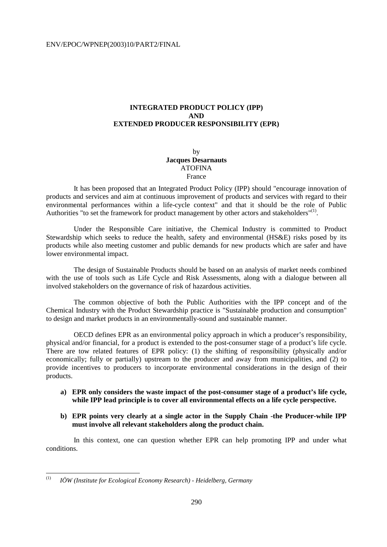# **INTEGRATED PRODUCT POLICY (IPP) AND EXTENDED PRODUCER RESPONSIBILITY (EPR)**

by **Jacques Desarnauts** ATOFINA France

 It has been proposed that an Integrated Product Policy (IPP) should "encourage innovation of products and services and aim at continuous improvement of products and services with regard to their environmental performances within a life-cycle context" and that it should be the role of Public Authorities "to set the framework for product management by other actors and stakeholders"<sup>(1)</sup>.

 Under the Responsible Care initiative, the Chemical Industry is committed to Product Stewardship which seeks to reduce the health, safety and environmental (HS&E) risks posed by its products while also meeting customer and public demands for new products which are safer and have lower environmental impact.

 The design of Sustainable Products should be based on an analysis of market needs combined with the use of tools such as Life Cycle and Risk Assessments, along with a dialogue between all involved stakeholders on the governance of risk of hazardous activities.

 The common objective of both the Public Authorities with the IPP concept and of the Chemical Industry with the Product Stewardship practice is "Sustainable production and consumption" to design and market products in an environmentally-sound and sustainable manner.

 OECD defines EPR as an environmental policy approach in which a producer's responsibility, physical and/or financial, for a product is extended to the post-consumer stage of a product's life cycle. There are tow related features of EPR policy: (1) the shifting of responsibility (physically and/or economically; fully or partially) upstream to the producer and away from municipalities, and (2) to provide incentives to producers to incorporate environmental considerations in the design of their products.

- **a) EPR only considers the waste impact of the post-consumer stage of a product's life cycle, while IPP lead principle is to cover all environmental effects on a life cycle perspective.**
- **b) EPR points very clearly at a single actor in the Supply Chain -the Producer-while IPP must involve all relevant stakeholders along the product chain.**

 In this context, one can question whether EPR can help promoting IPP and under what conditions.

 $(1)$ (1) *IÖW (Institute for Ecological Economy Research) - Heidelberg, Germany*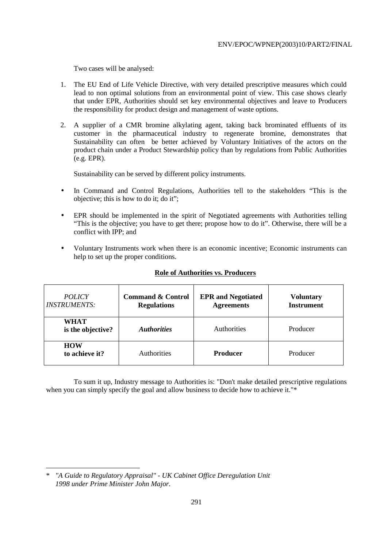Two cases will be analysed:

- 1. The EU End of Life Vehicle Directive, with very detailed prescriptive measures which could lead to non optimal solutions from an environmental point of view. This case shows clearly that under EPR, Authorities should set key environmental objectives and leave to Producers the responsibility for product design and management of waste options.
- 2. A supplier of a CMR bromine alkylating agent, taking back brominated effluents of its customer in the pharmaceutical industry to regenerate bromine, demonstrates that Sustainability can often be better achieved by Voluntary Initiatives of the actors on the product chain under a Product Stewardship policy than by regulations from Public Authorities (e.g. EPR).

Sustainability can be served by different policy instruments.

- In Command and Control Regulations, Authorities tell to the stakeholders "This is the objective; this is how to do it; do it";
- EPR should be implemented in the spirit of Negotiated agreements with Authorities telling "This is the objective; you have to get there; propose how to do it". Otherwise, there will be a conflict with IPP; and
- Voluntary Instruments work when there is an economic incentive; Economic instruments can help to set up the proper conditions.

| <i>POLICY</i><br><b>INSTRUMENTS:</b> | <b>Command &amp; Control</b><br><b>Regulations</b> | <b>EPR</b> and Negotiated<br><b>Agreements</b> | <b>Voluntary</b><br><b>Instrument</b> |  |
|--------------------------------------|----------------------------------------------------|------------------------------------------------|---------------------------------------|--|
| <b>WHAT</b><br>is the objective?     | <i>Authorities</i>                                 | <b>Authorities</b>                             | Producer                              |  |
| <b>HOW</b><br>to achieve it?         | Authorities                                        | <b>Producer</b>                                | Producer                              |  |

# **Role of Authorities vs. Producers**

 To sum it up, Industry message to Authorities is: "Don't make detailed prescriptive regulations when you can simply specify the goal and allow business to decide how to achieve it."\*

 $\overline{a}$ \* *"A Guide to Regulatory Appraisal" - UK Cabinet Office Deregulation Unit 1998 under Prime Minister John Major.*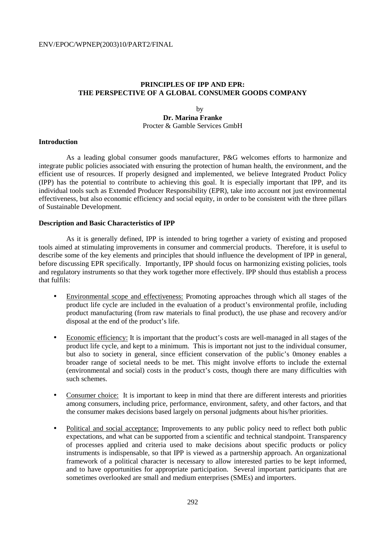# **PRINCIPLES OF IPP AND EPR: THE PERSPECTIVE OF A GLOBAL CONSUMER GOODS COMPANY**

# by **Dr. Marina Franke** Procter & Gamble Services GmbH

### **Introduction**

 As a leading global consumer goods manufacturer, P&G welcomes efforts to harmonize and integrate public policies associated with ensuring the protection of human health, the environment, and the efficient use of resources. If properly designed and implemented, we believe Integrated Product Policy (IPP) has the potential to contribute to achieving this goal. It is especially important that IPP, and its individual tools such as Extended Producer Responsibility (EPR), take into account not just environmental effectiveness, but also economic efficiency and social equity, in order to be consistent with the three pillars of Sustainable Development.

### **Description and Basic Characteristics of IPP**

 As it is generally defined, IPP is intended to bring together a variety of existing and proposed tools aimed at stimulating improvements in consumer and commercial products. Therefore, it is useful to describe some of the key elements and principles that should influence the development of IPP in general, before discussing EPR specifically. Importantly, IPP should focus on harmonizing existing policies, tools and regulatory instruments so that they work together more effectively. IPP should thus establish a process that fulfils:

- Environmental scope and effectiveness: Promoting approaches through which all stages of the product life cycle are included in the evaluation of a product's environmental profile, including product manufacturing (from raw materials to final product), the use phase and recovery and/or disposal at the end of the product's life.
- Economic efficiency: It is important that the product's costs are well-managed in all stages of the product life cycle, and kept to a minimum. This is important not just to the individual consumer, but also to society in general, since efficient conservation of the public's 0money enables a broader range of societal needs to be met. This might involve efforts to include the external (environmental and social) costs in the product's costs, though there are many difficulties with such schemes.
- Consumer choice: It is important to keep in mind that there are different interests and priorities among consumers, including price, performance, environment, safety, and other factors, and that the consumer makes decisions based largely on personal judgments about his/her priorities.
- Political and social acceptance: Improvements to any public policy need to reflect both public expectations, and what can be supported from a scientific and technical standpoint. Transparency of processes applied and criteria used to make decisions about specific products or policy instruments is indispensable, so that IPP is viewed as a partnership approach. An organizational framework of a political character is necessary to allow interested parties to be kept informed, and to have opportunities for appropriate participation. Several important participants that are sometimes overlooked are small and medium enterprises (SMEs) and importers.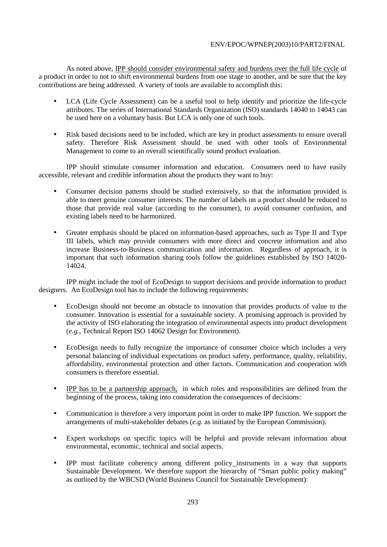As noted above, IPP should consider environmental safety and burdens over the full life cycle of a product in order to not to shift environmental burdens from one stage to another, and be sure that the key contributions are being addressed. A variety of tools are available to accomplish this:

- LCA (Life Cycle Assessment) can be a useful tool to help identify and prioritize the life-cycle attributes. The series of International Standards Organization (ISO) standards 14040 to 14043 can be used here on a voluntary basis. But LCA is only one of such tools.
- Risk based decisions need to be included, which are key in product assessments to ensure overall safety. Therefore Risk Assessment should be used with other tools of Environmental Management to come to an overall scientifically sound product evaluation.

 IPP should stimulate consumer information and education. Consumers need to have easily accessible, relevant and credible information about the products they want to buy:

- Consumer decision patterns should be studied extensively, so that the information provided is able to meet genuine consumer interests. The number of labels on a product should be reduced to those that provide real value (according to the consumer), to avoid consumer confusion, and existing labels need to be harmonized.
- Greater emphasis should be placed on information-based approaches, such as Type II and Type III labels, which may provide consumers with more direct and concrete information and also increase Business-to-Business communication and information. Regardless of approach, it is important that such information sharing tools follow the guidelines established by ISO 14020- 14024.

 IPP might include the tool of EcoDesign to support decisions and provide information to product designers. An EcoDesign tool has to include the following requirements:

- EcoDesign should not become an obstacle to innovation that provides products of value to the consumer. Innovation is essential for a sustainable society. A promising approach is provided by the activity of ISO elaborating the integration of environmental aspects into product development (*e.g.*, Technical Report ISO 14062 Design for Environment).
- EcoDesign needs to fully recognize the importance of consumer choice which includes a very personal balancing of individual expectations on product safety, performance, quality, reliability, affordability, environmental protection and other factors. Communication and cooperation with consumers is therefore essential.
- IPP has to be a partnership approach, in which roles and responsibilities are defined from the beginning of the process, taking into consideration the consequences of decisions:
- Communication is therefore a very important point in order to make IPP function. We support the arrangements of multi-stakeholder debates (*e.g.* as initiated by the European Commission).
- Expert workshops on specific topics will be helpful and provide relevant information about environmental, economic, technical and social aspects.
- IPP must facilitate coherency among different policy instruments in a way that supports Sustainable Development. We therefore support the hierarchy of "Smart public policy making" as outlined by the WBCSD (World Business Council for Sustainable Development):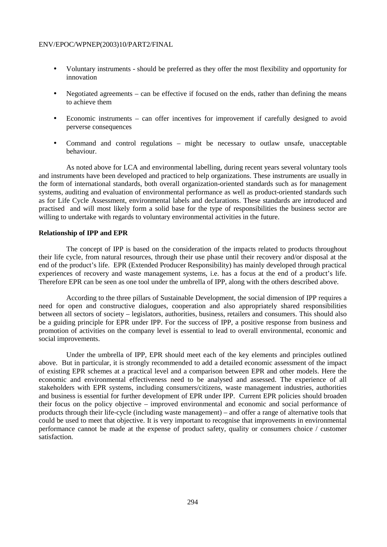- Voluntary instruments should be preferred as they offer the most flexibility and opportunity for innovation
- Negotiated agreements can be effective if focused on the ends, rather than defining the means to achieve them
- Economic instruments can offer incentives for improvement if carefully designed to avoid perverse consequences
- Command and control regulations might be necessary to outlaw unsafe, unacceptable behaviour.

 As noted above for LCA and environmental labelling, during recent years several voluntary tools and instruments have been developed and practiced to help organizations. These instruments are usually in the form of international standards, both overall organization-oriented standards such as for management systems, auditing and evaluation of environmental performance as well as product-oriented standards such as for Life Cycle Assessment, environmental labels and declarations. These standards are introduced and practised and will most likely form a solid base for the type of responsibilities the business sector are willing to undertake with regards to voluntary environmental activities in the future.

### **Relationship of IPP and EPR**

 The concept of IPP is based on the consideration of the impacts related to products throughout their life cycle, from natural resources, through their use phase until their recovery and/or disposal at the end of the product's life. EPR (Extended Producer Responsibility) has mainly developed through practical experiences of recovery and waste management systems, i.e. has a focus at the end of a product's life. Therefore EPR can be seen as one tool under the umbrella of IPP, along with the others described above.

 According to the three pillars of Sustainable Development, the social dimension of IPP requires a need for open and constructive dialogues, cooperation and also appropriately shared responsibilities between all sectors of society – legislators, authorities, business, retailers and consumers. This should also be a guiding principle for EPR under IPP. For the success of IPP, a positive response from business and promotion of activities on the company level is essential to lead to overall environmental, economic and social improvements.

 Under the umbrella of IPP, EPR should meet each of the key elements and principles outlined above. But in particular, it is strongly recommended to add a detailed economic assessment of the impact of existing EPR schemes at a practical level and a comparison between EPR and other models. Here the economic and environmental effectiveness need to be analysed and assessed. The experience of all stakeholders with EPR systems, including consumers/citizens, waste management industries, authorities and business is essential for further development of EPR under IPP. Current EPR policies should broaden their focus on the policy objective – improved environmental and economic and social performance of products through their life-cycle (including waste management) – and offer a range of alternative tools that could be used to meet that objective. It is very important to recognise that improvements in environmental performance cannot be made at the expense of product safety, quality or consumers choice / customer satisfaction.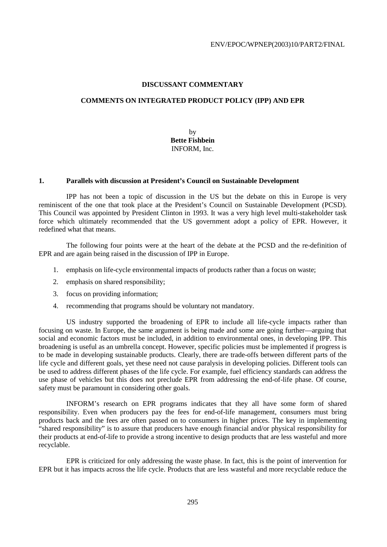# **DISCUSSANT COMMENTARY**

### **COMMENTS ON INTEGRATED PRODUCT POLICY (IPP) AND EPR**

by **Bette Fishbein** INFORM, Inc.

#### **1. Parallels with discussion at President's Council on Sustainable Development**

 IPP has not been a topic of discussion in the US but the debate on this in Europe is very reminiscent of the one that took place at the President's Council on Sustainable Development (PCSD). This Council was appointed by President Clinton in 1993. It was a very high level multi-stakeholder task force which ultimately recommended that the US government adopt a policy of EPR. However, it redefined what that means.

 The following four points were at the heart of the debate at the PCSD and the re-definition of EPR and are again being raised in the discussion of IPP in Europe.

- 1. emphasis on life-cycle environmental impacts of products rather than a focus on waste;
- 2. emphasis on shared responsibility;
- 3. focus on providing information;
- 4. recommending that programs should be voluntary not mandatory.

 US industry supported the broadening of EPR to include all life-cycle impacts rather than focusing on waste. In Europe, the same argument is being made and some are going further—arguing that social and economic factors must be included, in addition to environmental ones, in developing IPP. This broadening is useful as an umbrella concept. However, specific policies must be implemented if progress is to be made in developing sustainable products. Clearly, there are trade-offs between different parts of the life cycle and different goals, yet these need not cause paralysis in developing policies. Different tools can be used to address different phases of the life cycle. For example, fuel efficiency standards can address the use phase of vehicles but this does not preclude EPR from addressing the end-of-life phase. Of course, safety must be paramount in considering other goals.

 INFORM's research on EPR programs indicates that they all have some form of shared responsibility. Even when producers pay the fees for end-of-life management, consumers must bring products back and the fees are often passed on to consumers in higher prices. The key in implementing "shared responsibility" is to assure that producers have enough financial and/or physical responsibility for their products at end-of-life to provide a strong incentive to design products that are less wasteful and more recyclable.

 EPR is criticized for only addressing the waste phase. In fact, this is the point of intervention for EPR but it has impacts across the life cycle. Products that are less wasteful and more recyclable reduce the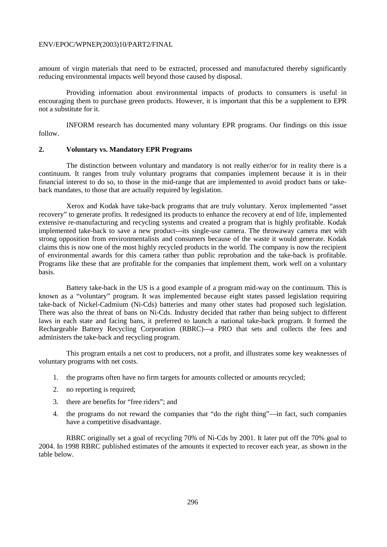amount of virgin materials that need to be extracted, processed and manufactured thereby significantly reducing environmental impacts well beyond those caused by disposal.

 Providing information about environmental impacts of products to consumers is useful in encouraging them to purchase green products. However, it is important that this be a supplement to EPR not a substitute for it.

 INFORM research has documented many voluntary EPR programs. Our findings on this issue follow.

#### **2. Voluntary vs. Mandatory EPR Programs**

 The distinction between voluntary and mandatory is not really either/or for in reality there is a continuum. It ranges from truly voluntary programs that companies implement because it is in their financial interest to do so, to those in the mid-range that are implemented to avoid product bans or takeback mandates, to those that are actually required by legislation.

 Xerox and Kodak have take-back programs that are truly voluntary. Xerox implemented "asset recovery" to generate profits. It redesigned its products to enhance the recovery at end of life, implemented extensive re-manufacturing and recycling systems and created a program that is highly profitable. Kodak implemented take-back to save a new product---its single-use camera. The throwaway camera met with strong opposition from environmentalists and consumers because of the waste it would generate. Kodak claims this is now one of the most highly recycled products in the world. The company is now the recipient of environmental awards for this camera rather than public reprobation and the take-back is profitable. Programs like these that are profitable for the companies that implement them, work well on a voluntary basis.

 Battery take-back in the US is a good example of a program mid-way on the continuum. This is known as a "voluntary" program. It was implemented because eight states passed legislation requiring take-back of Nickel-Cadmium (Ni-Cds) batteries and many other states had proposed such legislation. There was also the threat of bans on Ni-Cds. Industry decided that rather than being subject to different laws in each state and facing bans, it preferred to launch a national take-back program. It formed the Rechargeable Battery Recycling Corporation (RBRC)---a PRO that sets and collects the fees and administers the take-back and recycling program.

 This program entails a net cost to producers, not a profit, and illustrates some key weaknesses of voluntary programs with net costs.

- 1. the programs often have no firm targets for amounts collected or amounts recycled;
- 2. no reporting is required;
- 3. there are benefits for "free riders"; and
- 4. the programs do not reward the companies that "do the right thing"—in fact, such companies have a competitive disadvantage.

 RBRC originally set a goal of recycling 70% of Ni-Cds by 2001. It later put off the 70% goal to 2004. In 1998 RBRC published estimates of the amounts it expected to recover each year, as shown in the table below.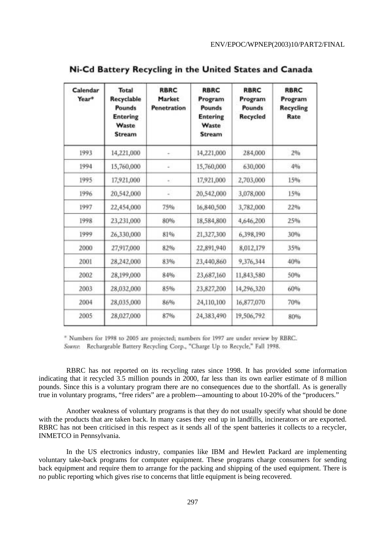| Calendar<br>Year* | <b>Total</b><br>Recyclable<br><b>Pounds</b><br><b>Entering</b><br>Waste<br><b>Stream</b> | <b>RBRC</b><br>Market<br>Penetration | <b>RBRC</b><br>Program<br>Pounds<br><b>Entering</b><br>Waste<br><b>Stream</b> | <b>RBRC</b><br>Program<br>Pounds<br>Recycled | <b>RBRC</b><br>Program<br><b>Recycling</b><br>Rate |
|-------------------|------------------------------------------------------------------------------------------|--------------------------------------|-------------------------------------------------------------------------------|----------------------------------------------|----------------------------------------------------|
| 1993              | 14,221,000                                                                               |                                      | 14,221,000                                                                    | 284,000                                      | 296                                                |
| 1994              | 15,760,000                                                                               | ÷                                    | 15,760,000                                                                    | 630,000                                      | 4%                                                 |
| 1995              | 17,921,000                                                                               | ×.                                   | 17,921,000                                                                    | 2,703,000                                    | 15%                                                |
| 1996              | 20,542,000                                                                               | a.                                   | 20,542,000                                                                    | 3,078,000                                    | 15%                                                |
| 1997              | 22,454,000                                                                               | 75%                                  | 16,840,500                                                                    | 3,782,000                                    | 22%                                                |
| 1998              | 23,231,000                                                                               | 80%                                  | 18,584,800                                                                    | 4,646,200                                    | 25%                                                |
| 1999              | 26,330,000                                                                               | 81%                                  | 21,327,300                                                                    | 6,398,190                                    | 30%                                                |
| 2000              | 27,917,000                                                                               | 82%                                  | 22,891,940                                                                    | 8,012,179                                    | 35%                                                |
| 2001              | 28,242,000                                                                               | 83%                                  | 23,440,860                                                                    | 9,376,344                                    | 40%                                                |
| 2002              | 28,199,000                                                                               | 84%                                  | 23,687,160                                                                    | 11,843,580                                   | 50%                                                |
| 2003              | 28,032,000                                                                               | 85%                                  | 23,827,200                                                                    | 14,296,320                                   | 60%                                                |
| 2004              | 28,035,000                                                                               | 86%                                  | 24,110,100                                                                    | 16,877,070                                   | 70%                                                |
| 2005              | 28,027,000                                                                               | 87%                                  | 24,383,490                                                                    | 19,506,792                                   | 80%                                                |

Ni-Cd Battery Recycling in the United States and Canada

\* Numbers for 1998 to 2005 are projected; numbers for 1997 are under review by RBRC. Source: Rechargeable Battery Recycling Corp., "Charge Up to Recycle," Fall 1998.

 RBRC has not reported on its recycling rates since 1998. It has provided some information indicating that it recycled 3.5 million pounds in 2000, far less than its own earlier estimate of 8 million pounds. Since this is a voluntary program there are no consequences due to the shortfall. As is generally true in voluntary programs, "free riders" are a problem---amounting to about 10-20% of the "producers."

 Another weakness of voluntary programs is that they do not usually specify what should be done with the products that are taken back. In many cases they end up in landfills, incinerators or are exported. RBRC has not been criticised in this respect as it sends all of the spent batteries it collects to a recycler, INMETCO in Pennsylvania.

 In the US electronics industry, companies like IBM and Hewlett Packard are implementing voluntary take-back programs for computer equipment. These programs charge consumers for sending back equipment and require them to arrange for the packing and shipping of the used equipment. There is no public reporting which gives rise to concerns that little equipment is being recovered.